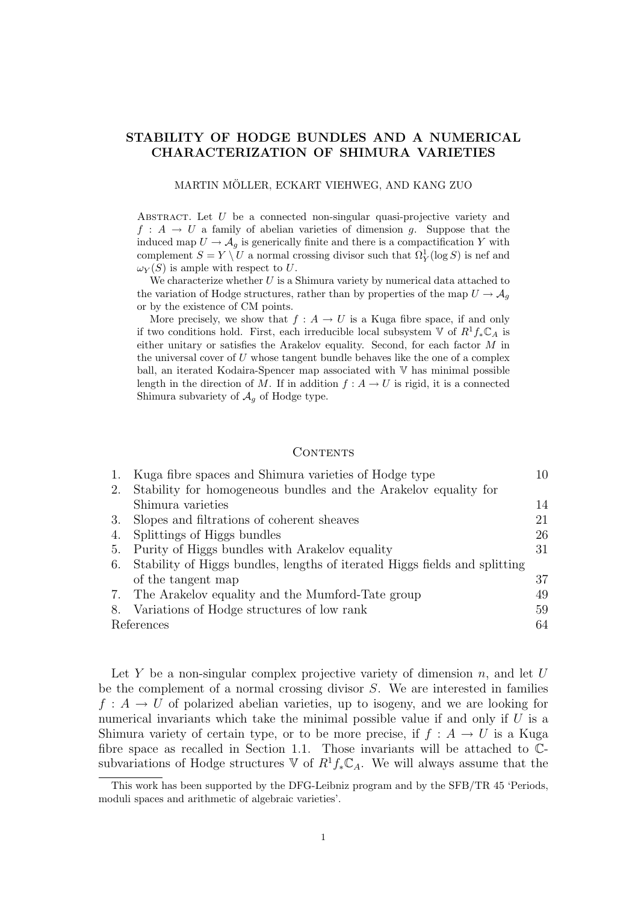# STABILITY OF HODGE BUNDLES AND A NUMERICAL CHARACTERIZATION OF SHIMURA VARIETIES

#### MARTIN MOLLER, ECKART VIEHWEG, AND KANG ZUO ¨

Abstract. Let U be a connected non-singular quasi-projective variety and  $f : A \to U$  a family of abelian varieties of dimension q. Suppose that the induced map  $U \to \mathcal{A}_q$  is generically finite and there is a compactification Y with complement  $S = Y \setminus U$  a normal crossing divisor such that  $\Omega_Y^1(\log S)$  is nef and  $\omega_Y(S)$  is ample with respect to U.

We characterize whether  $U$  is a Shimura variety by numerical data attached to the variation of Hodge structures, rather than by properties of the map  $U \rightarrow \mathcal{A}_q$ or by the existence of CM points.

More precisely, we show that  $f : A \to U$  is a Kuga fibre space, if and only if two conditions hold. First, each irreducible local subsystem  $\mathbb V$  of  $R^1f_*\mathbb C_A$  is either unitary or satisfies the Arakelov equality. Second, for each factor M in the universal cover of  $U$  whose tangent bundle behaves like the one of a complex ball, an iterated Kodaira-Spencer map associated with V has minimal possible length in the direction of M. If in addition  $f : A \to U$  is rigid, it is a connected Shimura subvariety of  $\mathcal{A}_g$  of Hodge type.

## CONTENTS

| 1. | Kuga fibre spaces and Shimura varieties of Hodge type                      | 10 |
|----|----------------------------------------------------------------------------|----|
| 2. | Stability for homogeneous bundles and the Arakelov equality for            |    |
|    | Shimura varieties                                                          | 14 |
| 3. | Slopes and filtrations of coherent sheaves                                 | 21 |
| 4. | Splittings of Higgs bundles                                                | 26 |
| 5. | Purity of Higgs bundles with Arakelov equality                             | 31 |
| 6. | Stability of Higgs bundles, lengths of iterated Higgs fields and splitting |    |
|    | of the tangent map                                                         | 37 |
|    | 7. The Arakelov equality and the Mumford-Tate group                        | 49 |
|    | 8. Variations of Hodge structures of low rank                              | 59 |
|    | References<br>64                                                           |    |

Let Y be a non-singular complex projective variety of dimension  $n$ , and let U be the complement of a normal crossing divisor S. We are interested in families  $f: A \to U$  of polarized abelian varieties, up to isogeny, and we are looking for numerical invariants which take the minimal possible value if and only if  $U$  is a Shimura variety of certain type, or to be more precise, if  $f : A \rightarrow U$  is a Kuga fibre space as recalled in Section 1.1. Those invariants will be attached to Csubvariations of Hodge structures  $\mathbb V$  of  $R^1 f_* \mathbb{C}_A$ . We will always assume that the

This work has been supported by the DFG-Leibniz program and by the SFB/TR 45 'Periods, moduli spaces and arithmetic of algebraic varieties'.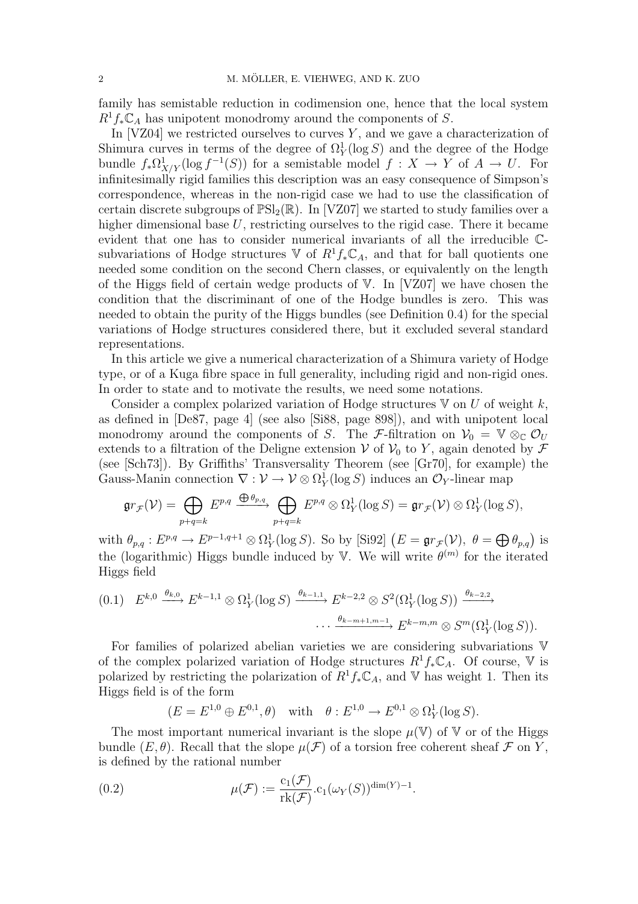family has semistable reduction in codimension one, hence that the local system  $R^1 f_* \mathbb{C}_A$  has unipotent monodromy around the components of S.

In  $[VZ04]$  we restricted ourselves to curves Y, and we gave a characterization of Shimura curves in terms of the degree of  $\Omega_Y^1(\log S)$  and the degree of the Hodge bundle  $f_*\Omega^1_{X/Y}(\log f^{-1}(S))$  for a semistable model  $f: X \to Y$  of  $A \to U$ . For infinitesimally rigid families this description was an easy consequence of Simpson's correspondence, whereas in the non-rigid case we had to use the classification of certain discrete subgroups of  $\mathbb{PSL}_2(\mathbb{R})$ . In [VZ07] we started to study families over a higher dimensional base U, restricting ourselves to the rigid case. There it became evident that one has to consider numerical invariants of all the irreducible Csubvariations of Hodge structures  $\mathbb V$  of  $R^1f_*\mathbb C_A$ , and that for ball quotients one needed some condition on the second Chern classes, or equivalently on the length of the Higgs field of certain wedge products of V. In [VZ07] we have chosen the condition that the discriminant of one of the Hodge bundles is zero. This was needed to obtain the purity of the Higgs bundles (see Definition 0.4) for the special variations of Hodge structures considered there, but it excluded several standard representations.

In this article we give a numerical characterization of a Shimura variety of Hodge type, or of a Kuga fibre space in full generality, including rigid and non-rigid ones. In order to state and to motivate the results, we need some notations.

Consider a complex polarized variation of Hodge structures  $V$  on  $U$  of weight  $k$ , as defined in [De87, page 4] (see also [Si88, page 898]), and with unipotent local monodromy around the components of S. The F-filtration on  $V_0 = V \otimes_{\mathbb{C}} \mathcal{O}_U$ extends to a filtration of the Deligne extension V of  $V_0$  to Y, again denoted by F (see [Sch73]). By Griffiths' Transversality Theorem (see [Gr70], for example) the Gauss-Manin connection  $\nabla : \mathcal{V} \to \mathcal{V} \otimes \Omega_Y^1(\log S)$  induces an  $\mathcal{O}_Y$ -linear map

$$
\mathfrak{gr}_{\mathcal{F}}(\mathcal{V})=\bigoplus_{p+q=k}E^{p,q}\xrightarrow{\bigoplus\theta_{p,q}}\bigoplus_{p+q=k}E^{p,q}\otimes\Omega_Y^1(\log S)=\mathfrak{gr}_{\mathcal{F}}(\mathcal{V})\otimes\Omega_Y^1(\log S),
$$

with  $\theta_{p,q}: E^{p,q} \to E^{p-1,q+1} \otimes \Omega_Y^1(\log S)$ . So by [Si92]  $(E = \mathfrak{gr}_{\mathcal{F}}(\mathcal{V}), \ \theta = \bigoplus \theta_{p,q}$  is the (logarithmic) Higgs bundle induced by V. We will write  $\theta^{(m)}$  for the iterated Higgs field

$$
(0.1) \quad E^{k,0} \xrightarrow{\theta_{k,0}} E^{k-1,1} \otimes \Omega_Y^1(\log S) \xrightarrow{\theta_{k-1,1}} E^{k-2,2} \otimes S^2(\Omega_Y^1(\log S)) \xrightarrow{\theta_{k-2,2}} \cdots \xrightarrow{\theta_{k-m+1,m-1}} E^{k-m,m} \otimes S^m(\Omega_Y^1(\log S)).
$$

For families of polarized abelian varieties we are considering subvariations V of the complex polarized variation of Hodge structures  $R^1 f_* \mathbb{C}_A$ . Of course, V is polarized by restricting the polarization of  $R^1 f_* \mathbb{C}_A$ , and V has weight 1. Then its Higgs field is of the form

$$
(E = E^{1,0} \oplus E^{0,1}, \theta) \quad \text{with} \quad \theta : E^{1,0} \to E^{0,1} \otimes \Omega^1_Y(\log S).
$$

The most important numerical invariant is the slope  $\mu(\mathbb{V})$  of  $\mathbb{V}$  or of the Higgs bundle  $(E, \theta)$ . Recall that the slope  $\mu(\mathcal{F})$  of a torsion free coherent sheaf  $\mathcal F$  on Y, is defined by the rational number

(0.2) 
$$
\mu(\mathcal{F}) := \frac{c_1(\mathcal{F})}{rk(\mathcal{F})} \cdot c_1(\omega_Y(S))^{\dim(Y) - 1}.
$$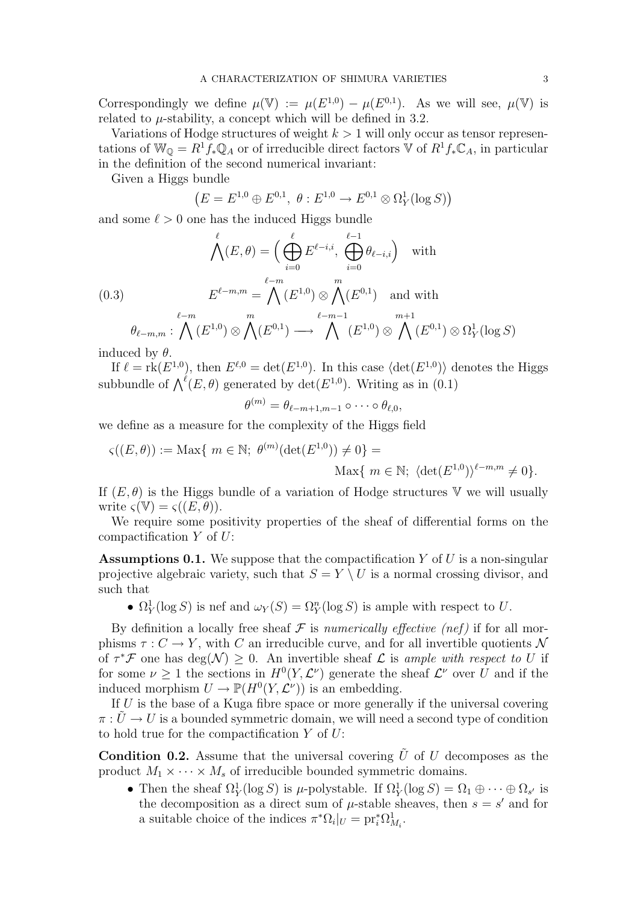Correspondingly we define  $\mu(\mathbb{V}) := \mu(E^{1,0}) - \mu(E^{0,1})$ . As we will see,  $\mu(\mathbb{V})$  is related to  $\mu$ -stability, a concept which will be defined in 3.2.

Variations of Hodge structures of weight  $k > 1$  will only occur as tensor representations of  $\mathbb{W}_{\mathbb{Q}} = R^1 f_* \mathbb{Q}_A$  or of irreducible direct factors  $\mathbb{V}$  of  $R^1 f_* \mathbb{C}_A$ , in particular in the definition of the second numerical invariant:

Given a Higgs bundle

$$
(E = E^{1,0} \oplus E^{0,1}, \ \theta : E^{1,0} \to E^{0,1} \otimes \Omega_Y^1(\log S))
$$

and some  $\ell > 0$  one has the induced Higgs bundle

$$
\bigwedge^{\ell}(E,\theta) = \Big(\bigoplus_{i=0}^{\ell} E^{\ell-i,i}, \bigoplus_{i=0}^{\ell-1} \theta_{\ell-i,i}\Big) \quad \text{with}
$$
\n
$$
(0.3) \qquad E^{\ell-m,m} = \bigwedge^{\ell-m} (E^{1,0}) \otimes \bigwedge^m (E^{0,1}) \quad \text{and with}
$$
\n
$$
\theta_{\ell-m,m} : \bigwedge^{\ell-m} (E^{1,0}) \otimes \bigwedge^{\ell} (E^{0,1}) \longrightarrow \bigwedge^{\ell-m-1} (E^{1,0}) \otimes \bigwedge^{\ell} (E^{0,1}) \otimes \Omega_Y^1(\log S)
$$

induced by  $\theta$ .

If  $\ell = \text{rk}(E^{1,0})$ , then  $E^{\ell,0} = \text{det}(E^{1,0})$ . In this case  $\langle \text{det}(E^{1,0}) \rangle$  denotes the Higgs  $\text{in } \ell = \text{rk}(E^{\ell})$ , then  $E^{\ell} = \text{det}(E^{\ell})$ . In this case  $\text{det}(E^{\ell})$  of  $\text{d}$  subbundle of  $\bigwedge^{\ell}(E, \theta)$  generated by  $\text{det}(E^{1,0})$ . Writing as in  $(0.1)$ 

$$
\theta^{(m)} = \theta_{\ell-m+1,m-1} \circ \cdots \circ \theta_{\ell,0},
$$

we define as a measure for the complexity of the Higgs field

$$
\varsigma((E,\theta)) := \text{Max}\{ m \in \mathbb{N}; \ \theta^{(m)}(\det(E^{1,0})) \neq 0 \} =
$$

$$
\text{Max}\{ m \in \mathbb{N}; \ \langle \det(E^{1,0}) \rangle^{\ell-m,m} \neq 0 \}.
$$

If  $(E, \theta)$  is the Higgs bundle of a variation of Hodge structures V we will usually write  $\varsigma(\mathbb{V}) = \varsigma((E, \theta)).$ 

We require some positivity properties of the sheaf of differential forms on the compactification  $Y$  of  $U$ :

**Assumptions 0.1.** We suppose that the compactification  $Y$  of  $U$  is a non-singular projective algebraic variety, such that  $S = Y \setminus U$  is a normal crossing divisor, and such that

•  $\Omega_Y^1(\log S)$  is nef and  $\omega_Y(S) = \Omega_Y^n(\log S)$  is ample with respect to U.

By definition a locally free sheaf  $\mathcal F$  is numerically effective (nef) if for all morphisms  $\tau: C \to Y$ , with C an irreducible curve, and for all invertible quotients N of  $\tau^*\mathcal{F}$  one has  $\deg(\mathcal{N}) \geq 0$ . An invertible sheaf  $\mathcal{L}$  is ample with respect to U if for some  $\nu \geq 1$  the sections in  $H^0(Y, \mathcal{L}^{\nu})$  generate the sheaf  $\mathcal{L}^{\nu}$  over U and if the induced morphism  $U \to \mathbb{P}(H^0(Y, \mathcal{L}^{\nu}))$  is an embedding.

If U is the base of a Kuga fibre space or more generally if the universal covering  $\pi: U \to U$  is a bounded symmetric domain, we will need a second type of condition to hold true for the compactification  $Y$  of  $U$ :

**Condition 0.2.** Assume that the universal covering  $\tilde{U}$  of U decomposes as the product  $M_1 \times \cdots \times M_s$  of irreducible bounded symmetric domains.

• Then the sheaf  $\Omega^1_Y(\log S)$  is  $\mu$ -polystable. If  $\Omega^1_Y(\log S) = \Omega_1 \oplus \cdots \oplus \Omega_{s'}$  is the decomposition as a direct sum of  $\mu$ -stable sheaves, then  $s = s'$  and for a suitable choice of the indices  $\pi^* \Omega_i|_U = \text{pr}_i^* \Omega_{M_i}^1$ .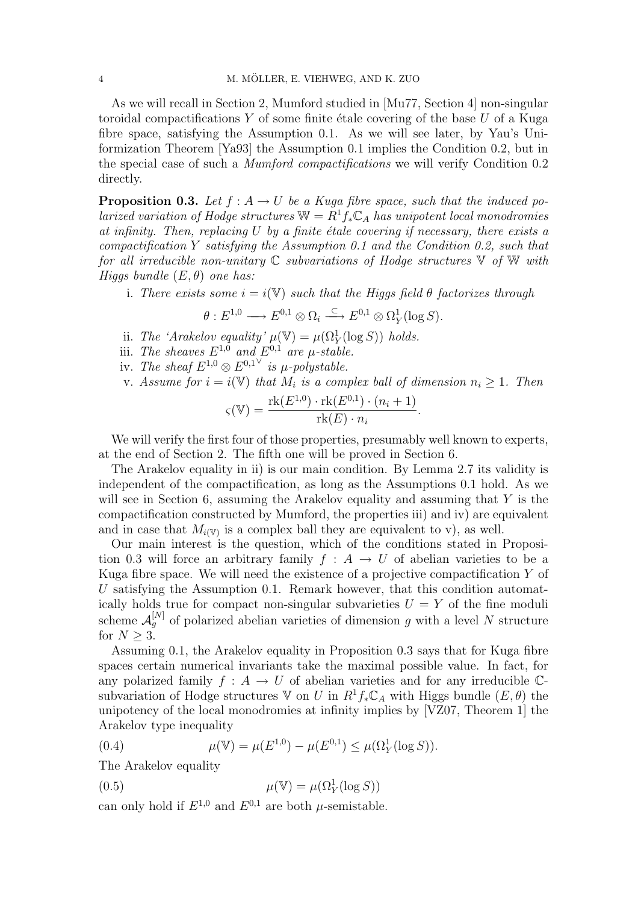As we will recall in Section 2, Mumford studied in [Mu77, Section 4] non-singular toroidal compactifications  $Y$  of some finite étale covering of the base  $U$  of a Kuga fibre space, satisfying the Assumption 0.1. As we will see later, by Yau's Uniformization Theorem [Ya93] the Assumption 0.1 implies the Condition 0.2, but in the special case of such a Mumford compactifications we will verify Condition 0.2 directly.

**Proposition 0.3.** Let  $f : A \rightarrow U$  be a Kuga fibre space, such that the induced polarized variation of Hodge structures  $\mathbb{W} = R^1 f_* \mathbb{C}_A$  has unipotent local monodromies at infinity. Then, replacing  $U$  by a finite étale covering if necessary, there exists a compactification Y satisfying the Assumption 0.1 and the Condition 0.2, such that for all irreducible non-unitary  $\mathbb C$  subvariations of Hodge structures  $\mathbb V$  of  $\mathbb W$  with Higgs bundle  $(E, \theta)$  one has:

i. There exists some  $i = i(\mathbb{V})$  such that the Higgs field  $\theta$  factorizes through

$$
\theta: E^{1,0} \longrightarrow E^{0,1}\otimes \Omega_i \stackrel{\subset}{\longrightarrow} E^{0,1}\otimes \Omega_Y^1(\log S).
$$

- ii. The 'Arakelov equality'  $\mu(\mathbb{V}) = \mu(\Omega^1_Y(\log S))$  holds.
- iii. The sheaves  $E^{1,0}$  and  $E^{0,1}$  are  $\mu$ -stable.
- iv. The sheaf  $E^{1,0} \otimes E^{0,1}$  is  $\mu$ -polystable.
- v. Assume for  $i = i(\mathbb{V})$  that  $M_i$  is a complex ball of dimension  $n_i \geq 1$ . Then

$$
\varsigma(\mathbb{V}) = \frac{\text{rk}(E^{1,0}) \cdot \text{rk}(E^{0,1}) \cdot (n_i + 1)}{\text{rk}(E) \cdot n_i}.
$$

We will verify the first four of those properties, presumably well known to experts, at the end of Section 2. The fifth one will be proved in Section 6.

The Arakelov equality in ii) is our main condition. By Lemma 2.7 its validity is independent of the compactification, as long as the Assumptions 0.1 hold. As we will see in Section 6, assuming the Arakelov equality and assuming that  $Y$  is the compactification constructed by Mumford, the properties iii) and iv) are equivalent and in case that  $M_{i(V)}$  is a complex ball they are equivalent to v), as well.

Our main interest is the question, which of the conditions stated in Proposition 0.3 will force an arbitrary family  $f : A \to U$  of abelian varieties to be a Kuga fibre space. We will need the existence of a projective compactification  $Y$  of U satisfying the Assumption 0.1. Remark however, that this condition automatically holds true for compact non-singular subvarieties  $U = Y$  of the fine moduli scheme  $\mathcal{A}_{g}^{[N]}$  of polarized abelian varieties of dimension g with a level N structure for  $N > 3$ .

Assuming 0.1, the Arakelov equality in Proposition 0.3 says that for Kuga fibre spaces certain numerical invariants take the maximal possible value. In fact, for any polarized family  $f : A \to U$  of abelian varieties and for any irreducible  $\mathbb{C}$ subvariation of Hodge structures V on U in  $R^1 f_* \mathbb{C}_A$  with Higgs bundle  $(E, \theta)$  the unipotency of the local monodromies at infinity implies by [VZ07, Theorem 1] the Arakelov type inequality

(0.4) 
$$
\mu(\mathbb{V}) = \mu(E^{1,0}) - \mu(E^{0,1}) \leq \mu(\Omega_Y^1(\log S)).
$$

The Arakelov equality

(0.5) 
$$
\mu(\mathbb{V}) = \mu(\Omega_Y^1(\log S))
$$

can only hold if  $E^{1,0}$  and  $E^{0,1}$  are both  $\mu$ -semistable.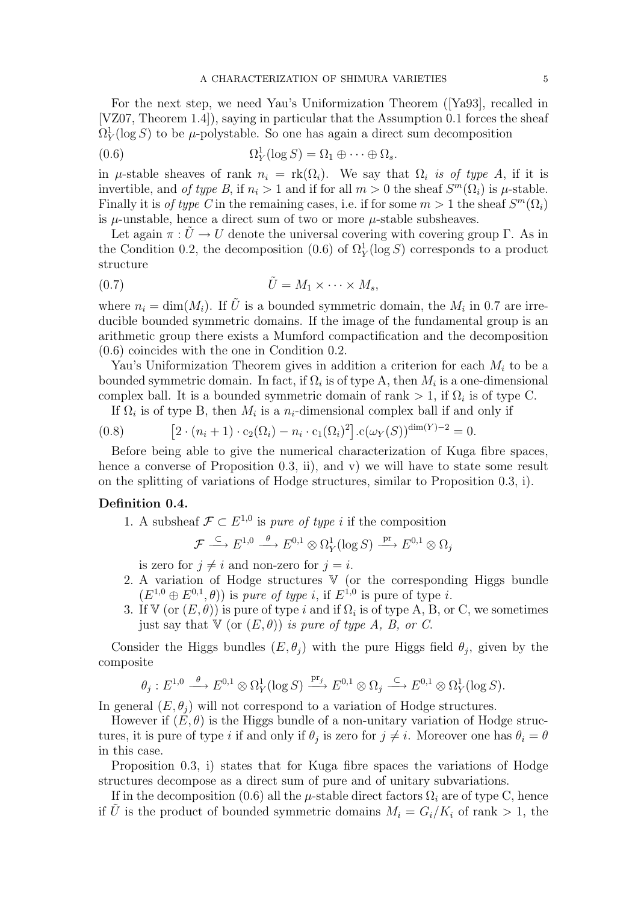For the next step, we need Yau's Uniformization Theorem ([Ya93], recalled in [VZ07, Theorem 1.4]), saying in particular that the Assumption 0.1 forces the sheaf  $\Omega_Y^1(\log S)$  to be  $\mu$ -polystable. So one has again a direct sum decomposition

(0.6) 
$$
\Omega_Y^1(\log S) = \Omega_1 \oplus \cdots \oplus \Omega_s.
$$

in  $\mu$ -stable sheaves of rank  $n_i = \text{rk}(\Omega_i)$ . We say that  $\Omega_i$  is of type A, if it is invertible, and of type B, if  $n_i > 1$  and if for all  $m > 0$  the sheaf  $S^m(\Omega_i)$  is  $\mu$ -stable. Finally it is *of type C* in the remaining cases, i.e. if for some  $m > 1$  the sheaf  $S^m(\Omega_i)$ is  $\mu$ -unstable, hence a direct sum of two or more  $\mu$ -stable subsheaves.

Let again  $\pi : \tilde{U} \to U$  denote the universal covering with covering group Γ. As in the Condition 0.2, the decomposition (0.6) of  $\Omega_Y^1(\log S)$  corresponds to a product structure

$$
(0.7) \t\t \tilde{U} = M_1 \times \cdots \times M_s,
$$

where  $n_i = \dim(M_i)$ . If  $\tilde{U}$  is a bounded symmetric domain, the  $M_i$  in 0.7 are irreducible bounded symmetric domains. If the image of the fundamental group is an arithmetic group there exists a Mumford compactification and the decomposition (0.6) coincides with the one in Condition 0.2.

Yau's Uniformization Theorem gives in addition a criterion for each  $M_i$  to be a bounded symmetric domain. In fact, if  $\Omega_i$  is of type A, then  $M_i$  is a one-dimensional complex ball. It is a bounded symmetric domain of rank  $> 1$ , if  $\Omega_i$  is of type C.

If  $\Omega_i$  is of type B, then  $M_i$  is a  $n_i$ -dimensional complex ball if and only if

(0.8) 
$$
[2 \cdot (n_i + 1) \cdot c_2(\Omega_i) - n_i \cdot c_1(\Omega_i)^2] \cdot c(\omega_Y(S))^{\dim(Y) - 2} = 0.
$$

Before being able to give the numerical characterization of Kuga fibre spaces, hence a converse of Proposition  $(0.3, i\mathbf{i})$ , and v) we will have to state some result on the splitting of variations of Hodge structures, similar to Proposition 0.3, i).

## Definition 0.4.

1. A subsheaf  $\mathcal{F} \subset E^{1,0}$  is pure of type i if the composition

 $\mathcal{F} \stackrel{\subset}{\longrightarrow} E^{1,0} \stackrel{\theta}{\longrightarrow} E^{0,1} \otimes \Omega_Y^1(\log S) \stackrel{\text{pr}}{\longrightarrow} E^{0,1} \otimes \Omega_j$ 

is zero for  $j \neq i$  and non-zero for  $j = i$ .

- 2. A variation of Hodge structures V (or the corresponding Higgs bundle  $(E^{1,0} \oplus E^{0,1}, \theta)$  is pure of type i, if  $E^{1,0}$  is pure of type i.
- 3. If  $V$  (or  $(E, \theta)$ ) is pure of type i and if  $\Omega_i$  is of type A, B, or C, we sometimes just say that  $V$  (or  $(E, \theta)$ ) is pure of type A, B, or C.

Consider the Higgs bundles  $(E, \theta_j)$  with the pure Higgs field  $\theta_j$ , given by the composite

$$
\theta_j: E^{1,0} \stackrel{\theta}{\longrightarrow} E^{0,1}\otimes \Omega^1_Y(\log S) \stackrel{\operatorname{pr}_j}{\longrightarrow} E^{0,1}\otimes \Omega_j \stackrel{\subset}{\longrightarrow} E^{0,1}\otimes \Omega^1_Y(\log S).
$$

In general  $(E, \theta_i)$  will not correspond to a variation of Hodge structures.

However if  $(E, \theta)$  is the Higgs bundle of a non-unitary variation of Hodge structures, it is pure of type i if and only if  $\theta_j$  is zero for  $j \neq i$ . Moreover one has  $\theta_i = \theta$ in this case.

Proposition 0.3, i) states that for Kuga fibre spaces the variations of Hodge structures decompose as a direct sum of pure and of unitary subvariations.

If in the decomposition (0.6) all the  $\mu$ -stable direct factors  $\Omega_i$  are of type C, hence if U is the product of bounded symmetric domains  $M_i = G_i/K_i$  of rank  $> 1$ , the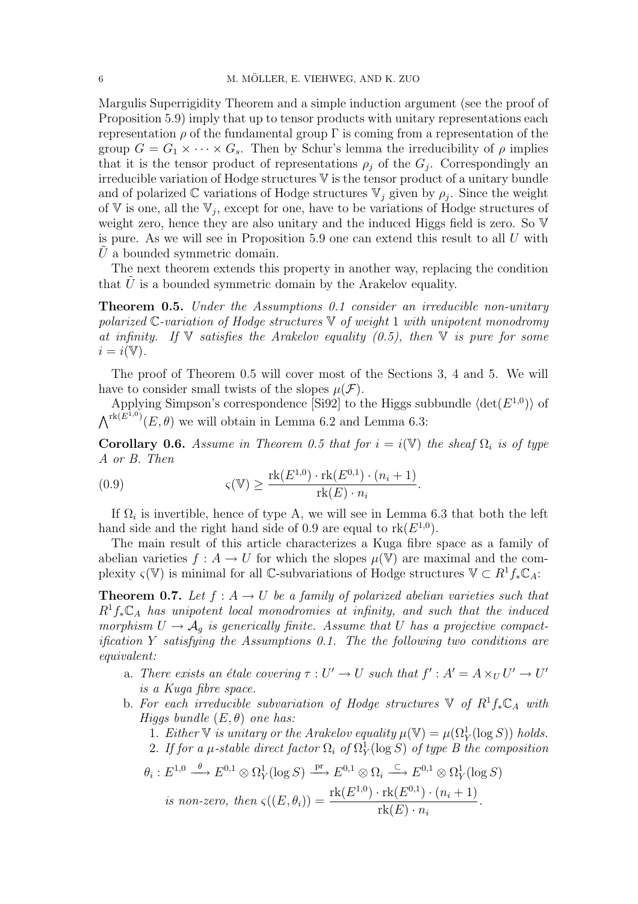Margulis Superrigidity Theorem and a simple induction argument (see the proof of Proposition 5.9) imply that up to tensor products with unitary representations each representation  $\rho$  of the fundamental group  $\Gamma$  is coming from a representation of the group  $G = G_1 \times \cdots \times G_s$ . Then by Schur's lemma the irreducibility of  $\rho$  implies that it is the tensor product of representations  $\rho_j$  of the  $G_j$ . Correspondingly an irreducible variation of Hodge structures V is the tensor product of a unitary bundle and of polarized  $\mathbb C$  variations of Hodge structures  $\mathbb V_j$  given by  $\rho_j$ . Since the weight of V is one, all the  $V_j$ , except for one, have to be variations of Hodge structures of weight zero, hence they are also unitary and the induced Higgs field is zero. So  $V$ is pure. As we will see in Proposition  $5.9$  one can extend this result to all U with  $U$  a bounded symmetric domain.

The next theorem extends this property in another way, replacing the condition that  $U$  is a bounded symmetric domain by the Arakelov equality.

Theorem 0.5. Under the Assumptions 0.1 consider an irreducible non-unitary polarized  $\mathbb{C}\text{-}variation$  of Hodge structures  $\mathbb{V}$  of weight 1 with unipotent monodromy at infinity. If  $V$  satisfies the Arakelov equality (0.5), then  $V$  is pure for some  $i = i(\mathbb{V}).$ 

The proof of Theorem 0.5 will cover most of the Sections 3, 4 and 5. We will have to consider small twists of the slopes  $\mu(\mathcal{F})$ .

Applying Simpson's correspondence [Si92] to the Higgs subbundle  $\langle \det(E^{1,0}) \rangle$  of  $\Lambda^{rk(E^{1,0})}(E,\theta)$  we will obtain in Lemma 6.2 and Lemma 6.3:

**Corollary 0.6.** Assume in Theorem 0.5 that for  $i = i(\mathbb{V})$  the sheaf  $\Omega_i$  is of type A or B. Then

(0.9) 
$$
\varsigma(\mathbb{V}) \ge \frac{\text{rk}(E^{1,0}) \cdot \text{rk}(E^{0,1}) \cdot (n_i+1)}{\text{rk}(E) \cdot n_i}.
$$

If  $\Omega_i$  is invertible, hence of type A, we will see in Lemma 6.3 that both the left hand side and the right hand side of 0.9 are equal to  $rk(E^{1,0})$ .

The main result of this article characterizes a Kuga fibre space as a family of abelian varieties  $f : A \to U$  for which the slopes  $\mu(\mathbb{V})$  are maximal and the complexity  $\varsigma(\mathbb{V})$  is minimal for all C-subvariations of Hodge structures  $\mathbb{V} \subset R^1 f_* \mathbb{C}_A$ :

**Theorem 0.7.** Let  $f : A \rightarrow U$  be a family of polarized abelian varieties such that  $R^1f_*\mathbb{C}_A$  has unipotent local monodromies at infinity, and such that the induced morphism  $U \rightarrow A_g$  is generically finite. Assume that U has a projective compactification Y satisfying the Assumptions 0.1. The the following two conditions are equivalent:

- a. There exists an étale covering  $\tau : U' \to U$  such that  $f' : A' = A \times_U U' \to U'$ is a Kuga fibre space.
- b. For each irreducible subvariation of Hodge structures  $\mathbb {V}$  of  $R^1f_*\mathbb{C}_A$  with Higgs bundle  $(E, \theta)$  one has:

1. Either  $\nabla$  is unitary or the Arakelov equality  $\mu(\nabla) = \mu(\Omega_Y^1(\log S))$  holds.

2. If for a  $\mu$ -stable direct factor  $\Omega_i$  of  $\Omega_Y^1(\log S)$  of type B the composition

$$
\theta_i: E^{1,0} \xrightarrow{\theta} E^{0,1} \otimes \Omega_Y^1(\log S) \xrightarrow{\text{pr}} E^{0,1} \otimes \Omega_i \xrightarrow{\subset} E^{0,1} \otimes \Omega_Y^1(\log S)
$$
  
is non-zero, then  $\varsigma((E, \theta_i)) = \frac{\text{rk}(E^{1,0}) \cdot \text{rk}(E^{0,1}) \cdot (n_i + 1)}{\text{rk}(E) \cdot n_i}.$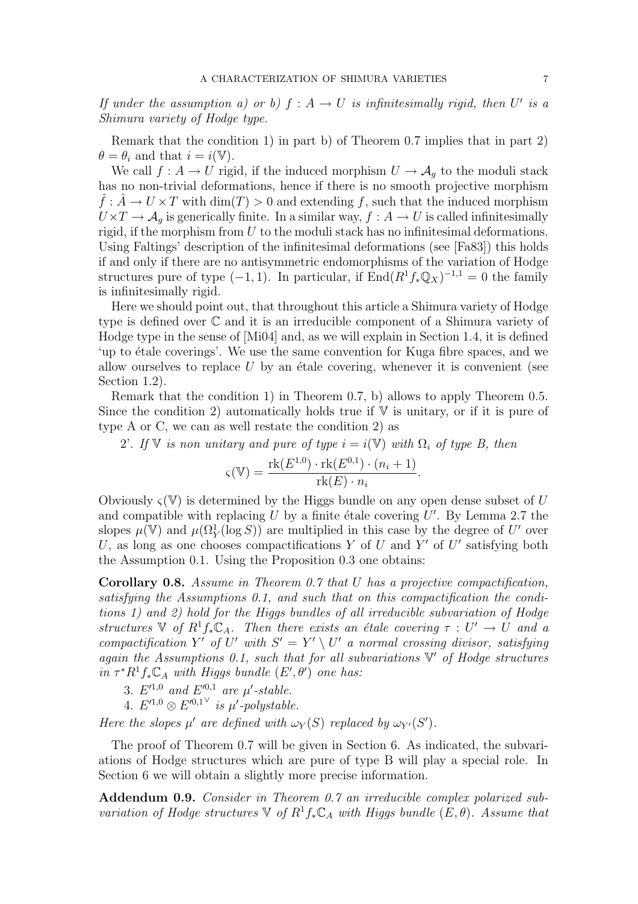If under the assumption a) or b)  $f : A \rightarrow U$  is infinitesimally rigid, then U' is a Shimura variety of Hodge type.

Remark that the condition 1) in part b) of Theorem 0.7 implies that in part 2)  $\theta = \theta_i$  and that  $i = i(\mathbb{V})$ .

We call  $f : A \to U$  rigid, if the induced morphism  $U \to A_g$  to the moduli stack has no non-trivial deformations, hence if there is no smooth projective morphism  $\hat{f}$ :  $\hat{A} \to U \times T$  with  $\dim(T) > 0$  and extending f, such that the induced morphism  $U\times T\to \mathcal{A}_q$  is generically finite. In a similar way,  $f:A\to U$  is called infinitesimally rigid, if the morphism from  $U$  to the moduli stack has no infinitesimal deformations. Using Faltings' description of the infinitesimal deformations (see [Fa83]) this holds if and only if there are no antisymmetric endomorphisms of the variation of Hodge structures pure of type  $(-1, 1)$ . In particular, if  $\text{End}(R^1 f_* \mathbb{Q}_X)^{-1,1} = 0$  the family is infinitesimally rigid.

Here we should point out, that throughout this article a Shimura variety of Hodge type is defined over C and it is an irreducible component of a Shimura variety of Hodge type in the sense of [Mi04] and, as we will explain in Section 1.4, it is defined 'up to étale coverings'. We use the same convention for Kuga fibre spaces, and we allow ourselves to replace  $U$  by an étale covering, whenever it is convenient (see Section 1.2).

Remark that the condition 1) in Theorem 0.7, b) allows to apply Theorem 0.5. Since the condition 2) automatically holds true if  $V$  is unitary, or if it is pure of type A or C, we can as well restate the condition 2) as

2'. If V is non unitary and pure of type  $i = i(\mathbb{V})$  with  $\Omega_i$  of type B, then

$$
\varsigma(\mathbb{V}) = \frac{\text{rk}(E^{1,0}) \cdot \text{rk}(E^{0,1}) \cdot (n_i + 1)}{\text{rk}(E) \cdot n_i}.
$$

Obviously  $\zeta(V)$  is determined by the Higgs bundle on any open dense subset of U and compatible with replacing  $U$  by a finite étale covering  $U'$ . By Lemma 2.7 the slopes  $\mu(\mathbb{V})$  and  $\mu(\Omega_Y^1(\log S))$  are multiplied in this case by the degree of U' over U, as long as one chooses compactifications Y of U and Y' of U' satisfying both the Assumption 0.1. Using the Proposition 0.3 one obtains:

Corollary 0.8. Assume in Theorem 0.7 that U has a projective compactification, satisfying the Assumptions 0.1, and such that on this compactification the conditions 1) and 2) hold for the Higgs bundles of all irreducible subvariation of Hodge structures  $\mathbb V$  of  $R^1f_*\mathbb C_A$ . Then there exists an étale covering  $\tau : U' \to U$  and a compactification Y' of U' with  $S' = Y' \setminus U'$  a normal crossing divisor, satisfying again the Assumptions 0.1, such that for all subvariations  $V'$  of Hodge structures in  $\tau^* R^1 f_* \mathbb{C}_A$  with Higgs bundle  $(E', \theta')$  one has:

- 3.  $E'^{1,0}$  and  $E'^{0,1}$  are  $\mu'$ -stable.
- 4.  $E'^{1,0} \otimes E'^{0,1}$  is  $\mu'$ -polystable.

Here the slopes  $\mu'$  are defined with  $\omega_Y(S)$  replaced by  $\omega_{Y'}(S')$ .

The proof of Theorem 0.7 will be given in Section 6. As indicated, the subvariations of Hodge structures which are pure of type B will play a special role. In Section 6 we will obtain a slightly more precise information.

Addendum 0.9. Consider in Theorem 0.7 an irreducible complex polarized subvariation of Hodge structures  $\nabla$  of  $R^1f_*\mathbb{C}_A$  with Higgs bundle  $(E, \theta)$ . Assume that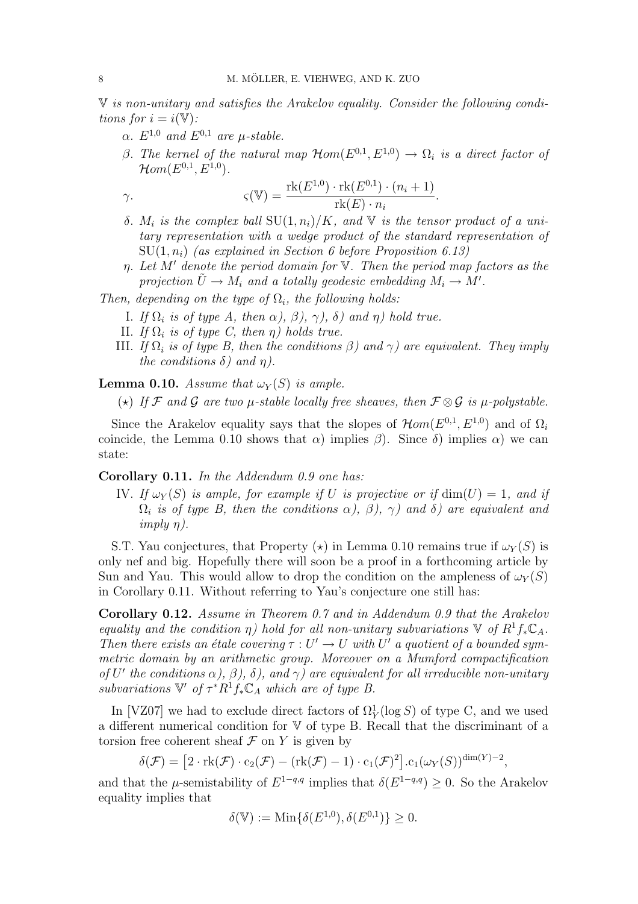V is non-unitary and satisfies the Arakelov equality. Consider the following conditions for  $i = i(\mathbb{V})$ :

- $\alpha$ .  $E^{1,0}$  and  $E^{0,1}$  are  $\mu$ -stable.
- β. The kernel of the natural map  $\mathcal{H}om(E^{0,1}, E^{1,0}) \to \Omega_i$  is a direct factor of  $\mathcal{H}om(E^{0,1},E^{1,0}).$

$$
\gamma.
$$
\n
$$
\varsigma(\mathbb{V}) = \frac{\text{rk}(E^{1,0}) \cdot \text{rk}(E^{0,1}) \cdot (n_i + 1)}{\text{rk}(E) \cdot n_i}.
$$

- δ.  $M_i$  is the complex ball SU(1,  $n_i$ )/K, and V is the tensor product of a unitary representation with a wedge product of the standard representation of  $SU(1, n_i)$  (as explained in Section 6 before Proposition 6.13)
- $\eta$ . Let M' denote the period domain for V. Then the period map factors as the projection  $\tilde{U} \to M_i$  and a totally geodesic embedding  $M_i \to M'.$

Then, depending on the type of  $\Omega_i$ , the following holds:

- I. If  $\Omega_i$  is of type A, then  $\alpha$ ),  $\beta$ ),  $\gamma$ ),  $\delta$ ) and  $\eta$ ) hold true.
- II. If  $\Omega_i$  is of type C, then  $\eta$ ) holds true.
- III. If  $\Omega_i$  is of type B, then the conditions  $\beta$ ) and  $\gamma$ ) are equivalent. They imply the conditions  $\delta$ ) and  $\eta$ ).

**Lemma 0.10.** Assume that  $\omega_Y(S)$  is ample.

(\*) If F and G are two  $\mu$ -stable locally free sheaves, then  $\mathcal{F} \otimes \mathcal{G}$  is  $\mu$ -polystable.

Since the Arakelov equality says that the slopes of  $\mathcal{H}om(E^{0,1}, E^{1,0})$  and of  $\Omega_i$ coincide, the Lemma 0.10 shows that  $\alpha$ ) implies  $\beta$ ). Since  $\delta$ ) implies  $\alpha$ ) we can state:

Corollary 0.11. In the Addendum 0.9 one has:

IV. If  $\omega_Y(S)$  is ample, for example if U is projective or if  $\dim(U) = 1$ , and if  $\Omega_i$  is of type B, then the conditions  $\alpha$ ),  $\beta$ ),  $\gamma$ ) and  $\delta$ ) are equivalent and  $imply \eta$ ).

S.T. Yau conjectures, that Property  $(\star)$  in Lemma 0.10 remains true if  $\omega_Y(S)$  is only nef and big. Hopefully there will soon be a proof in a forthcoming article by Sun and Yau. This would allow to drop the condition on the ampleness of  $\omega_Y(S)$ in Corollary 0.11. Without referring to Yau's conjecture one still has:

Corollary 0.12. Assume in Theorem 0.7 and in Addendum 0.9 that the Arakelov equality and the condition  $\eta$ ) hold for all non-unitary subvariations  $\mathbb V$  of  $R^1f_*\mathbb C_A$ . Then there exists an étale covering  $\tau : U' \to U$  with U' a quotient of a bounded symmetric domain by an arithmetic group. Moreover on a Mumford compactification of U' the conditions  $\alpha$ ),  $\beta$ ),  $\delta$ ), and  $\gamma$ ) are equivalent for all irreducible non-unitary subvariations  $\mathbb{V}'$  of  $\tau^*R^1f_*\mathbb{C}_A$  which are of type B.

In [VZ07] we had to exclude direct factors of  $\Omega_Y^1(\log S)$  of type C, and we used a different numerical condition for V of type B. Recall that the discriminant of a torsion free coherent sheaf  $\mathcal F$  on  $Y$  is given by

$$
\delta(\mathcal{F}) = [2 \cdot \mathrm{rk}(\mathcal{F}) \cdot c_2(\mathcal{F}) - (\mathrm{rk}(\mathcal{F}) - 1) \cdot c_1(\mathcal{F})^2] \cdot c_1(\omega_Y(S))^{\dim(Y) - 2},
$$

and that the  $\mu$ -semistability of  $E^{1-q,q}$  implies that  $\delta(E^{1-q,q}) \geq 0$ . So the Arakelov equality implies that

$$
\delta(\mathbb{V}) := \text{Min}\{\delta(E^{1,0}), \delta(E^{0,1})\} \ge 0.
$$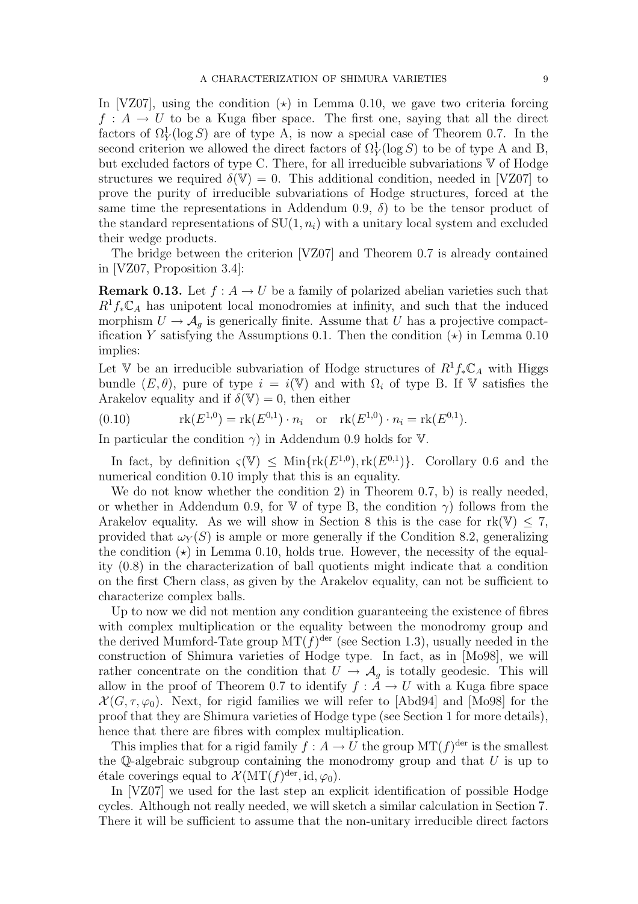In [VZ07], using the condition  $(\star)$  in Lemma 0.10, we gave two criteria forcing  $f: A \to U$  to be a Kuga fiber space. The first one, saying that all the direct factors of  $\Omega_Y^1(\log S)$  are of type A, is now a special case of Theorem 0.7. In the second criterion we allowed the direct factors of  $\Omega_Y^1(\log S)$  to be of type A and B, but excluded factors of type C. There, for all irreducible subvariations  $V$  of Hodge structures we required  $\delta(V) = 0$ . This additional condition, needed in [VZ07] to prove the purity of irreducible subvariations of Hodge structures, forced at the same time the representations in Addendum 0.9,  $\delta$ ) to be the tensor product of the standard representations of  $SU(1, n_i)$  with a unitary local system and excluded their wedge products.

The bridge between the criterion [VZ07] and Theorem 0.7 is already contained in [VZ07, Proposition 3.4]:

**Remark 0.13.** Let  $f : A \to U$  be a family of polarized abelian varieties such that  $R^1f_*\mathbb{C}_A$  has unipotent local monodromies at infinity, and such that the induced morphism  $U \to \mathcal{A}_g$  is generically finite. Assume that U has a projective compactification Y satisfying the Assumptions 0.1. Then the condition  $(\star)$  in Lemma 0.10 implies:

Let V be an irreducible subvariation of Hodge structures of  $R^1f_*\mathbb{C}_A$  with Higgs bundle  $(E, \theta)$ , pure of type  $i = i(\mathbb{V})$  and with  $\Omega_i$  of type B. If  $\mathbb{V}$  satisfies the Arakelov equality and if  $\delta(\mathbb{V}) = 0$ , then either

(0.10) 
$$
rk(E^{1,0}) = rk(E^{0,1}) \cdot n_i \text{ or } rk(E^{1,0}) \cdot n_i = rk(E^{0,1}).
$$

In particular the condition  $\gamma$ ) in Addendum 0.9 holds for V.

In fact, by definition  $\varsigma(\mathbb{V}) \leq \text{Min}\{\text{rk}(E^{1,0}), \text{rk}(E^{0,1})\}$ . Corollary 0.6 and the numerical condition 0.10 imply that this is an equality.

We do not know whether the condition 2) in Theorem 0.7, b) is really needed, or whether in Addendum 0.9, for V of type B, the condition  $\gamma$ ) follows from the Arakelov equality. As we will show in Section 8 this is the case for  $rk(\mathbb{V}) \leq 7$ , provided that  $\omega_Y(S)$  is ample or more generally if the Condition 8.2, generalizing the condition  $(\star)$  in Lemma 0.10, holds true. However, the necessity of the equality (0.8) in the characterization of ball quotients might indicate that a condition on the first Chern class, as given by the Arakelov equality, can not be sufficient to characterize complex balls.

Up to now we did not mention any condition guaranteeing the existence of fibres with complex multiplication or the equality between the monodromy group and the derived Mumford-Tate group  $MT(f)^{der}$  (see Section 1.3), usually needed in the construction of Shimura varieties of Hodge type. In fact, as in [Mo98], we will rather concentrate on the condition that  $U \to A_g$  is totally geodesic. This will allow in the proof of Theorem 0.7 to identify  $f : \check{A} \to U$  with a Kuga fibre space  $\mathcal{X}(G,\tau,\varphi_0)$ . Next, for rigid families we will refer to [Abd94] and [Mo98] for the proof that they are Shimura varieties of Hodge type (see Section 1 for more details), hence that there are fibres with complex multiplication.

This implies that for a rigid family  $f : A \to U$  the group  $MT(f)^{\text{der}}$  is the smallest the  $\mathbb Q$ -algebraic subgroup containing the monodromy group and that  $U$  is up to étale coverings equal to  $\mathcal{X}(MT(f)^{\text{der}}, id, \varphi_0)$ .

In [VZ07] we used for the last step an explicit identification of possible Hodge cycles. Although not really needed, we will sketch a similar calculation in Section 7. There it will be sufficient to assume that the non-unitary irreducible direct factors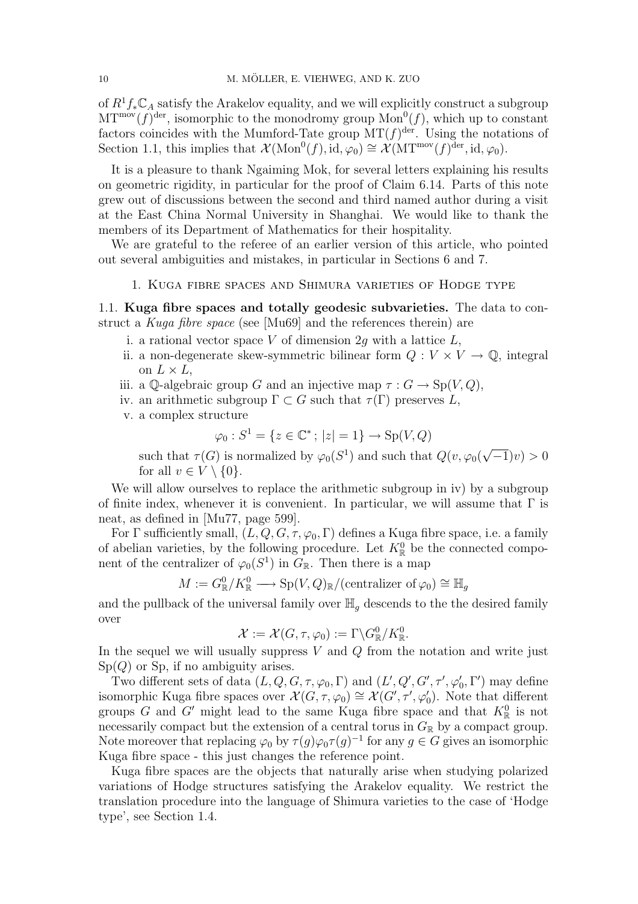of  $R^1 f_* \mathbb{C}_A$  satisfy the Arakelov equality, and we will explicitly construct a subgroup  $\text{MT}^{\text{mov}}(f)^\text{der}$ , isomorphic to the monodromy group  $\text{Mon}^0(f)$ , which up to constant factors coincides with the Mumford-Tate group  $MT(f)^{der}$ . Using the notations of Section 1.1, this implies that  $\mathcal{X}(\text{Mon}^0(f), \text{id}, \varphi_0) \cong \mathcal{X}(\text{MT}^{\text{mov}}(f)^{\text{der}}, \text{id}, \varphi_0)$ .

It is a pleasure to thank Ngaiming Mok, for several letters explaining his results on geometric rigidity, in particular for the proof of Claim 6.14. Parts of this note grew out of discussions between the second and third named author during a visit at the East China Normal University in Shanghai. We would like to thank the members of its Department of Mathematics for their hospitality.

We are grateful to the referee of an earlier version of this article, who pointed out several ambiguities and mistakes, in particular in Sections 6 and 7.

1. Kuga fibre spaces and Shimura varieties of Hodge type

1.1. Kuga fibre spaces and totally geodesic subvarieties. The data to construct a Kuga fibre space (see [Mu69] and the references therein) are

- i. a rational vector space V of dimension 2g with a lattice  $L$ ,
- ii. a non-degenerate skew-symmetric bilinear form  $Q: V \times V \to \mathbb{Q}$ , integral on  $L \times L$ ,
- iii. a Q-algebraic group G and an injective map  $\tau : G \to Sp(V, Q)$ ,
- iv. an arithmetic subgroup  $\Gamma \subset G$  such that  $\tau(\Gamma)$  preserves L,
- v. a complex structure

$$
\varphi_0: S^1 = \{ z \in \mathbb{C}^* \, ; \, |z| = 1 \} \to Sp(V, Q)
$$

such that  $\tau(G)$  is normalized by  $\varphi_0(S^1)$  and such that  $Q(v, \varphi_0)$ √  $\overline{-1}\nu$ ) > 0 for all  $v \in V \setminus \{0\}$ .

We will allow ourselves to replace the arithmetic subgroup in iv) by a subgroup of finite index, whenever it is convenient. In particular, we will assume that  $\Gamma$  is neat, as defined in [Mu77, page 599].

For Γ sufficiently small,  $(L, Q, G, \tau, \varphi_0, \Gamma)$  defines a Kuga fibre space, i.e. a family of abelian varieties, by the following procedure. Let  $K_{\mathbb{R}}^{0}$  be the connected component of the centralizer of  $\varphi_0(S^1)$  in  $G_{\mathbb{R}}$ . Then there is a map

$$
M := G_{\mathbb{R}}^{0} / K_{\mathbb{R}}^{0} \longrightarrow Sp(V, Q)_{\mathbb{R}} / (\text{centralizer of } \varphi_{0}) \cong \mathbb{H}_{g}
$$

and the pullback of the universal family over  $\mathbb{H}_q$  descends to the the desired family over

$$
\mathcal{X} := \mathcal{X}(G, \tau, \varphi_0) := \Gamma \backslash G_{\mathbb{R}}^0 / K_{\mathbb{R}}^0.
$$

In the sequel we will usually suppress  $V$  and  $Q$  from the notation and write just  $Sp(Q)$  or  $Sp$ , if no ambiguity arises.

Two different sets of data  $(L, Q, G, \tau, \varphi_0, \Gamma)$  and  $(L', Q', G', \tau', \varphi'_0, \Gamma')$  may define isomorphic Kuga fibre spaces over  $\mathcal{X}(G,\tau,\varphi_0) \cong \mathcal{X}(G',\tau',\varphi'_0)$ . Note that different groups G and G' might lead to the same Kuga fibre space and that  $K^0_{\mathbb{R}}$  is not necessarily compact but the extension of a central torus in  $G_{\mathbb{R}}$  by a compact group. Note moreover that replacing  $\varphi_0$  by  $\tau(g)\varphi_0\tau(g)^{-1}$  for any  $g \in G$  gives an isomorphic Kuga fibre space - this just changes the reference point.

Kuga fibre spaces are the objects that naturally arise when studying polarized variations of Hodge structures satisfying the Arakelov equality. We restrict the translation procedure into the language of Shimura varieties to the case of 'Hodge type', see Section 1.4.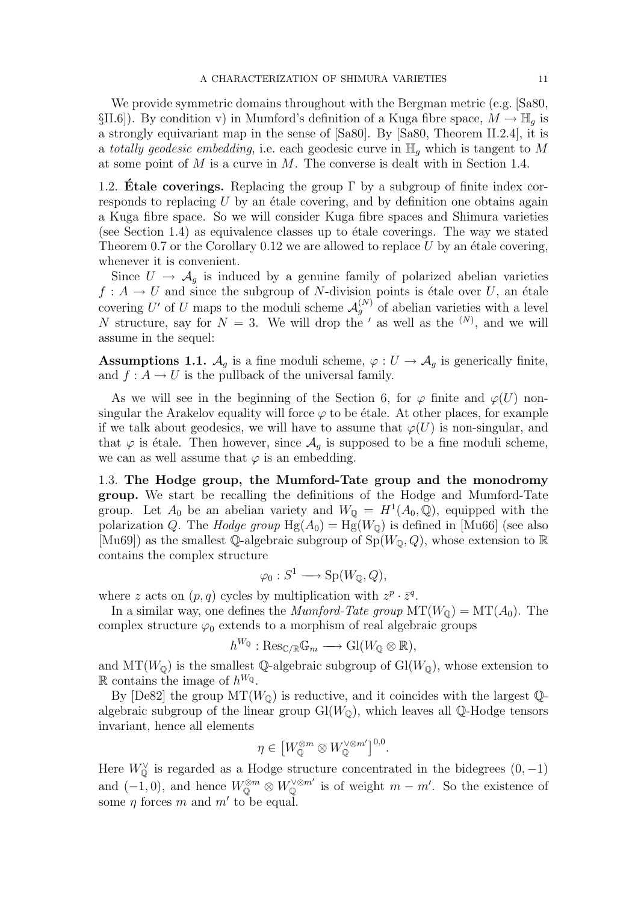We provide symmetric domains throughout with the Bergman metric (e.g. [Sa80, §II.6]). By condition v) in Mumford's definition of a Kuga fibre space,  $M \to \mathbb{H}_q$  is a strongly equivariant map in the sense of [Sa80]. By [Sa80, Theorem II.2.4], it is a totally geodesic embedding, i.e. each geodesic curve in  $\mathbb{H}_q$  which is tangent to M at some point of  $M$  is a curve in  $M$ . The converse is dealt with in Section 1.4.

1.2. **Etale coverings.** Replacing the group  $\Gamma$  by a subgroup of finite index corresponds to replacing  $U$  by an étale covering, and by definition one obtains again a Kuga fibre space. So we will consider Kuga fibre spaces and Shimura varieties (see Section 1.4) as equivalence classes up to  $\acute{e}t$  ale coverings. The way we stated Theorem 0.7 or the Corollary 0.12 we are allowed to replace  $U$  by an étale covering, whenever it is convenient.

Since  $U \rightarrow \mathcal{A}_g$  is induced by a genuine family of polarized abelian varieties  $f: A \to U$  and since the subgroup of N-division points is étale over U, an étale covering U' of U maps to the moduli scheme  $\mathcal{A}_{g}^{(N)}$  of abelian varieties with a level N structure, say for  $N = 3$ . We will drop the ' as well as the  $(N)$ , and we will assume in the sequel:

**Assumptions 1.1.**  $\mathcal{A}_q$  is a fine moduli scheme,  $\varphi: U \to \mathcal{A}_q$  is generically finite, and  $f: A \to U$  is the pullback of the universal family.

As we will see in the beginning of the Section 6, for  $\varphi$  finite and  $\varphi(U)$  nonsingular the Arakelov equality will force  $\varphi$  to be étale. At other places, for example if we talk about geodesics, we will have to assume that  $\varphi(U)$  is non-singular, and that  $\varphi$  is étale. Then however, since  $\mathcal{A}_q$  is supposed to be a fine moduli scheme, we can as well assume that  $\varphi$  is an embedding.

1.3. The Hodge group, the Mumford-Tate group and the monodromy group. We start be recalling the definitions of the Hodge and Mumford-Tate group. Let  $A_0$  be an abelian variety and  $W_{\mathbb{Q}} = H^1(A_0, \mathbb{Q})$ , equipped with the polarization Q. The *Hodge group*  $Hg(A_0) = Hg(W_0)$  is defined in [Mu66] (see also [Mu69]) as the smallest Q-algebraic subgroup of  $Sp(W_0, Q)$ , whose extension to R contains the complex structure

$$
\varphi_0: S^1 \longrightarrow \text{Sp}(W_{\mathbb{Q}}, Q),
$$

where z acts on  $(p, q)$  cycles by multiplication with  $z^p \cdot \bar{z}^q$ .

In a similar way, one defines the *Mumford-Tate group*  $MT(W_{\mathbb{Q}}) = MT(A_0)$ . The complex structure  $\varphi_0$  extends to a morphism of real algebraic groups

$$
h^{W_{\mathbb{Q}}}: \text{Res}_{\mathbb{C}/\mathbb{R}}\mathbb{G}_m \longrightarrow \text{Gl}(W_{\mathbb{Q}}\otimes \mathbb{R}),
$$

and  $MT(W_0)$  is the smallest Q-algebraic subgroup of  $Gl(W_0)$ , whose extension to R contains the image of  $h^{W_Q}$ .

By [De82] the group  $MT(W_0)$  is reductive, and it coincides with the largest Qalgebraic subgroup of the linear group  $Gl(W_0)$ , which leaves all Q-Hodge tensors invariant, hence all elements

$$
\eta \in \left[W_{\mathbb{Q}}^{\otimes m} \otimes W_{\mathbb{Q}}^{\vee \otimes m'}\right]^{0,0}.
$$

Here  $W_{\mathbb{Q}}^{\vee}$  is regarded as a Hodge structure concentrated in the bidegrees  $(0, -1)$ and  $(-1,0)$ , and hence  $W_{\mathbb{Q}}^{\otimes m} \otimes W_{\mathbb{Q}}^{\vee \otimes m'}$  is of weight  $m - m'$ . So the existence of some  $\eta$  forces m and m' to be equal.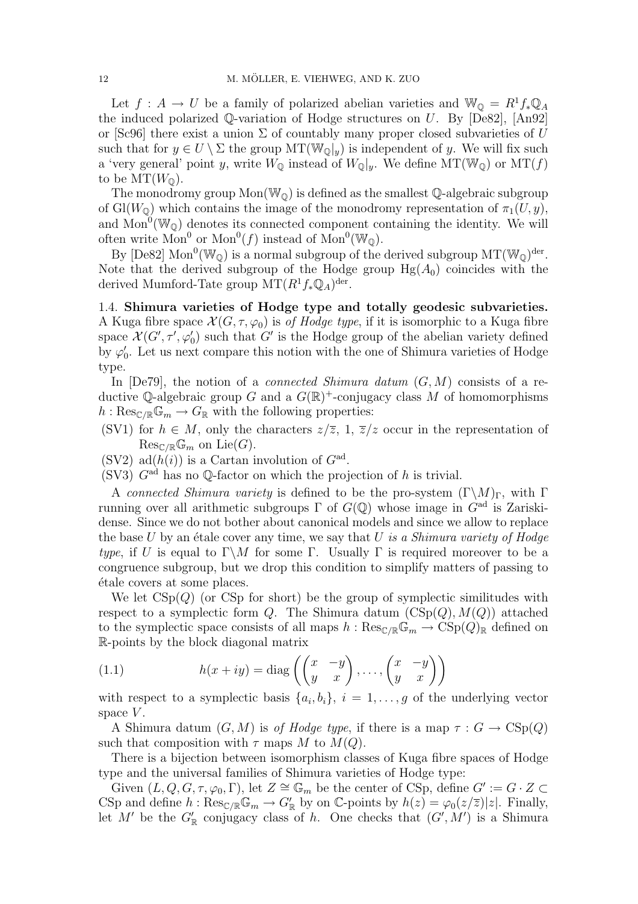Let  $f: A \to U$  be a family of polarized abelian varieties and  $\mathbb{W}_{\mathbb{Q}} = R^1 f_* \mathbb{Q}_A$ the induced polarized  $\mathbb{Q}$ -variation of Hodge structures on U. By [De82], [An92] or [Sc96] there exist a union  $\Sigma$  of countably many proper closed subvarieties of U such that for  $y \in U \setminus \Sigma$  the group  $MT(\mathbb{W}_{\mathbb{Q}}|_y)$  is independent of y. We will fix such a 'very general' point y, write  $W_{\mathbb{Q}}$  instead of  $W_{\mathbb{Q}}|_{y}$ . We define  $MT(W_{\mathbb{Q}})$  or  $MT(f)$ to be  $MT(W_{\mathbb{Q}})$ .

The monodromy group  $Mon(W_0)$  is defined as the smallest Q-algebraic subgroup of Gl( $W_0$ ) which contains the image of the monodromy representation of  $\pi_1(U, y)$ , and  $Mon^0(\mathbb{W}_{\mathbb{Q}})$  denotes its connected component containing the identity. We will often write  $Mon^0$  or  $Mon^0(f)$  instead of  $Mon^0(\mathbb{W}_{\mathbb{Q}})$ .

By [De82] Mon<sup>0</sup>( $\mathbb{W}_{\mathbb{Q}}$ ) is a normal subgroup of the derived subgroup  $MT(\mathbb{W}_{\mathbb{Q}})^{der}$ . Note that the derived subgroup of the Hodge group  $Hg(A_0)$  coincides with the derived Mumford-Tate group  $MT(R^1f_*\mathbb{Q}_A)^{\text{der}}$ .

1.4. Shimura varieties of Hodge type and totally geodesic subvarieties. A Kuga fibre space  $\mathcal{X}(G, \tau, \varphi_0)$  is of Hodge type, if it is isomorphic to a Kuga fibre space  $\mathcal{X}(G',\tau',\varphi_0')$  such that G' is the Hodge group of the abelian variety defined by  $\varphi'_0$ . Let us next compare this notion with the one of Shimura varieties of Hodge type.

In  $[De79]$ , the notion of a *connected Shimura datum*  $(G, M)$  consists of a reductive Q-algebraic group G and a  $G(\mathbb{R})^+$ -conjugacy class M of homomorphisms  $h: \text{Res}_{\mathbb{C}/\mathbb{R}}\mathbb{G}_m \to G_{\mathbb{R}}$  with the following properties:

(SV1) for  $h \in M$ , only the characters  $z/\overline{z}$ , 1,  $\overline{z}/z$  occur in the representation of  $\operatorname{Res}_{\mathbb{C}/\mathbb{R}}\mathbb{G}_m$  on  $\operatorname{Lie}(G)$ .

(SV2) ad( $h(i)$ ) is a Cartan involution of  $G^{ad}$ .

(SV3)  $G<sup>ad</sup>$  has no Q-factor on which the projection of h is trivial.

A connected Shimura variety is defined to be the pro-system  $(\Gamma \backslash M)_{\Gamma}$ , with  $\Gamma$ running over all arithmetic subgroups  $\Gamma$  of  $G(\mathbb{Q})$  whose image in  $G^{\text{ad}}$  is Zariskidense. Since we do not bother about canonical models and since we allow to replace the base  $U$  by an étale cover any time, we say that  $U$  is a Shimura variety of Hodge type, if U is equal to  $\Gamma \backslash M$  for some  $\Gamma$ . Usually  $\Gamma$  is required moreover to be a congruence subgroup, but we drop this condition to simplify matters of passing to ´etale covers at some places.

We let  $CSp(Q)$  (or CSp for short) be the group of symplectic similitudes with respect to a symplectic form Q. The Shimura datum  $(CSp(Q), M(Q))$  attached to the symplectic space consists of all maps  $h : \text{Res}_{\mathbb{C}/\mathbb{R}}\mathbb{G}_m \to \text{CSp}(Q)_{\mathbb{R}}$  defined on R-points by the block diagonal matrix

(1.1) 
$$
h(x+iy) = \text{diag}\left(\begin{pmatrix} x & -y \\ y & x \end{pmatrix}, \dots, \begin{pmatrix} x & -y \\ y & x \end{pmatrix}\right)
$$

with respect to a symplectic basis  $\{a_i, b_i\}, i = 1, \ldots, g$  of the underlying vector space  $V$ .

A Shimura datum  $(G, M)$  is of Hodge type, if there is a map  $\tau : G \to CSp(Q)$ such that composition with  $\tau$  maps M to  $M(Q)$ .

There is a bijection between isomorphism classes of Kuga fibre spaces of Hodge type and the universal families of Shimura varieties of Hodge type:

Given  $(L, Q, G, \tau, \varphi_0, \Gamma)$ , let  $Z \cong \mathbb{G}_m$  be the center of CSp, define  $G' := G \cdot Z \subset$ CSp and define  $h: \text{Res}_{\mathbb{C}/\mathbb{R}}\mathbb{G}_m \to G'_{\mathbb{R}}$  by on C-points by  $h(z) = \varphi_0(z/\overline{z})|z|$ . Finally, let M' be the  $G'_{\mathbb{R}}$  conjugacy class of h. One checks that  $(G', M')$  is a Shimura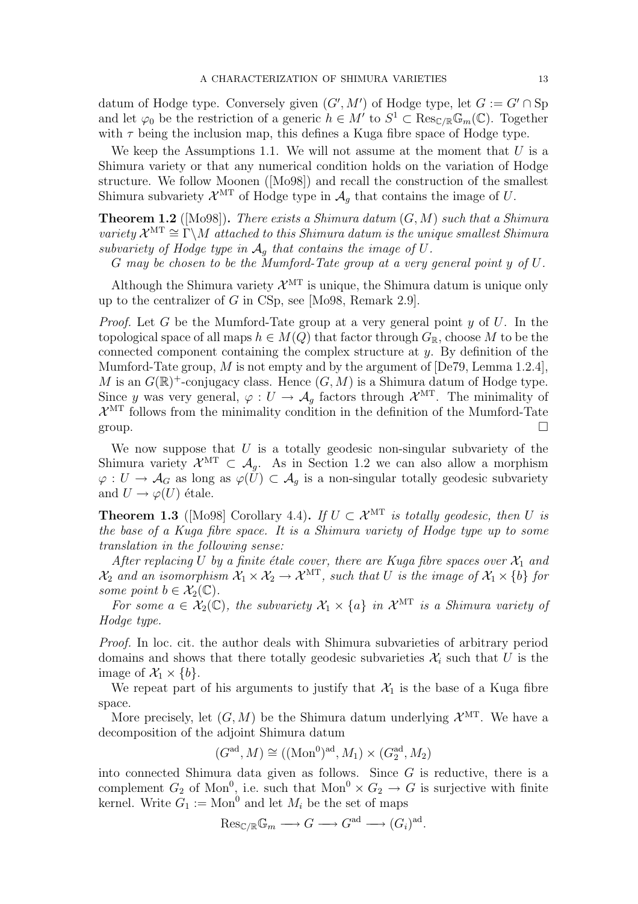datum of Hodge type. Conversely given  $(G', M')$  of Hodge type, let  $G := G' \cap \text{Sp}$ and let  $\varphi_0$  be the restriction of a generic  $h \in M'$  to  $S^1 \subset \text{Res}_{\mathbb{C}/\mathbb{R}}\mathbb{G}_m(\mathbb{C})$ . Together with  $\tau$  being the inclusion map, this defines a Kuga fibre space of Hodge type.

We keep the Assumptions 1.1. We will not assume at the moment that  $U$  is a Shimura variety or that any numerical condition holds on the variation of Hodge structure. We follow Moonen ([Mo98]) and recall the construction of the smallest Shimura subvariety  $\mathcal{X}^{\text{MT}}$  of Hodge type in  $\mathcal{A}_g$  that contains the image of U.

**Theorem 1.2** ([Mo98]). There exists a Shimura datum  $(G, M)$  such that a Shimura variety  $\mathcal{X}^{\text{MT}} \cong \Gamma \backslash M$  attached to this Shimura datum is the unique smallest Shimura subvariety of Hodge type in  $A_q$  that contains the image of U.

G may be chosen to be the Mumford-Tate group at a very general point y of U.

Although the Shimura variety  $\mathcal{X}^{\mathrm{MT}}$  is unique, the Shimura datum is unique only up to the centralizer of G in CSp, see [Mo98, Remark 2.9].

*Proof.* Let G be the Mumford-Tate group at a very general point  $y$  of  $U$ . In the topological space of all maps  $h \in M(Q)$  that factor through  $G_{\mathbb{R}}$ , choose M to be the connected component containing the complex structure at  $\gamma$ . By definition of the Mumford-Tate group, M is not empty and by the argument of  $[De 79, Lemma 1.2.4]$ , M is an  $G(\mathbb{R})^+$ -conjugacy class. Hence  $(G, M)$  is a Shimura datum of Hodge type. Since y was very general,  $\varphi: U \to \mathcal{A}_g$  factors through  $\mathcal{X}^{\mathrm{MT}}$ . The minimality of  $\mathcal{X}^{\text{MT}}$  follows from the minimality condition in the definition of the Mumford-Tate group.  $\Box$ 

We now suppose that  $U$  is a totally geodesic non-singular subvariety of the Shimura variety  $\mathcal{X}^{\mathrm{MT}} \subset \mathcal{A}_g$ . As in Section 1.2 we can also allow a morphism  $\varphi: U \to \mathcal{A}_G$  as long as  $\varphi(U) \subset \mathcal{A}_g$  is a non-singular totally geodesic subvariety and  $U \rightarrow \varphi(U)$  étale.

**Theorem 1.3** ([Mo98] Corollary 4.4). If  $U \subset \mathcal{X}^{\mathrm{MT}}$  is totally geodesic, then U is the base of a Kuga fibre space. It is a Shimura variety of Hodge type up to some translation in the following sense:

After replacing U by a finite étale cover, there are Kuga fibre spaces over  $\mathcal{X}_1$  and  $\mathcal{X}_2$  and an isomorphism  $\mathcal{X}_1 \times \mathcal{X}_2 \to \mathcal{X}^{\mathrm{MT}}$ , such that U is the image of  $\mathcal{X}_1 \times \{b\}$  for some point  $b \in \mathcal{X}_2(\mathbb{C})$ .

For some  $a \in \mathcal{X}_2(\mathbb{C})$ , the subvariety  $\mathcal{X}_1 \times \{a\}$  in  $\mathcal{X}^{\mathrm{MT}}$  is a Shimura variety of Hodge type.

Proof. In loc. cit. the author deals with Shimura subvarieties of arbitrary period domains and shows that there totally geodesic subvarieties  $\mathcal{X}_i$  such that U is the image of  $\mathcal{X}_1 \times \{b\}$ .

We repeat part of his arguments to justify that  $\mathcal{X}_1$  is the base of a Kuga fibre space.

More precisely, let  $(G, M)$  be the Shimura datum underlying  $\mathcal{X}^{MT}$ . We have a decomposition of the adjoint Shimura datum

$$
(Gad, M) \cong ((\mathrm{Mon}^0)ad, M1) \times (G2ad, M2)
$$

into connected Shimura data given as follows. Since  $G$  is reductive, there is a complement  $G_2$  of Mon<sup>0</sup>, i.e. such that  $Mon^0 \times G_2 \to G$  is surjective with finite kernel. Write  $G_1 := \text{Mon}^0$  and let  $M_i$  be the set of maps

$$
\mathrm{Res}_{\mathbb{C}/\mathbb{R}}\mathbb{G}_m \longrightarrow G \longrightarrow G^{\mathrm{ad}} \longrightarrow (G_i)^{\mathrm{ad}}.
$$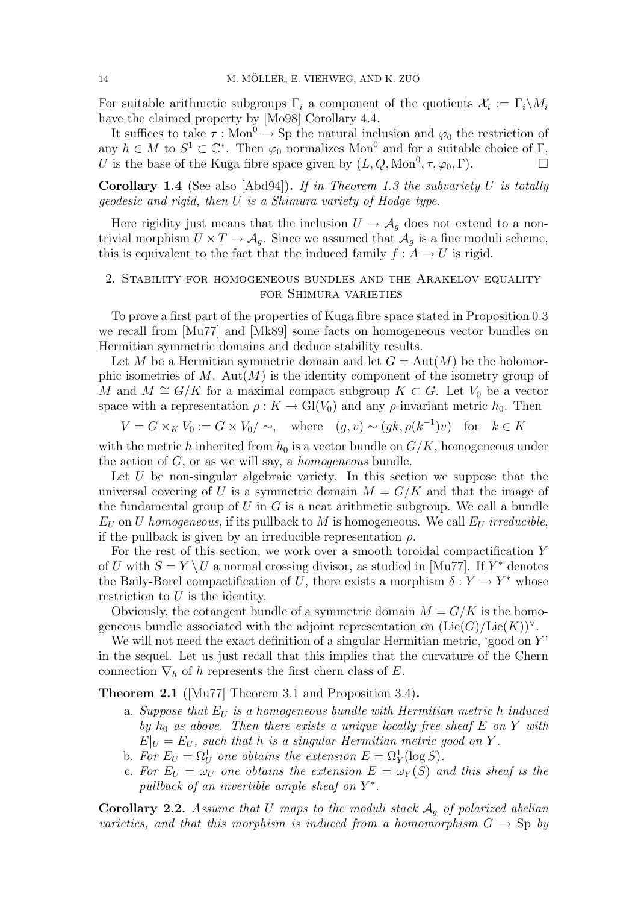For suitable arithmetic subgroups  $\Gamma_i$  a component of the quotients  $\mathcal{X}_i := \Gamma_i \backslash M_i$ have the claimed property by [Mo98] Corollary 4.4.

It suffices to take  $\tau : \text{Mon}^0 \to \text{Sp}$  the natural inclusion and  $\varphi_0$  the restriction of any  $h \in M$  to  $S^1 \subset \mathbb{C}^*$ . Then  $\varphi_0$  normalizes Mon<sup>0</sup> and for a suitable choice of  $\Gamma$ , U is the base of the Kuga fibre space given by  $(L, Q, \text{Mon}^0, \tau, \varphi_0, \Gamma)$ .

**Corollary 1.4** (See also [Abd94]). If in Theorem 1.3 the subvariety U is totally geodesic and rigid, then U is a Shimura variety of Hodge type.

Here rigidity just means that the inclusion  $U \to \mathcal{A}_g$  does not extend to a nontrivial morphism  $U \times T \to \mathcal{A}_q$ . Since we assumed that  $\mathcal{A}_q$  is a fine moduli scheme, this is equivalent to the fact that the induced family  $f : A \to U$  is rigid.

# 2. Stability for homogeneous bundles and the Arakelov equality for Shimura varieties

To prove a first part of the properties of Kuga fibre space stated in Proposition 0.3 we recall from [Mu77] and [Mk89] some facts on homogeneous vector bundles on Hermitian symmetric domains and deduce stability results.

Let M be a Hermitian symmetric domain and let  $G = Aut(M)$  be the holomorphic isometries of M. Aut $(M)$  is the identity component of the isometry group of M and  $M \cong G/K$  for a maximal compact subgroup  $K \subset G$ . Let  $V_0$  be a vector space with a representation  $\rho: K \to Gl(V_0)$  and any  $\rho$ -invariant metric  $h_0$ . Then

 $V = G \times_K V_0 := G \times V_0 / \sim, \quad \text{where} \quad (g, v) \sim (g k, \rho(k^{-1}) v) \quad \text{for} \quad k \in K$ 

with the metric h inherited from  $h_0$  is a vector bundle on  $G/K$ , homogeneous under the action of  $G$ , or as we will say, a *homogeneous* bundle.

Let  $U$  be non-singular algebraic variety. In this section we suppose that the universal covering of U is a symmetric domain  $M = G/K$  and that the image of the fundamental group of U in G is a neat arithmetic subgroup. We call a bundle  $E_U$  on U homogeneous, if its pullback to M is homogeneous. We call  $E_U$  irreducible, if the pullback is given by an irreducible representation  $\rho$ .

For the rest of this section, we work over a smooth toroidal compactification Y of U with  $S = Y \setminus U$  a normal crossing divisor, as studied in [Mu77]. If  $Y^*$  denotes the Baily-Borel compactification of U, there exists a morphism  $\delta: Y \to Y^*$  whose restriction to  $U$  is the identity.

Obviously, the cotangent bundle of a symmetric domain  $M = G/K$  is the homogeneous bundle associated with the adjoint representation on  $(\text{Lie}(G)/\text{Lie}(K))^{\vee}$ .

We will not need the exact definition of a singular Hermitian metric, 'good on  $Y'$ ' in the sequel. Let us just recall that this implies that the curvature of the Chern connection  $\nabla_h$  of h represents the first chern class of E.

Theorem 2.1 ([Mu77] Theorem 3.1 and Proposition 3.4).

- a. Suppose that  $E_U$  is a homogeneous bundle with Hermitian metric h induced by  $h_0$  as above. Then there exists a unique locally free sheaf E on Y with  $E|_U = E_U$ , such that h is a singular Hermitian metric good on Y.
- b. For  $E_U = \Omega_U^1$  one obtains the extension  $E = \Omega_Y^1(\log S)$ .
- c. For  $E_U = \omega_U$  one obtains the extension  $E = \omega_Y(S)$  and this sheaf is the pullback of an invertible ample sheaf on  $Y^*$ .

**Corollary 2.2.** Assume that U maps to the moduli stack  $A_q$  of polarized abelian varieties, and that this morphism is induced from a homomorphism  $G \to \text{Sp}$  by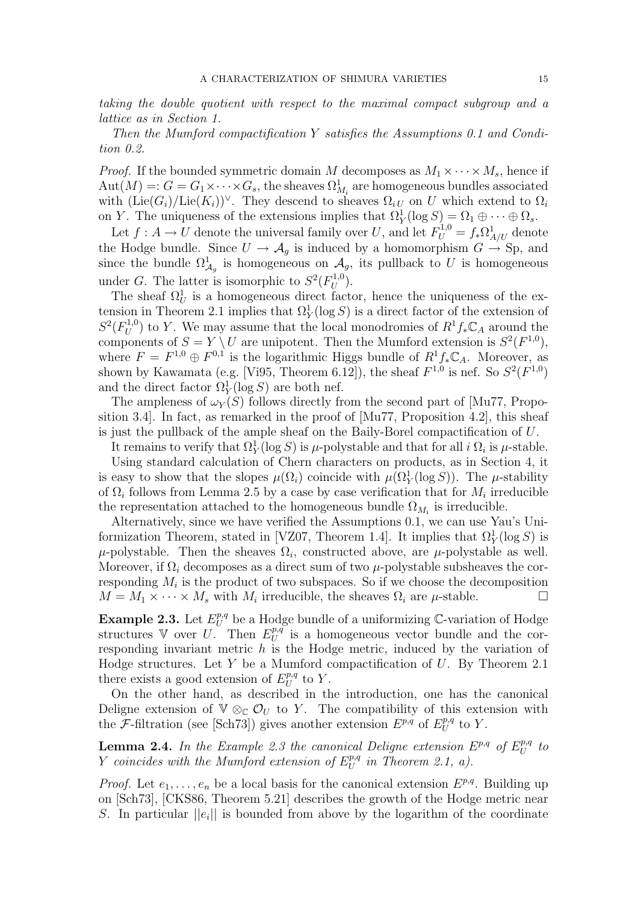taking the double quotient with respect to the maximal compact subgroup and a lattice as in Section 1.

Then the Mumford compactification Y satisfies the Assumptions 0.1 and Condition 0.2.

*Proof.* If the bounded symmetric domain M decomposes as  $M_1 \times \cdots \times M_s$ , hence if  $Aut(M) =: G = G_1 \times \cdots \times G_s$ , the sheaves  $\Omega^1_{M_i}$  are homogeneous bundles associated with  $(\text{Lie}(G_i)/\text{Lie}(K_i))^{\vee}$ . They descend to sheaves  $\Omega_{i}$  on U which extend to  $\Omega_i$ on Y. The uniqueness of the extensions implies that  $\Omega_Y^1(\log S) = \Omega_1 \oplus \cdots \oplus \Omega_s$ .

Let  $f: A \to U$  denote the universal family over U, and let  $F_U^{1,0} = f_* \Omega^1_{A/U}$  denote the Hodge bundle. Since  $U \to \mathcal{A}_g$  is induced by a homomorphism  $G \to \text{Sp}$ , and since the bundle  $\Omega^1_{\mathcal{A}_g}$  is homogeneous on  $\mathcal{A}_g$ , its pullback to U is homogeneous under G. The latter is isomorphic to  $S^2(F_U^{1,0})$  $U^{1,0}$ .

The sheaf  $\Omega_U^1$  is a homogeneous direct factor, hence the uniqueness of the extension in Theorem 2.1 implies that  $\Omega_Y^1(\log S)$  is a direct factor of the extension of  $S^2(F_U^{1,0})$  to Y. We may assume that the local monodromies of  $R^1f_*\mathbb{C}_A$  around the  $U_{U}^{U}$  or  $U$ . We first assume that the local monodromies of  $\Lambda$   $J_*\mathcal{A}$  around the components of  $S = Y \setminus U$  are unipotent. Then the Mumford extension is  $S^2(F^{1,0})$ , where  $F = F^{1,0} \oplus F^{0,1}$  is the logarithmic Higgs bundle of  $R^1 f_* \mathbb{C}_A$ . Moreover, as shown by Kawamata (e.g. [Vi95, Theorem 6.12]), the sheaf  $F^{1,0}$  is nef. So  $S^2(F^{1,0})$ and the direct factor  $\Omega_Y^1(\log S)$  are both nef.

The ampleness of  $\omega_Y(S)$  follows directly from the second part of [Mu77, Proposition 3.4. In fact, as remarked in the proof of  $[Mu77,$  Proposition 4.2, this sheaf is just the pullback of the ample sheaf on the Baily-Borel compactification of U.

It remains to verify that  $\Omega^1_Y(\log S)$  is  $\mu$ -polystable and that for all i  $\Omega_i$  is  $\mu$ -stable.

Using standard calculation of Chern characters on products, as in Section 4, it is easy to show that the slopes  $\mu(\Omega_i)$  coincide with  $\mu(\Omega_Y^1(\log S))$ . The  $\mu$ -stability of  $\Omega_i$  follows from Lemma 2.5 by a case by case verification that for  $M_i$  irreducible the representation attached to the homogeneous bundle  $\Omega_{M_i}$  is irreducible.

Alternatively, since we have verified the Assumptions 0.1, we can use Yau's Uniformization Theorem, stated in [VZ07, Theorem 1.4]. It implies that  $\Omega_Y^1(\log S)$  is  $\mu$ -polystable. Then the sheaves  $\Omega_i$ , constructed above, are  $\mu$ -polystable as well. Moreover, if  $\Omega_i$  decomposes as a direct sum of two  $\mu$ -polystable subsheaves the corresponding  $M_i$  is the product of two subspaces. So if we choose the decomposition  $M = M_1 \times \cdots \times M_s$  with  $M_i$  irreducible, the sheaves  $\Omega_i$  are  $\mu$ -stable.

**Example 2.3.** Let  $E_U^{p,q}$  be a Hodge bundle of a uniformizing C-variation of Hodge structures V over U. Then  $E_U^{p,q}$  $U^{p,q}$  is a homogeneous vector bundle and the corresponding invariant metric  $h$  is the Hodge metric, induced by the variation of Hodge structures. Let  $Y$  be a Mumford compactification of  $U$ . By Theorem 2.1 there exists a good extension of  $E_{II}^{p,q}$  $_U^{p,q}$  to Y.

On the other hand, as described in the introduction, one has the canonical Deligne extension of  $\mathbb{V} \otimes_{\mathbb{C}} \mathcal{O}_U$  to Y. The compatibility of this extension with the F-filtration (see [Sch73]) gives another extension  $E^{p,q}$  of  $E^{p,q}_{U}$  $_U^{p,q}$  to  $Y$ .

**Lemma 2.4.** In the Example 2.3 the canonical Deligne extension  $E^{p,q}$  of  $E^{p,q}_{U}$  $_U^{p,q}$  to Y coincides with the Mumford extension of  $E_U^{p,q}$  $U^{p,q}$  in Theorem 2.1, a).

*Proof.* Let  $e_1, \ldots, e_n$  be a local basis for the canonical extension  $E^{p,q}$ . Building up on [Sch73], [CKS86, Theorem 5.21] describes the growth of the Hodge metric near S. In particular  $||e_i||$  is bounded from above by the logarithm of the coordinate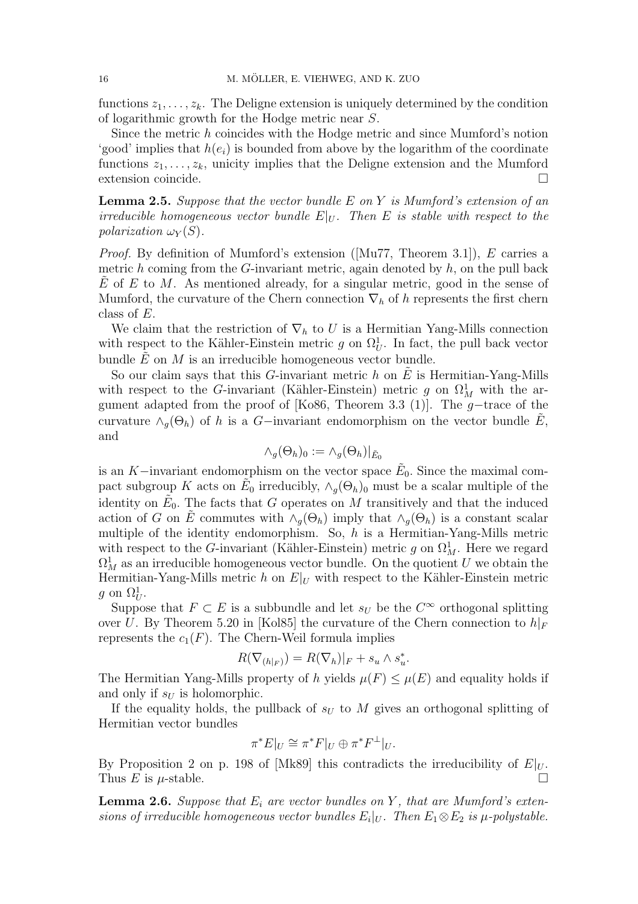functions  $z_1, \ldots, z_k$ . The Deligne extension is uniquely determined by the condition of logarithmic growth for the Hodge metric near S.

Since the metric h coincides with the Hodge metric and since Mumford's notion 'good' implies that  $h(e_i)$  is bounded from above by the logarithm of the coordinate functions  $z_1, \ldots, z_k$ , unicity implies that the Deligne extension and the Mumford extension coincide.  $\Box$ 

**Lemma 2.5.** Suppose that the vector bundle E on Y is Mumford's extension of an irreducible homogeneous vector bundle  $E|_U$ . Then E is stable with respect to the polarization  $\omega_Y(S)$ .

Proof. By definition of Mumford's extension ([Mu77, Theorem 3.1]), E carries a metric h coming from the G-invariant metric, again denoted by  $h$ , on the pull back  $E$  of E to M. As mentioned already, for a singular metric, good in the sense of Mumford, the curvature of the Chern connection  $\nabla_h$  of h represents the first chern class of E.

We claim that the restriction of  $\nabla_h$  to U is a Hermitian Yang-Mills connection with respect to the Kähler-Einstein metric g on  $\Omega_U^1$ . In fact, the pull back vector bundle  $\tilde{E}$  on  $M$  is an irreducible homogeneous vector bundle.

So our claim says that this G-invariant metric h on  $\hat{E}$  is Hermitian-Yang-Mills with respect to the G-invariant (Kähler-Einstein) metric g on  $\Omega^1_M$  with the argument adapted from the proof of [Ko86, Theorem 3.3 (1)]. The  $g$ -trace of the curvature  $\wedge_g(\Theta_h)$  of h is a G-invariant endomorphism on the vector bundle E, and

$$
\wedge_g(\Theta_h)_0 := \wedge_g(\Theta_h)|_{\tilde{E}_0}
$$

is an K–invariant endomorphism on the vector space  $\tilde{E}_0$ . Since the maximal compact subgroup K acts on  $\tilde{E}_0$  irreducibly,  $\wedge_g(\Theta_h)$  must be a scalar multiple of the identity on  $\tilde{E}_0$ . The facts that G operates on M transitively and that the induced action of G on  $\tilde{E}$  commutes with  $\wedge_q(\Theta_h)$  imply that  $\wedge_q(\Theta_h)$  is a constant scalar multiple of the identity endomorphism. So,  $h$  is a Hermitian-Yang-Mills metric with respect to the G-invariant (Kähler-Einstein) metric g on  $\Omega^1_M$ . Here we regard  $\Omega^1_M$  as an irreducible homogeneous vector bundle. On the quotient U we obtain the Hermitian-Yang-Mills metric h on  $E|_U$  with respect to the Kähler-Einstein metric g on  $\Omega_U^1$ .

Suppose that  $F \subset E$  is a subbundle and let  $s_U$  be the  $C^{\infty}$  orthogonal splitting over U. By Theorem 5.20 in [Kol85] the curvature of the Chern connection to  $h|_F$ represents the  $c_1(F)$ . The Chern-Weil formula implies

$$
R(\nabla_{(h|_F)}) = R(\nabla_h)|_F + s_u \wedge s_u^*.
$$

The Hermitian Yang-Mills property of h yields  $\mu(F) \leq \mu(E)$  and equality holds if and only if  $s_U$  is holomorphic.

If the equality holds, the pullback of  $s_U$  to M gives an orthogonal splitting of Hermitian vector bundles

$$
\pi^* E|_U \cong \pi^* F|_U \oplus \pi^* F^{\perp}|_U.
$$

By Proposition 2 on p. 198 of [Mk89] this contradicts the irreducibility of  $E|_U$ . Thus E is  $\mu$ -stable.

**Lemma 2.6.** Suppose that  $E_i$  are vector bundles on Y, that are Mumford's extensions of irreducible homogeneous vector bundles  $E_i|_U$ . Then  $E_1 \otimes E_2$  is  $\mu$ -polystable.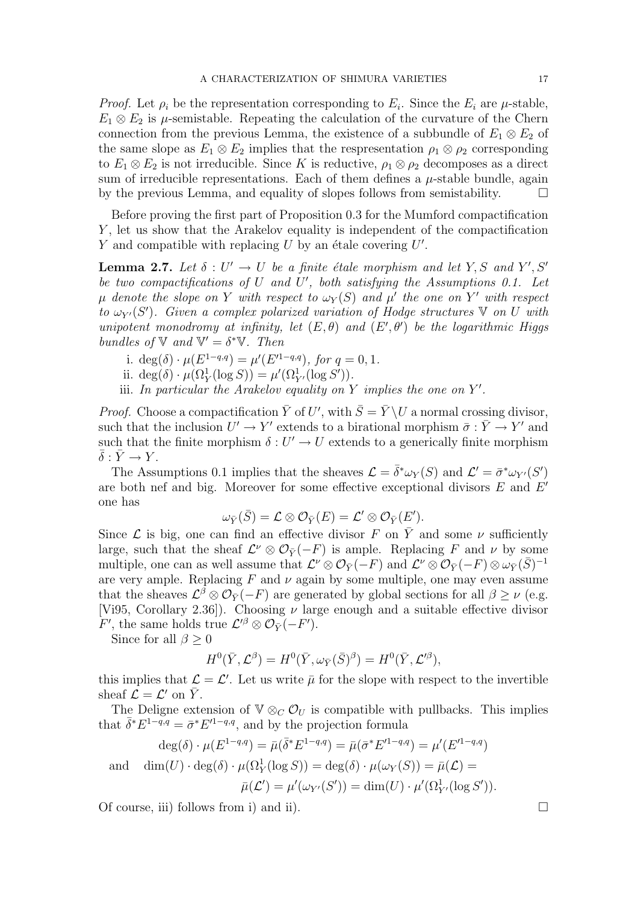*Proof.* Let  $\rho_i$  be the representation corresponding to  $E_i$ . Since the  $E_i$  are  $\mu$ -stable,  $E_1 \otimes E_2$  is  $\mu$ -semistable. Repeating the calculation of the curvature of the Chern connection from the previous Lemma, the existence of a subbundle of  $E_1 \otimes E_2$  of the same slope as  $E_1 \otimes E_2$  implies that the respresentation  $\rho_1 \otimes \rho_2$  corresponding to  $E_1 \otimes E_2$  is not irreducible. Since K is reductive,  $\rho_1 \otimes \rho_2$  decomposes as a direct sum of irreducible representations. Each of them defines a  $\mu$ -stable bundle, again by the previous Lemma, and equality of slopes follows from semistability.  $\Box$ 

Before proving the first part of Proposition 0.3 for the Mumford compactification Y , let us show that the Arakelov equality is independent of the compactification Y and compatible with replacing U by an étale covering  $U'$ .

**Lemma 2.7.** Let  $\delta: U' \to U$  be a finite étale morphism and let Y, S and Y', S' be two compactifications of U and U', both satisfying the Assumptions 0.1. Let  $\mu$  denote the slope on Y with respect to  $\omega_Y(S)$  and  $\mu'$  the one on Y' with respect to  $\omega_{Y'}(S')$ . Given a complex polarized variation of Hodge structures  $\mathbb {V}$  on U with unipotent monodromy at infinity, let  $(E, \theta)$  and  $(E', \theta')$  be the logarithmic Higgs bundles of  $\nabla$  and  $\nabla' = \delta^* \nabla$ . Then

- i.  $deg(\delta) \cdot \mu(E^{1-q,q}) = \mu'(E'^{1-q,q}),$  for  $q = 0, 1$ .
- ii. deg( $\delta \cdot \mu(\Omega_Y^1(\log S)) = \mu'(\Omega_{Y'}^1(\log S')).$
- iii. In particular the Arakelov equality on Y implies the one on  $Y'$ .

*Proof.* Choose a compactification  $\bar{Y}$  of U', with  $\bar{S} = \bar{Y} \setminus U$  a normal crossing divisor, such that the inclusion  $U' \to Y'$  extends to a birational morphism  $\bar{\sigma}: \bar{Y} \to Y'$  and such that the finite morphism  $\delta: U' \to U$  extends to a generically finite morphism  $\bar{\delta}: \bar{Y} \to Y$ .

The Assumptions 0.1 implies that the sheaves  $\mathcal{L} = \bar{\delta}^* \omega_Y(S)$  and  $\mathcal{L}' = \bar{\sigma}^* \omega_{Y'}(S')$ are both nef and big. Moreover for some effective exceptional divisors  $E$  and  $E'$ one has

$$
\omega_{\bar{Y}}(\bar{S}) = \mathcal{L} \otimes \mathcal{O}_{\bar{Y}}(E) = \mathcal{L}' \otimes \mathcal{O}_{\bar{Y}}(E').
$$

Since  $\mathcal L$  is big, one can find an effective divisor F on  $\overline Y$  and some  $\nu$  sufficiently large, such that the sheaf  $\mathcal{L}^{\nu} \otimes \mathcal{O}_{\bar{Y}}(-F)$  is ample. Replacing F and  $\nu$  by some multiple, one can as well assume that  $\mathcal{L}^{\nu} \otimes \mathcal{O}_{\bar{Y}}(-F)$  and  $\mathcal{L}^{\nu} \otimes \mathcal{O}_{\bar{Y}}(-F) \otimes \omega_{\bar{Y}}(\bar{S})^{-1}$ are very ample. Replacing  $F$  and  $\nu$  again by some multiple, one may even assume that the sheaves  $\mathcal{L}^{\beta} \otimes \mathcal{O}_{\bar{Y}}(-F)$  are generated by global sections for all  $\beta \geq \nu$  (e.g. [Vi95, Corollary 2.36]). Choosing  $\nu$  large enough and a suitable effective divisor F', the same holds true  $\mathcal{L}'^{\beta} \otimes \mathcal{O}_{\bar{Y}}(-F')$ .

Since for all  $\beta \geq 0$ 

$$
H^0(\bar{Y}, \mathcal{L}^{\beta}) = H^0(\bar{Y}, \omega_{\bar{Y}}(\bar{S})^{\beta}) = H^0(\bar{Y}, \mathcal{L}'^{\beta}),
$$

this implies that  $\mathcal{L} = \mathcal{L}'$ . Let us write  $\bar{\mu}$  for the slope with respect to the invertible sheaf  $\mathcal{L} = \mathcal{L}'$  on  $\bar{Y}$ .

The Deligne extension of  $\mathbb{V} \otimes_C \mathcal{O}_U$  is compatible with pullbacks. This implies that  $\bar{\delta}^* E^{1-q,q} = \bar{\sigma}^* E'^{1-q,q}$ , and by the projection formula

$$
\deg(\delta) \cdot \mu(E^{1-q,q}) = \bar{\mu}(\bar{\delta}^* E^{1-q,q}) = \bar{\mu}(\bar{\sigma}^* E'^{1-q,q}) = \mu'(E'^{1-q,q})
$$
  
and 
$$
\dim(U) \cdot \deg(\delta) \cdot \mu(\Omega^1_Y(\log S)) = \deg(\delta) \cdot \mu(\omega_Y(S)) = \bar{\mu}(\mathcal{L}) =
$$

$$
\bar{\mu}(\mathcal{L}') = \mu'(\omega_{Y'}(S')) = \dim(U) \cdot \mu'(\Omega^1_{Y'}(\log S')).
$$

Of course, iii) follows from i) and ii).  $\Box$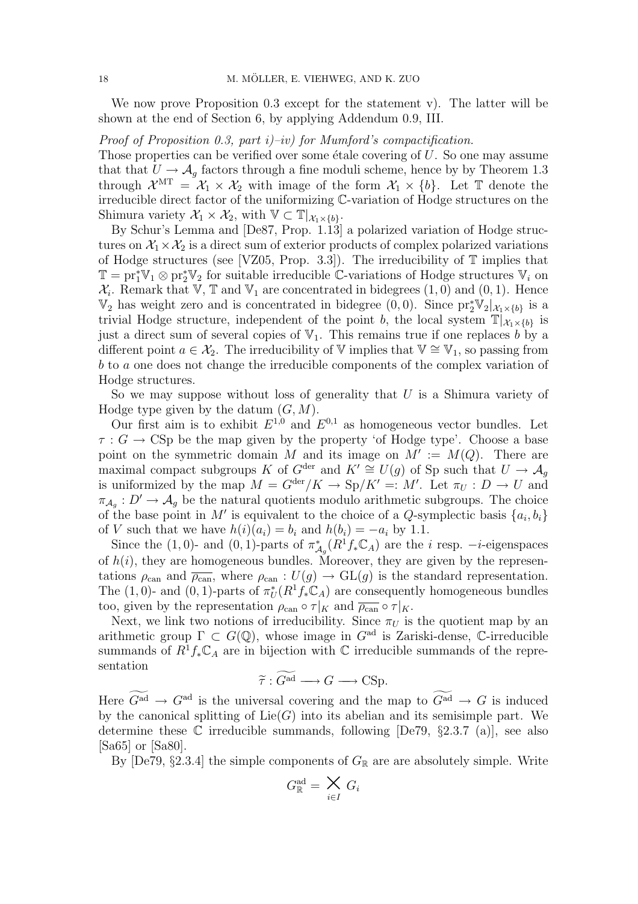We now prove Proposition 0.3 except for the statement v). The latter will be shown at the end of Section 6, by applying Addendum 0.9, III.

Proof of Proposition 0.3, part  $i$ )–iv) for Mumford's compactification.

Those properties can be verified over some étale covering of  $U$ . So one may assume that that  $U \to \mathcal{A}_g$  factors through a fine moduli scheme, hence by by Theorem 1.3 through  $\mathcal{X}^{\mathrm{MT}} = \mathcal{X}_1 \times \mathcal{X}_2$  with image of the form  $\mathcal{X}_1 \times \{b\}$ . Let  $\mathbb T$  denote the irreducible direct factor of the uniformizing C-variation of Hodge structures on the Shimura variety  $\mathcal{X}_1 \times \mathcal{X}_2$ , with  $\mathbb{V} \subset \mathbb{T} |_{\mathcal{X}_1 \times \{b\}}$ .

By Schur's Lemma and [De87, Prop. 1.13] a polarized variation of Hodge structures on  $X_1 \times X_2$  is a direct sum of exterior products of complex polarized variations of Hodge structures (see [VZ05, Prop. 3.3]). The irreducibility of  $\mathbb T$  implies that  $\mathbb{T} = \text{pr}_1^* \mathbb{V}_1 \otimes \text{pr}_2^* \mathbb{V}_2$  for suitable irreducible  $\mathbb{C}$ -variations of Hodge structures  $\mathbb{V}_i$  on  $\mathcal{X}_i$ . Remark that  $\mathbb{V}, \mathbb{T}$  and  $\mathbb{V}_1$  are concentrated in bidegrees  $(1,0)$  and  $(0,1)$ . Hence  $\mathbb{V}_2$  has weight zero and is concentrated in bidegree  $(0,0)$ . Since  $\mathrm{pr}_2^*\mathbb{V}_2|_{\mathcal{X}_1\times\{b\}}$  is a trivial Hodge structure, independent of the point b, the local system  $\mathbb{T}|_{\mathcal{X}_1\times\{b\}}$  is just a direct sum of several copies of  $\mathbb{V}_1$ . This remains true if one replaces b by a different point  $a \in \mathcal{X}_2$ . The irreducibility of V implies that  $\mathbb{V} \cong \mathbb{V}_1$ , so passing from b to a one does not change the irreducible components of the complex variation of Hodge structures.

So we may suppose without loss of generality that  $U$  is a Shimura variety of Hodge type given by the datum  $(G, M)$ .

Our first aim is to exhibit  $E^{1,0}$  and  $E^{0,1}$  as homogeneous vector bundles. Let  $\tau : G \longrightarrow \text{CSp}$  be the map given by the property 'of Hodge type'. Choose a base point on the symmetric domain M and its image on  $M' := M(Q)$ . There are maximal compact subgroups K of  $G^{\text{der}}$  and  $K' \cong U(g)$  of Sp such that  $U \to \mathcal{A}_g$ is uniformized by the map  $M = G^{\text{der}}/K \to \text{Sp}/K' =: M'.$  Let  $\pi_U : D \to U$  and  $\pi_{\mathcal{A}_g}: D' \to \mathcal{A}_g$  be the natural quotients modulo arithmetic subgroups. The choice of the base point in M' is equivalent to the choice of a Q-symplectic basis  $\{a_i, b_i\}$ of V such that we have  $h(i)(a_i) = b_i$  and  $h(b_i) = -a_i$  by 1.1.

Since the (1,0)- and (0,1)-parts of  $\pi_{\mathcal{A}_q}^*(R^1f_*\mathbb{C}_A)$  are the *i* resp. -*i*-eigenspaces of  $h(i)$ , they are homogeneous bundles. Moreover, they are given by the representations  $\rho_{\text{can}}$  and  $\overline{\rho_{\text{can}}}$ , where  $\rho_{\text{can}} : U(g) \to GL(g)$  is the standard representation. The (1,0)- and (0, 1)-parts of  $\pi_U^*(R^1f_*\mathbb{C}_A)$  are consequently homogeneous bundles too, given by the representation  $\rho_{\rm can} \circ \tau|_K$  and  $\overline{\rho_{\rm can}} \circ \tau|_K$ .

Next, we link two notions of irreducibility. Since  $\pi_U$  is the quotient map by an arithmetic group  $\Gamma \subset G(\mathbb{Q})$ , whose image in  $G^{\text{ad}}$  is Zariski-dense, C-irreducible summands of  $R^1 f_* \mathbb{C}_A$  are in bijection with  $\mathbb C$  irreducible summands of the representation

$$
\widetilde{\tau} : \widetilde{G^{ad}} \longrightarrow G \longrightarrow \text{CSp}.
$$

Here  $\widetilde{G}^{ad} \to G^{ad}$  is the universal covering and the map to  $\widetilde{G}^{ad} \to G$  is induced by the canonical splitting of  $Lie(G)$  into its abelian and its semisimple part. We determine these  $\mathbb C$  irreducible summands, following  $[De79, §2.3.7 (a)]$ , see also [Sa65] or [Sa80].

By [De79, §2.3.4] the simple components of  $G_{\mathbb{R}}$  are are absolutely simple. Write

$$
G_{\mathbb{R}}^{\mathrm{ad}} = \bigtimes_{i \in I} G_i
$$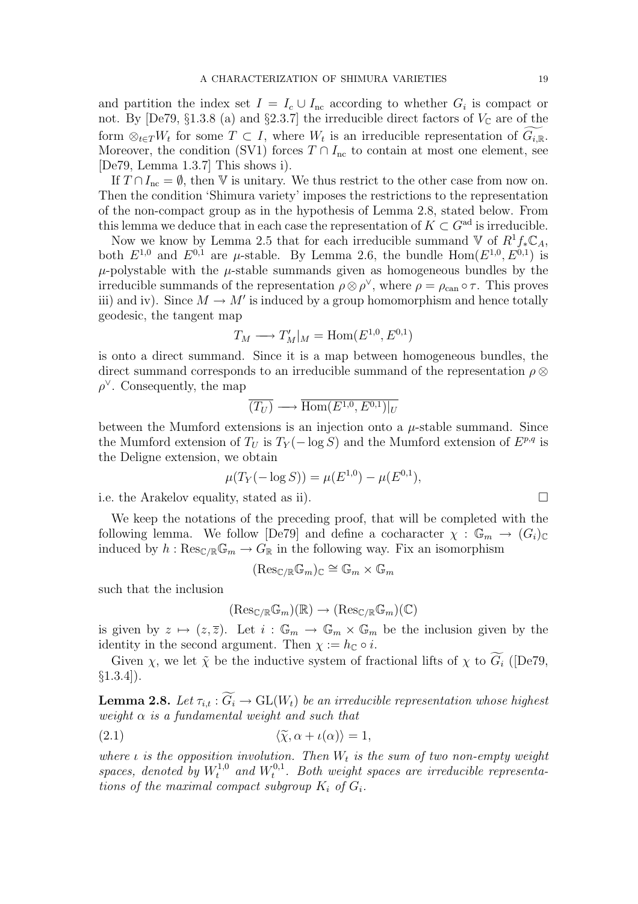and partition the index set  $I = I_c \cup I_{nc}$  according to whether  $G_i$  is compact or not. By [De79, §1.3.8 (a) and §2.3.7] the irreducible direct factors of  $V_{\mathbb{C}}$  are of the form  $\otimes_{t\in T}W_t$  for some  $T\subset I$ , where  $W_t$  is an irreducible representation of  $\widetilde{G_{i,\mathbb{R}}}$ . Moreover, the condition (SV1) forces  $T \cap I_{nc}$  to contain at most one element, see [De79, Lemma 1.3.7] This shows i).

If  $T \cap I_{\text{nc}} = \emptyset$ , then V is unitary. We thus restrict to the other case from now on. Then the condition 'Shimura variety' imposes the restrictions to the representation of the non-compact group as in the hypothesis of Lemma 2.8, stated below. From this lemma we deduce that in each case the representation of  $K \subset G^{ad}$  is irreducible.

Now we know by Lemma 2.5 that for each irreducible summand  $\mathbb{V}$  of  $R^1f_*\mathbb{C}_A$ , both  $E^{1,0}$  and  $E^{0,1}$  are  $\mu$ -stable. By Lemma 2.6, the bundle  $Hom(E^{1,0}, E^{0,1})$  is  $\mu$ -polystable with the  $\mu$ -stable summands given as homogeneous bundles by the irreducible summands of the representation  $\rho \otimes \rho^{\vee}$ , where  $\rho = \rho_{\text{can}} \circ \tau$ . This proves iii) and iv). Since  $M \to M'$  is induced by a group homomorphism and hence totally geodesic, the tangent map

$$
T_M \longrightarrow T'_M|_M = \text{Hom}(E^{1,0}, E^{0,1})
$$

is onto a direct summand. Since it is a map between homogeneous bundles, the direct summand corresponds to an irreducible summand of the representation  $\rho \otimes$  $\rho^{\vee}$ . Consequently, the map

$$
\overline{(T_U)} \longrightarrow \overline{\text{Hom}(E^{1,0}, E^{0,1})|_U}
$$

between the Mumford extensions is an injection onto a  $\mu$ -stable summand. Since the Mumford extension of  $T_U$  is  $T_Y(-\log S)$  and the Mumford extension of  $E^{p,q}$  is the Deligne extension, we obtain

$$
\mu(T_Y(-\log S)) = \mu(E^{1,0}) - \mu(E^{0,1}),
$$

i.e. the Arakelov equality, stated as ii).  $\Box$ 

We keep the notations of the preceding proof, that will be completed with the following lemma. We follow [De79] and define a cocharacter  $\chi : \mathbb{G}_m \to (G_i)_{\mathbb{C}}$ induced by  $h: \mathrm{Res}_{\mathbb C/\mathbb R} \mathbb G_m \to G_{\mathbb R}$  in the following way. Fix an isomorphism

$$
(\mathrm{Res}_{\mathbb{C}/\mathbb{R}}\mathbb{G}_m)_{\mathbb{C}}\cong \mathbb{G}_m\times \mathbb{G}_m
$$

such that the inclusion

$$
(\mathrm{Res}_{\mathbb{C}/\mathbb{R}}\mathbb{G}_m)(\mathbb{R}) \to (\mathrm{Res}_{\mathbb{C}/\mathbb{R}}\mathbb{G}_m)(\mathbb{C})
$$

is given by  $z \mapsto (z, \overline{z})$ . Let  $i : \mathbb{G}_m \to \mathbb{G}_m \times \mathbb{G}_m$  be the inclusion given by the identity in the second argument. Then  $\chi := h_{\mathbb{C}} \circ i$ .

Given  $\chi$ , we let  $\tilde{\chi}$  be the inductive system of fractional lifts of  $\chi$  to  $\widetilde{G}_i$  ([De79,  $\S1.3.4$ ]).

**Lemma 2.8.** Let  $\tau_{i,t} : \widetilde{G_i} \to \text{GL}(W_t)$  be an irreducible representation whose highest weight  $\alpha$  is a fundamental weight and such that

$$
\langle \widetilde{\chi}, \alpha + \iota(\alpha) \rangle = 1,
$$

where  $\iota$  is the opposition involution. Then  $W_t$  is the sum of two non-empty weight spaces, denoted by  $W_t^{1,0}$  and  $W_t^{0,1}$  $t^{0,1}_{t}$ . Both weight spaces are irreducible representations of the maximal compact subgroup  $K_i$  of  $G_i$ .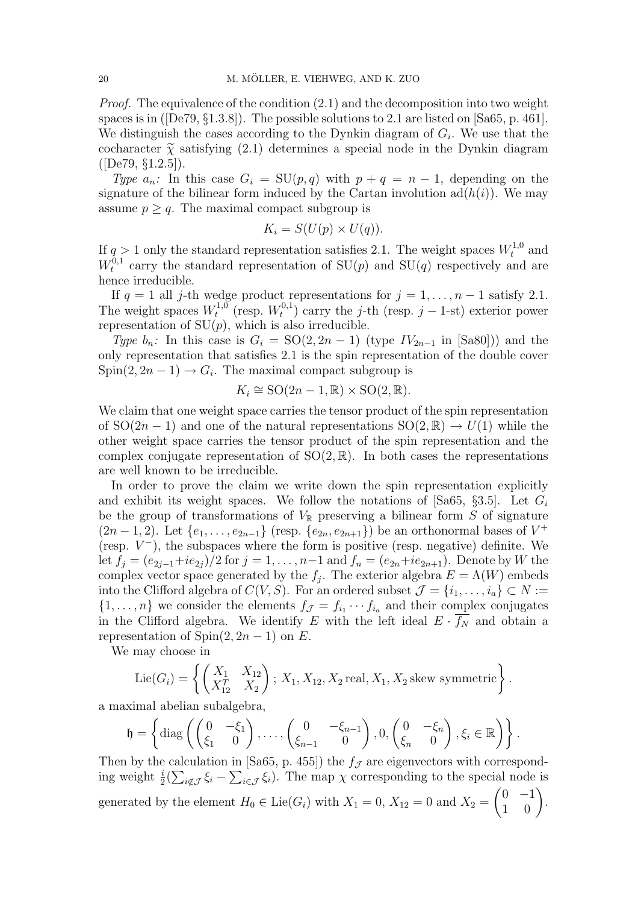*Proof.* The equivalence of the condition  $(2.1)$  and the decomposition into two weight spaces is in ([De79, §1.3.8]). The possible solutions to 2.1 are listed on [Sa65, p. 461]. We distinguish the cases according to the Dynkin diagram of  $G_i$ . We use that the cocharacter  $\tilde{\chi}$  satisfying (2.1) determines a special node in the Dynkin diagram  $([De79, §1.2.5]).$ 

Type  $a_n$ : In this case  $G_i = SU(p,q)$  with  $p + q = n - 1$ , depending on the signature of the bilinear form induced by the Cartan involution  $\text{ad}(h(i))$ . We may assume  $p \geq q$ . The maximal compact subgroup is

$$
K_i = S(U(p) \times U(q)).
$$

If  $q > 1$  only the standard representation satisfies 2.1. The weight spaces  $W_t^{1,0}$  and  $W_t^{\bar 0,1}$  $t^{0,1}$  carry the standard representation of  $SU(p)$  and  $SU(q)$  respectively and are hence irreducible.

If  $q = 1$  all j-th wedge product representations for  $j = 1, \ldots, n - 1$  satisfy 2.1. The weight spaces  $W_t^{1,0}$  $t^{1,0}$  (resp.  $W_t^{0,1}$  $t_i^{0,1}$ ) carry the j-th (resp. j – 1-st) exterior power representation of  $SU(p)$ , which is also irreducible.

Type  $b_n$ : In this case is  $G_i = SO(2, 2n - 1)$  (type  $IV_{2n-1}$  in [Sa80])) and the only representation that satisfies 2.1 is the spin representation of the double cover  $Spin(2, 2n-1) \rightarrow G_i$ . The maximal compact subgroup is

$$
K_i \cong \text{SO}(2n-1,\mathbb{R}) \times \text{SO}(2,\mathbb{R}).
$$

We claim that one weight space carries the tensor product of the spin representation of  $SO(2n-1)$  and one of the natural representations  $SO(2,\mathbb{R}) \to U(1)$  while the other weight space carries the tensor product of the spin representation and the complex conjugate representation of  $SO(2,\mathbb{R})$ . In both cases the representations are well known to be irreducible.

In order to prove the claim we write down the spin representation explicitly and exhibit its weight spaces. We follow the notations of [Sa65, §3.5]. Let  $G_i$ be the group of transformations of  $V_{\mathbb{R}}$  preserving a bilinear form S of signature  $(2n-1, 2)$ . Let  $\{e_1, \ldots, e_{2n-1}\}$  (resp.  $\{e_{2n}, e_{2n+1}\}\)$  be an orthonormal bases of  $V^+$ (resp.  $V^-$ ), the subspaces where the form is positive (resp. negative) definite. We let  $f_i = (e_{2i-1}+ie_{2i})/2$  for  $j = 1, ..., n-1$  and  $f_n = (e_{2n}+ie_{2n+1})$ . Denote by W the complex vector space generated by the  $f_j$ . The exterior algebra  $E = \Lambda(W)$  embeds into the Clifford algebra of  $C(V, S)$ . For an ordered subset  $\mathcal{J} = \{i_1, \ldots, i_a\} \subset N :=$  $\{1,\ldots,n\}$  we consider the elements  $f_{\mathcal{J}} = f_{i_1} \cdots f_{i_n}$  and their complex conjugates in the Clifford algebra. We identify E with the left ideal  $E \cdot \overline{f_N}$  and obtain a representation of  $Spin(2, 2n-1)$  on E.

We may choose in

Lie(
$$
G_i
$$
) = { $\left( \begin{pmatrix} X_1 & X_{12} \\ X_{12}^T & X_2 \end{pmatrix}; X_1, X_{12}, X_2 \text{ real}, X_1, X_2 \text{ skew symmetric} \right)}.$ 

a maximal abelian subalgebra,  $\frac{1}{2}$ 

$$
\mathfrak{h} = \left\{ \mathrm{diag}\left( \begin{pmatrix} 0 & -\xi_1 \\ \xi_1 & 0 \end{pmatrix}, \ldots, \begin{pmatrix} 0 & -\xi_{n-1} \\ \xi_{n-1} & 0 \end{pmatrix}, 0, \begin{pmatrix} 0 & -\xi_n \\ \xi_n & 0 \end{pmatrix}, \xi_i \in \mathbb{R} \right) \right\}.
$$

Then by the calculation in [Sa65, p. 455]) the  $f_{\mathcal{J}}$  are eigenvectors with corresponding weight  $\frac{i}{2}(\sum_{i \notin \mathcal{J}} \xi_i - \sum_{i \in \mathcal{J}} \xi_i)$ . The map  $\chi$  corresponding to the special node is generated by the element  $H_0 \in \text{Lie}(G_i)$  with  $X_1 = 0$ ,  $X_{12} = 0$  and  $X_2 = \begin{pmatrix} 0 & -1 \\ 1 & 0 \end{pmatrix}$  $\begin{pmatrix} 0 & -1 \\ 1 & 0 \end{pmatrix}$ .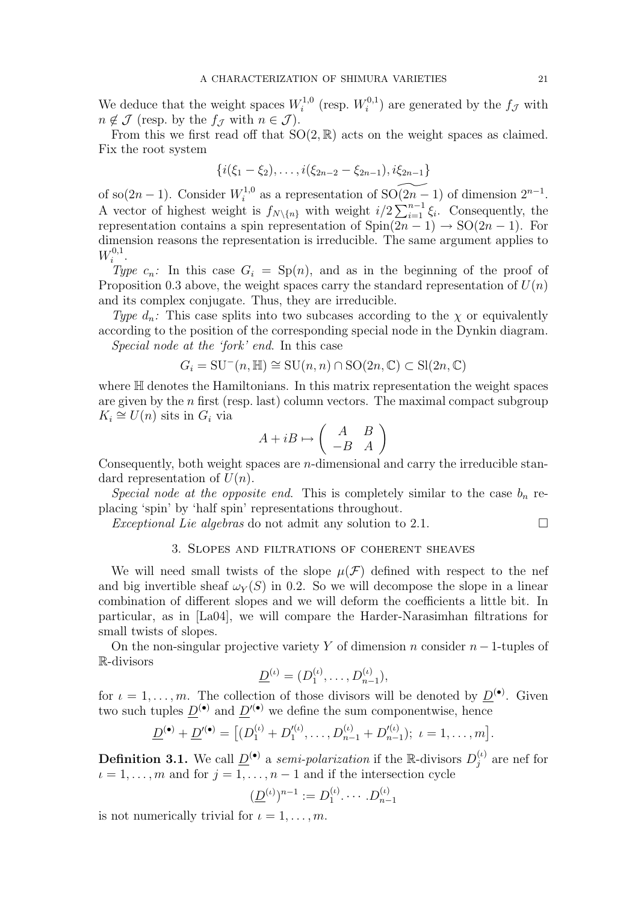We deduce that the weight spaces  $W_i^{1,0}$  $i^{1,0}$  (resp.  $W_i^{0,1}$  $i^{0,1}$  are generated by the  $f_{\mathcal{J}}$  with  $n \notin \mathcal{J}$  (resp. by the  $f_{\mathcal{J}}$  with  $n \in \mathcal{J}$ ).

From this we first read off that  $SO(2, \mathbb{R})$  acts on the weight spaces as claimed. Fix the root system

$$
\{i(\xi_1-\xi_2),\ldots,i(\xi_{2n-2}-\xi_{2n-1}),i\xi_{2n-1}\}
$$

of so $(2n-1)$ . Consider  $W_i^{1,0}$ <sup>1,0</sup> as a representation of SO( $2n - 1$ ) of dimension  $2^{n-1}$ . A vector of highest weight is  $f_{N\setminus\{n\}}$  with weight  $i/2\sum_{i=1}^{n-1}$  $\sum_{i=1}^{n-1} \xi_i$ . Consequently, the representation contains a spin representation of  $Spin(2n-1) \rightarrow SO(2n-1)$ . For dimension reasons the representation is irreducible. The same argument applies to  $W_i^{0,1}$  $\frac{1}{i}$ .

Type  $c_n$ : In this case  $G_i = Sp(n)$ , and as in the beginning of the proof of Proposition 0.3 above, the weight spaces carry the standard representation of  $U(n)$ and its complex conjugate. Thus, they are irreducible.

Type  $d_n$ : This case splits into two subcases according to the  $\chi$  or equivalently according to the position of the corresponding special node in the Dynkin diagram. Special node at the 'fork' end. In this case

$$
G_i = \mathrm{SU}^-(n, \mathbb{H}) \cong \mathrm{SU}(n, n) \cap \mathrm{SO}(2n, \mathbb{C}) \subset \mathrm{Sl}(2n, \mathbb{C})
$$

where  $H$  denotes the Hamiltonians. In this matrix representation the weight spaces are given by the  $n$  first (resp. last) column vectors. The maximal compact subgroup  $K_i \cong U(n)$  sits in  $G_i$  via  $\overline{a}$ 

$$
A + iB \mapsto \left(\begin{array}{cc} A & B \\ -B & A \end{array}\right)
$$

Consequently, both weight spaces are n-dimensional and carry the irreducible standard representation of  $U(n)$ .

Special node at the opposite end. This is completely similar to the case  $b_n$  replacing 'spin' by 'half spin' representations throughout.

Exceptional Lie algebras do not admit any solution to 2.1.  $\Box$ 

## 3. Slopes and filtrations of coherent sheaves

We will need small twists of the slope  $\mu(\mathcal{F})$  defined with respect to the nef and big invertible sheaf  $\omega_Y(S)$  in 0.2. So we will decompose the slope in a linear combination of different slopes and we will deform the coefficients a little bit. In particular, as in [La04], we will compare the Harder-Narasimhan filtrations for small twists of slopes.

On the non-singular projective variety Y of dimension n consider  $n-1$ -tuples of R-divisors

$$
\underline{D}^{(\iota)} = (D_1^{(\iota)}, \dots, D_{n-1}^{(\iota)}),
$$

for  $\iota = 1, \ldots, m$ . The collection of those divisors will be denoted by  $\underline{D}^{(\bullet)}$ . Given two such tuples  $\underline{D}^{(\bullet)}$  and  $\underline{D}^{(\bullet)}$  we define the sum componentwise, hence

$$
\underline{D}^{(\bullet)} + \underline{D}'^{(\bullet)} = [(\overline{D}_1^{(t)} + D_1'^{(t)}, \dots, \overline{D}_{n-1}^{(t)} + D_{n-1}'^{(t)}); \ t = 1, \dots, m].
$$

**Definition 3.1.** We call  $\underline{D}^{(\bullet)}$  a *semi-polarization* if the R-divisors  $D_i^{(t)}$  $j^{(\iota)}$  are nef for  $i = 1, \ldots, m$  and for  $j = 1, \ldots, n - 1$  and if the intersection cycle

$$
(\underline{D}^{(\iota)})^{n-1} := D_1^{(\iota)} \cdots D_{n-1}^{(\iota)}
$$

is not numerically trivial for  $i = 1, \ldots, m$ .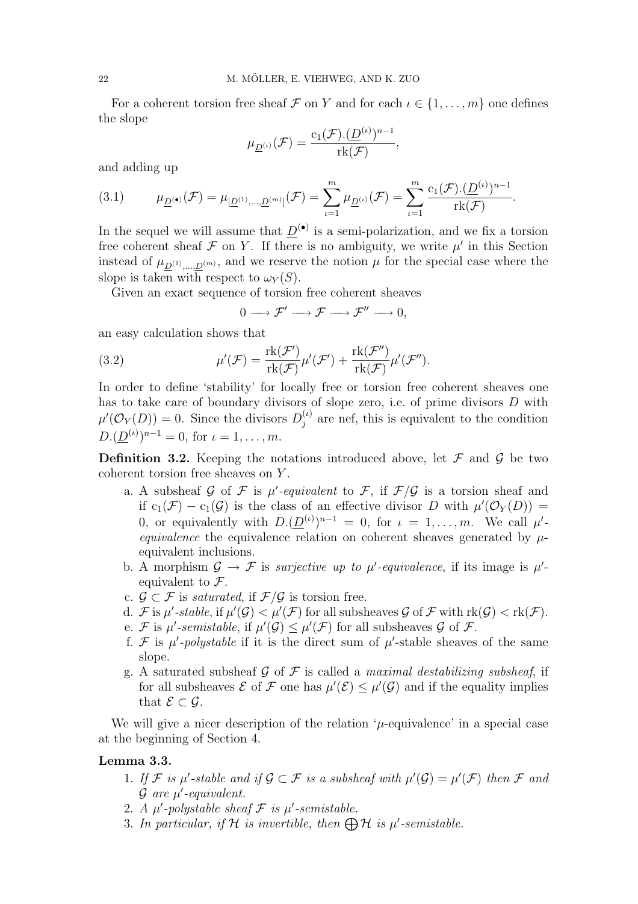For a coherent torsion free sheaf F on Y and for each  $\iota \in \{1, \ldots, m\}$  one defines the slope

$$
\mu_{\underline{D}^{(\iota)}}(\mathcal{F})=\frac{c_1(\mathcal{F}).(\underline{D}^{(\iota)})^{n-1}}{\operatorname{rk}(\mathcal{F})},
$$

and adding up

(3.1) 
$$
\mu_{\underline{D}^{(\bullet)}}(\mathcal{F}) = \mu_{[\underline{D}^{(1)},...,\underline{D}^{(m)}]}(\mathcal{F}) = \sum_{\iota=1}^{m} \mu_{\underline{D}^{(\iota)}}(\mathcal{F}) = \sum_{\iota=1}^{m} \frac{c_1(\mathcal{F}).(\underline{D}^{(\iota)})^{n-1}}{\text{rk}(\mathcal{F})}.
$$

In the sequel we will assume that  $\underline{D}^{(\bullet)}$  is a semi-polarization, and we fix a torsion free coherent sheaf  $\mathcal F$  on Y. If there is no ambiguity, we write  $\mu'$  in this Section instead of  $\mu_{\underline{D}^{(1)},\dots,\underline{D}^{(m)}}$ , and we reserve the notion  $\mu$  for the special case where the slope is taken with respect to  $\omega_Y(S)$ .

Given an exact sequence of torsion free coherent sheaves

 $0 \longrightarrow \mathcal{F}' \longrightarrow \mathcal{F} \longrightarrow \mathcal{F}'' \longrightarrow 0.$ 

an easy calculation shows that

(3.2) 
$$
\mu'(\mathcal{F}) = \frac{\text{rk}(\mathcal{F}')}{\text{rk}(\mathcal{F})}\mu'(\mathcal{F}') + \frac{\text{rk}(\mathcal{F}'')}{\text{rk}(\mathcal{F})}\mu'(\mathcal{F}'').
$$

In order to define 'stability' for locally free or torsion free coherent sheaves one has to take care of boundary divisors of slope zero, i.e. of prime divisors D with  $\mu'(\mathcal{O}_Y(D)) = 0$ . Since the divisors  $D_j^{(\iota)}$  $j^{(t)}_j$  are nef, this is equivalent to the condition  $D.(\underline{D}^{(\iota)})^{n-1} = 0$ , for  $\iota = 1, \ldots, m$ .

**Definition 3.2.** Keeping the notations introduced above, let  $\mathcal F$  and  $\mathcal G$  be two coherent torsion free sheaves on Y .

- a. A subsheaf G of F is  $\mu'$ -equivalent to F, if  $\mathcal{F}/\mathcal{G}$  is a torsion sheaf and if  $c_1(\mathcal{F}) - c_1(\mathcal{G})$  is the class of an effective divisor D with  $\mu'(\mathcal{O}_Y(D)) =$ 0, or equivalently with  $D.(\underline{D}^{(\iota)})^{n-1} = 0$ , for  $\iota = 1, \ldots, m$ . We call  $\mu'$ equivalence the equivalence relation on coherent sheaves generated by  $\mu$ equivalent inclusions.
- b. A morphism  $\mathcal{G} \to \mathcal{F}$  is *surjective up to*  $\mu'$ *-equivalence*, if its image is  $\mu'$ equivalent to  $\mathcal{F}$ .
- c.  $\mathcal{G} \subset \mathcal{F}$  is saturated, if  $\mathcal{F}/\mathcal{G}$  is torsion free.
- d. F is  $\mu'$ -stable, if  $\mu'(\mathcal{G}) < \mu'(\mathcal{F})$  for all subsheaves  $\mathcal{G}$  of F with  $rk(\mathcal{G}) < rk(\mathcal{F})$ .
- e. F is  $\mu'$ -semistable, if  $\mu'(\mathcal{G}) \leq \mu'(\mathcal{F})$  for all subsheaves  $\mathcal G$  of  $\mathcal F$ .
- f. F is  $\mu'$ -polystable if it is the direct sum of  $\mu'$ -stable sheaves of the same slope.
- g. A saturated subsheaf G of F is called a maximal destabilizing subsheaf, if for all subsheaves  $\mathcal E$  of  $\mathcal F$  one has  $\mu'(\mathcal E) \leq \mu'(\mathcal G)$  and if the equality implies that  $\mathcal{E} \subset \mathcal{G}$ .

We will give a nicer description of the relation  $\mu$ -equivalence' in a special case at the beginning of Section 4.

#### Lemma 3.3.

- 1. If F is  $\mu'$ -stable and if  $\mathcal{G} \subset \mathcal{F}$  is a subsheaf with  $\mu'(\mathcal{G}) = \mu'(\mathcal{F})$  then F and  $\mathcal G$  are  $\mu'$ -equivalent.
- 2. A  $\mu'$ -polystable sheaf  $\mathcal F$  is  $\mu'$ -semistable.
- 2. A  $\mu$ -potystable sheaf  $\mathcal F$  is  $\mu$ -semistable.<br>3. In particular, if  $\mathcal H$  is invertible, then  $\bigoplus \mathcal H$  is  $\mu'$ -semistable.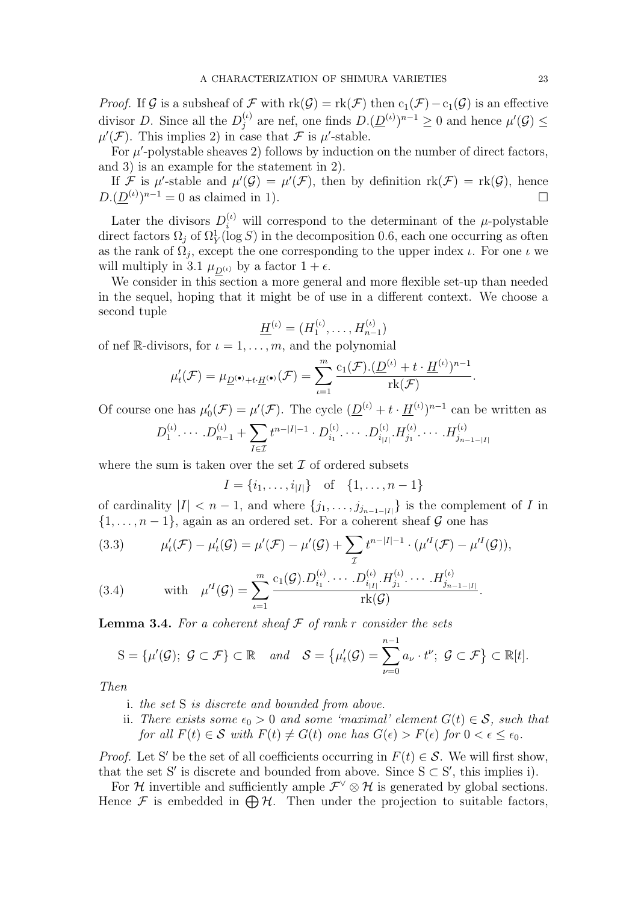*Proof.* If G is a subsheaf of F with  $rk(G) = rk(F)$  then  $c_1(F) - c_1(G)$  is an effective divisor D. Since all the  $D_i^{(\iota)}$  $j_j^{(l)}$  are nef, one finds  $D.(\underline{D}^{(l)})^{n-1} \geq 0$  and hence  $\mu'(\mathcal{G}) \leq$  $\mu'(\mathcal{F})$ . This implies 2) in case that  $\mathcal F$  is  $\mu'$ -stable.

For  $\mu'$ -polystable sheaves 2) follows by induction on the number of direct factors, and 3) is an example for the statement in 2).

If F is  $\mu'$ -stable and  $\mu'(\mathcal{G}) = \mu'(\mathcal{F})$ , then by definition  $\text{rk}(\mathcal{F}) = \text{rk}(\mathcal{G})$ , hence  $D.(\underline{D}^{(\iota)})^{n-1} = 0$  as claimed in 1).

Later the divisors  $D_i^{(\iota)}$  will correspond to the determinant of the  $\mu$ -polystable direct factors  $\Omega_j$  of  $\Omega_Y^1(\log S)$  in the decomposition 0.6, each one occurring as often as the rank of  $\Omega_j$ , except the one corresponding to the upper index  $\iota$ . For one  $\iota$  we will multiply in 3.1  $\mu_{D^{(\iota)}}$  by a factor  $1 + \epsilon$ .

We consider in this section a more general and more flexible set-up than needed in the sequel, hoping that it might be of use in a different context. We choose a second tuple

$$
\underline{H}^{(\iota)} = (H_1^{(\iota)}, \dots, H_{n-1}^{(\iota)})
$$

of nef R-divisors, for  $\iota = 1, \ldots, m$ , and the polynomial

$$
\mu_t'(\mathcal F)=\mu_{\underline{D}^{(\bullet)}+t\cdot \underline{H}^{(\bullet)}}(\mathcal F)=\sum_{\iota=1}^m\frac{c_1(\mathcal F).(\underline{D}^{(\iota)}+t\cdot \underline{H}^{(\iota)})^{n-1}}{\operatorname{rk}(\mathcal F)}
$$

Of course one has  $\mu'_0(\mathcal{F}) = \mu'(\mathcal{F})$ . The cycle  $(\underline{D}^{(\iota)} + t \cdot \underline{H}^{(\iota)})^{n-1}$  can be written as

$$
D_1^{(\iota)} \cdots D_{n-1}^{(\iota)} + \sum_{I \in \mathcal{I}} t^{n-|I|-1} \cdot D_{i_1}^{(\iota)} \cdots D_{i_{|I|}}^{(\iota)} \cdot H_{j_1}^{(\iota)} \cdots H_{j_{n-1-|I|}}^{(\iota)}
$$

where the sum is taken over the set  $\mathcal I$  of ordered subsets

$$
I = \{i_1, \dots, i_{|I|}\} \text{ of } \{1, \dots, n-1\}
$$

of cardinality  $|I| < n - 1$ , and where  $\{j_1, \ldots, j_{j_{n-1-|I|}}\}$  is the complement of I in  $\{1, \ldots, n-1\}$ , again as an ordered set. For a coherent sheaf G one has

(3.3) 
$$
\mu'_{t}(\mathcal{F}) - \mu'_{t}(\mathcal{G}) = \mu'(\mathcal{F}) - \mu'(\mathcal{G}) + \sum_{\mathcal{I}} t^{n-|I|-1} \cdot (\mu'^{I}(\mathcal{F}) - \mu'^{I}(\mathcal{G})),
$$

$$
\sum_{i=1}^{m} c_{i}(\mathcal{G}).D_{i}^{(t)}, \cdots D_{i}^{(t)}, H_{i}^{(t)}, \cdots H_{i}^{(t)}, \cdots
$$

(3.4) with 
$$
\mu'^{I}(\mathcal{G}) = \sum_{\iota=1}^{m} \frac{c_1(\mathcal{G}) \cdot D_{i_1}^{(\iota)} \cdots \cdot D_{i_{|I|}}^{(\iota)} \cdot H_{j_1}^{(\iota)} \cdots \cdot H_{j_{n-1-|I|}}^{(\iota)}}{\mathrm{rk}(\mathcal{G})}.
$$

**Lemma 3.4.** For a coherent sheaf  $\mathcal F$  of rank r consider the sets

$$
S = \{\mu'(\mathcal{G}); \ \mathcal{G} \subset \mathcal{F}\} \subset \mathbb{R} \quad and \quad \mathcal{S} = \{\mu'_t(\mathcal{G}) = \sum_{\nu=0}^{n-1} a_{\nu} \cdot t^{\nu}; \ \mathcal{G} \subset \mathcal{F}\} \subset \mathbb{R}[t].
$$

Then

- i. the set S is discrete and bounded from above.
- ii. There exists some  $\epsilon_0 > 0$  and some 'maximal' element  $G(t) \in \mathcal{S}$ , such that for all  $F(t) \in S$  with  $F(t) \neq G(t)$  one has  $G(\epsilon) > F(\epsilon)$  for  $0 < \epsilon < \epsilon_0$ .

*Proof.* Let S' be the set of all coefficients occurring in  $F(t) \in S$ . We will first show, that the set S' is discrete and bounded from above. Since  $S \subset S'$ , this implies i).

For H invertible and sufficiently ample  $\mathcal{F}^{\vee} \otimes \mathcal{H}$  is generated by global sections. Hence  $\mathcal F$  is embedded in  $\bigoplus \mathcal{H}$ . Then under the projection to suitable factors,

.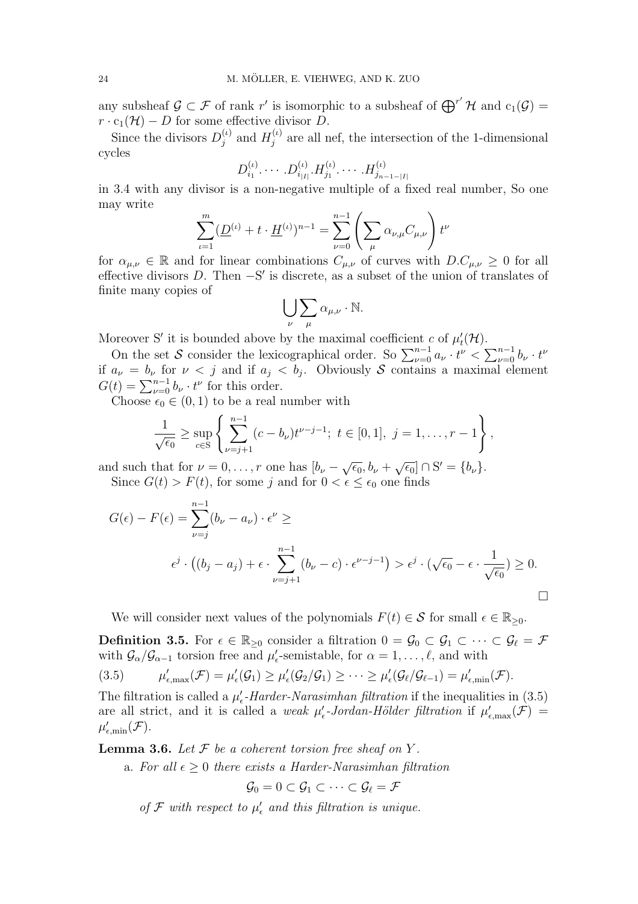any subsheaf  $\mathcal{G} \subset \mathcal{F}$  of rank r' is isomorphic to a subsheaf of  $\bigoplus^{r'} \mathcal{H}$  and  $c_1(\mathcal{G}) =$  $r \cdot c_1(\mathcal{H}) - D$  for some effective divisor D.

Since the divisors  $D_i^{(\iota)}$  $j^{(\iota)}$  and  $H_j^{(\iota)}$  $j_j^{(t)}$  are all nef, the intersection of the 1-dimensional cycles

$$
D_{i_1}^{(t)} \cdots D_{i_{|I|}}^{(t)} \cdots H_{j_1}^{(t)} \cdots H_{j_{n-1-|I|}}^{(t)}
$$

in 3.4 with any divisor is a non-negative multiple of a fixed real number, So one may write

$$
\sum_{\iota=1}^m (\underline{D}^{(\iota)} + t \cdot \underline{H}^{(\iota)})^{n-1} = \sum_{\nu=0}^{n-1} \left( \sum_{\mu} \alpha_{\nu,\mu} C_{\mu,\nu} \right) t^{\nu}
$$

for  $\alpha_{\mu,\nu} \in \mathbb{R}$  and for linear combinations  $C_{\mu,\nu}$  of curves with  $D.C_{\mu,\nu} \geq 0$  for all effective divisors  $D$ . Then  $-S'$  is discrete, as a subset of the union of translates of finite many copies of  $\overline{\phantom{a}}$  $\overline{\phantom{a}}$ 

$$
\bigcup_{\nu}\sum_{\mu}\alpha_{\mu,\nu}\cdot\mathbb{N}.
$$

Moreover S' it is bounded above by the maximal coefficient c of  $\mu_t'(\mathcal{H})$ .

On the set S consider the lexicographical order. So  $\sum_{\nu=0}^{n-1} a_{\nu} \cdot t^{\nu} < \sum_{\nu=0}^{n-1} a_{\nu}$  $_{\nu=0}^{n-1}b_{\nu}\cdot t^{\nu}$ if  $a_{\nu} = b_{\nu}$  for  $\nu < j$  and if  $a_j < b_j$ . Obviously S contains a maximal element  $G(t) = \sum_{\nu=0}^{n-1} b_{\nu} \cdot t^{\nu}$  for this order.

Choose  $\epsilon_0 \in (0, 1)$  to be a real number with

$$
\frac{1}{\sqrt{\epsilon_0}} \geq \sup_{c \in S} \left\{ \sum_{\nu=j+1}^{n-1} (c - b_{\nu}) t^{\nu-j-1}; \ t \in [0,1], \ j = 1, \ldots, r-1 \right\},\,
$$

and such that for  $\nu = 0, \ldots, r$  one has  $[b_{\nu} - \sqrt{\epsilon_0}, b_{\nu} + \sqrt{\epsilon_0}] \cap S' = \{b_{\nu}\}.$ Since  $G(t) > F(t)$ , for some j and for  $0 < \epsilon \leq \epsilon_0$  one finds

$$
G(\epsilon) - F(\epsilon) = \sum_{\nu=j}^{n-1} (b_{\nu} - a_{\nu}) \cdot \epsilon^{\nu} \ge
$$
  

$$
\epsilon^{j} \cdot ((b_{j} - a_{j}) + \epsilon \cdot \sum_{\nu=j+1}^{n-1} (b_{\nu} - c) \cdot \epsilon^{\nu-j-1}) > \epsilon^{j} \cdot (\sqrt{\epsilon_{0}} - \epsilon \cdot \frac{1}{\sqrt{\epsilon_{0}}}) \ge 0.
$$

We will consider next values of the polynomials  $F(t) \in \mathcal{S}$  for small  $\epsilon \in \mathbb{R}_{\geq 0}$ .

**Definition 3.5.** For  $\epsilon \in \mathbb{R}_{\geq 0}$  consider a filtration  $0 = \mathcal{G}_0 \subset \mathcal{G}_1 \subset \cdots \subset \mathcal{G}_\ell = \mathcal{F}$ with  $\mathcal{G}_{\alpha}/\mathcal{G}_{\alpha-1}$  torsion free and  $\mu'_{\epsilon}$ -semistable, for  $\alpha = 1, \ldots, \ell$ , and with

 $(3.5)$  $\mu'_{\epsilon,\max}(\mathcal{F}) = \mu'_{\epsilon}(\mathcal{G}_1) \geq \mu'_{\epsilon}(\mathcal{G}_2/\mathcal{G}_1) \geq \cdots \geq \mu'_{\epsilon}(\mathcal{G}_{\ell}/\mathcal{G}_{\ell-1}) = \mu'_{\epsilon,\min}(\mathcal{F}).$ 

The filtration is called a  $\mu'_{\epsilon}$ -Harder-Narasimhan filtration if the inequalities in (3.5) are all strict, and it is called a weak  $\mu_{\epsilon}^{\prime}$ -Jordan-Hölder filtration if  $\mu_{\epsilon,\max}^{\prime}(\mathcal{F})$  =  $\mu'_{\epsilon,\min}(\mathcal{F}).$ 

**Lemma 3.6.** Let  $\mathcal F$  be a coherent torsion free sheaf on Y.

a. For all  $\epsilon \geq 0$  there exists a Harder-Narasimhan filtration

$$
\mathcal{G}_0 = 0 \subset \mathcal{G}_1 \subset \cdots \subset \mathcal{G}_\ell = \mathcal{F}
$$

of  $\mathcal F$  with respect to  $\mu'_\epsilon$  and this filtration is unique.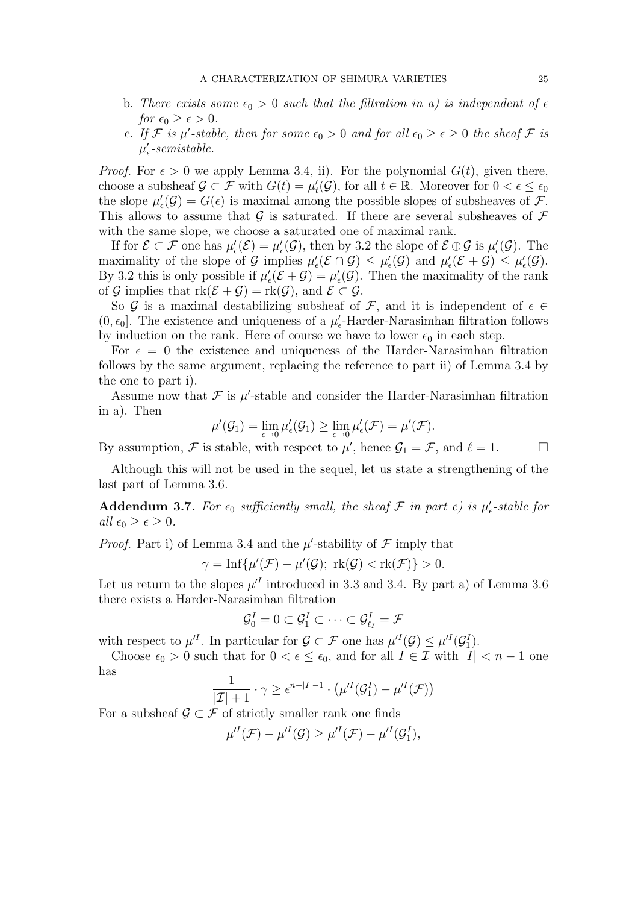- b. There exists some  $\epsilon_0 > 0$  such that the filtration in a) is independent of  $\epsilon$ for  $\epsilon_0 \geq \epsilon > 0$ .
- c. If F is  $\mu'$ -stable, then for some  $\epsilon_0 > 0$  and for all  $\epsilon_0 \geq \epsilon \geq 0$  the sheaf F is  $\mu'_{\epsilon}$ -semistable.

*Proof.* For  $\epsilon > 0$  we apply Lemma 3.4, ii). For the polynomial  $G(t)$ , given there, choose a subsheaf  $\mathcal{G} \subset \mathcal{F}$  with  $G(t) = \mu_t'(\mathcal{G})$ , for all  $t \in \mathbb{R}$ . Moreover for  $0 < \epsilon \leq \epsilon_0$ the slope  $\mu'_{\epsilon}(\mathcal{G}) = G(\epsilon)$  is maximal among the possible slopes of subsheaves of  $\mathcal{F}$ . This allows to assume that  $\mathcal G$  is saturated. If there are several subsheaves of  $\mathcal F$ with the same slope, we choose a saturated one of maximal rank.

If for  $\mathcal{E} \subset \mathcal{F}$  one has  $\mu'_{\epsilon}(\mathcal{E}) = \mu'_{\epsilon}(\mathcal{G})$ , then by 3.2 the slope of  $\mathcal{E} \oplus \mathcal{G}$  is  $\mu'_{\epsilon}(\mathcal{G})$ . The maximality of the slope of G implies  $\mu'_{\epsilon}(\mathcal{E} \cap \mathcal{G}) \leq \mu'_{\epsilon}(\mathcal{G})$  and  $\mu'_{\epsilon}(\mathcal{E} + \mathcal{G}) \leq \mu'_{\epsilon}(\mathcal{G})$ . By 3.2 this is only possible if  $\mu'_{\epsilon}(\mathcal{E}+\mathcal{G})=\mu'_{\epsilon}(\mathcal{G})$ . Then the maximality of the rank of G implies that  $rk(\mathcal{E} + \mathcal{G}) = rk(\mathcal{G})$ , and  $\mathcal{E} \subset \mathcal{G}$ .

So G is a maximal destabilizing subsheaf of F, and it is independent of  $\epsilon \in$ (0, $\epsilon_0$ ). The existence and uniqueness of a  $\mu'_{\epsilon}$ -Harder-Narasimhan filtration follows by induction on the rank. Here of course we have to lower  $\epsilon_0$  in each step.

For  $\epsilon = 0$  the existence and uniqueness of the Harder-Narasimhan filtration follows by the same argument, replacing the reference to part ii) of Lemma 3.4 by the one to part i).

Assume now that  $\mathcal F$  is  $\mu'$ -stable and consider the Harder-Narasimhan filtration in a). Then

$$
\mu'(\mathcal{G}_1) = \lim_{\epsilon \to 0} \mu'_{\epsilon}(\mathcal{G}_1) \ge \lim_{\epsilon \to 0} \mu'_{\epsilon}(\mathcal{F}) = \mu'(\mathcal{F}).
$$

By assumption,  $\mathcal F$  is stable, with respect to  $\mu'$ , hence  $\mathcal G_1 = \mathcal F$ , and  $\ell = 1$ .

Although this will not be used in the sequel, let us state a strengthening of the last part of Lemma 3.6.

Addendum 3.7. For  $\epsilon_0$  sufficiently small, the sheaf  $\mathcal F$  in part c) is  $\mu'_\epsilon$ -stable for all  $\epsilon_0 \geq \epsilon \geq 0$ .

*Proof.* Part i) of Lemma 3.4 and the  $\mu'$ -stability of  $\mathcal F$  imply that

$$
\gamma=\mathrm{Inf}\{\mu'(\mathcal{F})-\mu'(\mathcal{G});\ \mathrm{rk}(\mathcal{G})<\mathrm{rk}(\mathcal{F})\}>0.
$$

Let us return to the slopes  $\mu^I$  introduced in 3.3 and 3.4. By part a) of Lemma 3.6 there exists a Harder-Narasimhan filtration

$$
\mathcal{G}_0^I=0\subset \mathcal{G}_1^I\subset\cdots\subset \mathcal{G}_{\ell_I}^I=\mathcal{F}
$$

with respect to  $\mu'^I$ . In particular for  $\mathcal{G} \subset \mathcal{F}$  one has  $\mu'^I(\mathcal{G}) \leq \mu'^I(\mathcal{G}_1^I)$ .

Choose  $\epsilon_0 > 0$  such that for  $0 < \epsilon \leq \epsilon_0$ , and for all  $I \in \mathcal{I}$  with  $|I| < n - 1$  one has

$$
\frac{1}{|\mathcal{I}|+1} \cdot \gamma \geq \epsilon^{n-|I|-1} \cdot \left(\mu'^{I}(\mathcal{G}_1^I) - \mu'^{I}(\mathcal{F})\right)
$$

For a subsheaf  $\mathcal{G} \subset \mathcal{F}$  of strictly smaller rank one finds

$$
\mu'^{I}(\mathcal{F}) - \mu'^{I}(\mathcal{G}) \geq \mu'^{I}(\mathcal{F}) - \mu'^{I}(\mathcal{G}_1^{I}),
$$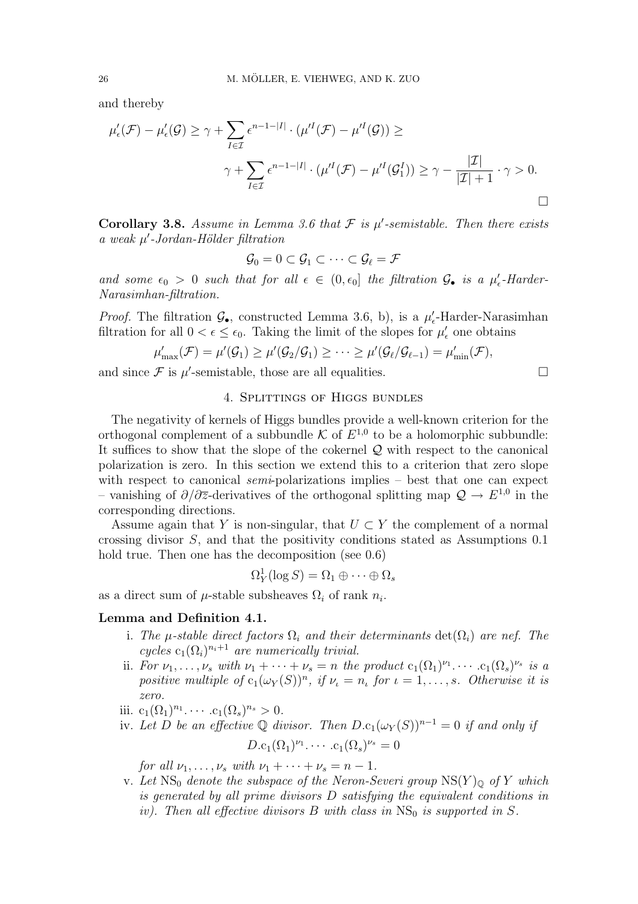and thereby

$$
\mu'_{\epsilon}(\mathcal{F}) - \mu'_{\epsilon}(\mathcal{G}) \geq \gamma + \sum_{I \in \mathcal{I}} \epsilon^{n-1-|I|} \cdot (\mu'^{I}(\mathcal{F}) - \mu'^{I}(\mathcal{G})) \geq
$$
\n
$$
\gamma + \sum_{I \in \mathcal{I}} \epsilon^{n-1-|I|} \cdot (\mu'^{I}(\mathcal{F}) - \mu'^{I}(\mathcal{G}_{1}^{I})) \geq \gamma - \frac{|\mathcal{I}|}{|\mathcal{I}|+1} \cdot \gamma > 0.
$$

Corollary 3.8. Assume in Lemma 3.6 that  $\mathcal F$  is  $\mu'$ -semistable. Then there exists  $a$  weak  $\mu'$ -Jordan-Hölder filtration

$$
\mathcal{G}_0 = 0 \subset \mathcal{G}_1 \subset \cdots \subset \mathcal{G}_\ell = \mathcal{F}
$$

and some  $\epsilon_0 > 0$  such that for all  $\epsilon \in (0, \epsilon_0]$  the filtration  $\mathcal{G}_\bullet$  is a  $\mu'_\epsilon$ -Harder-Narasimhan-filtration.

*Proof.* The filtration  $\mathcal{G}_{\bullet}$ , constructed Lemma 3.6, b), is a  $\mu_{\epsilon}'$ -Harder-Narasimhan filtration for all  $0 < \epsilon \leq \epsilon_0$ . Taking the limit of the slopes for  $\mu'_{\epsilon}$  one obtains

$$
\mu'_{\max}(\mathcal{F}) = \mu'(\mathcal{G}_1) \geq \mu'(\mathcal{G}_2/\mathcal{G}_1) \geq \cdots \geq \mu'(\mathcal{G}_{\ell}/\mathcal{G}_{\ell-1}) = \mu'_{\min}(\mathcal{F}),
$$

and since  $\mathcal F$  is  $\mu'$ -semistable, those are all equalities.

#### 4. Splittings of Higgs bundles

The negativity of kernels of Higgs bundles provide a well-known criterion for the orthogonal complement of a subbundle K of  $E^{1,0}$  to be a holomorphic subbundle: It suffices to show that the slope of the cokernel  $Q$  with respect to the canonical polarization is zero. In this section we extend this to a criterion that zero slope with respect to canonical *semi-polarizations* implies – best that one can expect – vanishing of  $\partial/\partial \overline{z}$ -derivatives of the orthogonal splitting map  $\mathcal{Q} \to E^{1,0}$  in the corresponding directions.

Assume again that Y is non-singular, that  $U \subset Y$  the complement of a normal crossing divisor S, and that the positivity conditions stated as Assumptions 0.1 hold true. Then one has the decomposition (see 0.6)

$$
\Omega^1_Y(\log S) = \Omega_1 \oplus \cdots \oplus \Omega_s
$$

as a direct sum of  $\mu$ -stable subsheaves  $\Omega_i$  of rank  $n_i$ .

## Lemma and Definition 4.1.

- i. The  $\mu$ -stable direct factors  $\Omega_i$  and their determinants  $\det(\Omega_i)$  are nef. The cycles  $c_1(\Omega_i)^{n_i+1}$  are numerically trivial.
- ii. For  $\nu_1, \ldots, \nu_s$  with  $\nu_1 + \cdots + \nu_s = n$  the product  $c_1(\Omega_1)^{\nu_1} \cdots c_1(\Omega_s)^{\nu_s}$  is a positive multiple of  $c_1(\omega_Y(S))^n$ , if  $\nu_i = n_i$  for  $i = 1, \ldots, s$ . Otherwise it is zero.
- iii.  $c_1(\Omega_1)^{n_1} \cdots c_1(\Omega_s)^{n_s} > 0$ .
- iv. Let D be an effective Q divisor. Then  $D.c_1(\omega_Y(S))^{n-1} = 0$  if and only if

$$
D.c_1(\Omega_1)^{\nu_1}.\cdots.c_1(\Omega_s)^{\nu_s}=0
$$

for all  $\nu_1, \ldots, \nu_s$  with  $\nu_1 + \cdots + \nu_s = n - 1$ .

v. Let  $NS_0$  denote the subspace of the Neron-Severi group  $NS(Y)_{\mathbb{Q}}$  of Y which is generated by all prime divisors D satisfying the equivalent conditions in iv). Then all effective divisors  $B$  with class in  $NS_0$  is supported in  $S$ .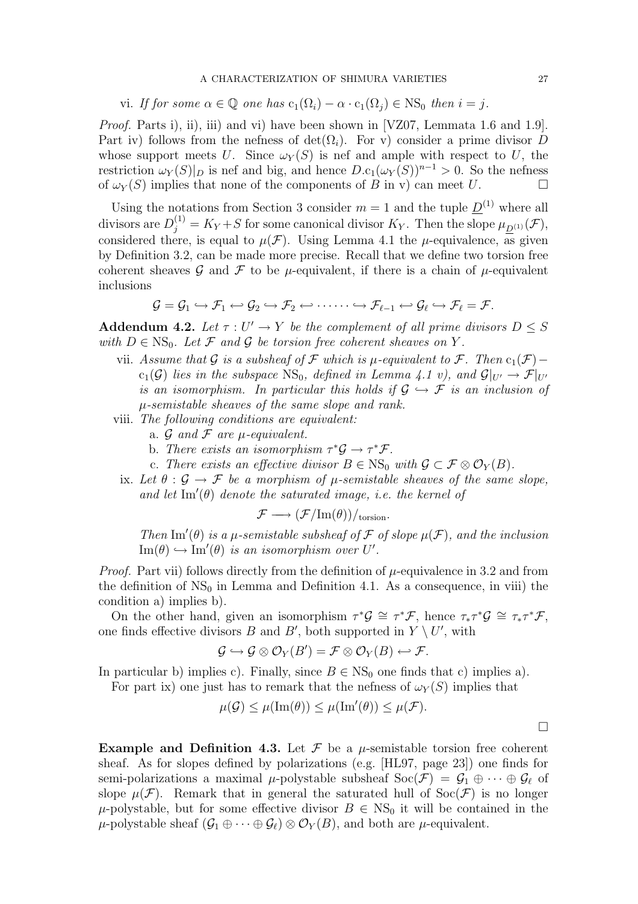#### A CHARACTERIZATION OF SHIMURA VARIETIES 27

vi. If for some  $\alpha \in \mathbb{Q}$  one has  $c_1(\Omega_i) - \alpha \cdot c_1(\Omega_i) \in NS_0$  then  $i = j$ .

Proof. Parts i), ii), iii) and vi) have been shown in [VZ07, Lemmata 1.6 and 1.9]. Part iv) follows from the nefness of det( $\Omega_i$ ). For v) consider a prime divisor D whose support meets U. Since  $\omega_Y(S)$  is nef and ample with respect to U, the restriction  $\omega_Y(S)|_D$  is nef and big, and hence  $D.c_1(\omega_Y(S))^{n-1} > 0$ . So the nefness of  $\omega_Y(S)$  implies that none of the components of B in v) can meet U.  $\Box$ 

Using the notations from Section 3 consider  $m = 1$  and the tuple  $\underline{D}^{(1)}$  where all divisors are  $D_j^{(1)} = K_Y + S$  for some canonical divisor  $K_Y$ . Then the slope  $\mu_{\underline{D}^{(1)}}(\mathcal{F}),$ considered there, is equal to  $\mu(\mathcal{F})$ . Using Lemma 4.1 the  $\mu$ -equivalence, as given by Definition 3.2, can be made more precise. Recall that we define two torsion free coherent sheaves G and F to be  $\mu$ -equivalent, if there is a chain of  $\mu$ -equivalent inclusions

$$
\mathcal{G} = \mathcal{G}_1 \hookrightarrow \mathcal{F}_1 \hookleftarrow \mathcal{G}_2 \hookrightarrow \mathcal{F}_2 \hookleftarrow \cdots \cdots \hookrightarrow \mathcal{F}_{\ell-1} \hookleftarrow \mathcal{G}_{\ell} \hookrightarrow \mathcal{F}_{\ell} = \mathcal{F}.
$$

Addendum 4.2. Let  $\tau: U' \to Y$  be the complement of all prime divisors  $D \leq S$ with  $D \in NS_0$ . Let F and G be torsion free coherent sheaves on Y.

- vii. Assume that G is a subsheaf of F which is  $\mu$ -equivalent to F. Then c<sub>1</sub>(F)−  $c_1(\mathcal{G})$  lies in the subspace  $NS_0$ , defined in Lemma 4.1 v), and  $\mathcal{G}|_{U'} \to \mathcal{F}|_{U'}$ is an isomorphism. In particular this holds if  $\mathcal{G} \hookrightarrow \mathcal{F}$  is an inclusion of µ-semistable sheaves of the same slope and rank.
- viii. The following conditions are equivalent:
	- a.  $\mathcal G$  and  $\mathcal F$  are  $\mu$ -equivalent.
	- b. There exists an isomorphism  $\tau^* \mathcal{G} \to \tau^* \mathcal{F}$ .
	- c. There exists an effective divisor  $B \in NS_0$  with  $\mathcal{G} \subset \mathcal{F} \otimes \mathcal{O}_Y(B)$ .
	- ix. Let  $\theta : \mathcal{G} \to \mathcal{F}$  be a morphism of  $\mu$ -semistable sheaves of the same slope, and let  $\text{Im}'(\theta)$  denote the saturated image, i.e. the kernel of

$$
\mathcal{F} \longrightarrow (\mathcal{F}/\mathrm{Im}(\theta))/_{\mathrm{torsion}}.
$$

Then Im'( $\theta$ ) is a  $\mu$ -semistable subsheaf of  $\mathcal F$  of slope  $\mu(\mathcal F)$ , and the inclusion  $\text{Im}(\theta) \hookrightarrow \text{Im}'(\theta)$  is an isomorphism over U'.

*Proof.* Part vii) follows directly from the definition of  $\mu$ -equivalence in 3.2 and from the definition of  $NS_0$  in Lemma and Definition 4.1. As a consequence, in viii) the condition a) implies b).

On the other hand, given an isomorphism  $\tau^*\mathcal{G} \cong \tau^*\mathcal{F}$ , hence  $\tau_*\tau^*\mathcal{G} \cong \tau_*\tau^*\mathcal{F}$ , one finds effective divisors B and B', both supported in  $Y \setminus U'$ , with

$$
\mathcal{G} \hookrightarrow \mathcal{G} \otimes \mathcal{O}_Y(B') = \mathcal{F} \otimes \mathcal{O}_Y(B) \hookleftarrow \mathcal{F}.
$$

In particular b) implies c). Finally, since  $B \in NS_0$  one finds that c) implies a).

For part ix) one just has to remark that the nefness of  $\omega_Y(S)$  implies that

$$
\mu(\mathcal{G}) \le \mu(\text{Im}(\theta)) \le \mu(\text{Im}'(\theta)) \le \mu(\mathcal{F}).
$$

**Example and Definition 4.3.** Let  $\mathcal F$  be a  $\mu$ -semistable torsion free coherent sheaf. As for slopes defined by polarizations (e.g. [HL97, page 23]) one finds for semi-polarizations a maximal  $\mu$ -polystable subsheaf  $Soc(\mathcal{F}) = \mathcal{G}_1 \oplus \cdots \oplus \mathcal{G}_\ell$  of slope  $\mu(\mathcal{F})$ . Remark that in general the saturated hull of  $Soc(\mathcal{F})$  is no longer  $\mu$ -polystable, but for some effective divisor  $B \in NS_0$  it will be contained in the  $\mu$ -polystable sheaf  $(\mathcal{G}_1 \oplus \cdots \oplus \mathcal{G}_\ell) \otimes \mathcal{O}_Y(B)$ , and both are  $\mu$ -equivalent.

 $\Box$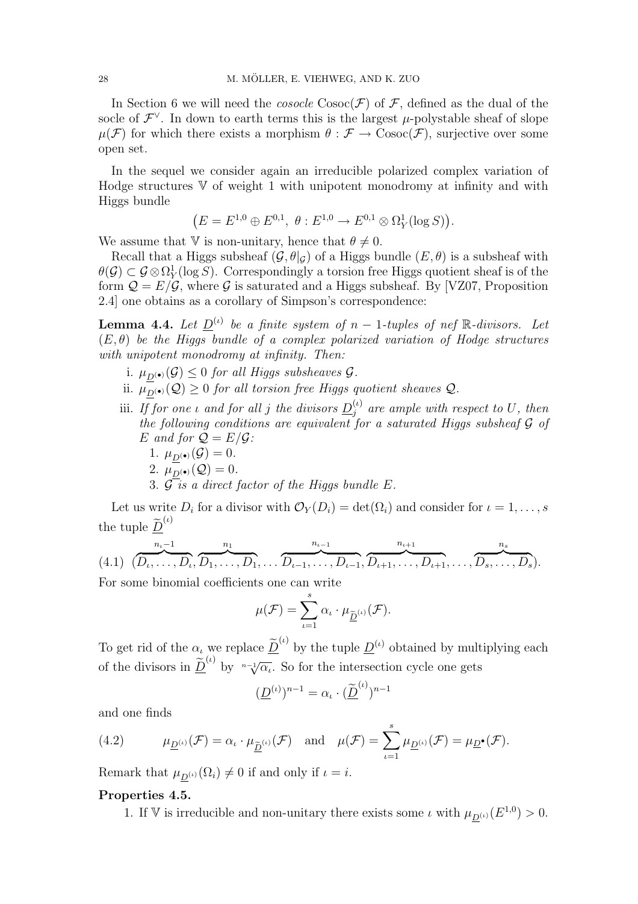In Section 6 we will need the *cosocle*  $\text{Cosoc}(\mathcal{F})$  of  $\mathcal{F}$ , defined as the dual of the socle of  $\mathcal{F}^{\vee}$ . In down to earth terms this is the largest  $\mu$ -polystable sheaf of slope  $\mu(\mathcal{F})$  for which there exists a morphism  $\theta : \mathcal{F} \to \text{Cosoc}(\mathcal{F})$ , surjective over some open set.

In the sequel we consider again an irreducible polarized complex variation of Hodge structures  $\nabla$  of weight 1 with unipotent monodromy at infinity and with Higgs bundle

$$
(E = E^{1,0} \oplus E^{0,1}, \ \theta : E^{1,0} \to E^{0,1} \otimes \Omega_Y^1(\log S)).
$$

We assume that V is non-unitary, hence that  $\theta \neq 0$ .

Recall that a Higgs subsheaf  $(\mathcal{G}, \theta|_{\mathcal{G}})$  of a Higgs bundle  $(E, \theta)$  is a subsheaf with  $\theta(\mathcal{G}) \subset \mathcal{G} \otimes \Omega_Y^1(\log S)$ . Correspondingly a torsion free Higgs quotient sheaf is of the form  $\mathcal{Q} = E/\mathcal{G}$ , where  $\mathcal G$  is saturated and a Higgs subsheaf. By [VZ07, Proposition 2.4] one obtains as a corollary of Simpson's correspondence:

**Lemma 4.4.** Let  $\underline{D}^{(\iota)}$  be a finite system of  $n-1$ -tuples of nef  $\mathbb{R}$ -divisors. Let  $(E, \theta)$  be the Higgs bundle of a complex polarized variation of Hodge structures with unipotent monodromy at infinity. Then:

- i.  $\mu_{D^{(\bullet)}}(\mathcal{G}) \leq 0$  for all Higgs subsheaves  $\mathcal{G}$ .
- ii.  $\mu_{\underline{D}(\bullet)}(\mathcal{Q}) \geq 0$  for all torsion free Higgs quotient sheaves  $\mathcal{Q}$ .
- iii. If for one *i* and for all j the divisors  $\underline{D}_i^{(\iota)}$  $j_j^{(t)}$  are ample with respect to U, then the following conditions are equivalent for a saturated Higgs subsheaf  $G$  of E and for  $Q = E/G$ :
	- 1.  $\mu_{D^{(\bullet)}}(\mathcal{G})=0$ .
	- 2.  $\mu_{D^{(*)}}(Q) = 0.$
	- 3.  $\mathcal{G}$  is a direct factor of the Higgs bundle E.

Let us write  $D_i$  for a divisor with  $\mathcal{O}_Y(D_i) = \det(\Omega_i)$  and consider for  $i = 1, \ldots, s$ the tuple  $\widetilde{\underline{D}}^{(\iota)}$ 

$$
(4.1) \quad (\overbrace{D_{\iota}, \ldots, D_{\iota}}^{n_{\iota}-1}, \overbrace{D_{1}, \ldots, D_{1}}^{n_{1}}, \ldots, \overbrace{D_{\iota-1}, \ldots, D_{\iota-1}}^{n_{\iota-1}}, \overbrace{D_{\iota+1}, \ldots, D_{\iota+1}}^{n_{\iota+1}}, \ldots, \overbrace{D_{s}, \ldots, D_{s}}^{n_{s}}).
$$

For some binomial coefficients one can write

$$
\mu(\mathcal{F}) = \sum_{\iota=1}^s \alpha_\iota \cdot \mu_{\underline{\widetilde{D}}} \omega(\mathcal{F}).
$$

To get rid of the  $\alpha_{\iota}$  we replace  $\tilde{\underline{D}}^{(\iota)}$  by the tuple  $\underline{D}^{(\iota)}$  obtained by multiplying each of the divisors in  $\underline{\tilde{D}}^{(\iota)}$  by  $\overline{\vphantom{a}^{(\iota)}}$  So for the intersection cycle one gets

$$
(\underline{D}^{(\iota)})^{n-1} = \alpha_{\iota} \cdot (\underline{\widetilde{D}}^{(\iota)})^{n-1}
$$

and one finds

(4.2) 
$$
\mu_{\underline{D}^{(\iota)}}(\mathcal{F}) = \alpha_{\iota} \cdot \mu_{\underline{\tilde{D}}^{(\iota)}}(\mathcal{F}) \text{ and } \mu(\mathcal{F}) = \sum_{\iota=1}^{s} \mu_{\underline{D}^{(\iota)}}(\mathcal{F}) = \mu_{\underline{D}^{\bullet}}(\mathcal{F}).
$$

Remark that  $\mu_{D^{(\iota)}}(\Omega_i) \neq 0$  if and only if  $\iota = i$ .

## Properties 4.5.

1. If V is irreducible and non-unitary there exists some  $\iota$  with  $\mu_{\underline{D}^{(\iota)}}(E^{1,0}) > 0$ .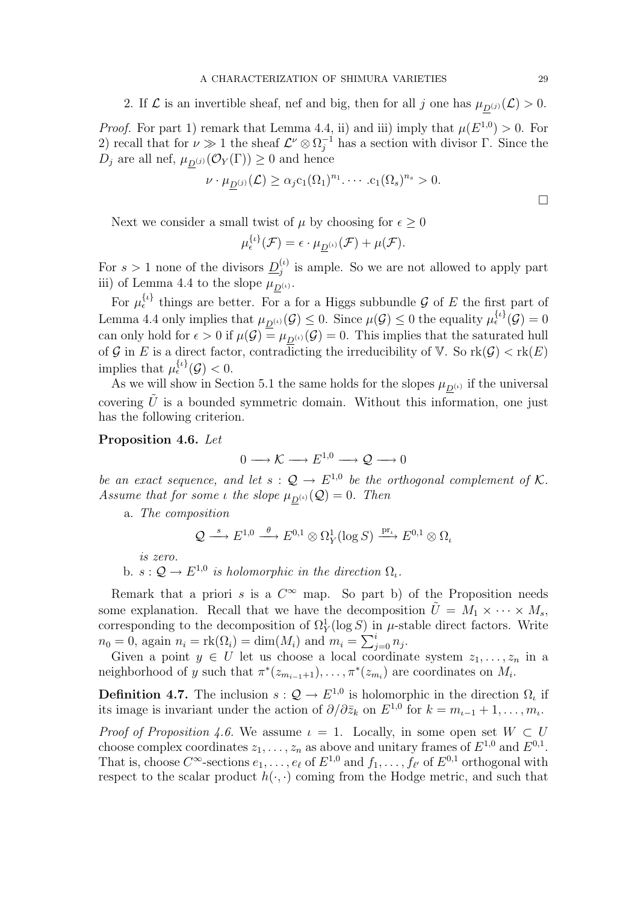2. If  $\mathcal L$  is an invertible sheaf, nef and big, then for all j one has  $\mu_{D}(j) (\mathcal L) > 0$ .

*Proof.* For part 1) remark that Lemma 4.4, ii) and iii) imply that  $\mu(E^{1,0}) > 0$ . For 2) recall that for  $\nu \gg 1$  the sheaf  $\mathcal{L}^{\nu} \otimes \Omega_j^{-1}$  has a section with divisor  $\Gamma$ . Since the  $D_j$  are all nef,  $\mu_{D^{(j)}}(\mathcal{O}_Y(\Gamma)) \geq 0$  and hence

$$
\nu \cdot \mu_{\underline{D}^{(j)}}(\mathcal{L}) \ge \alpha_j c_1(\Omega_1)^{n_1} \cdots c_1(\Omega_s)^{n_s} > 0.
$$

Next we consider a small twist of  $\mu$  by choosing for  $\epsilon > 0$ 

$$
\mu_{\epsilon}^{\{\iota\}}(\mathcal{F})=\epsilon\cdot\mu_{\underline{D}^{(\iota)}}(\mathcal{F})+\mu(\mathcal{F}).
$$

For  $s > 1$  none of the divisors  $\underline{D}_i^{(t)}$  $j^{(l)}_j$  is ample. So we are not allowed to apply part iii) of Lemma 4.4 to the slope  $\mu_{D^{(\iota)}}$ .

For  $\mu_{\epsilon}^{\{\iota\}}$  things are better. For a for a Higgs subbundle G of E the first part of Lemma 4.4 only implies that  $\mu_{\underline{D}^{(\iota)}}(\mathcal{G}) \leq 0$ . Since  $\mu(\mathcal{G}) \leq 0$  the equality  $\mu_{\epsilon}^{\{\iota\}}(\mathcal{G}) = 0$ can only hold for  $\epsilon > 0$  if  $\mu(\mathcal{G}) = \mu_{D^{(\iota)}}(\mathcal{G}) = 0$ . This implies that the saturated hull of G in E is a direct factor, contradicting the irreducibility of V. So  $rk(G) < rk(E)$ implies that  $\mu_{\epsilon}^{\{\iota\}}(\mathcal{G}) < 0$ .

As we will show in Section 5.1 the same holds for the slopes  $\mu_{D^{(\iota)}}$  if the universal covering  $\tilde{U}$  is a bounded symmetric domain. Without this information, one just has the following criterion.

## Proposition 4.6. Let

 $0 \longrightarrow \mathcal{K} \longrightarrow E^{1,0} \longrightarrow \mathcal{Q} \longrightarrow 0$ 

be an exact sequence, and let  $s: \mathcal{Q} \to E^{1,0}$  be the orthogonal complement of K. Assume that for some *ι* the slope  $\mu_{D^{(\iota)}}(Q) = 0$ . Then

a. The composition

$$
\mathcal{Q} \stackrel{s}{\longrightarrow} E^{1,0} \stackrel{\theta}{\longrightarrow} E^{0,1} \otimes \Omega^1_Y(\log S) \stackrel{\text{pr}_\iota}{\longrightarrow} E^{0,1} \otimes \Omega_\iota
$$

is zero.

b.  $s: \mathcal{Q} \to E^{1,0}$  is holomorphic in the direction  $\Omega_{\iota}$ .

Remark that a priori s is a  $C^{\infty}$  map. So part b) of the Proposition needs some explanation. Recall that we have the decomposition  $\tilde{U} = M_1 \times \cdots \times M_s$ , corresponding to the decomposition of  $\Omega_Y^1(\log S)$  in  $\mu$ -stable direct factors. Write  $n_0 = 0$ , again  $n_i = \text{rk}(\Omega_i) = \dim(M_i)$  and  $m_i = \sum_{j=0}^i n_j$ .

Given a point  $y \in U$  let us choose a local coordinate system  $z_1, \ldots, z_n$  in a neighborhood of y such that  $\pi^*(z_{m_{i-1}+1}), \ldots, \pi^*(z_{m_i})$  are coordinates on  $M_i$ .

**Definition 4.7.** The inclusion  $s: \mathcal{Q} \to E^{1,0}$  is holomorphic in the direction  $\Omega_t$  if its image is invariant under the action of  $\partial/\partial \bar{z}_k$  on  $E^{1,0}$  for  $k = m_{\iota-1} + 1, \ldots, m_{\iota}$ .

*Proof of Proposition 4.6.* We assume  $\iota = 1$ . Locally, in some open set  $W \subset U$ choose complex coordinates  $z_1, \ldots, z_n$  as above and unitary frames of  $E^{1,0}$  and  $E^{0,1}$ . That is, choose  $C^{\infty}$ -sections  $e_1, \ldots, e_{\ell}$  of  $E^{1,0}$  and  $f_1, \ldots, f_{\ell'}$  of  $E^{0,1}$  orthogonal with respect to the scalar product  $h(\cdot, \cdot)$  coming from the Hodge metric, and such that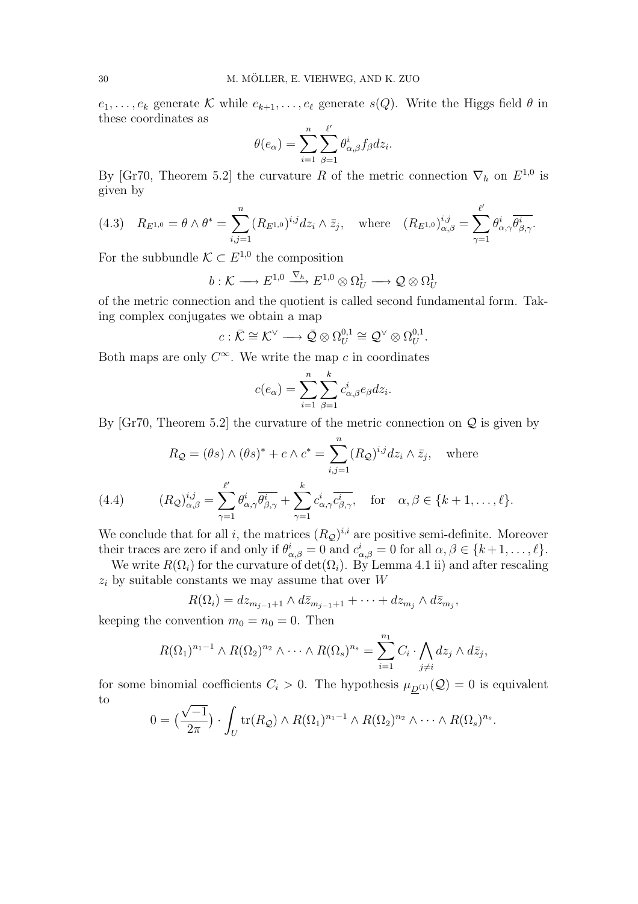$e_1, \ldots, e_k$  generate K while  $e_{k+1}, \ldots, e_\ell$  generate  $s(Q)$ . Write the Higgs field  $\theta$  in these coordinates as

$$
\theta(e_{\alpha}) = \sum_{i=1}^{n} \sum_{\beta=1}^{\ell'} \theta_{\alpha,\beta}^{i} f_{\beta} dz_{i}.
$$

By [Gr70, Theorem 5.2] the curvature R of the metric connection  $\nabla_h$  on  $E^{1,0}$  is given by

(4.3) 
$$
R_{E^{1,0}} = \theta \wedge \theta^* = \sum_{i,j=1}^n (R_{E^{1,0}})^{i,j} dz_i \wedge \bar{z}_j
$$
, where  $(R_{E^{1,0}})^{i,j}_{\alpha,\beta} = \sum_{\gamma=1}^{\ell'} \theta^i_{\alpha,\gamma} \overline{\theta^i_{\beta,\gamma}}$ .

For the subbundle  $\mathcal{K} \subset E^{1,0}$  the composition

$$
b: \mathcal{K} \longrightarrow E^{1,0} \xrightarrow{\nabla_h} E^{1,0} \otimes \Omega_U^1 \longrightarrow \mathcal{Q} \otimes \Omega_U^1
$$

of the metric connection and the quotient is called second fundamental form. Taking complex conjugates we obtain a map

$$
c:\bar{\mathcal{K}}\cong \mathcal{K}^{\vee}\longrightarrow \bar{\mathcal{Q}}\otimes \Omega_{U}^{0,1}\cong \mathcal{Q}^{\vee}\otimes \Omega_{U}^{0,1}.
$$

Both maps are only  $C^{\infty}$ . We write the map c in coordinates

$$
c(e_{\alpha}) = \sum_{i=1}^{n} \sum_{\beta=1}^{k} c_{\alpha,\beta}^{i} e_{\beta} dz_{i}.
$$

By [Gr70, Theorem 5.2] the curvature of the metric connection on  $\mathcal Q$  is given by

$$
R_{\mathcal{Q}} = (\theta s) \wedge (\theta s)^{*} + c \wedge c^{*} = \sum_{i,j=1}^{n} (R_{\mathcal{Q}})^{i,j} dz_{i} \wedge \overline{z}_{j}, \text{ where}
$$

(4.4) 
$$
(R_{\mathcal{Q}})_{\alpha,\beta}^{i,j} = \sum_{\gamma=1}^{\ell} \theta_{\alpha,\gamma}^{i} \overline{\theta_{\beta,\gamma}^{i}} + \sum_{\gamma=1}^{\kappa} c_{\alpha,\gamma}^{i} \overline{c_{\beta,\gamma}^{i}}, \text{ for } \alpha, \beta \in \{k+1,\ldots,\ell\}.
$$

We conclude that for all i, the matrices  $(R_{\mathcal{Q}})^{i,i}$  are positive semi-definite. Moreover their traces are zero if and only if  $\theta_{\alpha,\beta}^i = 0$  and  $c_{\alpha,\beta}^i = 0$  for all  $\alpha, \beta \in \{k+1, \ldots, \ell\}.$ 

We write  $R(\Omega_i)$  for the curvature of  $\det(\Omega_i)$ . By Lemma 4.1 ii) and after rescaling  $z_i$  by suitable constants we may assume that over W

$$
R(\Omega_i) = dz_{m_{j-1}+1} \wedge d\bar{z}_{m_{j-1}+1} + \cdots + dz_{m_j} \wedge d\bar{z}_{m_j},
$$

keeping the convention  $m_0 = n_0 = 0$ . Then

$$
R(\Omega_1)^{n_1-1} \wedge R(\Omega_2)^{n_2} \wedge \cdots \wedge R(\Omega_s)^{n_s} = \sum_{i=1}^{n_1} C_i \cdot \bigwedge_{j \neq i} dz_j \wedge d\overline{z}_j,
$$

for some binomial coefficients  $C_i > 0$ . The hypothesis  $\mu_{D^{(1)}}(Q) = 0$  is equivalent to √

$$
0 = \left(\frac{\sqrt{-1}}{2\pi}\right) \cdot \int_U \text{tr}(R_{\mathcal{Q}}) \wedge R(\Omega_1)^{n_1-1} \wedge R(\Omega_2)^{n_2} \wedge \cdots \wedge R(\Omega_s)^{n_s}.
$$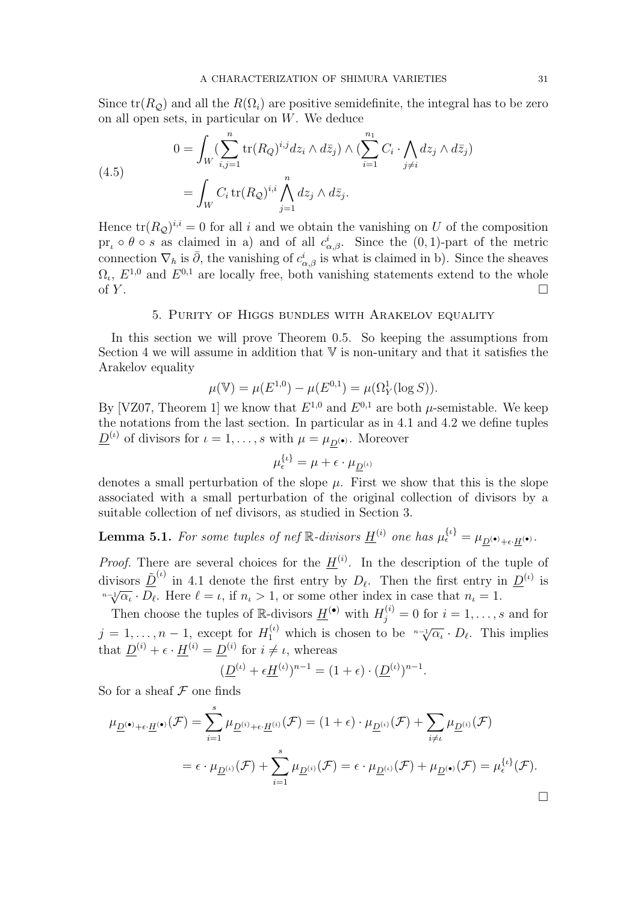Since  $tr(R_{\mathcal{O}})$  and all the  $R(\Omega_i)$  are positive semidefinite, the integral has to be zero on all open sets, in particular on  $W$ . We deduce

(4.5)  

$$
0 = \int_W \left( \sum_{i,j=1}^n \text{tr}(R_Q)^{i,j} dz_i \wedge d\bar{z}_j \right) \wedge \left( \sum_{i=1}^{n_1} C_i \cdot \bigwedge_{j \neq i} dz_j \wedge d\bar{z}_j \right)
$$

$$
= \int_W C_i \text{tr}(R_Q)^{i,i} \bigwedge_{j=1}^n dz_j \wedge d\bar{z}_j.
$$

Hence  $tr(R_{\mathcal{Q}})^{i,i} = 0$  for all i and we obtain the vanishing on U of the composition pr<sub>ι</sub>  $\circ \theta \circ s$  as claimed in a) and of all  $c^i_{\alpha,\beta}$ . Since the  $(0,1)$ -part of the metric connection  $\nabla_h$  is  $\bar{\partial}$ , the vanishing of  $c^i_{\alpha,\beta}$  is what is claimed in b). Since the sheaves  $\Omega_{\iota}$ ,  $E^{1,0}$  and  $E^{0,1}$  are locally free, both vanishing statements extend to the whole of  $Y$ .

## 5. Purity of Higgs bundles with Arakelov equality

In this section we will prove Theorem 0.5. So keeping the assumptions from Section 4 we will assume in addition that  $\nabla$  is non-unitary and that it satisfies the Arakelov equality

$$
\mu(\mathbb{V}) = \mu(E^{1,0}) - \mu(E^{0,1}) = \mu(\Omega_Y^1(\log S)).
$$

By [VZ07, Theorem 1] we know that  $E^{1,0}$  and  $E^{0,1}$  are both  $\mu$ -semistable. We keep the notations from the last section. In particular as in 4.1 and 4.2 we define tuples  $\underline{D}^{(\iota)}$  of divisors for  $\iota = 1, \ldots, s$  with  $\mu = \mu_{\underline{D}(\bullet)}$ . Moreover

$$
\mu_{\epsilon}^{\{\iota\}} = \mu + \epsilon \cdot \mu_{\underline{D}^{(\iota)}}
$$

denotes a small perturbation of the slope  $\mu$ . First we show that this is the slope associated with a small perturbation of the original collection of divisors by a suitable collection of nef divisors, as studied in Section 3.

**Lemma 5.1.** For some tuples of nef  $\mathbb{R}$ -divisors  $\underline{H}^{(i)}$  one has  $\mu_{\epsilon}^{\{\iota\}} = \mu_{\underline{D}^{(\bullet)} + \epsilon \cdot \underline{H}^{(\bullet)}}$ .

*Proof.* There are several choices for the  $\underline{H}^{(i)}$ . In the description of the tuple of divisors  $\underline{\tilde{D}}^{(\iota)}$  in 4.1 denote the first entry by  $D_{\ell}$ . Then the first entry in  $\underline{D}^{(\iota)}$  is  $\frac{n-\sqrt{\alpha_{\iota}}}{D_{\ell}} \cdot \overline{D_{\ell}}$ . Here  $\ell = \iota$ , if  $n_{\iota} > 1$ , or some other index in case that  $n_{\iota} = 1$ .

Then choose the tuples of R-divisors  $\underline{H}^{(\bullet)}$  with  $H_j^{(i)} = 0$  for  $i = 1, \ldots, s$  and for  $j = 1, \ldots, n-1$ , except for  $H_1^{(\iota)}$  which is chosen to be  $\sqrt[n-1]{\alpha_{\iota}} \cdot D_{\ell}$ . This implies that  $\underline{D}^{(i)} + \epsilon \cdot \underline{H}^{(i)} = \underline{D}^{(i)}$  for  $i \neq \iota$ , whereas

$$
(\underline{D}^{(\iota)} + \epsilon \underline{H}^{(\iota)})^{n-1} = (1 + \epsilon) \cdot (\underline{D}^{(\iota)})^{n-1}.
$$

So for a sheaf  $\mathcal F$  one finds

$$
\mu_{\underline{D}^{(\bullet)} + \epsilon \cdot \underline{H}^{(\bullet)}}(\mathcal{F}) = \sum_{i=1}^{s} \mu_{\underline{D}^{(i)} + \epsilon \cdot \underline{H}^{(i)}}(\mathcal{F}) = (1 + \epsilon) \cdot \mu_{\underline{D}^{(\iota)}}(\mathcal{F}) + \sum_{i \neq \iota} \mu_{\underline{D}^{(i)}}(\mathcal{F})
$$
\n
$$
= \epsilon \cdot \mu_{\underline{D}^{(\iota)}}(\mathcal{F}) + \sum_{i=1}^{s} \mu_{\underline{D}^{(i)}}(\mathcal{F}) = \epsilon \cdot \mu_{\underline{D}^{(\iota)}}(\mathcal{F}) + \mu_{\underline{D}^{(\bullet)}}(\mathcal{F}) = \mu_{\epsilon}^{\{\iota\}}(\mathcal{F}).
$$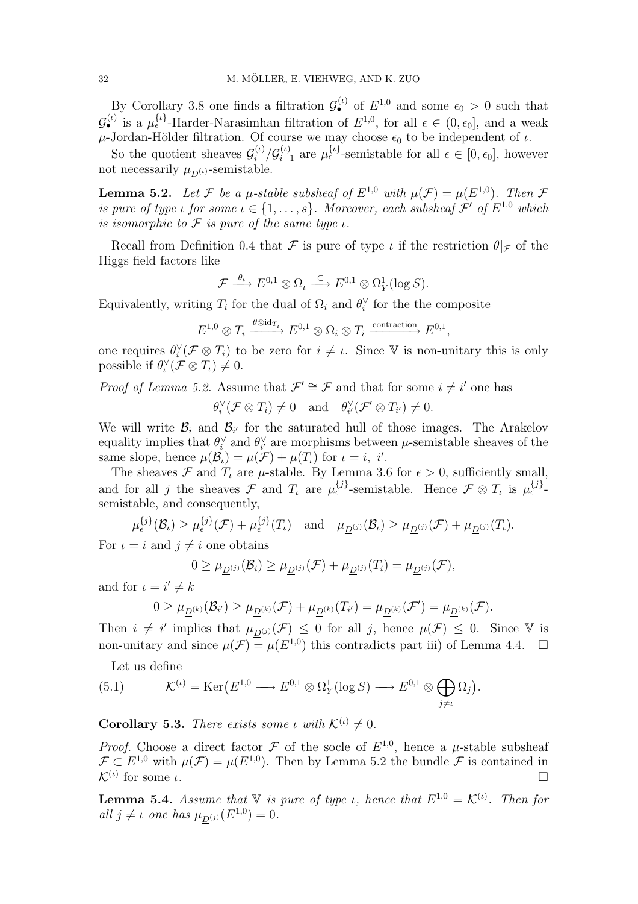By Corollary 3.8 one finds a filtration  $\mathcal{G}_{\bullet}^{(\iota)}$  of  $E^{1,0}$  and some  $\epsilon_0 > 0$  such that  $\mathcal{G}_{\bullet}^{(\iota)}$  is a  $\mu_{\epsilon}^{\{\iota\}}$ -Harder-Narasimhan filtration of  $E^{1,0}$ , for all  $\epsilon \in (0,\epsilon_0]$ , and a weak  $\mu$ -Jordan-Hölder filtration. Of course we may choose  $\epsilon_0$  to be independent of  $\iota$ .

So the quotient sheaves  $\mathcal{G}_i^{(t)}$  $\int\limits_{i}^{(\iota)}/\mathcal{G}_{i-}^{(\iota)}$  $\binom{\binom{t}{i}}{i-1}$  are  $\mu_{\epsilon}^{\{\iota\}}$ -semistable for all  $\epsilon \in [0, \epsilon_0]$ , however not necessarily  $\mu_{D^{(\iota)}}$ -semistable.

**Lemma 5.2.** Let F be a  $\mu$ -stable subsheaf of  $E^{1,0}$  with  $\mu(\mathcal{F}) = \mu(E^{1,0})$ . Then F is pure of type  $\iota$  for some  $\iota \in \{1, \ldots, s\}$ . Moreover, each subsheaf  $\mathcal{F}'$  of  $E^{1,0}$  which is isomorphic to  $\mathcal F$  is pure of the same type  $\iota$ .

Recall from Definition 0.4 that  $\mathcal F$  is pure of type  $\iota$  if the restriction  $\theta|_{\mathcal F}$  of the Higgs field factors like

$$
\mathcal{F} \stackrel{\theta_{\iota}}{\longrightarrow} E^{0,1}\otimes \Omega_{\iota} \stackrel{\subset}{\longrightarrow} E^{0,1}\otimes \Omega_Y^1(\log S).
$$

Equivalently, writing  $T_i$  for the dual of  $\Omega_i$  and  $\theta_i^{\vee}$  for the the composite

$$
E^{1,0} \otimes T_i \xrightarrow{\theta \otimes \mathrm{id}_{T_i}} E^{0,1} \otimes \Omega_i \otimes T_i \xrightarrow{\text{contraction}} E^{0,1},
$$

one requires  $\theta_i^{\vee}(\mathcal{F} \otimes T_i)$  to be zero for  $i \neq \iota$ . Since V is non-unitary this is only possible if  $\theta_{\iota}^{\vee}(\mathcal{F} \otimes T_{\iota}) \neq 0$ .

*Proof of Lemma 5.2.* Assume that  $\mathcal{F}' \cong \mathcal{F}$  and that for some  $i \neq i'$  one has

 $\theta_i^{\vee}(\mathcal{F}\otimes T_i) \neq 0$  and  $\theta_{i'}^{\vee}(\mathcal{F}'\otimes T_{i'}) \neq 0$ .

We will write  $\mathcal{B}_i$  and  $\mathcal{B}_{i'}$  for the saturated hull of those images. The Arakelov equality implies that  $\theta_i^{\vee}$  and  $\theta_{i'}^{\vee}$  are morphisms between  $\mu$ -semistable sheaves of the same slope, hence  $\mu(\mathcal{B}_\iota) = \mu(\mathcal{F}) + \mu(T_\iota)$  for  $\iota = i, i'.$ 

The sheaves  $\mathcal F$  and  $T_\iota$  are  $\mu$ -stable. By Lemma 3.6 for  $\epsilon > 0$ , sufficiently small, and for all j the sheaves  $\mathcal F$  and  $T_\iota$  are  $\mu_{\epsilon}^{\{j\}}$ -semistable. Hence  $\mathcal F \otimes T_\iota$  is  $\mu_{\epsilon}^{\{j\}}$ semistable, and consequently,

$$
\mu_{\epsilon}^{\{j\}}(\mathcal{B}_{\iota}) \geq \mu_{\epsilon}^{\{j\}}(\mathcal{F}) + \mu_{\epsilon}^{\{j\}}(T_{\iota}) \quad \text{and} \quad \mu_{\underline{D}^{(j)}}(\mathcal{B}_{\iota}) \geq \mu_{\underline{D}^{(j)}}(\mathcal{F}) + \mu_{\underline{D}^{(j)}}(T_{\iota}).
$$

For  $i = i$  and  $j \neq i$  one obtains

$$
0 \geq \mu_{\underline{D}^{(j)}}(\mathcal{B}_i) \geq \mu_{\underline{D}^{(j)}}(\mathcal{F}) + \mu_{\underline{D}^{(j)}}(T_i) = \mu_{\underline{D}^{(j)}}(\mathcal{F}),
$$

and for  $\iota = i' \neq k$ 

$$
0\geq \mu_{\underline{D}^{(k)}}(\mathcal{B}_{i'})\geq \mu_{\underline{D}^{(k)}}(\mathcal{F})+\mu_{\underline{D}^{(k)}}(T_{i'})=\mu_{\underline{D}^{(k)}}(\mathcal{F}')=\mu_{\underline{D}^{(k)}}(\mathcal{F}).
$$

Then  $i \neq i'$  implies that  $\mu_{\underline{D}^{(j)}}(\mathcal{F}) \leq 0$  for all j, hence  $\mu(\mathcal{F}) \leq 0$ . Since V is non-unitary and since  $\mu(\mathcal{F}) = \mu(E^{1,0})$  this contradicts part iii) of Lemma 4.4.  $\Box$ 

Let us define

(5.1) 
$$
\mathcal{K}^{(\iota)} = \text{Ker}(E^{1,0} \longrightarrow E^{0,1} \otimes \Omega_Y^1(\log S) \longrightarrow E^{0,1} \otimes \bigoplus_{j \neq \iota} \Omega_j).
$$

**Corollary 5.3.** There exists some *ι* with  $\mathcal{K}^{(\iota)} \neq 0$ .

*Proof.* Choose a direct factor  $\mathcal F$  of the socle of  $E^{1,0}$ , hence a  $\mu$ -stable subsheaf  $\mathcal{F} \subset E^{1,0}$  with  $\mu(\mathcal{F}) = \mu(E^{1,0})$ . Then by Lemma 5.2 the bundle  $\mathcal{F}$  is contained in  $\mathcal{K}^{(\iota)}$  for some  $\iota$ .

**Lemma 5.4.** Assume that  $V$  is pure of type *ι*, hence that  $E^{1,0} = \mathcal{K}^{(\iota)}$ . Then for all  $j \neq \iota$  one has  $\mu_{\underline{D}^{(j)}}(E^{1,0}) = 0$ .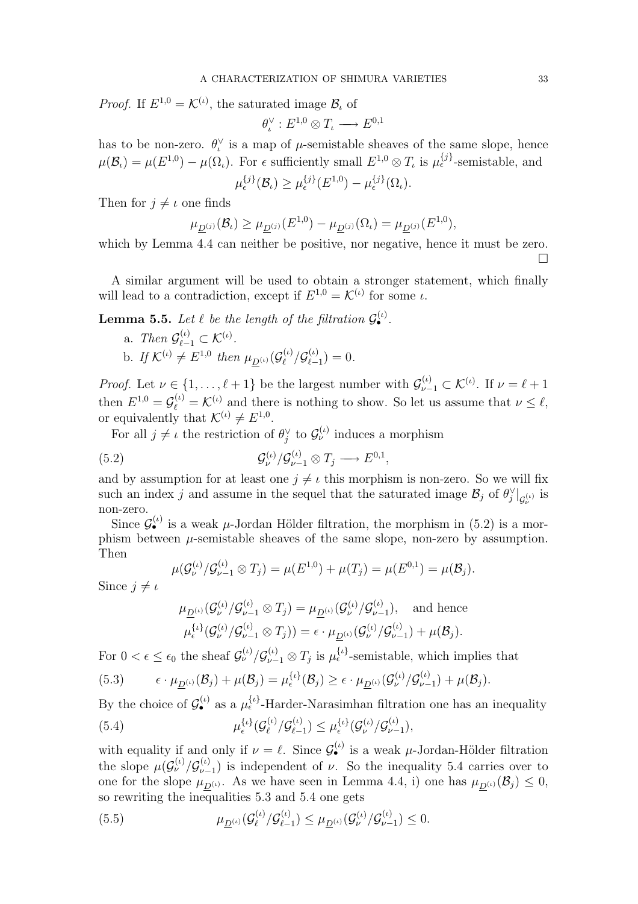*Proof.* If  $E^{1,0} = \mathcal{K}^{(\iota)}$ , the saturated image  $\mathcal{B}_{\iota}$  of

$$
\theta_{\iota}^{\vee}: E^{1,0}\otimes T_{\iota} \longrightarrow E^{0,1}
$$

has to be non-zero.  $\theta_{\iota}^{\vee}$  is a map of  $\mu$ -semistable sheaves of the same slope, hence  $\mu(\mathcal{B}_\iota) = \mu(E^{1,0}) - \mu(\Omega_\iota)$ . For  $\epsilon$  sufficiently small  $E^{1,0} \otimes T_\iota$  is  $\mu_{\epsilon}^{\{j\}}$ -semistable, and

$$
\mu_{\epsilon}^{\{j\}}(\mathcal{B}_{\iota}) \geq \mu_{\epsilon}^{\{j\}}(E^{1,0}) - \mu_{\epsilon}^{\{j\}}(\Omega_{\iota}).
$$

Then for  $j \neq \iota$  one finds

$$
\mu_{\underline{D}^{(j)}}(\mathcal{B}_\iota) \ge \mu_{\underline{D}^{(j)}}(E^{1,0}) - \mu_{\underline{D}^{(j)}}(\Omega_\iota) = \mu_{\underline{D}^{(j)}}(E^{1,0}),
$$

which by Lemma 4.4 can neither be positive, nor negative, hence it must be zero. ¤

A similar argument will be used to obtain a stronger statement, which finally will lead to a contradiction, except if  $E^{1,0} = \mathcal{K}^{(\iota)}$  for some  $\iota$ .

**Lemma 5.5.** Let  $\ell$  be the length of the filtration  $\mathcal{G}_{\bullet}^{(\iota)}$ .

a. Then  $\mathcal{G}_{\ell-1}^{(\iota)} \subset \mathcal{K}^{(\iota)}$ . b. If  $\mathcal{K}^{(\iota)} \neq E^{1,0}$  then  $\mu_{\underline{D}^{(\iota)}}(\mathcal{G}_{\ell}^{(\iota)})$  $\frac{\mu(\iota)}{\ell}/\mathcal{G}^{(\iota)}_{\ell-1}$  $\binom{\binom{\ell}{2}}{\ell-1} = 0.$ 

*Proof.* Let  $\nu \in \{1, ..., \ell + 1\}$  be the largest number with  $\mathcal{G}_{\nu-1}^{(\iota)} \subset \mathcal{K}^{(\iota)}$ . If  $\nu = \ell + 1$ then  $E^{1,0} = \mathcal{G}_{\ell}^{(\iota)} = \mathcal{K}^{(\iota)}$  and there is nothing to show. So let us assume that  $\nu \leq \ell$ , or equivalently that  $\mathcal{K}^{(\iota)} \neq E^{1,0}$ .

For all  $j \neq \iota$  the restriction of  $\theta_j^{\vee}$  to  $\mathcal{G}_{\nu}^{(\iota)}$  induces a morphism

(5.2) 
$$
\mathcal{G}_{\nu}^{(\iota)} / \mathcal{G}_{\nu-1}^{(\iota)} \otimes T_j \longrightarrow E^{0,1},
$$

and by assumption for at least one  $j \neq \iota$  this morphism is non-zero. So we will fix such an index j and assume in the sequel that the saturated image  $\mathcal{B}_j$  of  $\theta_j^{\vee}|_{\mathcal{G}_{\nu}^{(\iota)}}$  is non-zero.

Since  $\mathcal{G}_{\bullet}^{(\iota)}$  is a weak  $\mu$ -Jordan Hölder filtration, the morphism in (5.2) is a morphism between  $\mu$ -semistable sheaves of the same slope, non-zero by assumption. Then

$$
\mu(\mathcal{G}_{\nu}^{(\iota)} / \mathcal{G}_{\nu-1}^{(\iota)} \otimes T_j) = \mu(E^{1,0}) + \mu(T_j) = \mu(E^{0,1}) = \mu(\mathcal{B}_j).
$$

Since  $j \neq \iota$ 

$$
\mu_{\underline{D}^{(\iota)}}(\mathcal{G}_{\nu}^{(\iota)}/\mathcal{G}_{\nu-1}^{(\iota)} \otimes T_j) = \mu_{\underline{D}^{(\iota)}}(\mathcal{G}_{\nu}^{(\iota)}/\mathcal{G}_{\nu-1}^{(\iota)}), \text{ and hence}
$$
  

$$
\mu_{\epsilon}^{\{\iota\}}(\mathcal{G}_{\nu}^{(\iota)}/\mathcal{G}_{\nu-1}^{(\iota)} \otimes T_j)) = \epsilon \cdot \mu_{\underline{D}^{(\iota)}}(\mathcal{G}_{\nu}^{(\iota)}/\mathcal{G}_{\nu-1}^{(\iota)}) + \mu(\mathcal{B}_j).
$$

For  $0 < \epsilon \leq \epsilon_0$  the sheaf  $\mathcal{G}_{\nu}^{(\iota)}/\mathcal{G}_{\nu-1}^{(\iota)} \otimes T_j$  is  $\mu_{\epsilon}^{\{\iota\}}$ -semistable, which implies that

(5.3) 
$$
\epsilon \cdot \mu_{\underline{D}^{(\iota)}}(\mathcal{B}_j) + \mu(\mathcal{B}_j) = \mu_{\epsilon}^{\{\iota\}}(\mathcal{B}_j) \geq \epsilon \cdot \mu_{\underline{D}^{(\iota)}}(\mathcal{G}_{\nu}^{(\iota)}/\mathcal{G}_{\nu-1}^{(\iota)}) + \mu(\mathcal{B}_j).
$$

By the choice of  $\mathcal{G}_{\bullet}^{(\iota)}$  as a  $\mu_{\epsilon}^{\{\iota\}}$ -Harder-Narasimhan filtration one has an inequality  $(5.4)$  $_{\epsilon}^{\{\iota\}}(\mathcal{G}_{\ell}^{(\iota)})$  $\frac{\mu(\iota)}{\ell}/\mathcal{G}^{(\iota)}_{\ell-1}$  $\mu^{(\iota)}_{\epsilon-1}) \leq \mu^{ \{\iota\} }_{\epsilon} (\mathcal{G}^{(\iota)}_\nu / \mathcal{G}^{(\iota)}_{\nu-1})$  $_{\nu-1}^{(\iota)}$ ),

with equality if and only if  $\nu = \ell$ . Since  $\mathcal{G}_{\bullet}^{(\iota)}$  is a weak  $\mu$ -Jordan-Hölder filtration the slope  $\mu(\mathcal{G}_{\nu}^{(\iota)}/\mathcal{G}_{\nu-}^{(\iota)})$  $\binom{U}{\nu-1}$  is independent of  $\nu$ . So the inequality 5.4 carries over to one for the slope  $\mu_{D^{(\iota)}}$ . As we have seen in Lemma 4.4, i) one has  $\mu_{D^{(\iota)}}(\mathcal{B}_j) \leq 0$ , so rewriting the inequalities 5.3 and 5.4 one gets

(5.5) 
$$
\mu_{\underline{D}^{(\iota)}}(\mathcal{G}^{(\iota)}_{\ell}/\mathcal{G}^{(\iota)}_{\ell-1}) \leq \mu_{\underline{D}^{(\iota)}}(\mathcal{G}^{(\iota)}_{\nu}/\mathcal{G}^{(\iota)}_{\nu-1}) \leq 0.
$$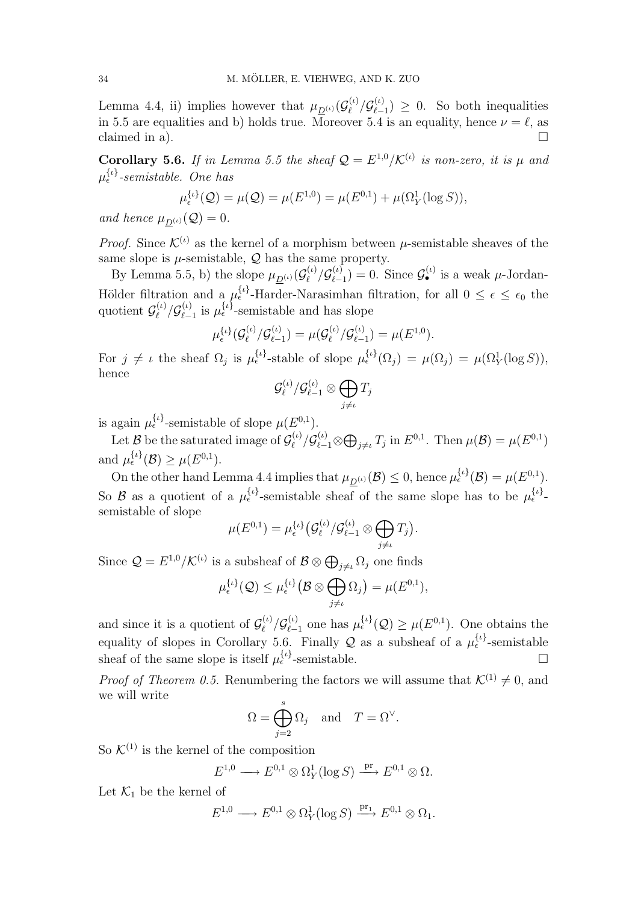Lemma 4.4, ii) implies however that  $\mu_{\underline{D}^{(\iota)}}(\mathcal{G}_{\ell}^{(\iota)})$  $\frac{\partial \rho}{\partial \ell} / \mathcal{G}^{(\iota)}_{\ell-1}$  $\binom{(\iota)}{\ell-1} \geq 0$ . So both inequalities in 5.5 are equalities and b) holds true. Moreover 5.4 is an equality, hence  $\nu = \ell$ , as  $claimed$  in a).

**Corollary 5.6.** If in Lemma 5.5 the sheaf  $Q = E^{1,0}/\mathcal{K}^{(\iota)}$  is non-zero, it is  $\mu$  and  $\mu_{\epsilon}^{\{\iota\}}$ -semistable. One has

$$
\mu_{\epsilon}^{\{\iota\}}(\mathcal{Q}) = \mu(\mathcal{Q}) = \mu(E^{1,0}) = \mu(E^{0,1}) + \mu(\Omega_Y^1(\log S)),
$$

and hence  $\mu_{D^{(\iota)}}(\mathcal{Q}) = 0$ .

*Proof.* Since  $\mathcal{K}^{(\iota)}$  as the kernel of a morphism between  $\mu$ -semistable sheaves of the same slope is  $\mu$ -semistable,  $\mathcal Q$  has the same property.

By Lemma 5.5, b) the slope  $\mu_{D^{(\iota)}}(\mathcal{G}_{\ell}^{(\iota)})$  $\mathcal{G}_{\ell}^{(\iota)}/\mathcal{G}_{\ell-}^{(\iota)}$  $\binom{(\iota)}{\ell-1} = 0$ . Since  $\mathcal{G}_{\bullet}^{(\iota)}$  is a weak  $\mu$ -Jordan-Hölder filtration and a  $\mu_{\epsilon}^{\{\iota\}}$ -Harder-Narasimhan filtration, for all  $0 \leq \epsilon \leq \epsilon_0$  the quotient  $\mathcal{G}_{\ell}^{(\iota)}$  $\frac{\mu(\iota)}{\ell}/\mathcal{G}^{(\iota)}_{\ell-1}$  $\mu_{\epsilon-1}^{(\iota)}$  is  $\mu_{\epsilon}^{\{\iota\}}$ -semistable and has slope

$$
\mu_{\epsilon}^{\{\iota\}}(\mathcal{G}_{\ell}^{(\iota)}/\mathcal{G}_{\ell-1}^{(\iota)})=\mu(\mathcal{G}_{\ell}^{(\iota)}/\mathcal{G}_{\ell-1}^{(\iota)})=\mu(E^{1,0}).
$$

For  $j \neq \iota$  the sheaf  $\Omega_j$  is  $\mu_{\epsilon}^{\{\iota\}}$ -stable of slope  $\mu_{\epsilon}^{\{\iota\}}(\Omega_j) = \mu(\Omega_j) = \mu(\Omega_Y^1(\log S)),$ hence  $\sim$ 

$$
\mathcal{G}_{\ell}^{(\iota)}/\mathcal{G}_{\ell-1}^{(\iota)}\otimes\bigoplus_{j\neq\iota}T_j
$$

is again  $\mu_{\epsilon}^{\{\iota\}}$ -semistable of slope  $\mu(E^{0,1})$ .

Let  $\mathcal{B}$  be the saturated image of  $\mathcal{G}_{\ell}^{(\iota)}$  $\mathcal{G}^{(\iota)}_{\ell} / \mathcal{G}^{(\iota)}_{\ell-1} \otimes$  $\overline{a}$  $_{j\neq\iota} T_j$  in  $E^{0,1}$ . Then  $\mu(\mathcal{B}) = \mu(E^{0,1})$ and  $\mu_{\epsilon}^{\{\iota\}}(\mathcal{B}) \geq \mu(E^{0,1}).$ 

On the other hand Lemma 4.4 implies that  $\mu_{\underline{D}^{(\iota)}}(\mathcal{B}) \leq 0$ , hence  $\mu_{\epsilon}^{\{\iota\}}(\mathcal{B}) = \mu(E^{0,1})$ . So B as a quotient of a  $\mu_{\epsilon}^{\{\iota\}}$ -semistable sheaf of the same slope has to be  $\mu_{\epsilon}^{\{\iota\}}$ semistable of slope ¡  $\sim$ ¢

$$
\mu(E^{0,1})=\mu_{\epsilon}^{\{\iota\}}\big(\mathcal{G}_{\ell}^{(\iota)}/\mathcal{G}_{\ell-1}^{(\iota)}\otimes\bigoplus_{j\neq\iota}T_j\big).
$$

Since  $Q = E^{1,0}/\mathcal{K}^{(\iota)}$  is a subsheaf of  $\mathcal{B} \otimes \bigoplus_{j \neq \iota} \Omega_j$  one finds

$$
\mu_{\epsilon}^{\{\iota\}}(\mathcal{Q}) \leq \mu_{\epsilon}^{\{\iota\}}\big(\mathcal{B} \otimes \bigoplus_{j \neq \iota} \Omega_j\big) = \mu(E^{0,1}),
$$

and since it is a quotient of  $\mathcal{G}_{\ell}^{(\iota)}$  $\frac{\partial \rho}{\partial \ell} / \mathcal{G}^{(\iota)}_{\ell-1}$  $_{\ell-1}^{(\iota)}$  one has  $\mu_{\epsilon}^{\{\iota\}}(\mathcal{Q}) \geq \mu(E^{0,1})$ . One obtains the equality of slopes in Corollary 5.6. Finally Q as a subsheaf of a  $\mu_{\epsilon}^{\{\iota\}}$ -semistable sheaf of the same slope is itself  $\mu_{\epsilon}^{\{\iota\}}$ -semistable.

*Proof of Theorem 0.5.* Renumbering the factors we will assume that  $\mathcal{K}^{(1)} \neq 0$ , and we will write

$$
\Omega = \bigoplus_{j=2}^{s} \Omega_j \quad \text{and} \quad T = \Omega^{\vee}.
$$

So  $\mathcal{K}^{(1)}$  is the kernel of the composition

$$
E^{1,0}\longrightarrow E^{0,1}\otimes \Omega^1_Y(\log S)\stackrel{\text{pr}}{\longrightarrow} E^{0,1}\otimes \Omega.
$$

Let  $\mathcal{K}_1$  be the kernel of

$$
E^{1,0}\longrightarrow E^{0,1}\otimes \Omega^1_Y(\log S)\xrightarrow{\mathrm{pr}_1} E^{0,1}\otimes \Omega_1.
$$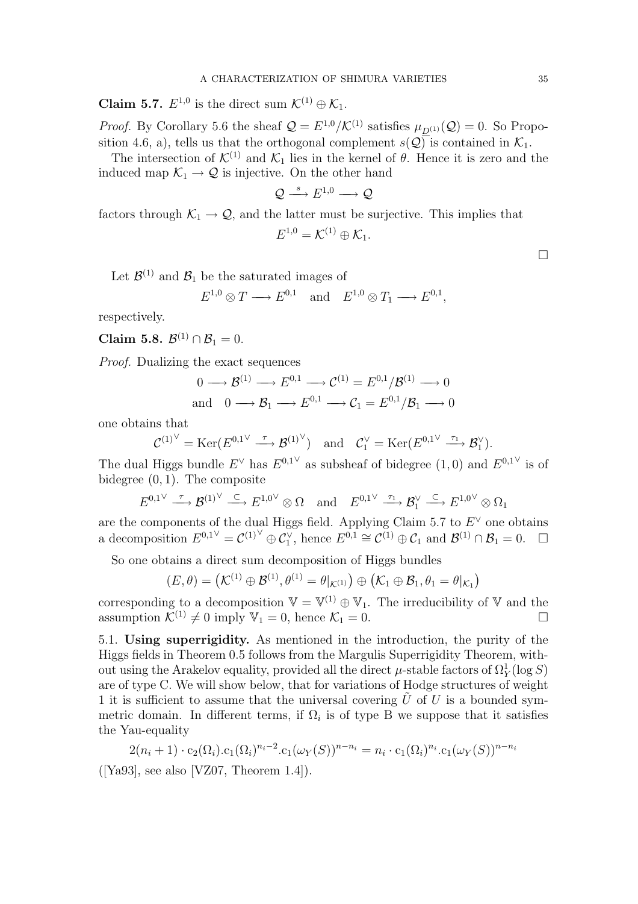**Claim 5.7.**  $E^{1,0}$  is the direct sum  $\mathcal{K}^{(1)} \oplus \mathcal{K}_1$ .

*Proof.* By Corollary 5.6 the sheaf  $Q = E^{1,0}/\mathcal{K}^{(1)}$  satisfies  $\mu_{D^{(1)}}(Q) = 0$ . So Proposition 4.6, a), tells us that the orthogonal complement  $s(Q)$  is contained in  $\mathcal{K}_1$ .

The intersection of  $\mathcal{K}^{(1)}$  and  $\mathcal{K}_1$  lies in the kernel of  $\theta$ . Hence it is zero and the induced map  $\mathcal{K}_1 \rightarrow \mathcal{Q}$  is injective. On the other hand

$$
\mathcal{Q}\overset{s}{\longrightarrow}E^{1,0}\longrightarrow \mathcal{Q}
$$

factors through  $\mathcal{K}_1 \rightarrow \mathcal{Q}$ , and the latter must be surjective. This implies that

$$
E^{1,0} = \mathcal{K}^{(1)} \oplus \mathcal{K}_1.
$$

Let  $\mathcal{B}^{(1)}$  and  $\mathcal{B}_1$  be the saturated images of

$$
E^{1,0} \otimes T \longrightarrow E^{0,1} \quad \text{and} \quad E^{1,0} \otimes T_1 \longrightarrow E^{0,1},
$$

respectively.

Claim 5.8.  $\mathcal{B}^{(1)} \cap \mathcal{B}_1 = 0$ .

Proof. Dualizing the exact sequences

$$
0 \longrightarrow \mathcal{B}^{(1)} \longrightarrow E^{0,1} \longrightarrow \mathcal{C}^{(1)} = E^{0,1}/\mathcal{B}^{(1)} \longrightarrow 0
$$
  
and 
$$
0 \longrightarrow \mathcal{B}_1 \longrightarrow E^{0,1} \longrightarrow \mathcal{C}_1 = E^{0,1}/\mathcal{B}_1 \longrightarrow 0
$$

one obtains that

$$
\mathcal{C}^{(1)^\vee} = \text{Ker}(E^{0,1^\vee} \xrightarrow{\tau} \mathcal{B}^{(1)^\vee}) \quad \text{and} \quad \mathcal{C}_1^\vee = \text{Ker}(E^{0,1^\vee} \xrightarrow{\tau_1} \mathcal{B}_1^\vee).
$$

The dual Higgs bundle  $E^{\vee}$  has  $E^{0,1^{\vee}}$  as subsheaf of bidegree  $(1,0)$  and  $E^{0,1^{\vee}}$  is of bidegree  $(0, 1)$ . The composite

$$
E^{0,1\vee} \xrightarrow{\tau} \mathcal{B}^{(1)\vee} \xrightarrow{\subset} E^{1,0\vee} \otimes \Omega \quad \text{and} \quad E^{0,1\vee} \xrightarrow{\tau_1} \mathcal{B}_1^{\vee} \xrightarrow{\subset} E^{1,0\vee} \otimes \Omega_1
$$

are the components of the dual Higgs field. Applying Claim 5.7 to  $E^{\vee}$  one obtains a decomposition  $E^{0,1} \nightharpoonup C^{(1)} \oplus C_1^{\vee}$ , hence  $E^{0,1} \cong C^{(1)} \oplus C_1$  and  $\mathcal{B}^{(1)} \cap \mathcal{B}_1 = 0$ .  $\Box$ 

So one obtains a direct sum decomposition of Higgs bundles

$$
(E,\theta) = \left(\mathcal{K}^{(1)} \oplus \mathcal{B}^{(1)}, \theta^{(1)} = \theta|_{\mathcal{K}^{(1)}}\right) \oplus \left(\mathcal{K}_1 \oplus \mathcal{B}_1, \theta_1 = \theta|_{\mathcal{K}_1}\right)
$$

corresponding to a decomposition  $\mathbb{V} = \mathbb{V}^{(1)} \oplus \mathbb{V}_1$ . The irreducibility of  $\mathbb{V}$  and the assumption  $\mathcal{K}^{(1)} \neq 0$  imply  $\mathbb{V}_1 = 0$ , hence  $\mathcal{K}_1 = 0$ .

5.1. Using superrigidity. As mentioned in the introduction, the purity of the Higgs fields in Theorem 0.5 follows from the Margulis Superrigidity Theorem, without using the Arakelov equality, provided all the direct  $\mu$ -stable factors of  $\Omega_Y^1(\log S)$ are of type C. We will show below, that for variations of Hodge structures of weight 1 it is sufficient to assume that the universal covering  $\hat{U}$  of U is a bounded symmetric domain. In different terms, if  $\Omega_i$  is of type B we suppose that it satisfies the Yau-equality

$$
2(n_i+1)\cdot c_2(\Omega_i)c_1(\Omega_i)^{n_i-2}c_1(\omega_Y(S))^{n-n_i} = n_i \cdot c_1(\Omega_i)^{n_i}c_1(\omega_Y(S))^{n-n_i}
$$

([Ya93], see also [VZ07, Theorem 1.4]).

 $\Box$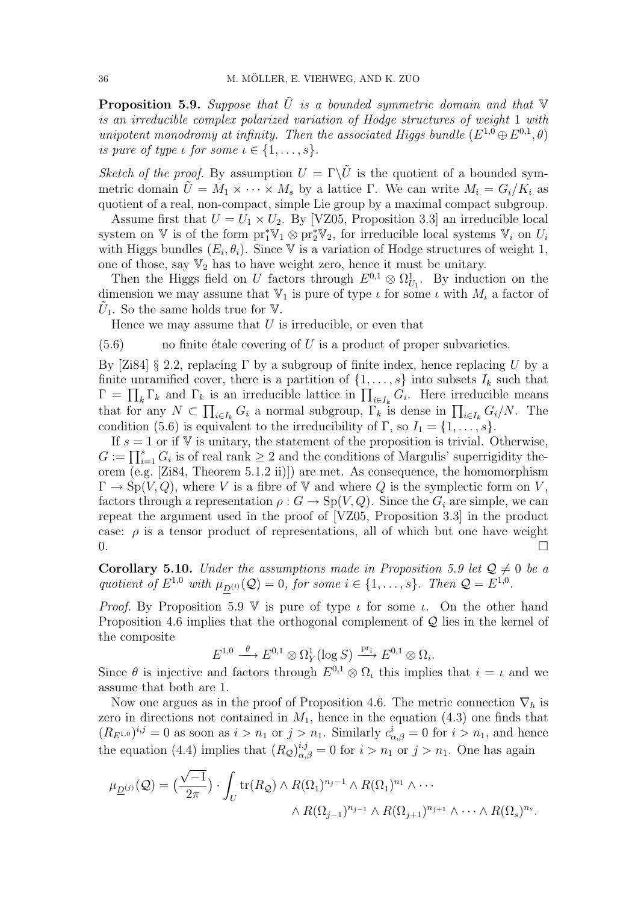**Proposition 5.9.** Suppose that  $\tilde{U}$  is a bounded symmetric domain and that  $V$ is an irreducible complex polarized variation of Hodge structures of weight 1 with unipotent monodromy at infinity. Then the associated Higgs bundle  $(E^{1,0} \oplus E^{0,1}, \theta)$ is pure of type  $\iota$  for some  $\iota \in \{1, \ldots, s\}.$ 

Sketch of the proof. By assumption  $U = \Gamma \backslash \tilde{U}$  is the quotient of a bounded symmetric domain  $\tilde{U} = M_1 \times \cdots \times M_s$  by a lattice Γ. We can write  $M_i = G_i/K_i$  as quotient of a real, non-compact, simple Lie group by a maximal compact subgroup.

Assume first that  $U = U_1 \times U_2$ . By [VZ05, Proposition 3.3] an irreducible local system on  $\mathbb V$  is of the form  $\text{pr}_1^*\mathbb V_1 \otimes \text{pr}_2^*\mathbb V_2$ , for irreducible local systems  $\mathbb V_i$  on  $U_i$ with Higgs bundles  $(E_i, \theta_i)$ . Since V is a variation of Hodge structures of weight 1, one of those, say  $\mathbb{V}_2$  has to have weight zero, hence it must be unitary.

Then the Higgs field on U factors through  $E^{0,1} \otimes \Omega_{U_1}^1$ . By induction on the dimension we may assume that  $V_1$  is pure of type  $\iota$  for some  $\iota$  with  $M_{\iota}$  a factor of  $\tilde{U}_1$ . So the same holds true for V.

Hence we may assume that  $U$  is irreducible, or even that

 $(5.6)$  no finite étale covering of U is a product of proper subvarieties.

By [Zi84] § 2.2, replacing Γ by a subgroup of finite index, hence replacing U by a finite unramified cover, there is a partition of  $\{1, \ldots, s\}$  into subsets  $I_k$  such that The intermal cover, there is a partition of  $\{1, \ldots, s\}$  into subsets  $I_k$  such that  $\Gamma = \prod_k \Gamma_k$  and  $\Gamma_k$  is an irreducible lattice in  $\prod_{i \in I_k} G_i$ . Here irreducible means  $\Gamma = \prod_k \Gamma_k$  and  $\Gamma_k$  is an irreduction rattice in  $\prod_{i \in I_k} G_i$ . Here irreduction means that for any  $N \subset \prod_{i \in I_k} G_i$  a normal subgroup,  $\Gamma_k$  is dense in  $\prod_{i \in I_k} G_i/N$ . The condition (5.6) is equivalent to the irreducibility of  $\Gamma$ , so  $I_1 = \{1, \ldots, s\}$ .

If  $s = 1$  or if V is unitary, the statement of the proposition is trivial. Otherwise, If  $s = 1$  or if  $\vee$  is unitary, the statement of the proposition is trivial. Otherwise,<br>  $G := \prod_{i=1}^{s} G_i$  is of real rank  $\geq 2$  and the conditions of Margulis' superrigidity theorem (e.g. [Zi84, Theorem 5.1.2 ii)]) are met. As consequence, the homomorphism  $\Gamma \to Sp(V, Q)$ , where V is a fibre of V and where Q is the symplectic form on V, factors through a representation  $\rho: G \to Sp(V, Q)$ . Since the  $G_i$  are simple, we can repeat the argument used in the proof of [VZ05, Proposition 3.3] in the product case:  $\rho$  is a tensor product of representations, all of which but one have weight  $0.$ 

**Corollary 5.10.** Under the assumptions made in Proposition 5.9 let  $\mathcal{Q} \neq 0$  be a quotient of  $E^{1,0}$  with  $\mu_{\underline{D}^{(i)}}(Q) = 0$ , for some  $i \in \{1,\ldots,s\}$ . Then  $Q = E^{1,0}$ .

*Proof.* By Proposition 5.9 V is pure of type  $\iota$  for some  $\iota$ . On the other hand Proposition 4.6 implies that the orthogonal complement of Q lies in the kernel of the composite

$$
E^{1,0} \xrightarrow{\theta} E^{0,1} \otimes \Omega_Y^1(\log S) \xrightarrow{\mathrm{pr}_i} E^{0,1} \otimes \Omega_i.
$$

Since  $\theta$  is injective and factors through  $E^{0,1} \otimes \Omega_t$  this implies that  $i = \iota$  and we assume that both are 1.

Now one argues as in the proof of Proposition 4.6. The metric connection  $\nabla_h$  is zero in directions not contained in  $M_1$ , hence in the equation  $(4.3)$  one finds that  $(R_{E^{1,0}})^{i,j}=0$  as soon as  $i>n_1$  or  $j>n_1$ . Similarly  $c^i_{\alpha,\beta}=0$  for  $i>n_1$ , and hence the equation (4.4) implies that  $(R_{\mathcal{Q}})_{\alpha,\beta}^{i,j} = 0$  for  $i > n_1$  or  $j > n_1$ . One has again

$$
\mu_{\underline{D}^{(j)}}(\mathcal{Q}) = \left(\frac{\sqrt{-1}}{2\pi}\right) \cdot \int_{U} \text{tr}(R_{\mathcal{Q}}) \wedge R(\Omega_{1})^{n_{j}-1} \wedge R(\Omega_{1})^{n_{1}} \wedge \cdots
$$

$$
\wedge R(\Omega_{j-1})^{n_{j-1}} \wedge R(\Omega_{j+1})^{n_{j+1}} \wedge \cdots \wedge R(\Omega_{s})^{n_{s}}.
$$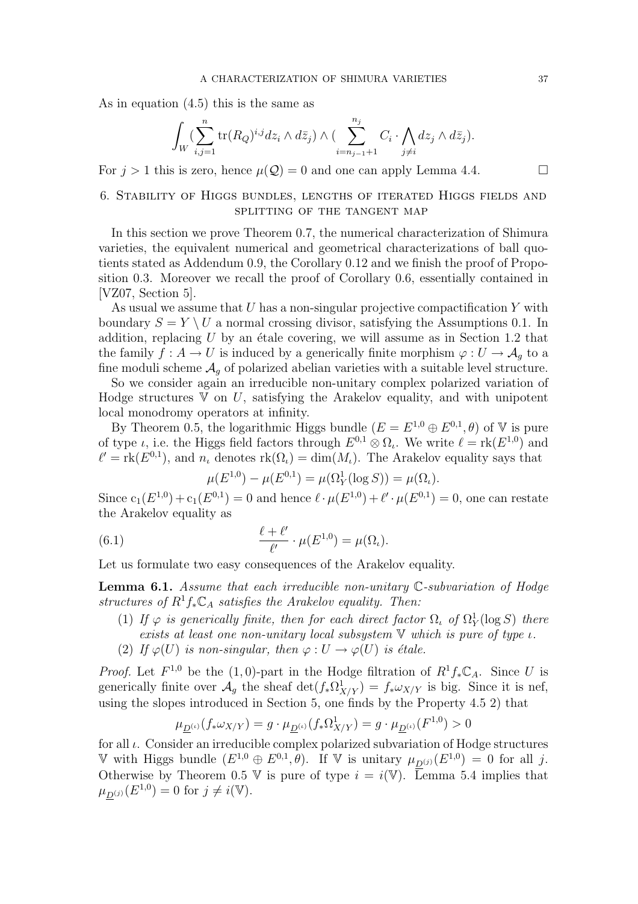As in equation (4.5) this is the same as

$$
\int_W \left(\sum_{i,j=1}^n \text{tr}(R_Q)^{i,j} dz_i \wedge d\bar{z}_j\right) \wedge \left(\sum_{i=n_{j-1}+1}^{n_j} C_i \cdot \bigwedge_{j\neq i} dz_j \wedge d\bar{z}_j\right).
$$

For  $j > 1$  this is zero, hence  $\mu(Q) = 0$  and one can apply Lemma 4.4.

# 6. Stability of Higgs bundles, lengths of iterated Higgs fields and splitting of the tangent map

In this section we prove Theorem 0.7, the numerical characterization of Shimura varieties, the equivalent numerical and geometrical characterizations of ball quotients stated as Addendum 0.9, the Corollary 0.12 and we finish the proof of Proposition 0.3. Moreover we recall the proof of Corollary 0.6, essentially contained in [VZ07, Section 5].

As usual we assume that  $U$  has a non-singular projective compactification  $Y$  with boundary  $S = Y \setminus U$  a normal crossing divisor, satisfying the Assumptions 0.1. In addition, replacing  $U$  by an étale covering, we will assume as in Section 1.2 that the family  $f: A \to U$  is induced by a generically finite morphism  $\varphi: U \to A_q$  to a fine moduli scheme  $A_q$  of polarized abelian varieties with a suitable level structure.

So we consider again an irreducible non-unitary complex polarized variation of Hodge structures  $V$  on  $U$ , satisfying the Arakelov equality, and with unipotent local monodromy operators at infinity.

By Theorem 0.5, the logarithmic Higgs bundle  $(E = E^{1,0} \oplus E^{0,1}, \theta)$  of V is pure of type *ι*, i.e. the Higgs field factors through  $E^{0,1} \otimes \Omega_i$ . We write  $\ell = \text{rk}(E^{1,0})$  and  $\ell' = \text{rk}(E^{0,1})$ , and  $n_i$  denotes  $\text{rk}(\Omega_i) = \dim(M_i)$ . The Arakelov equality says that

$$
\mu(E^{1,0}) - \mu(E^{0,1}) = \mu(\Omega_Y^1(\log S)) = \mu(\Omega_\iota).
$$

Since  $c_1(E^{1,0}) + c_1(E^{0,1}) = 0$  and hence  $\ell \cdot \mu(E^{1,0}) + \ell' \cdot \mu(E^{0,1}) = 0$ , one can restate the Arakelov equality as

(6.1) 
$$
\frac{\ell+\ell'}{\ell'}\cdot\mu(E^{1,0})=\mu(\Omega_{\iota}).
$$

Let us formulate two easy consequences of the Arakelov equality.

**Lemma 6.1.** Assume that each irreducible non-unitary  $\mathbb{C}$ -subvariation of Hodge structures of  $R^1f_*\mathbb{C}_A$  satisfies the Arakelov equality. Then:

- (1) If  $\varphi$  is generically finite, then for each direct factor  $\Omega$ , of  $\Omega_Y^1(\log S)$  there exists at least one non-unitary local subsystem  $V$  which is pure of type  $\iota$ .
- (2) If  $\varphi(U)$  is non-singular, then  $\varphi: U \to \varphi(U)$  is étale.

*Proof.* Let  $F^{1,0}$  be the (1,0)-part in the Hodge filtration of  $R^1f_*\mathbb{C}_A$ . Since U is generically finite over  $\mathcal{A}_g$  the sheaf  $\det(f_* \Omega^1_{X/Y}) = f_* \omega_{X/Y}$  is big. Since it is nef, using the slopes introduced in Section 5, one finds by the Property 4.5 2) that

$$
\mu_{\underline{D}^{(\iota)}}(f_*\omega_{X/Y})=g\cdot \mu_{\underline{D}^{(\iota)}}(f_*\Omega^1_{X/Y})=g\cdot \mu_{\underline{D}^{(\iota)}}(F^{1,0})>0
$$

for all  $\iota$ . Consider an irreducible complex polarized subvariation of Hodge structures V with Higgs bundle  $(E^{1,0} \oplus E^{0,1}, \theta)$ . If V is unitary  $\mu_{D^{(j)}}(E^{1,0}) = 0$  for all j. Otherwise by Theorem 0.5 V is pure of type  $i = i(V)$ . Lemma 5.4 implies that  $\mu_{\underline{D}^{(j)}}(E^{1,0}) = 0$  for  $j \neq i(\mathbb{V})$ .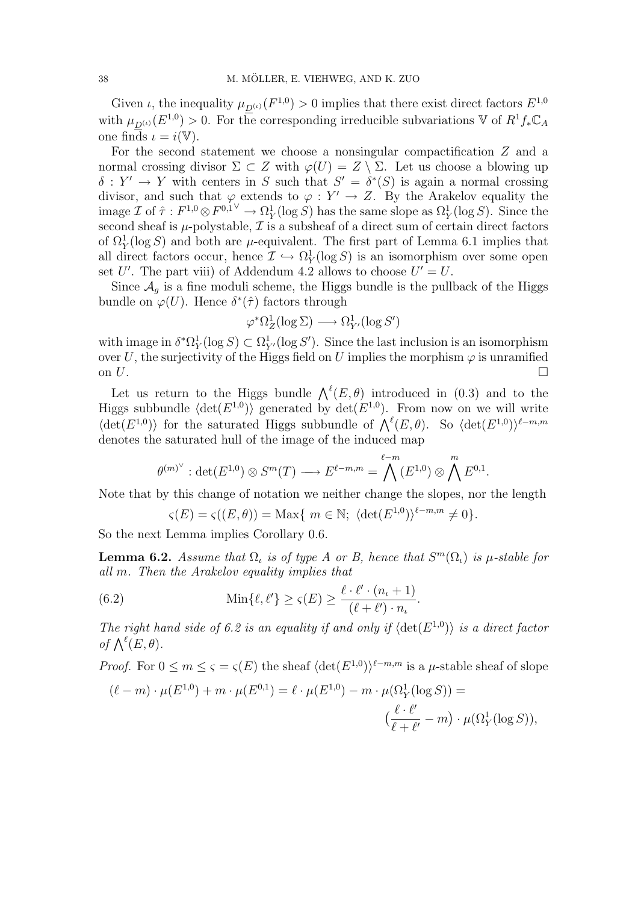Given *i*, the inequality  $\mu_{D^{(\iota)}}(F^{1,0}) > 0$  implies that there exist direct factors  $E^{1,0}$ with  $\mu_{\underline{D}^{(\iota)}}(E^{1,0}) > 0$ . For the corresponding irreducible subvariations V of  $R^1 f_* \mathbb{C}_A$ one finds  $\iota = i(\mathbb{V}).$ 

For the second statement we choose a nonsingular compactification Z and a normal crossing divisor  $\Sigma \subset Z$  with  $\varphi(U) = Z \setminus \Sigma$ . Let us choose a blowing up  $\delta: Y' \to Y$  with centers in S such that  $S' = \delta^*(S)$  is again a normal crossing divisor, and such that  $\varphi$  extends to  $\varphi: Y' \to Z$ . By the Arakelov equality the image  $\mathcal{I}$  of  $\hat{\tau}: F^{1,0}\otimes F^{0,1\vee} \to \Omega^1_Y(\log S)$  has the same slope as  $\Omega^1_Y(\log S)$ . Since the second sheaf is  $\mu$ -polystable,  $\mathcal I$  is a subsheaf of a direct sum of certain direct factors of  $\Omega_Y^1(\log S)$  and both are  $\mu$ -equivalent. The first part of Lemma 6.1 implies that all direct factors occur, hence  $\mathcal{I} \hookrightarrow \Omega_Y^1(\log S)$  is an isomorphism over some open set U'. The part viii) of Addendum 4.2 allows to choose  $U' = U$ .

Since  $A_q$  is a fine moduli scheme, the Higgs bundle is the pullback of the Higgs bundle on  $\varphi(U)$ . Hence  $\delta^*(\hat{\tau})$  factors through

$$
\varphi^* \Omega^1_Z(\log \Sigma) \longrightarrow \Omega^1_{Y'}(\log S')
$$

with image in  $\delta^* \Omega_Y^1(\log S) \subset \Omega_{Y'}^1(\log S')$ . Since the last inclusion is an isomorphism over U, the surjectivity of the Higgs field on U implies the morphism  $\varphi$  is unramified on  $U$ .

Let us return to the Higgs bundle  $\bigwedge^{\ell}(E,\theta)$  introduced in (0.3) and to the Higgs subbundle  $\langle \det(E^{1,0}) \rangle$  generated by  $\det(E^{1,0})$ . From now on we will write how on we will write<br>  $\langle \det(E^{1,0}) \rangle$  for the saturated Higgs subbundle of  $\bigwedge^{\ell}(E,\theta)$ . So  $\langle \det(E^{1,0}) \rangle^{\ell-m,m}$ denotes the saturated hull of the image of the induced map

$$
\theta^{(m)^{\vee}}:\det(E^{1,0})\otimes S^m(T)\longrightarrow E^{\ell-m,m}=\bigwedge^{\ell-m}(E^{1,0})\otimes\bigwedge^m E^{0,1}.
$$

Note that by this change of notation we neither change the slopes, nor the length

$$
\varsigma(E) = \varsigma((E,\theta)) = \text{Max}\{ \ m \in \mathbb{N}; \ \langle \det(E^{1,0}) \rangle^{\ell-m,m} \neq 0 \}.
$$

So the next Lemma implies Corollary 0.6.

**Lemma 6.2.** Assume that  $\Omega_t$  is of type A or B, hence that  $S^m(\Omega_t)$  is  $\mu$ -stable for all m. Then the Arakelov equality implies that

(6.2) 
$$
\operatorname{Min}\{\ell,\ell'\} \ge \varsigma(E) \ge \frac{\ell \cdot \ell' \cdot (n_{\iota}+1)}{(\ell+\ell') \cdot n_{\iota}}.
$$

The right hand side of 6.2 is an equality if and only if  $\langle \det(E^{1,0}) \rangle$  is a direct factor *of*  $\bigwedge^{\ell}(E, \theta)$ .

*Proof.* For  $0 \le m \le \varsigma = \varsigma(E)$  the sheaf  $\langle \det(E^{1,0}) \rangle^{\ell-m,m}$  is a  $\mu$ -stable sheaf of slope

$$
(\ell - m) \cdot \mu(E^{1,0}) + m \cdot \mu(E^{0,1}) = \ell \cdot \mu(E^{1,0}) - m \cdot \mu(\Omega_Y^1(\log S)) =
$$
  

$$
(\frac{\ell \cdot \ell'}{\ell + \ell'} - m) \cdot \mu(\Omega_Y^1(\log S)),
$$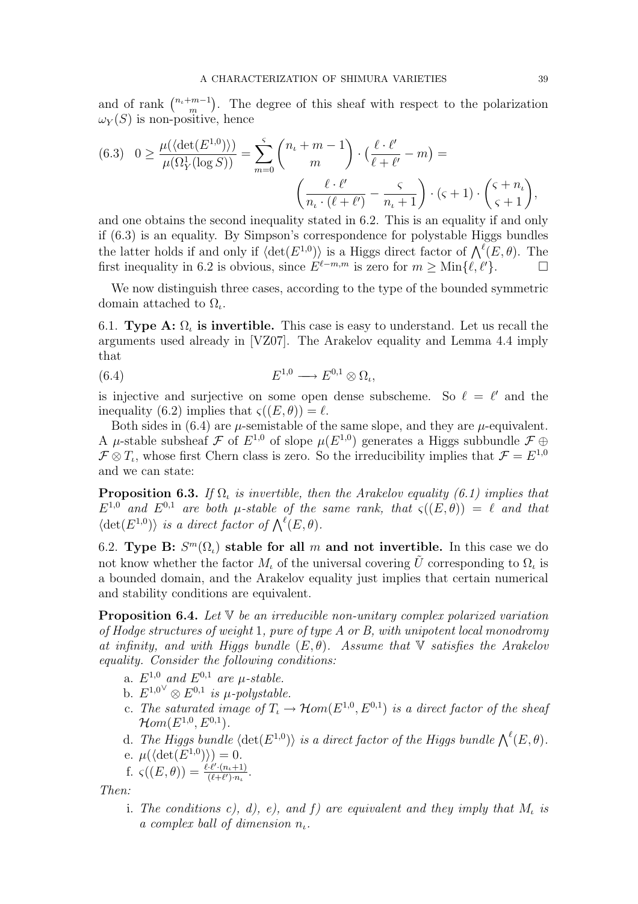and of rank  $\binom{n_t+m-1}{m}$ m ¢ . The degree of this sheaf with respect to the polarization  $\omega_Y(S)$  is non-positive, hence

(6.3) 
$$
0 \ge \frac{\mu(\langle \det(E^{1,0}) \rangle)}{\mu(\Omega_Y^1(\log S))} = \sum_{m=0}^s {n_t + m - 1 \choose m} \cdot \left(\frac{\ell \cdot \ell'}{\ell + \ell'} - m\right) = \left(\frac{\ell \cdot \ell'}{n_t \cdot (\ell + \ell')} - \frac{\varsigma}{n_t + 1}\right) \cdot (\varsigma + 1) \cdot \left(\frac{\varsigma + n_t}{\varsigma + 1}\right),
$$

and one obtains the second inequality stated in 6.2. This is an equality if and only if (6.3) is an equality. By Simpson's correspondence for polystable Higgs bundles the latter holds if and only if  $\langle \det(E^{1,0}) \rangle$  is a Higgs direct factor of  $\bigwedge^{\ell}(E,\theta)$ . The first inequality in 6.2 is obvious, since  $E^{\ell-m,m}$  is zero for  $m \geq \text{Min}\{\ell,\ell'\}.$ 

We now distinguish three cases, according to the type of the bounded symmetric domain attached to  $\Omega_{\iota}$ .

6.1. Type A:  $\Omega_t$  is invertible. This case is easy to understand. Let us recall the arguments used already in [VZ07]. The Arakelov equality and Lemma 4.4 imply that

$$
(6.4) \t\t\t E1,0 \longrightarrow E0,1 \otimes \Omega_{\iota},
$$

is injective and surjective on some open dense subscheme. So  $\ell = \ell'$  and the inequality (6.2) implies that  $\varsigma((E, \theta)) = \ell$ .

Both sides in  $(6.4)$  are  $\mu$ -semistable of the same slope, and they are  $\mu$ -equivalent. A  $\mu$ -stable subsheaf  $\mathcal F$  of  $E^{1,0}$  of slope  $\mu(E^{1,0})$  generates a Higgs subbundle  $\mathcal F \oplus$  $\mathcal{F} \otimes T_i$ , whose first Chern class is zero. So the irreducibility implies that  $\mathcal{F} = E^{1,0}$ and we can state:

**Proposition 6.3.** If  $\Omega$ , is invertible, then the Arakelov equality (6.1) implies that  $E^{1,0}$  and  $E^{0,1}$  are both  $\mu$ -stable of the same rank, that  $\varsigma((E,\theta)) = \ell$  and that  $\det(E^{1,0})$  is a direct factor of  $\bigwedge^{\ell}(E,\theta)$ .

6.2. Type B:  $S^{m}(\Omega_{\iota})$  stable for all m and not invertible. In this case we do not know whether the factor  $M_{\iota}$  of the universal covering  $\tilde{U}$  corresponding to  $\Omega_{\iota}$  is a bounded domain, and the Arakelov equality just implies that certain numerical and stability conditions are equivalent.

**Proposition 6.4.** Let  $V$  be an irreducible non-unitary complex polarized variation of Hodge structures of weight 1, pure of type A or B, with unipotent local monodromy at infinity, and with Higgs bundle  $(E, \theta)$ . Assume that V satisfies the Arakelov equality. Consider the following conditions:

- a.  $E^{1,0}$  and  $E^{0,1}$  are  $\mu$ -stable.
- b.  $E^{1,0\vee} \otimes E^{0,1}$  is  $\mu$ -polystable.
- c. The saturated image of  $T_{\iota} \to \mathcal{H}om(E^{1,0}, E^{0,1})$  is a direct factor of the sheaf  $\mathcal{H}om(E^{1,0},E^{0,1}).$
- d. The Higgs bundle  $\langle \det(E^{1,0}) \rangle$  is a direct factor of the Higgs bundle  $\bigwedge^{\ell}(E,\theta)$ .
- e.  $\mu(\langle \det(E^{1,0}) \rangle) = 0.$
- f.  $\varsigma((E,\theta)) = \frac{\ell \cdot \ell' \cdot (n_{\iota}+1)}{(\ell+\ell')\cdot n}$  $\frac{\cdot \ell' \cdot (n_{\iota}+1)}{(\ell+\ell')\cdot n_{\iota}}$ .

Then:

i. The conditions c), d), e), and f) are equivalent and they imply that  $M_{\iota}$  is a complex ball of dimension  $n_{\iota}$ .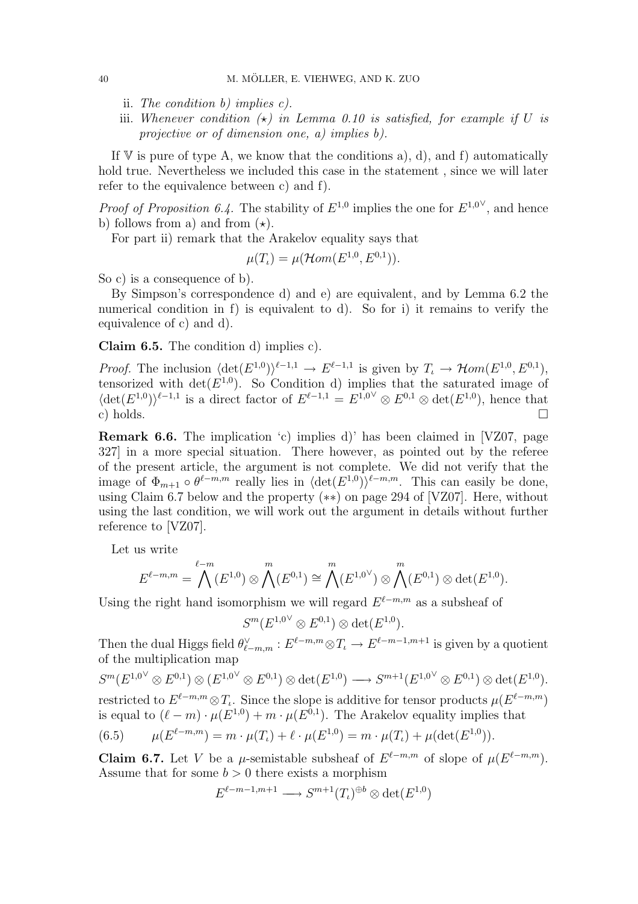- ii. The condition b) implies c).
- iii. Whenever condition  $\star$ ) in Lemma 0.10 is satisfied, for example if U is projective or of dimension one, a) implies b).

If  $V$  is pure of type A, we know that the conditions a), d), and f) automatically hold true. Nevertheless we included this case in the statement , since we will later refer to the equivalence between c) and f).

*Proof of Proposition 6.4*. The stability of  $E^{1,0}$  implies the one for  $E^{1,0}$ <sup> $\vee$ </sup>, and hence b) follows from a) and from  $(\star)$ .

For part ii) remark that the Arakelov equality says that

$$
\mu(T_{\iota}) = \mu(\mathcal{H}om(E^{1,0}, E^{0,1})).
$$

So c) is a consequence of b).

By Simpson's correspondence d) and e) are equivalent, and by Lemma 6.2 the numerical condition in f) is equivalent to d). So for i) it remains to verify the equivalence of c) and d).

Claim 6.5. The condition d) implies c).

*Proof.* The inclusion  $\langle \det(E^{1,0}) \rangle^{\ell-1,1} \to E^{\ell-1,1}$  is given by  $T_{\iota} \to \mathcal{H}om(E^{1,0}, E^{0,1}),$ tensorized with  $\det(E^{1,0})$ . So Condition d) implies that the saturated image of  $\langle \det(E^{1,0}) \rangle^{\ell-1,1}$  is a direct factor of  $E^{\ell-1,1} = E^{1,0} \otimes E^{0,1} \otimes \det(E^{1,0}),$  hence that c) holds.  $\Box$ 

**Remark 6.6.** The implication  $\langle c \rangle$  implies d) has been claimed in [VZ07, page 327] in a more special situation. There however, as pointed out by the referee of the present article, the argument is not complete. We did not verify that the image of  $\Phi_{m+1} \circ \theta^{\ell-m,m}$  really lies in  $\langle \det(E^{1,0}) \rangle^{\ell-m,m}$ . This can easily be done, using Claim 6.7 below and the property (∗∗) on page 294 of [VZ07]. Here, without using the last condition, we will work out the argument in details without further reference to [VZ07].

Let us write

$$
E^{\ell-m,m} = \bigwedge^{\ell-m} (E^{1,0}) \otimes \bigwedge^m (E^{0,1}) \cong \bigwedge^m (E^{1,0}{}^{\vee}) \otimes \bigwedge^m (E^{0,1}) \otimes \det(E^{1,0}).
$$

Using the right hand isomorphism we will regard  $E^{\ell-m,m}$  as a subsheaf of

 $S^{m} (E^{1,0}{}^{\vee} \otimes E^{0,1}) \otimes \det(E^{1,0}).$ 

Then the dual Higgs field  $\theta_{\ell-m,m}^{\vee}: E^{\ell-m,m} \otimes T_{\ell} \to E^{\ell-m-1,m+1}$  is given by a quotient of the multiplication map

 $S^{m}(E^{1,0} \otimes E^{0,1}) \otimes (E^{1,0} \otimes E^{0,1}) \otimes \det(E^{1,0}) \longrightarrow S^{m+1}(E^{1,0} \otimes E^{0,1}) \otimes \det(E^{1,0}).$ restricted to  $E^{\ell-m,m} \otimes T_{\ell}$ . Since the slope is additive for tensor products  $\mu(E^{\ell-m,m})$ is equal to  $(\ell - m) \cdot \mu(E^{1,0}) + m \cdot \mu(E^{0,1})$ . The Arakelov equality implies that

(6.5) 
$$
\mu(E^{\ell-m,m}) = m \cdot \mu(T_{\iota}) + \ell \cdot \mu(E^{1,0}) = m \cdot \mu(T_{\iota}) + \mu(\det(E^{1,0})).
$$

**Claim 6.7.** Let V be a  $\mu$ -semistable subsheaf of  $E^{\ell-m,m}$  of slope of  $\mu(E^{\ell-m,m})$ . Assume that for some  $b > 0$  there exists a morphism

$$
E^{\ell-m-1,m+1} \longrightarrow S^{m+1}(T_{\iota})^{\oplus b} \otimes \det(E^{1,0})
$$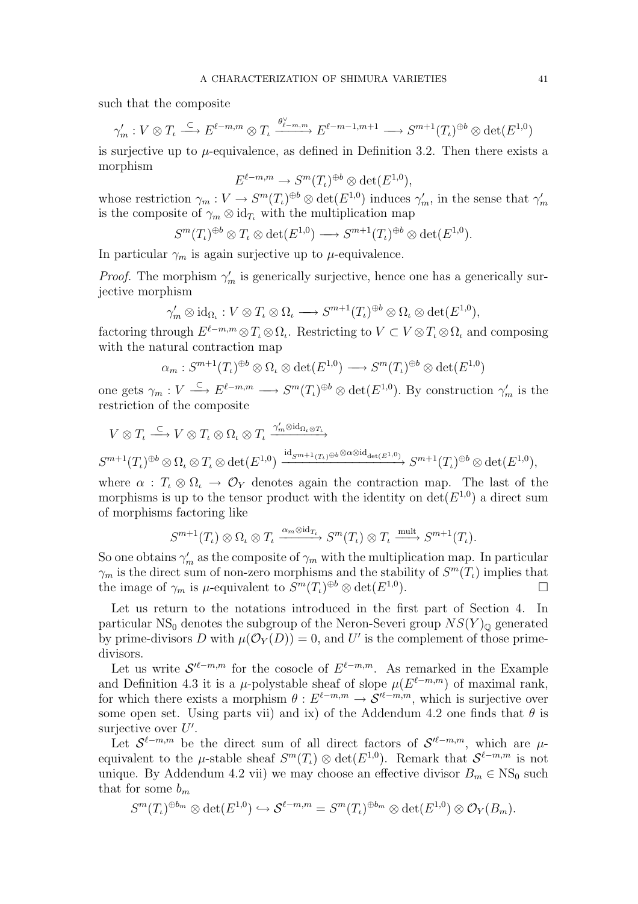such that the composite

$$
\gamma'_m: V \otimes T_{\iota} \xrightarrow{\subset} E^{\ell-m,m} \otimes T_{\iota} \xrightarrow{\theta_{\ell-m,m}^{\vee}} E^{\ell-m-1,m+1} \longrightarrow S^{m+1}(T_{\iota})^{\oplus b} \otimes \det(E^{1,0})
$$

is surjective up to  $\mu$ -equivalence, as defined in Definition 3.2. Then there exists a morphism

$$
E^{\ell-m,m} \to S^m(T_\iota)^{\oplus b} \otimes \det(E^{1,0}),
$$

whose restriction  $\gamma_m: V \to S^m(T_\iota)^{\oplus b} \otimes \det(E^{1,0})$  induces  $\gamma'_m$ , in the sense that  $\gamma'_m$ is the composite of  $\gamma_m \otimes id_{T_l}$  with the multiplication map

$$
S^{m}(T_{\iota})^{\oplus b} \otimes T_{\iota} \otimes \det(E^{1,0}) \longrightarrow S^{m+1}(T_{\iota})^{\oplus b} \otimes \det(E^{1,0}).
$$

In particular  $\gamma_m$  is again surjective up to  $\mu$ -equivalence.

*Proof.* The morphism  $\gamma'_m$  is generically surjective, hence one has a generically surjective morphism

$$
\gamma'_m \otimes \mathrm{id}_{\Omega_t} : V \otimes T_{\iota} \otimes \Omega_{\iota} \longrightarrow S^{m+1}(T_{\iota})^{\oplus b} \otimes \Omega_{\iota} \otimes \mathrm{det}(E^{1,0}),
$$

factoring through  $E^{\ell-m,m} \otimes T_{\ell} \otimes \Omega_{\ell}$ . Restricting to  $V \subset V \otimes T_{\ell} \otimes \Omega_{\ell}$  and composing with the natural contraction map

$$
\alpha_m: S^{m+1}(T_{\iota})^{\oplus b} \otimes \Omega_{\iota} \otimes \det(E^{1,0}) \longrightarrow S^m(T_{\iota})^{\oplus b} \otimes \det(E^{1,0})
$$

one gets  $\gamma_m: V \stackrel{\subset}{\longrightarrow} E^{\ell-m,m} \longrightarrow S^m(T_\iota)^{\oplus b} \otimes \det(E^{1,0})$ . By construction  $\gamma'_m$  is the restriction of the composite

$$
V \otimes T_{\iota} \xrightarrow{\subset} V \otimes T_{\iota} \otimes \Omega_{\iota} \otimes T_{\iota} \xrightarrow{\gamma'_{m} \otimes \mathrm{id}_{\Omega_{\iota} \otimes T_{\iota}}} \nS^{m+1}(T_{\iota})^{\oplus b} \otimes \Omega_{\iota} \otimes T_{\iota} \otimes \mathrm{det}(E^{1,0}) \xrightarrow{\mathrm{id}_{S^{m+1}(T_{\iota}) \oplus b} \otimes \alpha \otimes \mathrm{id}_{\mathrm{det}(E^{1,0})}} \nS^{m+1}(T_{\iota})^{\oplus b} \otimes \mathrm{det}(E^{1,0}),
$$

where  $\alpha$ :  $T_{\iota} \otimes \Omega_{\iota} \to \mathcal{O}_Y$  denotes again the contraction map. The last of the morphisms is up to the tensor product with the identity on  $\det(E^{1,0})$  a direct sum of morphisms factoring like

$$
S^{m+1}(T_{\iota}) \otimes \Omega_{\iota} \otimes T_{\iota} \xrightarrow{\alpha_m \otimes id_{T_{\iota}}} S^m(T_{\iota}) \otimes T_{\iota} \xrightarrow{\text{mult}} S^{m+1}(T_{\iota}).
$$

So one obtains  $\gamma'_m$  as the composite of  $\gamma_m$  with the multiplication map. In particular  $\gamma_m$  is the direct sum of non-zero morphisms and the stability of  $S^m(T)$  implies that the image of  $\gamma_m$  is  $\mu$ -equivalent to  $S^m(T_\iota)^{\oplus b} \otimes \det(E^{1,0})$ .

Let us return to the notations introduced in the first part of Section 4. In particular NS<sub>0</sub> denotes the subgroup of the Neron-Severi group  $NS(Y)_{\mathbb{Q}}$  generated by prime-divisors D with  $\mu(\mathcal{O}_Y(D)) = 0$ , and U' is the complement of those primedivisors.

Let us write  $S^{\ell-m,m}$  for the cosocle of  $E^{\ell-m,m}$ . As remarked in the Example and Definition 4.3 it is a  $\mu$ -polystable sheaf of slope  $\mu(E^{\ell-m,m})$  of maximal rank, for which there exists a morphism  $\theta: E^{\ell-m,m} \to \mathcal{S}^{\ell-m,m}$ , which is surjective over some open set. Using parts vii) and ix) of the Addendum 4.2 one finds that  $\theta$  is surjective over  $U'$ .

Let  $\mathcal{S}^{\ell-m,m}$  be the direct sum of all direct factors of  $\mathcal{S}^{\ell-m,m}$ , which are  $\mu$ equivalent to the  $\mu$ -stable sheaf  $S^m(T_i) \otimes \det(E^{1,0})$ . Remark that  $S^{\ell-m,m}$  is not unique. By Addendum 4.2 vii) we may choose an effective divisor  $B_m \in \text{NS}_0$  such that for some  $b_m$ 

$$
S^{m}(T_{\iota})^{\oplus b_m} \otimes \det(E^{1,0}) \hookrightarrow \mathcal{S}^{\ell-m,m} = S^{m}(T_{\iota})^{\oplus b_m} \otimes \det(E^{1,0}) \otimes \mathcal{O}_Y(B_m).
$$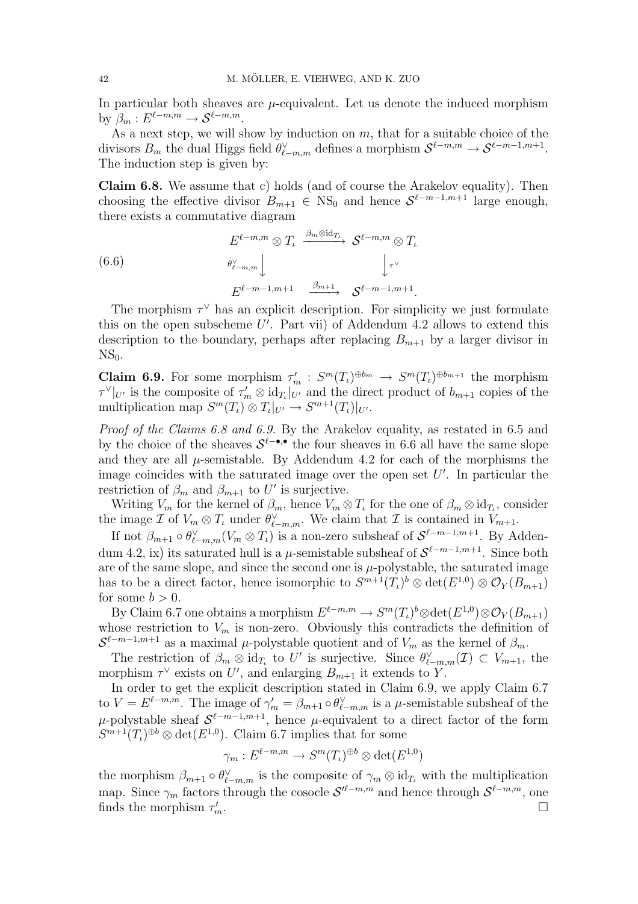In particular both sheaves are  $\mu$ -equivalent. Let us denote the induced morphism by  $\beta_m : E^{\ell-m,m} \to \mathcal{S}^{\ell-m,m}.$ 

As a next step, we will show by induction on  $m$ , that for a suitable choice of the divisors  $B_m$  the dual Higgs field  $\theta_{\ell-m,m}^{\vee}$  defines a morphism  $\mathcal{S}^{\ell-m,m} \to \mathcal{S}^{\ell-m-1,m+1}$ . The induction step is given by:

Claim 6.8. We assume that c) holds (and of course the Arakelov equality). Then choosing the effective divisor  $B_{m+1} \in NS_0$  and hence  $S^{\ell-m-1,m+1}$  large enough, there exists a commutative diagram

(6.6) 
$$
E^{\ell-m,m} \otimes T_{\ell} \xrightarrow{\beta_m \otimes id_{T_{\ell}}} \mathcal{S}^{\ell-m,m} \otimes T_{\ell}
$$

$$
\underset{E^{\ell-m-1,m+1}}{\otimes \cdots} \qquad \underset{\beta_{m+1}}{\downarrow} \qquad \underset{\beta_{m+1}}{\downarrow} \qquad \mathcal{S}^{\ell-m-1,m+1}.
$$

The morphism  $\tau^{\vee}$  has an explicit description. For simplicity we just formulate this on the open subscheme  $U'$ . Part vii) of Addendum 4.2 allows to extend this description to the boundary, perhaps after replacing  $B_{m+1}$  by a larger divisor in  $NS<sub>0</sub>$ .

**Claim 6.9.** For some morphism  $\tau'_m : S^m(T_i)^{\oplus b_m} \to S^m(T_i)^{\oplus b_{m+1}}$  the morphism  $\tau^{\vee}|_{U'}$  is the composite of  $\tau'_{m} \otimes \mathrm{id}_{T_{\iota}}|_{U'}$  and the direct product of  $b_{m+1}$  copies of the multiplication map  $S^m(T_i) \otimes T_i|_{U'} \to S^{m+1}(T_i)|_{U'}.$ 

Proof of the Claims 6.8 and 6.9. By the Arakelov equality, as restated in 6.5 and by the choice of the sheaves  $S^{\ell-\bullet,\bullet}$  the four sheaves in 6.6 all have the same slope and they are all  $\mu$ -semistable. By Addendum 4.2 for each of the morphisms the image coincides with the saturated image over the open set  $U'$ . In particular the restriction of  $\beta_m$  and  $\beta_{m+1}$  to U' is surjective.

Writing  $V_m$  for the kernel of  $\beta_m$ , hence  $V_m \otimes T_\iota$  for the one of  $\beta_m \otimes id_{T_\iota}$ , consider the image  $\mathcal I$  of  $V_m \otimes T_\iota$  under  $\theta_{\ell-m,m}^\vee$ . We claim that  $\mathcal I$  is contained in  $V_{m+1}$ .

If not  $\beta_{m+1} \circ \theta_{\ell-m,m}^{\vee}(V_m \otimes T_\iota)$  is a non-zero subsheaf of  $S^{\ell-m-1,m+1}$ . By Addendum 4.2, ix) its saturated hull is a  $\mu$ -semistable subsheaf of  $S^{\ell-m-1,m+1}$ . Since both are of the same slope, and since the second one is  $\mu$ -polystable, the saturated image has to be a direct factor, hence isomorphic to  $S^{m+1}(T_{\iota})^b \otimes \det(E^{1,0}) \otimes \mathcal{O}_Y(B_{m+1})$ for some  $b > 0$ .

By Claim 6.7 one obtains a morphism  $E^{\ell-m,m} \to S^m(T_\iota)^b \otimes \det(E^{1,0}) \otimes \mathcal{O}_Y(B_{m+1})$ whose restriction to  $V_m$  is non-zero. Obviously this contradicts the definition of  $S^{\ell-m-1,m+1}$  as a maximal  $\mu$ -polystable quotient and of  $V_m$  as the kernel of  $\beta_m$ .

The restriction of  $\beta_m \otimes id_{T_\iota}$  to U' is surjective. Since  $\theta_{\ell-m,m}^\vee(\mathcal{I}) \subset V_{m+1}$ , the morphism  $\tau^{\vee}$  exists on U', and enlarging  $B_{m+1}$  it extends to Y.

In order to get the explicit description stated in Claim 6.9, we apply Claim 6.7 to  $V = E^{\ell-m,m}$ . The image of  $\gamma'_m = \beta_{m+1} \circ \theta_{\ell-m,m}^{\vee}$  is a  $\mu$ -semistable subsheaf of the  $\mu$ -polystable sheaf  $\mathcal{S}^{\ell-m-1,m+1}$ , hence  $\mu$ -equivalent to a direct factor of the form  $S^{m+1}(T_{\iota})^{\oplus b} \otimes \det(E^{1,0})$ . Claim 6.7 implies that for some

$$
\gamma_m: E^{\ell-m,m} \to S^m(T_\iota)^{\oplus b} \otimes \det(E^{1,0})
$$

the morphism  $\beta_{m+1} \circ \theta_{\ell-m,m}^{\vee}$  is the composite of  $\gamma_m \otimes id_{T_\ell}$  with the multiplication map. Since  $\gamma_m$  factors through the cosocle  $\mathcal{S}^{\prime \ell -m,m}$  and hence through  $\mathcal{S}^{\ell -m,m}$ , one finds the morphism  $\tau_n$  $\Box$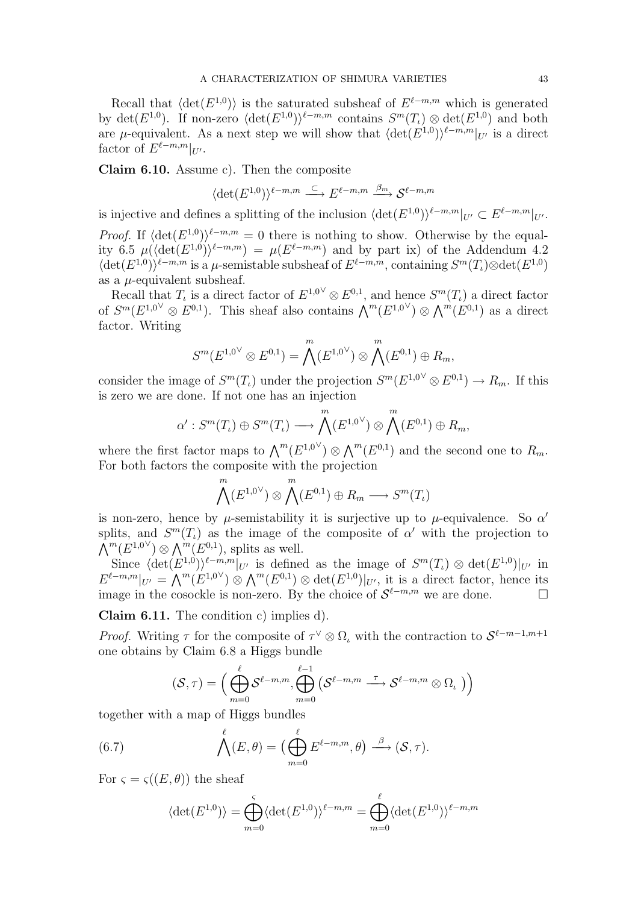Recall that  $\langle det(E^{1,0}) \rangle$  is the saturated subsheaf of  $E^{\ell-m,m}$  which is generated by  $\det(E^{1,0})$ . If non-zero  $\langle \det(E^{1,0}) \rangle^{\ell-m,m}$  contains  $S^m(T_\iota) \otimes \det(E^{1,0})$  and both are  $\mu$ -equivalent. As a next step we will show that  $\langle \det(E^{1,0}) \rangle^{\ell-m,m} |_{U'}$  is a direct factor of  $E^{\ell-m,m}|_{U'}$ .

Claim 6.10. Assume c). Then the composite

$$
\langle \det(E^{1,0})\rangle^{\ell-m,m}\stackrel{\subset}{\longrightarrow} E^{\ell-m,m}\stackrel{\beta_m}{\longrightarrow}{\mathcal S}^{\ell-m,m}
$$

is injective and defines a splitting of the inclusion  $\langle \det(E^{1,0}) \rangle^{\ell-m,m}|_{U'} \subset E^{\ell-m,m}|_{U'}.$ 

*Proof.* If  $\langle \det(E^{1,0}) \rangle^{\ell-m,m} = 0$  there is nothing to show. Otherwise by the equality 6.5  $\mu(\langle \det(E^{1,0})\rangle^{\ell-m,m}) = \mu(E^{\ell-m,m})$  and by part ix) of the Addendum 4.2  $\langle \det(E^{1,0}) \rangle^{\ell-m,m}$  is a  $\mu$ -semistable subsheaf of  $E^{\ell-m,m}$ , containing  $S^m(T_\iota) \otimes \det(E^{1,0})$ as a  $\mu$ -equivalent subsheaf.

Recall that  $T_{\iota}$  is a direct factor of  $E^{1,0}{}^{\vee} \otimes E^{0,1}$ , and hence  $S^{m}(T_{\iota})$  a direct factor becan that  $T_k$  is a direct ractor of  $E \times \otimes E \times$ , and nence  $S(T_k)$  a direct ractor of  $S^m(E^{1,0} \otimes E^{0,1})$ . This sheaf also contains  $\bigwedge^m(E^{1,0} \otimes \bigwedge^m(E^{0,1})$  as a direct factor. Writing

$$
S^{m}(E^{1,0} \otimes E^{0,1}) = \bigwedge^{m}(E^{1,0} \otimes \bigwedge^{m}(E^{0,1}) \oplus R_{m},
$$

consider the image of  $S^m(T_\iota)$  under the projection  $S^m(E^{1,0}{}^{\vee} \otimes E^{0,1}) \to R_m$ . If this is zero we are done. If not one has an injection

$$
\alpha': S^m(T_\iota) \oplus S^m(T_\iota) \longrightarrow \bigwedge^m(E^{1,0}{}^{\vee}) \otimes \bigwedge^m(E^{0,1}) \oplus R_m,
$$

where the first factor maps to  $\bigwedge^m (E^{1,0}{}^{\vee}) \otimes \bigwedge^m (E^{0,1})$  and the second one to  $R_m$ . For both factors the composite with the projection

$$
\bigwedge^m(E^{1,0}{}^{\vee}) \otimes \bigwedge^m(E^{0,1}) \oplus R_m \longrightarrow S^m(T_{\iota})
$$

is non-zero, hence by  $\mu$ -semistability it is surjective up to  $\mu$ -equivalence. So  $\alpha'$ splits, and  $S^m(T_t)$  as the image of the composite of  $\alpha'$  with the projection to spits, and  $S^{\circ}(L_l)$  as the mage of  $\bigwedge^m (E^{1,0}{}^{\vee}) \otimes \bigwedge^m (E^{0,1})$ , splits as well.

Since  $\langle \det(E^{1,0}) \rangle^{\ell-m,m}|_{U'}$  is defined as the image of  $S^m(T_\iota) \otimes \det(E^{1,0})|_{U'}$  in Since  $\langle \det(E^{T}) \rangle$  by is defined as the finage of  $S^T(L_{\ell}) \otimes \det(E^{T})|_{U'}$  in<br>  $E^{\ell-m,m}|_{U'} = \bigwedge^{m}(E^{1,0} \rangle \otimes \bigwedge^{m}(E^{0,1}) \otimes \det(E^{1,0})|_{U'}$ , it is a direct factor, hence its image in the cosockle is non-zero. By the choice of  $\mathcal{S}^{\ell-m,m}$  we are done. □

Claim 6.11. The condition c) implies d).

*Proof.* Writing  $\tau$  for the composite of  $\tau^{\vee} \otimes \Omega_{\iota}$  with the contraction to  $S^{\ell-m-1,m+1}$ one obtains by Claim 6.8 a Higgs bundle

$$
(\mathcal{S},\tau)=\Big(\bigoplus_{m=0}^\ell \mathcal{S}^{\ell-m,m},\bigoplus_{m=0}^{\ell-1}\left(\mathcal{S}^{\ell-m,m}\overset{\tau}{\longrightarrow} \mathcal{S}^{\ell-m,m}\otimes\Omega_\iota\;\right)\Big)
$$

together with a map of Higgs bundles

(6.7) 
$$
\bigwedge^{\ell}(E,\theta) = \left(\bigoplus_{m=0}^{\ell} E^{\ell-m,m},\theta\right) \stackrel{\beta}{\longrightarrow} (\mathcal{S},\tau).
$$

For  $\varsigma = \varsigma((E, \theta))$  the sheaf

$$
\langle \det(E^{1,0}) \rangle = \bigoplus_{m=0}^{\varsigma} \langle \det(E^{1,0}) \rangle^{\ell-m,m} = \bigoplus_{m=0}^{\ell} \langle \det(E^{1,0}) \rangle^{\ell-m,m}
$$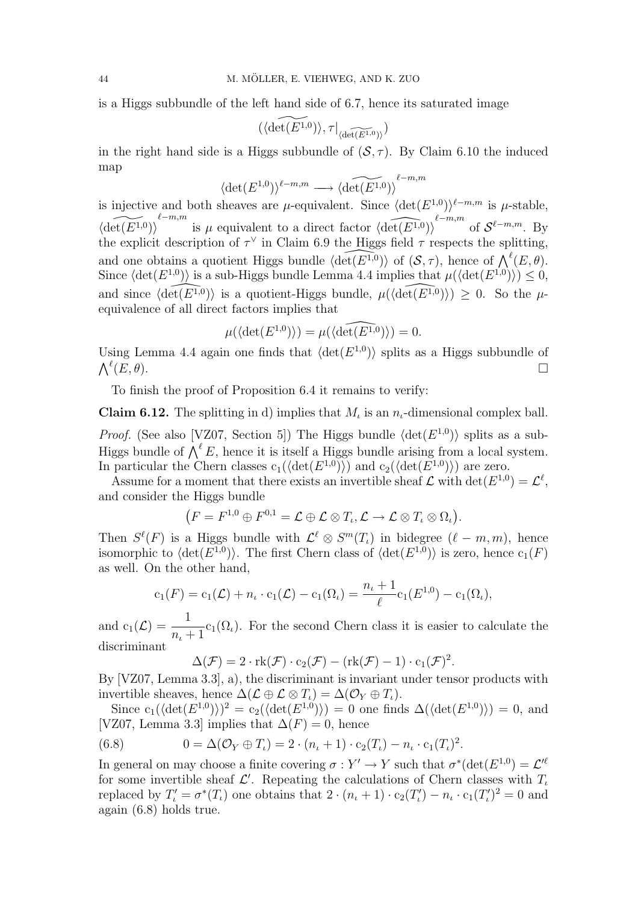is a Higgs subbundle of the left hand side of 6.7, hence its saturated image

$$
(\langle \widetilde{\det(E^{1,0})}\rangle, \tau|_{\langle \widetilde{\det(E^{1,0})}\rangle})
$$

in the right hand side is a Higgs subbundle of  $(S, \tau)$ . By Claim 6.10 the induced map  $\ell-m,m$ 

$$
\langle \det(E^{1,0}) \rangle^{\ell-m,m} \longrightarrow \langle \widehat{\det(E^{1,0})} \rangle^{\ell-r}
$$

is injective and both sheaves are  $\mu$ -equivalent. Since  $\langle \det(E^{1,0}) \rangle^{\ell-m,m}$  is  $\mu$ -stable,  $\widetilde{\langle \det(E^{1,0}) \rangle}^{\ell-m,m}$  is  $\mu$  equivalent to a direct factor  $\widehat{\langle \det(E^{1,0}) \rangle}^{\ell-m,m}$  of  $\mathcal{S}^{\ell-m,m}$ . By the explicit description of  $\tau^{\vee}$  in Claim 6.9 the Higgs field  $\tau$  respects the splitting, and one obtains a quotient Higgs bundle  $\langle \det(E^{1,0}) \rangle$  of  $(S, \tau)$ , hence of  $\bigwedge^{\ell}(E, \theta)$ . Since  $\langle \det(E^{1,0}) \rangle$  is a sub-Higgs bundle Lemma 4.4 implies that  $\mu(\langle \det(E^{1,0}) \rangle) \leq 0$ , and since  $\langle \widehat{\det(E^{1,0})} \rangle$  is a quotient-Higgs bundle,  $\mu(\langle \widehat{\det(E^{1,0})} \rangle) \geq 0$ . So the  $\mu$ equivalence of all direct factors implies that

$$
\mu(\langle \det(E^{1,0}) \rangle) = \mu(\langle \widehat{\det(E^{1,0})} \rangle) = 0.
$$

Using Lemma 4.4 again one finds that  $\langle \det(E^{1,0}) \rangle$  splits as a Higgs subbundle of  $\bigwedge^{\ell}(E,\theta).$  $(E, \theta)$ .

To finish the proof of Proposition 6.4 it remains to verify:

**Claim 6.12.** The splitting in d) implies that  $M_t$  is an  $n_t$ -dimensional complex ball.

*Proof.* (See also [VZ07, Section 5]) The Higgs bundle  $\langle \det(E^{1,0}) \rangle$  splits as a sub-Higgs bundle of  $\bigwedge^{\ell} E$ , hence it is itself a Higgs bundle arising from a local system. In particular the Chern classes  $c_1(\langle \det(E^{1,0}) \rangle)$  and  $c_2(\langle \det(E^{1,0}) \rangle)$  are zero.

Assume for a moment that there exists an invertible sheaf  $\mathcal L$  with  $\det(E^{1,0}) = \mathcal L^{\ell}$ , and consider the Higgs bundle

$$
(F = F^{1,0} \oplus F^{0,1} = \mathcal{L} \oplus \mathcal{L} \otimes T_{\iota}, \mathcal{L} \to \mathcal{L} \otimes T_{\iota} \otimes \Omega_{\iota}).
$$

Then  $S^{\ell}(F)$  is a Higgs bundle with  $\mathcal{L}^{\ell} \otimes S^{m}(T_{\ell})$  in bidegree  $(\ell - m, m)$ , hence isomorphic to  $\langle \det(E^{1,0}) \rangle$ . The first Chern class of  $\langle \det(E^{1,0}) \rangle$  is zero, hence  $c_1(F)$ as well. On the other hand,

$$
c_1(F) = c_1(\mathcal{L}) + n_{\iota} \cdot c_1(\mathcal{L}) - c_1(\Omega_{\iota}) = \frac{n_{\iota} + 1}{\ell} c_1(E^{1,0}) - c_1(\Omega_{\iota}),
$$

and  $c_1(\mathcal{L}) = \frac{1}{\sqrt{2\pi}}$  $n_{\iota}+1$  $c_1(\Omega_i)$ . For the second Chern class it is easier to calculate the discriminant

$$
\Delta(\mathcal{F}) = 2 \cdot \mathrm{rk}(\mathcal{F}) \cdot c_2(\mathcal{F}) - (\mathrm{rk}(\mathcal{F}) - 1) \cdot c_1(\mathcal{F})^2.
$$

By [VZ07, Lemma 3.3], a), the discriminant is invariant under tensor products with invertible sheaves, hence  $\Delta(\mathcal{L} \oplus \mathcal{L} \otimes T_i) = \Delta(\mathcal{O}_Y \oplus T_i).$ 

Since  $c_1(\langle \det(E^{1,0}) \rangle)^2 = c_2(\langle \det(E^{1,0}) \rangle) = 0$  one finds  $\Delta(\langle \det(E^{1,0}) \rangle) = 0$ , and [VZ07, Lemma 3.3] implies that  $\Delta(F) = 0$ , hence

(6.8) 
$$
0 = \Delta(\mathcal{O}_Y \oplus T_{\iota}) = 2 \cdot (n_{\iota} + 1) \cdot c_2(T_{\iota}) - n_{\iota} \cdot c_1(T_{\iota})^2.
$$

In general on may choose a finite covering  $\sigma: Y' \to Y$  such that  $\sigma^*(\det(E^{1,0}) = \mathcal{L}'^{\ell}$ for some invertible sheaf  $\mathcal{L}'$ . Repeating the calculations of Chern classes with  $T_{\iota}$ replaced by  $T'_i = \sigma^*(T_i)$  one obtains that  $2 \cdot (n_i + 1) \cdot c_2(T'_i) - n_i \cdot c_1(T'_i)^2 = 0$  and again (6.8) holds true.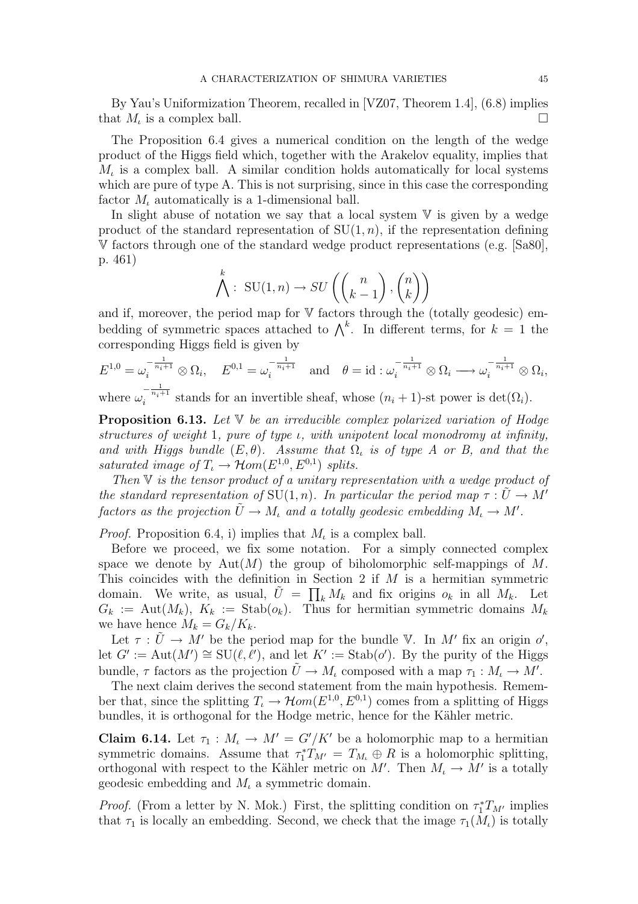By Yau's Uniformization Theorem, recalled in [VZ07, Theorem 1.4], (6.8) implies that  $M_{\iota}$  is a complex ball.

The Proposition 6.4 gives a numerical condition on the length of the wedge product of the Higgs field which, together with the Arakelov equality, implies that  $M_t$  is a complex ball. A similar condition holds automatically for local systems which are pure of type A. This is not surprising, since in this case the corresponding factor  $M_{\iota}$  automatically is a 1-dimensional ball.

In slight abuse of notation we say that a local system  $V$  is given by a wedge product of the standard representation of  $SU(1, n)$ , if the representation defining V factors through one of the standard wedge product representations (e.g. [Sa80], p. 461)

$$
\bigwedge^k : \text{SU}(1,n) \to SU\left(\binom{n}{k-1}, \binom{n}{k}\right)
$$

and if, moreover, the period map for  $V$  factors through the (totally geodesic) emand it, moreover, the period map for v factors through the (totany geodesic) em-<br>bedding of symmetric spaces attached to  $\Lambda^k$ . In different terms, for  $k = 1$  the corresponding Higgs field is given by

$$
E^{1,0} = \omega_i^{-\frac{1}{n_i+1}} \otimes \Omega_i, \quad E^{0,1} = \omega_i^{-\frac{1}{n_i+1}} \quad \text{and} \quad \theta = id : \omega_i^{-\frac{1}{n_i+1}} \otimes \Omega_i \longrightarrow \omega_i^{-\frac{1}{n_i+1}} \otimes \Omega_i,
$$

where  $\omega_i^{-\frac{1}{n_i+1}}$  stands for an invertible sheaf, whose  $(n_i + 1)$ -st power is  $\det(\Omega_i)$ .

**Proposition 6.13.** Let  $V$  be an irreducible complex polarized variation of Hodge structures of weight 1, pure of type ι, with unipotent local monodromy at infinity, and with Higgs bundle  $(E, \theta)$ . Assume that  $\Omega$ , is of type A or B, and that the saturated image of  $T_t \to \mathcal{H}om(E^{1,0}, E^{0,1})$  splits.

Then  $V$  is the tensor product of a unitary representation with a wedge product of the standard representation of SU(1, n). In particular the period map  $\tau : \tilde{U} \to M'$ factors as the projection  $\tilde{U} \to M_{\iota}$  and a totally geodesic embedding  $M_{\iota} \to M'$ .

*Proof.* Proposition 6.4, i) implies that  $M_{\iota}$  is a complex ball.

Before we proceed, we fix some notation. For a simply connected complex space we denote by  $Aut(M)$  the group of biholomorphic self-mappings of M. This coincides with the definition in Section 2 if  $M$  is a hermitian symmetric domain. We write, as usual,  $\tilde{U} = \prod_k M_k$  and fix origins  $o_k$  in all  $M_k$ . Let  $G_k := \text{Aut}(M_k)$ ,  $K_k := \text{Stab}(o_k)$ . Thus for hermitian symmetric domains  $M_k$ we have hence  $M_k = G_k/K_k$ .

Let  $\tau : \tilde{U} \to M'$  be the period map for the bundle V. In M' fix an origin o', let  $G' := \text{Aut}(M') \cong \text{SU}(\ell, \ell')$ , and let  $K' := \text{Stab}(\rho')$ . By the purity of the Higgs bundle,  $\tau$  factors as the projection  $\tilde{U} \to M_t$  composed with a map  $\tau_1 : M_t \to M'.$ 

The next claim derives the second statement from the main hypothesis. Remember that, since the splitting  $T_{\iota} \to \mathcal{H}om(E^{1,0}, E^{0,1})$  comes from a splitting of Higgs bundles, it is orthogonal for the Hodge metric, hence for the Kähler metric.

**Claim 6.14.** Let  $\tau_1 : M_i \to M' = G'/K'$  be a holomorphic map to a hermitian symmetric domains. Assume that  $\tau_1^* T_{M'} = T_{M_l} \oplus R$  is a holomorphic splitting, orthogonal with respect to the Kähler metric on  $M'$ . Then  $M<sub>t</sub> \to M'$  is a totally geodesic embedding and  $M_{\iota}$  a symmetric domain.

*Proof.* (From a letter by N. Mok.) First, the splitting condition on  $\tau_1^*T_{M'}$  implies that  $\tau_1$  is locally an embedding. Second, we check that the image  $\tau_1(M_\iota)$  is totally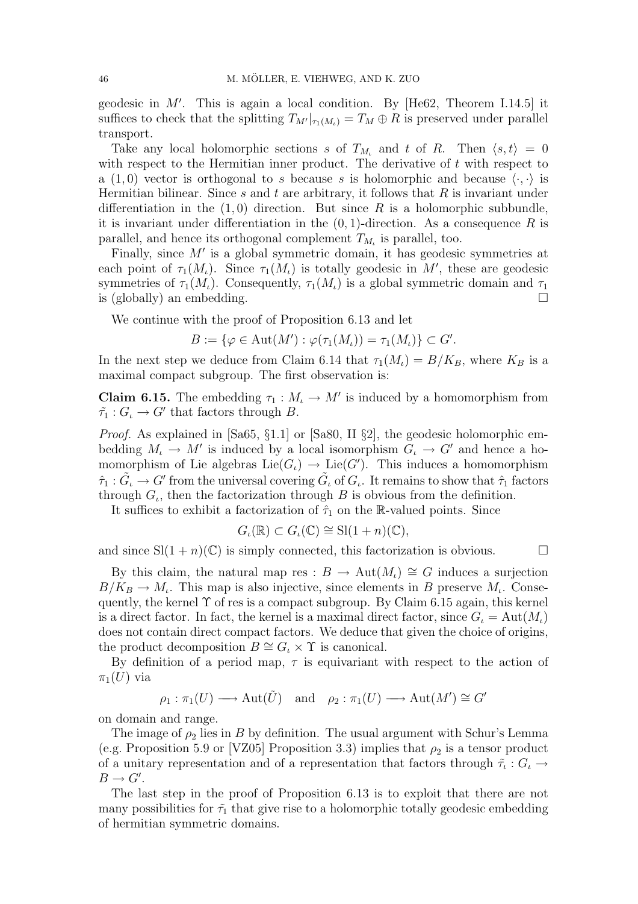geodesic in  $M'$ . This is again a local condition. By [He62, Theorem I.14.5] it suffices to check that the splitting  $T_{M'}|_{\tau_1(M_i)} = T_M \oplus R$  is preserved under parallel transport.

Take any local holomorphic sections s of  $T_{M_t}$  and t of R. Then  $\langle s, t \rangle = 0$ with respect to the Hermitian inner product. The derivative of  $t$  with respect to a (1,0) vector is orthogonal to s because s is holomorphic and because  $\langle \cdot, \cdot \rangle$  is Hermitian bilinear. Since s and t are arbitrary, it follows that  $R$  is invariant under differentiation in the  $(1,0)$  direction. But since R is a holomorphic subbundle, it is invariant under differentiation in the  $(0, 1)$ -direction. As a consequence R is parallel, and hence its orthogonal complement  $T_{M_t}$  is parallel, too.

Finally, since  $M'$  is a global symmetric domain, it has geodesic symmetries at each point of  $\tau_1(M_\iota)$ . Since  $\tau_1(M_\iota)$  is totally geodesic in M', these are geodesic symmetries of  $\tau_1(M_{\iota})$ . Consequently,  $\tau_1(M_{\iota})$  is a global symmetric domain and  $\tau_1$ is (globally) an embedding.  $\square$ 

We continue with the proof of Proposition 6.13 and let

$$
B := \{ \varphi \in \text{Aut}(M') : \varphi(\tau_1(M_\iota)) = \tau_1(M_\iota) \} \subset G'.
$$

In the next step we deduce from Claim 6.14 that  $\tau_1(M_{\iota}) = B/K_B$ , where  $K_B$  is a maximal compact subgroup. The first observation is:

**Claim 6.15.** The embedding  $\tau_1 : M_{\iota} \to M'$  is induced by a homomorphism from  $\tilde{\tau}_1: G_\iota \to G'$  that factors through B.

Proof. As explained in [Sa65, §1.1] or [Sa80, II §2], the geodesic holomorphic embedding  $M_{\iota} \to M'$  is induced by a local isomorphism  $G_{\iota} \to G'$  and hence a homomorphism of Lie algebras  $\text{Lie}(G_{\iota}) \to \text{Lie}(G')$ . This induces a homomorphism  $\hat{\tau}_1 : \tilde{G}_\iota \to G'$  from the universal covering  $\tilde{G}_\iota$  of  $G_\iota$ . It remains to show that  $\hat{\tau}_1$  factors through  $G_{\iota}$ , then the factorization through B is obvious from the definition.

It suffices to exhibit a factorization of  $\hat{\tau}_1$  on the R-valued points. Since

$$
G_{\iota}(\mathbb{R}) \subset G_{\iota}(\mathbb{C}) \cong \mathrm{Sl}(1+n)(\mathbb{C}),
$$

and since  $\text{Sl}(1+n)(\mathbb{C})$  is simply connected, this factorization is obvious.

By this claim, the natural map res :  $B \to \text{Aut}(M_{\iota}) \cong G$  induces a surjection  $B/K_B \to M_i$ . This map is also injective, since elements in B preserve  $M_i$ . Consequently, the kernel  $\Upsilon$  of res is a compact subgroup. By Claim 6.15 again, this kernel is a direct factor. In fact, the kernel is a maximal direct factor, since  $G_{\iota} = \text{Aut}(M_{\iota})$ does not contain direct compact factors. We deduce that given the choice of origins, the product decomposition  $B \cong G_{\iota} \times \Upsilon$  is canonical.

By definition of a period map,  $\tau$  is equivariant with respect to the action of  $\pi_1(U)$  via

$$
\rho_1 : \pi_1(U) \longrightarrow \text{Aut}(\tilde{U}) \text{ and } \rho_2 : \pi_1(U) \longrightarrow \text{Aut}(M') \cong G'
$$

on domain and range.

The image of  $\rho_2$  lies in B by definition. The usual argument with Schur's Lemma (e.g. Proposition 5.9 or [VZ05] Proposition 3.3) implies that  $\rho_2$  is a tensor product of a unitary representation and of a representation that factors through  $\tilde{\tau}_i : G_i \to$  $B \to G'.$ 

The last step in the proof of Proposition 6.13 is to exploit that there are not many possibilities for  $\tilde{\tau}_1$  that give rise to a holomorphic totally geodesic embedding of hermitian symmetric domains.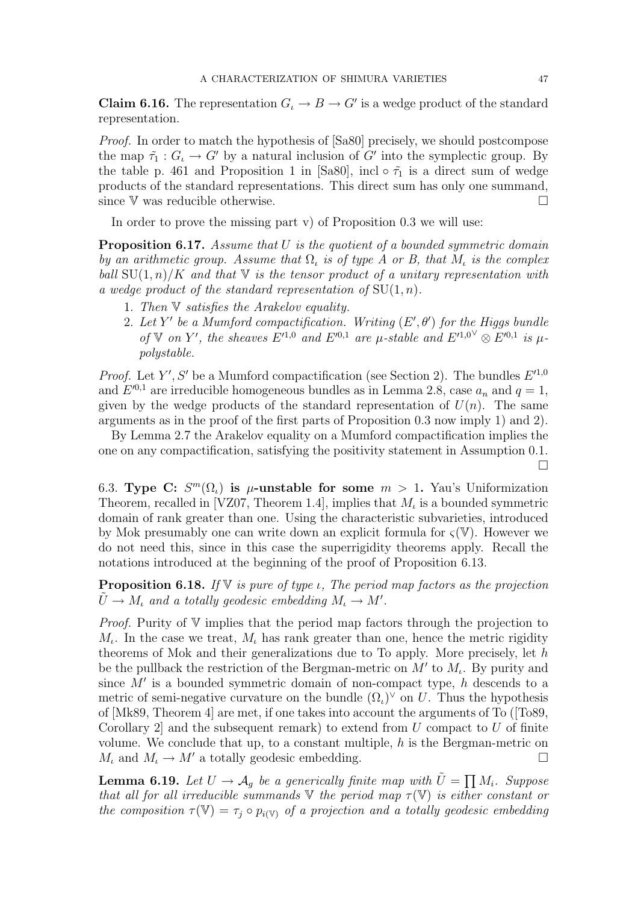**Claim 6.16.** The representation  $G_i \to B \to G'$  is a wedge product of the standard representation.

Proof. In order to match the hypothesis of [Sa80] precisely, we should postcompose the map  $\tilde{\tau}_1 : G_t \to G'$  by a natural inclusion of G' into the symplectic group. By the table p. 461 and Proposition 1 in [Sa80], incl  $\circ \tilde{\tau}_1$  is a direct sum of wedge products of the standard representations. This direct sum has only one summand, since V was reducible otherwise.  $\Box$ 

In order to prove the missing part v) of Proposition 0.3 we will use:

**Proposition 6.17.** Assume that  $U$  is the quotient of a bounded symmetric domain by an arithmetic group. Assume that  $\Omega_{\iota}$  is of type A or B, that  $M_{\iota}$  is the complex ball  $SU(1, n)/K$  and that V is the tensor product of a unitary representation with a wedge product of the standard representation of  $SU(1, n)$ .

- 1. Then V satisfies the Arakelov equality.
- 2. Let Y' be a Mumford compactification. Writing  $(E', \theta')$  for the Higgs bundle of V on Y', the sheaves  $E'^{1,0}$  and  $E'^{0,1}$  are  $\mu$ -stable and  $E'^{1,0}$ <sup> $\otimes$ </sup> $E'^{0,1}$  is  $\mu$ polystable.

*Proof.* Let Y', S' be a Mumford compactification (see Section 2). The bundles  $E'^{1,0}$ and  $E^{0,1}$  are irreducible homogeneous bundles as in Lemma 2.8, case  $a_n$  and  $q=1$ , given by the wedge products of the standard representation of  $U(n)$ . The same arguments as in the proof of the first parts of Proposition 0.3 now imply 1) and 2).

By Lemma 2.7 the Arakelov equality on a Mumford compactification implies the one on any compactification, satisfying the positivity statement in Assumption 0.1.

6.3. Type C:  $S^m(\Omega_i)$  is  $\mu$ -unstable for some  $m > 1$ . Yau's Uniformization Theorem, recalled in [VZ07, Theorem 1.4], implies that  $M_t$  is a bounded symmetric domain of rank greater than one. Using the characteristic subvarieties, introduced by Mok presumably one can write down an explicit formula for  $\zeta(\mathbb{V})$ . However we do not need this, since in this case the superrigidity theorems apply. Recall the notations introduced at the beginning of the proof of Proposition 6.13.

**Proposition 6.18.** If  $V$  is pure of type *ι*, The period map factors as the projection  $\tilde{U} \to M_{\iota}$  and a totally geodesic embedding  $M_{\iota} \to M'$ .

*Proof.* Purity of  $V$  implies that the period map factors through the projection to  $M_{\iota}$ . In the case we treat,  $M_{\iota}$  has rank greater than one, hence the metric rigidity theorems of Mok and their generalizations due to To apply. More precisely, let h be the pullback the restriction of the Bergman-metric on  $M'$  to  $M<sub>t</sub>$ . By purity and since  $M'$  is a bounded symmetric domain of non-compact type, h descends to a metric of semi-negative curvature on the bundle  $(\Omega_{\iota})^{\vee}$  on U. Thus the hypothesis of [Mk89, Theorem 4] are met, if one takes into account the arguments of To ([To89, Corollary 2 and the subsequent remark) to extend from  $U$  compact to  $U$  of finite volume. We conclude that up, to a constant multiple,  $h$  is the Bergman-metric on  $M_{\iota}$  and  $M_{\iota} \to M'$  a totally geodesic embedding.

**Lemma 6.19.** Let  $U \rightarrow A_g$  be a generically finite map with  $\tilde{U} = \prod$ Mi. Suppose that all for all irreducible summands  $\nabla$  the period map  $\tau(\nabla)$  is either constant or the composition  $\tau(\mathbb{V}) = \tau_i \circ p_{i(\mathbb{V})}$  of a projection and a totally geodesic embedding

¤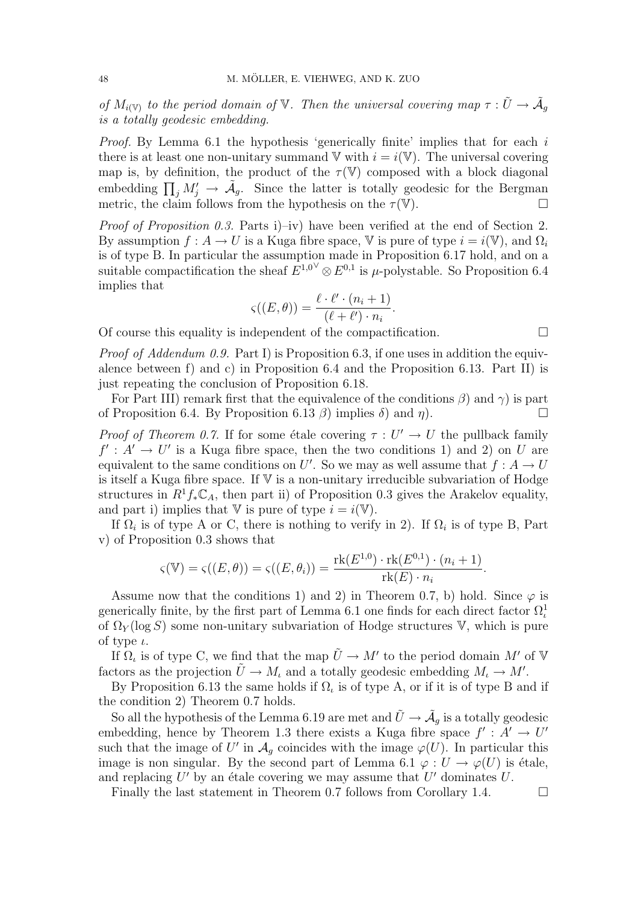of  $M_{i(\mathbb{V})}$  to the period domain of  $\mathbb{V}$ . Then the universal covering map  $\tau : \tilde{U} \to \tilde{A}_g$ is a totally geodesic embedding.

Proof. By Lemma 6.1 the hypothesis 'generically finite' implies that for each i there is at least one non-unitary summand  $V$  with  $i = i(V)$ . The universal covering map is, by definition, the product of the  $\tau(\mathbb{V})$  composed with a block diagonal map is, by definition, the product of the  $\tau(\nu)$  composed with a block diagonal<br>embedding  $\prod_j M'_j \to \tilde{A}_g$ . Since the latter is totally geodesic for the Bergman metric, the claim follows from the hypothesis on the  $\tau(\mathbb{V})$ .

Proof of Proposition 0.3. Parts i)–iv) have been verified at the end of Section 2. By assumption  $f: A \to U$  is a Kuga fibre space, V is pure of type  $i = i(V)$ , and  $\Omega_i$ is of type B. In particular the assumption made in Proposition 6.17 hold, and on a suitable compactification the sheaf  $E^{1,0} \otimes E^{0,1}$  is  $\mu$ -polystable. So Proposition 6.4 implies that

$$
\varsigma((E,\theta)) = \frac{\ell \cdot \ell' \cdot (n_i+1)}{(\ell+\ell') \cdot n_i}.
$$

Of course this equality is independent of the compactification.  $\Box$ 

*Proof of Addendum 0.9.* Part I) is Proposition 6.3, if one uses in addition the equivalence between f) and c) in Proposition 6.4 and the Proposition 6.13. Part II) is just repeating the conclusion of Proposition 6.18.

For Part III) remark first that the equivalence of the conditions  $\beta$ ) and  $\gamma$ ) is part of Proposition 6.4. By Proposition 6.13  $\beta$ ) implies  $\delta$ ) and  $\eta$ ).

*Proof of Theorem 0.7.* If for some étale covering  $\tau : U' \to U$  the pullback family  $f' : A' \to U'$  is a Kuga fibre space, then the two conditions 1) and 2) on U are equivalent to the same conditions on U'. So we may as well assume that  $f: A \to U$ is itself a Kuga fibre space. If  $V$  is a non-unitary irreducible subvariation of Hodge structures in  $R^1f_*\mathbb{C}_A$ , then part ii) of Proposition 0.3 gives the Arakelov equality, and part i) implies that V is pure of type  $i = i(\mathbb{V})$ .

If  $\Omega_i$  is of type A or C, there is nothing to verify in 2). If  $\Omega_i$  is of type B, Part v) of Proposition 0.3 shows that

$$
\varsigma(\mathbb{V}) = \varsigma((E,\theta)) = \varsigma((E,\theta_i)) = \frac{\text{rk}(E^{1,0}) \cdot \text{rk}(E^{0,1}) \cdot (n_i+1)}{\text{rk}(E) \cdot n_i}.
$$

Assume now that the conditions 1) and 2) in Theorem 0.7, b) hold. Since  $\varphi$  is generically finite, by the first part of Lemma 6.1 one finds for each direct factor  $\Omega_t^1$ of  $\Omega_Y(\log S)$  some non-unitary subvariation of Hodge structures V, which is pure of type  $\iota$ .

If  $\Omega$ <sub>*i*</sub> is of type C, we find that the map  $\tilde{U} \to M'$  to the period domain M' of V factors as the projection  $\tilde{U} \to M_l$  and a totally geodesic embedding  $M_l \to M'$ .

By Proposition 6.13 the same holds if  $\Omega_t$  is of type A, or if it is of type B and if the condition 2) Theorem 0.7 holds.

So all the hypothesis of the Lemma 6.19 are met and  $\tilde{U} \to \tilde{\mathcal{A}}_g$  is a totally geodesic embedding, hence by Theorem 1.3 there exists a Kuga fibre space  $f' : A' \to U'$ such that the image of U' in  $\mathcal{A}_g$  coincides with the image  $\varphi(U)$ . In particular this image is non singular. By the second part of Lemma 6.1  $\varphi : U \to \varphi(U)$  is étale, and replacing  $U'$  by an étale covering we may assume that  $U'$  dominates  $U$ .

Finally the last statement in Theorem 0.7 follows from Corollary 1.4.  $\Box$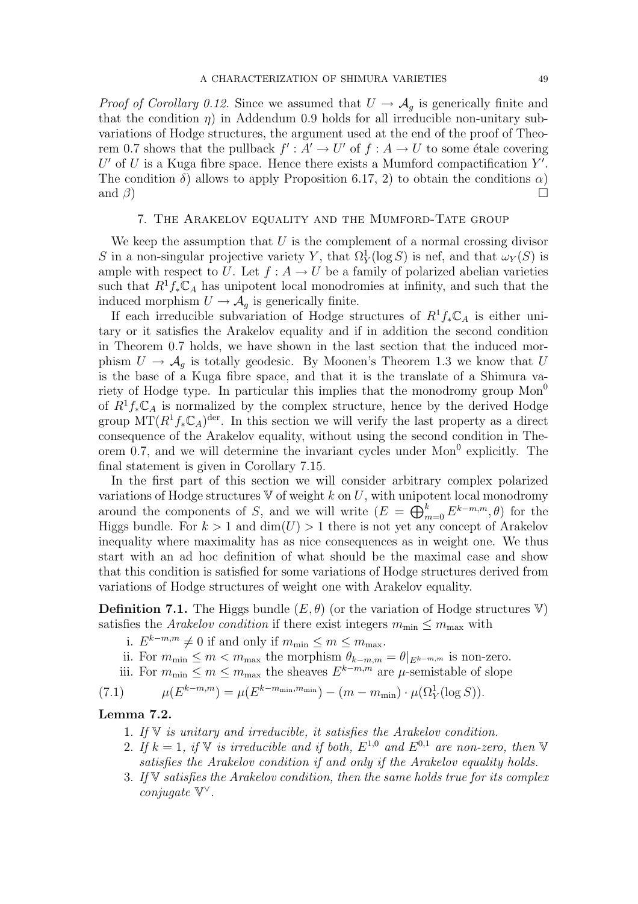*Proof of Corollary 0.12.* Since we assumed that  $U \rightarrow \mathcal{A}_q$  is generically finite and that the condition  $\eta$ ) in Addendum 0.9 holds for all irreducible non-unitary subvariations of Hodge structures, the argument used at the end of the proof of Theorem 0.7 shows that the pullback  $f' : A' \to U'$  of  $f : A \to U$  to some étale covering  $U'$  of U is a Kuga fibre space. Hence there exists a Mumford compactification  $Y'$ . The condition  $\delta$ ) allows to apply Proposition 6.17, 2) to obtain the conditions  $\alpha$ ) and  $\beta$ )  $\Box$ 

#### 7. The Arakelov equality and the Mumford-Tate group

We keep the assumption that  $U$  is the complement of a normal crossing divisor S in a non-singular projective variety Y, that  $\Omega_Y^1(\log S)$  is nef, and that  $\omega_Y(S)$  is ample with respect to U. Let  $f : A \to U$  be a family of polarized abelian varieties such that  $R^1 f_* \mathbb{C}_A$  has unipotent local monodromies at infinity, and such that the induced morphism  $U \rightarrow \mathcal{A}_q$  is generically finite.

If each irreducible subvariation of Hodge structures of  $R^1 f_* \mathbb{C}_A$  is either unitary or it satisfies the Arakelov equality and if in addition the second condition in Theorem 0.7 holds, we have shown in the last section that the induced morphism  $U \to \mathcal{A}_g$  is totally geodesic. By Moonen's Theorem 1.3 we know that U is the base of a Kuga fibre space, and that it is the translate of a Shimura variety of Hodge type. In particular this implies that the monodromy group  $Mon<sup>0</sup>$ of  $R^1f_*\mathbb{C}_A$  is normalized by the complex structure, hence by the derived Hodge group  $MT(R^1f_*\mathbb{C}_A)^{\text{der}}$ . In this section we will verify the last property as a direct consequence of the Arakelov equality, without using the second condition in Theorem 0.7, and we will determine the invariant cycles under  $Mon<sup>0</sup>$  explicitly. The final statement is given in Corollary 7.15.

In the first part of this section we will consider arbitrary complex polarized variations of Hodge structures  $\nabla$  of weight k on U, with unipotent local monodromy variations of Hodge structures  $\vee$  of weight  $\kappa$  on  $\psi$ , with unipor-<br>around the components of S, and we will write  $(E = \bigoplus_{n=1}^{k} E_n)$  $_{m=0}^{k} E^{k-m,m}, \theta)$  for the Higgs bundle. For  $k > 1$  and  $\dim(U) > 1$  there is not yet any concept of Arakelov inequality where maximality has as nice consequences as in weight one. We thus start with an ad hoc definition of what should be the maximal case and show that this condition is satisfied for some variations of Hodge structures derived from variations of Hodge structures of weight one with Arakelov equality.

**Definition 7.1.** The Higgs bundle  $(E, \theta)$  (or the variation of Hodge structures V) satisfies the Arakelov condition if there exist integers  $m_{\text{min}} \leq m_{\text{max}}$  with

- i.  $E^{k-m,m} \neq 0$  if and only if  $m_{\min} \leq m \leq m_{\max}$ .
- ii. For  $m_{\min} \le m < m_{\max}$  the morphism  $\theta_{k-m,m} = \theta|_{E^{k-m,m}}$  is non-zero.
- iii. For  $m_{\min} \leq m \leq m_{\max}$  the sheaves  $E^{k-m,m}$  are  $\mu$ -semistable of slope

(7.1)  $\mu(E^{k-m,m}) = \mu(E^{k-m_{\min},m_{\min}}) - (m - m_{\min}) \cdot \mu(\Omega_Y^1(\log S)).$ 

## Lemma 7.2.

- 1. If  $V$  is unitary and irreducible, it satisfies the Arakelov condition.
- 2. If  $k = 1$ , if  $\mathbb V$  is irreducible and if both,  $E^{1,0}$  and  $E^{0,1}$  are non-zero, then  $\mathbb V$ satisfies the Arakelov condition if and only if the Arakelov equality holds.
- 3. If V satisfies the Arakelov condition, then the same holds true for its complex conjugate V ∨ .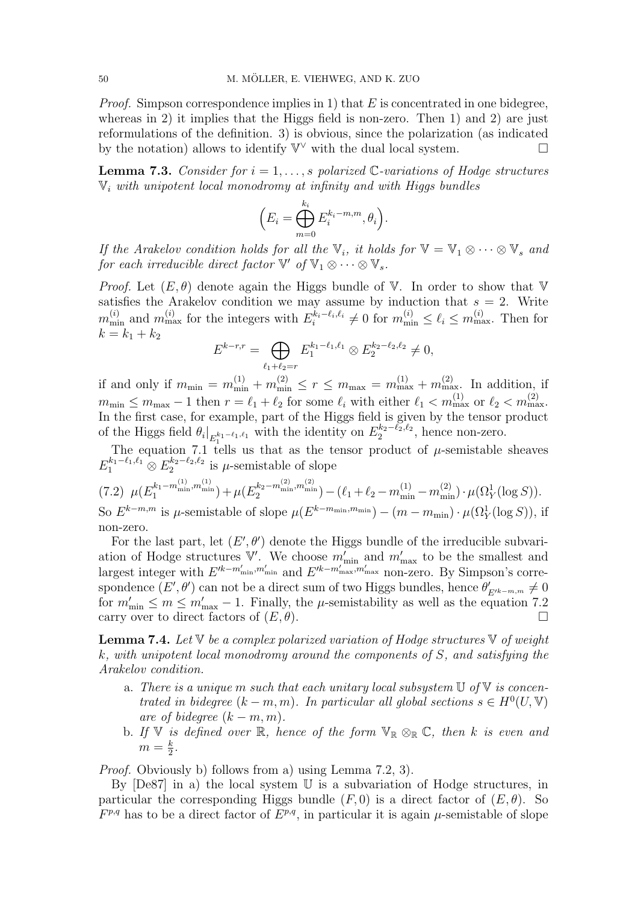*Proof.* Simpson correspondence implies in 1) that E is concentrated in one bidegree, whereas in 2) it implies that the Higgs field is non-zero. Then 1) and 2) are just reformulations of the definition. 3) is obvious, since the polarization (as indicated by the notation) allows to identify  $\mathbb{V}^{\vee}$  with the dual local system.  $\Box$ 

**Lemma 7.3.** Consider for  $i = 1, \ldots, s$  polarized C-variations of Hodge structures  $\mathbb{V}_i$  with unipotent local monodromy at infinity and with Higgs bundles

$$
\Big(E_i=\bigoplus_{m=0}^{k_i} E_i^{k_i-m,m}, \theta_i\Big).
$$

If the Arakelov condition holds for all the  $\mathbb{V}_i$ , it holds for  $\mathbb{V} = \mathbb{V}_1 \otimes \cdots \otimes \mathbb{V}_s$  and for each irreducible direct factor  $\mathbb{V}'$  of  $\mathbb{V}_1 \otimes \cdots \otimes \mathbb{V}_s$ .

*Proof.* Let  $(E, \theta)$  denote again the Higgs bundle of V. In order to show that V satisfies the Arakelov condition we may assume by induction that  $s = 2$ . Write  $m_{\min}^{(i)}$  and  $m_{\max}^{(i)}$  for the integers with  $E_i^{k_i-\ell_i,\ell_i} \neq 0$  for  $m_{\min}^{(i)} \leq \ell_i \leq m_{\max}^{(i)}$ . Then for  $k = k_1 + k_2$  $\overline{a}$ 

$$
E^{k-r,r} = \bigoplus_{\ell_1+\ell_2=r} E_1^{k_1-\ell_1,\ell_1} \otimes E_2^{k_2-\ell_2,\ell_2} \neq 0,
$$

if and only if  $m_{\min} = m_{\min}^{(1)} + m_{\min}^{(2)} \le r \le m_{\max} = m_{\max}^{(1)} + m_{\max}^{(2)}$ . In addition, if  $m_{\min} \le m_{\max} - 1$  then  $r = \ell_1 + \ell_2$  for some  $\ell_i$  with either  $\ell_1 < m_{\max}^{(1)}$  or  $\ell_2 < m_{\max}^{(2)}$ . In the first case, for example, part of the Higgs field is given by the tensor product of the Higgs field  $\theta_i|_{E_1^{k_1-\ell_1,\ell_1}}$  with the identity on  $E_2^{k_2-\ell_2,\ell_2}$ , hence non-zero.

The equation 7.1 tells us that as the tensor product of  $\mu$ -semistable sheaves  $E_1^{k_1-\ell_1,\ell_1} \otimes E_2^{k_2-\ell_2,\ell_2}$  is  $\mu$ -semistable of slope

$$
(7.2)\ \mu(E_1^{k_1-m_{\min}^{(1)},m_{\min}^{(1)}})+\mu(E_2^{k_2-m_{\min}^{(2)},m_{\min}^{(2)}})-(\ell_1+\ell_2-m_{\min}^{(1)}-m_{\min}^{(2)})\cdot\mu(\Omega_Y^1(\log S)).
$$

So  $E^{k-m,m}$  is  $\mu$ -semistable of slope  $\mu(E^{k-m_{\min},m_{\min}}) - (m-m_{\min}) \cdot \mu(\Omega_Y^1(\log S))$ , if non-zero.

For the last part, let  $(E', \theta')$  denote the Higgs bundle of the irreducible subvariation of Hodge structures  $\mathbb{V}'$ . We choose  $m'_{\min}$  and  $m'_{\max}$  to be the smallest and largest integer with  $E'^{k-m'_{\min},m'_{\min}}$  and  $E'^{k-m'_{\max},m'_{\max}}$  non-zero. By Simpson's correspondence  $(E', \theta')$  can not be a direct sum of two Higgs bundles, hence  $\theta'_{E'^{k-m,m}} \neq 0$ for  $m'_{\text{min}} \le m \le m'_{\text{max}} - 1$ . Finally, the  $\mu$ -semistability as well as the equation 7.2 carry over to direct factors of  $(E, \theta)$ .

**Lemma 7.4.** Let  $\nabla$  be a complex polarized variation of Hodge structures  $\nabla$  of weight k, with unipotent local monodromy around the components of S, and satisfying the Arakelov condition.

- a. There is a unique m such that each unitary local subsystem  $\mathbb U$  of  $\mathbb V$  is concentrated in bidegree  $(k - m, m)$ . In particular all global sections  $s \in H^0(U, V)$ are of bidegree  $(k - m, m)$ .
- b. If V is defined over R, hence of the form  $\mathbb{V}_\mathbb{R} \otimes_\mathbb{R} \mathbb{C}$ , then k is even and  $m=\frac{k}{2}$  $\frac{k}{2}$ .

Proof. Obviously b) follows from a) using Lemma 7.2, 3).

By [De87] in a) the local system U is a subvariation of Hodge structures, in particular the corresponding Higgs bundle  $(F, 0)$  is a direct factor of  $(E, \theta)$ . So  $F^{p,q}$  has to be a direct factor of  $E^{p,q}$ , in particular it is again  $\mu$ -semistable of slope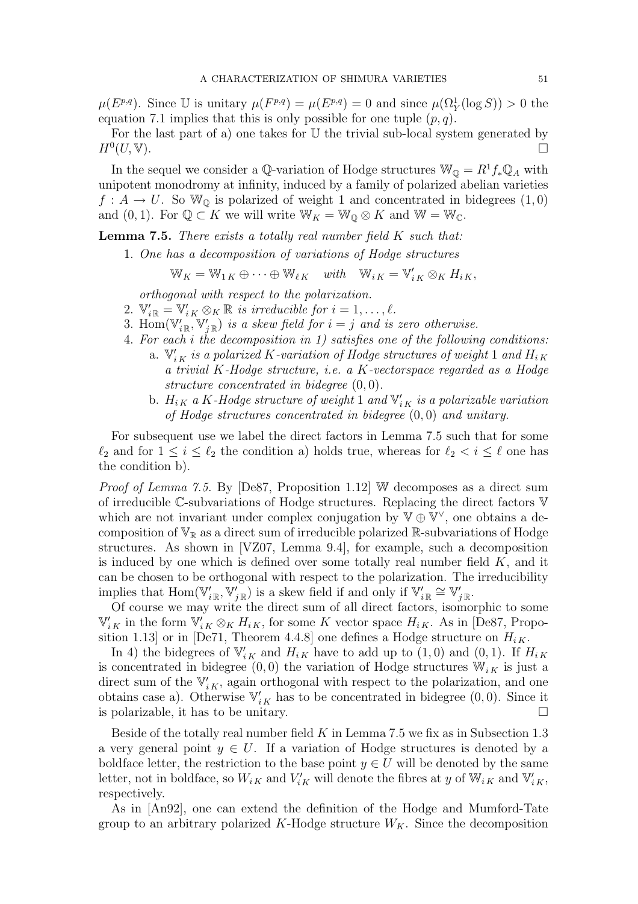$\mu(E^{p,q})$ . Since U is unitary  $\mu(F^{p,q}) = \mu(E^{p,q}) = 0$  and since  $\mu(\Omega_Y^1(\log S)) > 0$  the equation 7.1 implies that this is only possible for one tuple  $(p, q)$ .

For the last part of a) one takes for  $U$  the trivial sub-local system generated by  $H^0(U, V)$ .  $(U, V).$ 

In the sequel we consider a Q-variation of Hodge structures  $\mathbb{W}_{\mathbb{Q}} = R^1 f_* \mathbb{Q}_A$  with unipotent monodromy at infinity, induced by a family of polarized abelian varieties  $f: A \to U$ . So  $\mathbb{W}_{\mathbb{Q}}$  is polarized of weight 1 and concentrated in bidegrees  $(1,0)$ and  $(0, 1)$ . For  $\mathbb{Q} \subset K$  we will write  $\mathbb{W}_K = \mathbb{W}_{\mathbb{Q}} \otimes K$  and  $\mathbb{W} = \mathbb{W}_{\mathbb{C}}$ .

**Lemma 7.5.** There exists a totally real number field  $K$  such that:

1. One has a decomposition of variations of Hodge structures

$$
\mathbb{W}_K = \mathbb{W}_{1K} \oplus \cdots \oplus \mathbb{W}_{\ell K} \quad with \quad \mathbb{W}_{iK} = \mathbb{V}'_{iK} \otimes_K H_{iK},
$$

orthogonal with respect to the polarization.

- 2.  $\mathbb{V}'_{i\mathbb{R}} = \mathbb{V}'_{iK} \otimes_K \mathbb{R}$  is irreducible for  $i = 1, \ldots, \ell$ .
- 3. Hom $(\mathbb{V}'_{i\mathbb{R}}, \mathbb{V}'_{j\mathbb{R}})$  is a skew field for  $i = j$  and is zero otherwise.
- 4. For each i the decomposition in 1) satisfies one of the following conditions: a.  $\mathbb{V}'_{i\,K}$  is a polarized K-variation of Hodge structures of weight 1 and  $H_{i\,K}$ a trivial K-Hodge structure, i.e. a K-vectorspace regarded as a Hodge structure concentrated in bidegree (0, 0).
	- b.  $H_{iK}$  a K-Hodge structure of weight 1 and  $V'_{iK}$  is a polarizable variation of Hodge structures concentrated in bidegree (0, 0) and unitary.

For subsequent use we label the direct factors in Lemma 7.5 such that for some  $\ell_2$  and for  $1 \leq i \leq \ell_2$  the condition a) holds true, whereas for  $\ell_2 < i \leq \ell$  one has the condition b).

Proof of Lemma 7.5. By [De87, Proposition 1.12] W decomposes as a direct sum of irreducible C-subvariations of Hodge structures. Replacing the direct factors V which are not invariant under complex conjugation by  $\nabla \oplus \nabla^{\vee}$ , one obtains a decomposition of  $\mathbb{V}_\mathbb{R}$  as a direct sum of irreducible polarized  $\mathbb{R}$ -subvariations of Hodge structures. As shown in [VZ07, Lemma 9.4], for example, such a decomposition is induced by one which is defined over some totally real number field  $K$ , and it can be chosen to be orthogonal with respect to the polarization. The irreducibility implies that  $\text{Hom}(\mathbb{V}'_{i\mathbb{R}}, \mathbb{V}'_{j\mathbb{R}})$  is a skew field if and only if  $\mathbb{V}'_{i\mathbb{R}} \cong \mathbb{V}'_{j\mathbb{R}}$ .

Of course we may write the direct sum of all direct factors, isomorphic to some  $\mathbb{V}'_{i K}$  in the form  $\mathbb{V}'_{i K} \otimes_K H_{i K}$ , for some K vector space  $H_{i K}$ . As in [De87, Proposition 1.13] or in [De71, Theorem 4.4.8] one defines a Hodge structure on  $H_{i,K}$ .

In 4) the bidegrees of  $\mathbb{V}'_{i,K}$  and  $H_{i,K}$  have to add up to  $(1,0)$  and  $(0,1)$ . If  $H_{i,K}$ is concentrated in bidegree (0,0) the variation of Hodge structures  $\mathbb{W}_{i,K}$  is just a direct sum of the  $V'_{i,K}$ , again orthogonal with respect to the polarization, and one obtains case a). Otherwise  $\mathbb{V}'_{i,K}$  has to be concentrated in bidegree  $(0,0)$ . Since it is polarizable, it has to be unitary.  $\Box$ 

Beside of the totally real number field  $K$  in Lemma 7.5 we fix as in Subsection 1.3 a very general point  $y \in U$ . If a variation of Hodge structures is denoted by a boldface letter, the restriction to the base point  $y \in U$  will be denoted by the same letter, not in boldface, so  $W_{iK}$  and  $V'_{iK}$  will denote the fibres at y of  $\mathbb{W}_{iK}$  and  $\mathbb{V}'_{iK}$ , respectively.

As in [An92], one can extend the definition of the Hodge and Mumford-Tate group to an arbitrary polarized K-Hodge structure  $W_K$ . Since the decomposition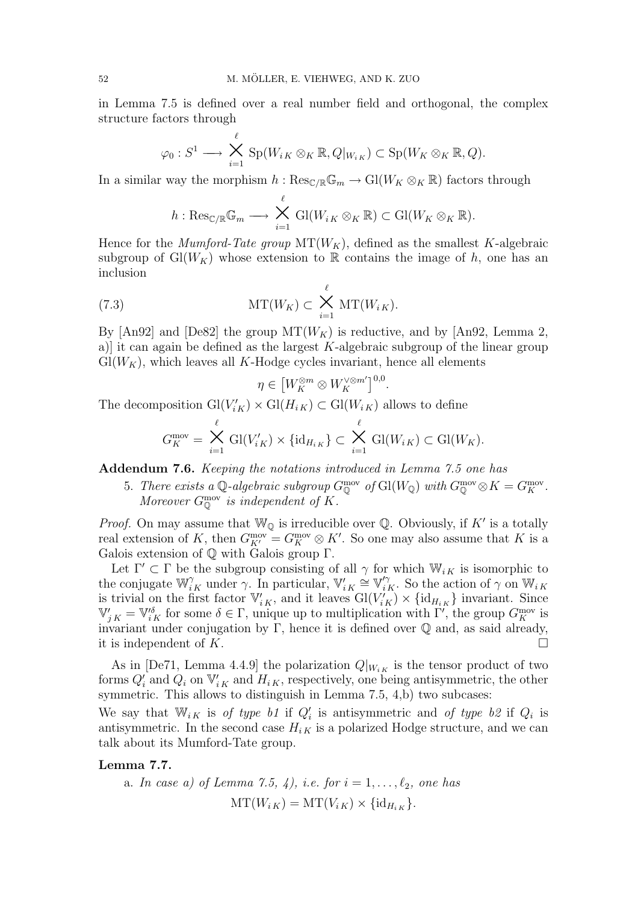in Lemma 7.5 is defined over a real number field and orthogonal, the complex structure factors through

$$
\varphi_0: S^1 \longrightarrow \bigtimes_{i=1}^{\ell} \text{Sp}(W_{iK} \otimes_K \mathbb{R}, Q|_{W_{iK}}) \subset \text{Sp}(W_K \otimes_K \mathbb{R}, Q).
$$

In a similar way the morphism  $h : \text{Res}_{\mathbb{C}/\mathbb{R}}\mathbb{G}_m \to Gl(W_K \otimes_K \mathbb{R})$  factors through

$$
h: \mathrm{Res}_{\mathbb{C}/\mathbb{R}}\mathbb{G}_m \longrightarrow \bigtimes_{i=1}^{\ell} \mathrm{Gl}(W_{i,K} \otimes_K \mathbb{R}) \subset \mathrm{Gl}(W_K \otimes_K \mathbb{R}).
$$

Hence for the *Mumford-Tate group*  $MT(W_K)$ , defined as the smallest K-algebraic subgroup of  $Gl(W_K)$  whose extension to R contains the image of h, one has an inclusion

(7.3) 
$$
\mathrm{MT}(W_K) \subset \bigtimes_{i=1}^{\ell} \mathrm{MT}(W_{i\,K}).
$$

By [An92] and [De82] the group  $MT(W_K)$  is reductive, and by [An92, Lemma 2, a)] it can again be defined as the largest  $K$ -algebraic subgroup of the linear group  $Gl(W_K)$ , which leaves all K-Hodge cycles invariant, hence all elements

$$
\eta \in \left[W_K^{\otimes m} \otimes W_K^{\vee \otimes m'}\right]^{0,0}.
$$

The decomposition  $\mathrm{Gl}(V'_{iK}) \times \mathrm{Gl}(H_{iK}) \subset \mathrm{Gl}(W_{iK})$  allows to define

$$
G_K^{\text{mov}} = \bigtimes_{i=1}^{\ell} \text{Gl}(V'_{iK}) \times \{\text{id}_{H_{iK}}\} \subset \bigtimes_{i=1}^{\ell} \text{Gl}(W_{iK}) \subset \text{Gl}(W_K).
$$

Addendum 7.6. Keeping the notations introduced in Lemma 7.5 one has

5. There exists a Q-algebraic subgroup  $G_{\mathbb{Q}}^{\text{mov}}$  of  $\text{Gl}(W_{\mathbb{Q}})$  with  $G_{\mathbb{Q}}^{\text{mov}} \otimes K = G_K^{\text{mov}}$ . Moreover  $G_{\mathbb{Q}}^{\text{mov}}$  is independent of K.

*Proof.* On may assume that  $\mathbb{W}_{\mathbb{Q}}$  is irreducible over  $\mathbb{Q}$ . Obviously, if K' is a totally real extension of K, then  $G_{K'}^{\text{mov}} = G_K^{\text{mov}} \otimes K'$ . So one may also assume that K is a Galois extension of Q with Galois group Γ.

Let  $\Gamma' \subset \Gamma$  be the subgroup consisting of all  $\gamma$  for which  $\mathbb{W}_{i,K}$  is isomorphic to the conjugate  $\mathbb{W}_{i,K}^{\gamma}$  under  $\gamma$ . In particular,  $\mathbb{V}_{i,K}' \cong \mathbb{V}_{i,K}'^{\gamma}$ . So the action of  $\gamma$  on  $\mathbb{W}_{i,K}$ is trivial on the first factor  $\mathbb{V}'_{i,K}$ , and it leaves  $Gl(V'_{iK}) \times \{id_{H_{iK}}\}\$  invariant. Since  $\mathbb{V}'_{j,K} = \mathbb{V}^{\delta}_{i,K}$  for some  $\delta \in \Gamma$ , unique up to multiplication with  $\Gamma'$ , the group  $G_K^{\text{mov}}$  is invariant under conjugation by Γ, hence it is defined over  $\mathbb Q$  and, as said already, it is independent of K.  $\Box$ 

As in [De71, Lemma 4.4.9] the polarization  $Q|_{W_{i,K}}$  is the tensor product of two forms  $Q_i'$  and  $Q_i$  on  $\mathbb{V}_{i,K}'$  and  $H_{i,K}$ , respectively, one being antisymmetric, the other symmetric. This allows to distinguish in Lemma 7.5, 4,b) two subcases:

We say that  $\mathbb{W}_{i,K}$  is of type b1 if  $Q_i'$  is antisymmetric and of type b2 if  $Q_i$  is antisymmetric. In the second case  $H_{i,K}$  is a polarized Hodge structure, and we can talk about its Mumford-Tate group.

## Lemma 7.7.

a. In case a) of Lemma 7.5, 4), i.e. for 
$$
i = 1, ..., \ell_2
$$
, one has  
\n
$$
\mathrm{MT}(W_{iK}) = \mathrm{MT}(V_{iK}) \times \{\mathrm{id}_{H_{iK}}\}.
$$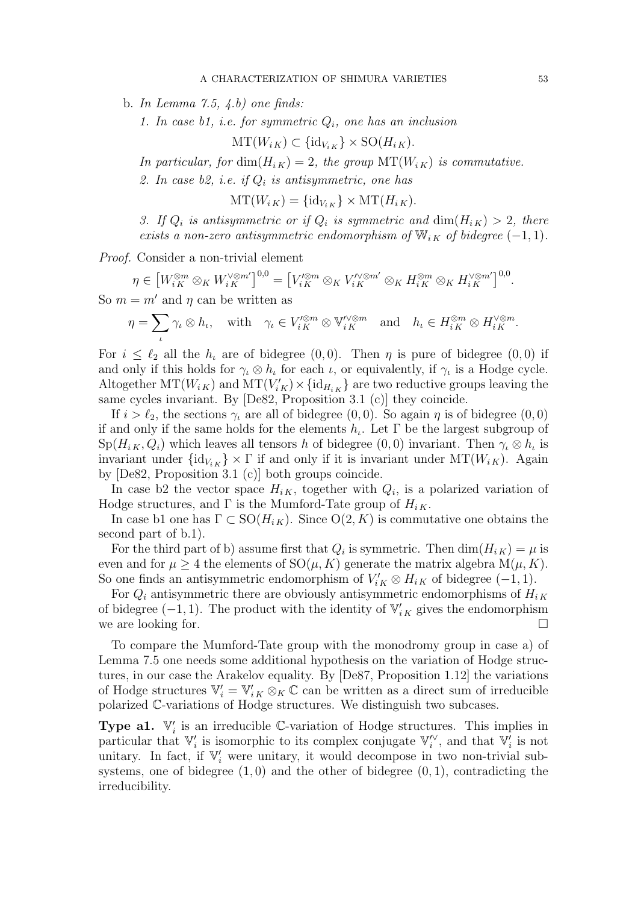b. In Lemma 7.5,  $(4.b)$  one finds:

1. In case  $b1$ , i.e. for symmetric  $Q_i$ , one has an inclusion

 $MT(W_{i K}) \subset {\text{id}_{V_{i K}}} \times {\text{SO}}(H_{i K}).$ 

In particular, for  $\dim(H_{i,K}) = 2$ , the group  $\text{MT}(W_{i,K})$  is commutative.

2. In case b2, i.e. if  $Q_i$  is antisymmetric, one has

 $MT(W_{i K}) = {\text{id}_{V_{i K}}} \times MT(H_{i K}).$ 

3. If  $Q_i$  is antisymmetric or if  $Q_i$  is symmetric and  $\dim(H_{iK}) > 2$ , there exists a non-zero antisymmetric endomorphism of  $\mathbb{W}_{i,K}$  of bidegree  $(-1,1)$ .

Proof. Consider a non-trivial element

 $\eta \in$  $\left[W_{i\,K}^{\otimes m}\otimes_{K}W_{i\,K}^{\vee\otimes m^{\prime}}\right]^{0,0}=$ £  $V^{\prime\otimes m}_{i\,K}\otimes_K V^{\prime\vee\otimes m'}_{i\,K}\otimes_K H^{\otimes m}_{i\,K}\otimes_K H^{\vee\otimes m'}_{i\,K}]^{0,0}.$ 

So  $m = m'$  and  $\eta$  can be written as  $\overline{\phantom{a}}$ 

$$
\eta = \sum_{\iota} \gamma_{\iota} \otimes h_{\iota}, \quad \text{with} \quad \gamma_{\iota} \in V_{iK}^{\prime \otimes m} \otimes \mathbb{V}_{iK}^{\prime \otimes m} \quad \text{and} \quad h_{\iota} \in H_{iK}^{\otimes m} \otimes H_{iK}^{\prime \otimes m}.
$$

For  $i \leq \ell_2$  all the  $h_i$  are of bidegree  $(0, 0)$ . Then  $\eta$  is pure of bidegree  $(0, 0)$  if and only if this holds for  $\gamma_i \otimes h_i$  for each  $\iota$ , or equivalently, if  $\gamma_i$  is a Hodge cycle. Altogether  $MT(W_{i,K})$  and  $MT(V'_{iK}) \times \{\text{id}_{H_{i,K}}\}$  are two reductive groups leaving the same cycles invariant. By [De82, Proposition 3.1 (c)] they coincide.

If  $i > \ell_2$ , the sections  $\gamma_i$  are all of bidegree  $(0, 0)$ . So again  $\eta$  is of bidegree  $(0, 0)$ if and only if the same holds for the elements  $h_t$ . Let  $\Gamma$  be the largest subgroup of  $Sp(H_{iK}, Q_i)$  which leaves all tensors h of bidegree  $(0,0)$  invariant. Then  $\gamma_i \otimes h_i$  is invariant under  $\{id_{V_{i,K}}\}\times \Gamma$  if and only if it is invariant under  $MT(W_{i,K})$ . Again by [De82, Proposition 3.1 (c)] both groups coincide.

In case b2 the vector space  $H_{i,K}$ , together with  $Q_i$ , is a polarized variation of Hodge structures, and  $\Gamma$  is the Mumford-Tate group of  $H_{i,K}$ .

In case b1 one has  $\Gamma \subset SO(H_{iK})$ . Since  $O(2, K)$  is commutative one obtains the second part of b.1).

For the third part of b) assume first that  $Q_i$  is symmetric. Then  $\dim(H_{iK}) = \mu$  is even and for  $\mu \geq 4$  the elements of  $SO(\mu, K)$  generate the matrix algebra  $M(\mu, K)$ . So one finds an antisymmetric endomorphism of  $V'_{iK} \otimes H_{iK}$  of bidegree (-1, 1).

For  $Q_i$  antisymmetric there are obviously antisymmetric endomorphisms of  $H_{i,K}$ of bidegree  $(-1, 1)$ . The product with the identity of  $\mathbb{V}'_{i,K}$  gives the endomorphism we are looking for.  $\Box$ 

To compare the Mumford-Tate group with the monodromy group in case a) of Lemma 7.5 one needs some additional hypothesis on the variation of Hodge structures, in our case the Arakelov equality. By [De87, Proposition 1.12] the variations of Hodge structures  $\mathbb{V}'_i = \mathbb{V}'_{i,K} \otimes_K \mathbb{C}$  can be written as a direct sum of irreducible polarized C-variations of Hodge structures. We distinguish two subcases.

**Type a1.**  $\mathbb{V}'_i$  is an irreducible C-variation of Hodge structures. This implies in particular that  $\mathbb{V}'_i$  is isomorphic to its complex conjugate  $\mathbb{V}''_i$ , and that  $\mathbb{V}'_i$  is not unitary. In fact, if  $\mathbb{V}'_i$  were unitary, it would decompose in two non-trivial subsystems, one of bidegree  $(1, 0)$  and the other of bidegree  $(0, 1)$ , contradicting the irreducibility.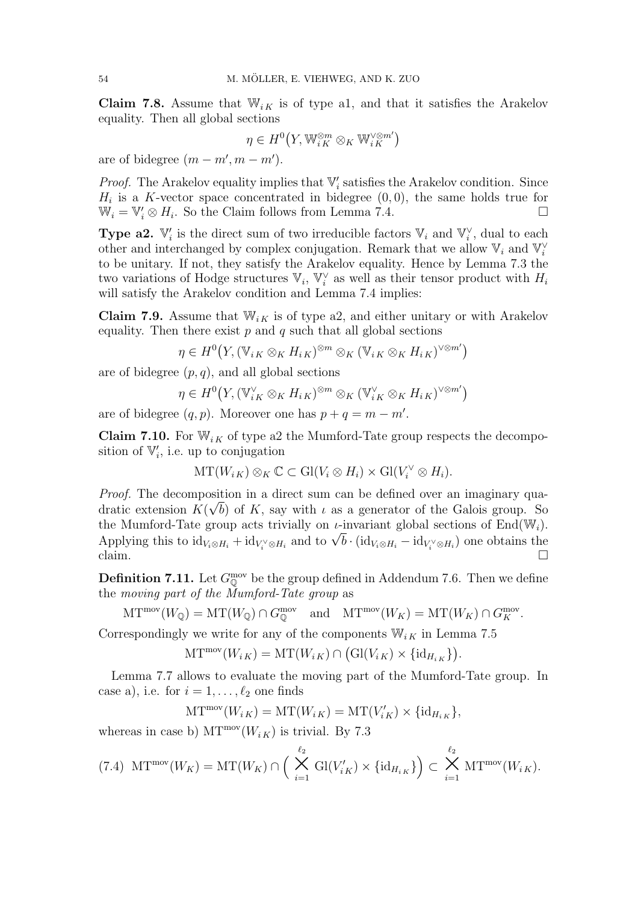**Claim 7.8.** Assume that  $\mathbb{W}_{i,K}$  is of type a1, and that it satisfies the Arakelov equality. Then all global sections

$$
\eta \in H^0\big(Y,{\mathbb W}_{i\,K}^{\otimes m} \otimes_K{\mathbb W}_{i\,K}^{\vee \otimes m'}\big)
$$

are of bidegree  $(m - m', m - m')$ .

*Proof.* The Arakelov equality implies that  $V_i$  satisfies the Arakelov condition. Since  $H_i$  is a K-vector space concentrated in bidegree  $(0,0)$ , the same holds true for  $\mathbb{W}_i = \mathbb{V}'_i \otimes H_i$ . So the Claim follows from Lemma 7.4.

**Type a2.**  $\mathbb{V}'_i$  is the direct sum of two irreducible factors  $\mathbb{V}_i$  and  $\mathbb{V}^{\vee}_i$ , dual to each other and interchanged by complex conjugation. Remark that we allow  $\mathbb{V}_i$  and  $\mathbb{V}_i^{\vee}$ to be unitary. If not, they satisfy the Arakelov equality. Hence by Lemma 7.3 the two variations of Hodge structures  $\mathbb{V}_i$ ,  $\mathbb{V}_i^{\vee}$  as well as their tensor product with  $H_i$ will satisfy the Arakelov condition and Lemma 7.4 implies:

**Claim 7.9.** Assume that  $W_{i,K}$  is of type a2, and either unitary or with Arakelov equality. Then there exist  $p$  and  $q$  such that all global sections

$$
\eta \in H^0(Y, (\mathbb{V}_{iK} \otimes_K H_{iK})^{\otimes m} \otimes_K (\mathbb{V}_{iK} \otimes_K H_{iK})^{\vee \otimes m'})
$$

are of bidegree  $(p, q)$ , and all global sections

$$
\eta \in H^0(Y, (\mathbb{V}_{iK}^{\vee} \otimes_K H_{iK})^{\otimes m} \otimes_K (\mathbb{V}_{iK}^{\vee} \otimes_K H_{iK})^{\vee \otimes m'})
$$

are of bidegree  $(q, p)$ . Moreover one has  $p + q = m - m'$ .

**Claim 7.10.** For  $\mathbb{W}_{i,K}$  of type a2 the Mumford-Tate group respects the decomposition of  $\mathbb{V}'_i$ , i.e. up to conjugation

$$
\mathrm{MT}(W_{i K}) \otimes_K \mathbb{C} \subset \mathrm{Gl}(V_i \otimes H_i) \times \mathrm{Gl}(V_i^{\vee} \otimes H_i).
$$

*Proof.* The decomposition in a direct sum can be defined over an imaginary quadratic extension  $K(\sqrt{b})$  of K, say with  $\iota$  as a generator of the Galois group. So the Mumford-Tate group acts trivially on  $\iota$ -invariant global sections of End(W<sub>i</sub>). the Mumford-Tate group acts trivially on *t*-invariant global sections of End( $w_i$ ).<br>Applying this to  $id_{V_i \otimes H_i} + id_{V_i^{\vee} \otimes H_i}$  and to  $\sqrt{b} \cdot (id_{V_i \otimes H_i} - id_{V_i^{\vee} \otimes H_i})$  one obtains the claim.  $\Box$ 

**Definition 7.11.** Let  $G_{\mathbb{Q}}^{\text{mov}}$  be the group defined in Addendum 7.6. Then we define the moving part of the Mumford-Tate group as

$$
\mathrm{MT}^{\mathrm{mov}}(W_{\mathbb{Q}}) = \mathrm{MT}(W_{\mathbb{Q}}) \cap G_{\mathbb{Q}}^{\mathrm{mov}} \quad \text{and} \quad \mathrm{MT}^{\mathrm{mov}}(W_K) = \mathrm{MT}(W_K) \cap G_K^{\mathrm{mov}}.
$$

Correspondingly we write for any of the components  $\mathbb{W}_{i,K}$  in Lemma 7.5  $\mu_{\text{max}}$   $\mu_{\text{max}}$   $\mu_{\text{max}}$ 

$$
\mathrm{MT}^{\mathrm{mov}}(W_{iK}) = \mathrm{MT}(W_{iK}) \cap \big(\mathrm{Gl}(V_{iK}) \times \{\mathrm{id}_{H_{iK}}\}\big).
$$

Lemma 7.7 allows to evaluate the moving part of the Mumford-Tate group. In case a), i.e. for  $i = 1, \ldots, \ell_2$  one finds

$$
\mathrm{MT}^{\mathrm{mov}}(W_{i\,K}) = \mathrm{MT}(W_{i\,K}) = \mathrm{MT}(V'_{i\,K}) \times \{\mathrm{id}_{H_{i\,K}}\},
$$

whereas in case b)  $MT^{mov}(W_{i K})$  is trivial. By 7.3

$$
(7.4)\ \mathrm{MT}^{\mathrm{mov}}(W_K)=\mathrm{MT}(W_K)\cap\Big(\bigtimes_{i=1}^{\ell_2}\mathrm{Gl}(V'_{iK})\times\{\mathrm{id}_{H_{iK}}\}\Big)\subset\bigtimes_{i=1}^{\ell_2}\mathrm{MT}^{\mathrm{mov}}(W_{iK}).
$$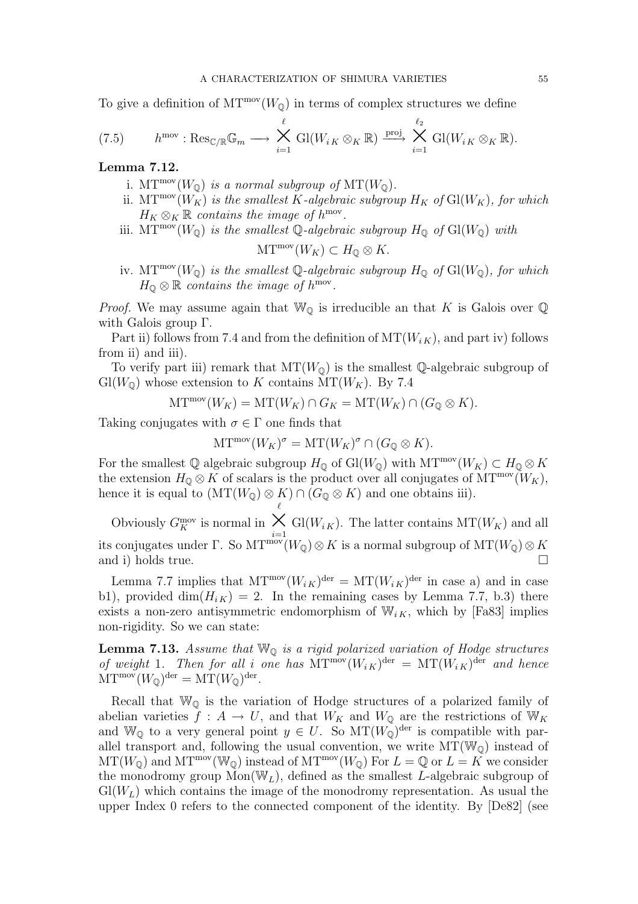To give a definition of  $MT^{mov}(W_{\mathbb{Q}})$  in terms of complex structures we define

(7.5) 
$$
h^{\text{mov}}: \text{Res}_{\mathbb{C}/\mathbb{R}}\mathbb{G}_m \longrightarrow \bigtimes_{i=1}^{\ell} \text{Gl}(W_{iK} \otimes_K \mathbb{R}) \stackrel{\text{proj}}{\longrightarrow} \bigtimes_{i=1}^{\ell_2} \text{Gl}(W_{iK} \otimes_K \mathbb{R}).
$$

Lemma 7.12.

- i.  $\mathrm{MT}^{\text{mov}}(W_{\mathbb{Q}})$  is a normal subgroup of  $\mathrm{MT}(W_{\mathbb{Q}})$ .
- ii. MT<sup>mov</sup>( $W_K$ ) is the smallest K-algebraic subgroup  $H_K$  of  $Gl(W_K)$ , for which  $H_K \otimes_K \mathbb{R}$  contains the image of  $h^{\text{mov}}$ .
- iii. MT<sup>mov</sup>( $W_{\mathbb{Q}}$ ) is the smallest  $\mathbb{Q}$ -algebraic subgroup  $H_{\mathbb{Q}}$  of  $Gl(W_{\mathbb{Q}})$  with

$$
\mathrm{MT}^{\mathrm{mov}}(W_K) \subset H_{\mathbb{Q}} \otimes K.
$$

iv. MT<sup>mov</sup>( $W_{\mathbb{Q}}$ ) is the smallest  $\mathbb{Q}$ -algebraic subgroup  $H_{\mathbb{Q}}$  of  $Gl(W_{\mathbb{Q}})$ , for which  $H_{\mathbb{Q}} \otimes \mathbb{R}$  contains the image of  $h^{\text{mov}}$ .

*Proof.* We may assume again that  $W_0$  is irreducible an that K is Galois over  $\mathbb Q$ with Galois group Γ.

Part ii) follows from 7.4 and from the definition of  $MT(W_{i,K})$ , and part iv) follows from ii) and iii).

To verify part iii) remark that  $MT(W_{\mathbb{Q}})$  is the smallest Q-algebraic subgroup of  $Gl(W_0)$  whose extension to K contains  $MT(W_K)$ . By 7.4

$$
\mathrm{MT}^{\mathrm{mov}}(W_K) = \mathrm{MT}(W_K) \cap G_K = \mathrm{MT}(W_K) \cap (G_{\mathbb{Q}} \otimes K).
$$

Taking conjugates with  $\sigma \in \Gamma$  one finds that

$$
\mathrm{MT}^{\mathrm{mov}}(W_K)^{\sigma} = \mathrm{MT}(W_K)^{\sigma} \cap (G_{\mathbb{Q}} \otimes K).
$$

For the smallest Q algebraic subgroup  $H_{\mathbb{Q}}$  of  $Gl(W_{\mathbb{Q}})$  with  $MT^{\text{mov}}(W_K) \subset H_{\mathbb{Q}} \otimes K$ the extension  $H_0 \otimes K$  of scalars is the product over all conjugates of MT<sup>mov</sup>( $W_K$ ), hence it is equal to  $(MT(W_{\mathbb{Q}}) \otimes K) \cap (G_{\mathbb{Q}} \otimes K)$  and one obtains iii).

Obviously  $G_K^{\text{mov}}$  is normal in  $\bigtimes_{i=1}^{\ell}$  Gl( $W_{i,K}$ ). The latter contains MT( $W_K$ ) and all its conjugates under Γ. So  $MT^{\text{mov}}(W_{\mathbb{Q}}) \otimes K$  is a normal subgroup of  $MT(W_{\mathbb{Q}}) \otimes K$ and i) holds true.  $\Box$ 

Lemma 7.7 implies that  $MT^{mov}(W_{iK})^{der} = MT(W_{iK})^{der}$  in case a) and in case b1), provided dim $(H_{iK}) = 2$ . In the remaining cases by Lemma 7.7, b.3) there exists a non-zero antisymmetric endomorphism of  $W_{i,K}$ , which by [Fa83] implies non-rigidity. So we can state:

**Lemma 7.13.** Assume that  $\mathbb{W}_{\mathbb{Q}}$  is a rigid polarized variation of Hodge structures of weight 1. Then for all i one has  $MT^{mov}(W_{iK})^{der} = MT(W_{iK})^{der}$  and hence  $\mathrm{MT}^{\rm mov}(W_{\mathbb Q})^{\rm der}=\mathrm{MT}(W_{\mathbb Q})^{\rm der}.$ 

Recall that  $\mathbb{W}_{\mathbb{Q}}$  is the variation of Hodge structures of a polarized family of abelian varieties  $f: A \to U$ , and that  $W_K$  and  $W_{\mathbb{Q}}$  are the restrictions of  $W_K$ and W<sub>Q</sub> to a very general point  $y \in U$ . So MT $(W_{\mathbb{Q}})$ <sup>der</sup> is compatible with parallel transport and, following the usual convention, we write  $MT(\mathbb{W}_{\mathbb{Q}})$  instead of  $MT(W_{\mathbb{Q}})$  and  $MT^{\text{mov}}(W_{\mathbb{Q}})$  instead of  $MT^{\text{mov}}(W_{\mathbb{Q}})$  For  $L = \mathbb{Q}$  or  $L = K$  we consider the monodromy group  $Mon(W_L)$ , defined as the smallest L-algebraic subgroup of  $Gl(W_L)$  which contains the image of the monodromy representation. As usual the upper Index 0 refers to the connected component of the identity. By [De82] (see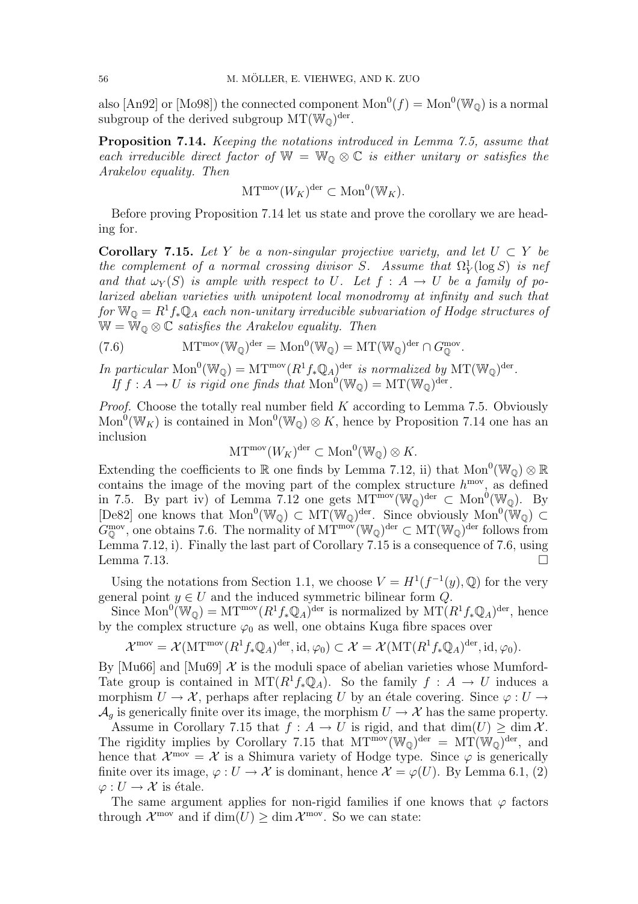also [An92] or [Mo98]) the connected component  $Mon^0(f) = Mon^0(W_Q)$  is a normal subgroup of the derived subgroup  $MT(\mathbb{W}_{\mathbb{Q}})^{\text{der}}$ .

Proposition 7.14. Keeping the notations introduced in Lemma 7.5, assume that each irreducible direct factor of  $\mathbb{W} = \mathbb{W}_{\mathbb{Q}} \otimes \mathbb{C}$  is either unitary or satisfies the Arakelov equality. Then

$$
\mathrm{MT}^{\mathrm{mov}}(W_K)^{\mathrm{der}} \subset \mathrm{Mon}^0(\mathbb{W}_K).
$$

Before proving Proposition 7.14 let us state and prove the corollary we are heading for.

Corollary 7.15. Let Y be a non-singular projective variety, and let  $U \subset Y$  be the complement of a normal crossing divisor S. Assume that  $\Omega_Y^1(\log S)$  is nef and that  $\omega_Y(S)$  is ample with respect to U. Let  $f : A \to U$  be a family of polarized abelian varieties with unipotent local monodromy at infinity and such that  $for \mathbb{W}_{\mathbb{Q}} = R^1 f_* \mathbb{Q}_A$  each non-unitary irreducible subvariation of Hodge structures of  $W = W_0 \otimes \mathbb{C}$  satisfies the Arakelov equality. Then

(7.6) 
$$
\mathrm{MT}^{\mathrm{mov}}(\mathbb{W}_{\mathbb{Q}})^{\mathrm{der}} = \mathrm{Mon}^{0}(\mathbb{W}_{\mathbb{Q}}) = \mathrm{MT}(\mathbb{W}_{\mathbb{Q}})^{\mathrm{der}} \cap G_{\mathbb{Q}}^{\mathrm{mov}}.
$$

In particular  $Mon^0(\mathbb{W}_{\mathbb{Q}}) = MT^{mov}(R^1f_*\mathbb{Q}_A)^{der}$  is normalized by  $MT(\mathbb{W}_{\mathbb{Q}})^{der}$ . If  $f : A \to U$  is rigid one finds that  $\text{Mon}^0(\mathbb{W}_{\mathbb{Q}}) = \text{MT}(\mathbb{W}_{\mathbb{Q}})^{\text{der}}$ .

*Proof.* Choose the totally real number field  $K$  according to Lemma 7.5. Obviously Mon<sup>0</sup>(W<sub>K</sub>) is contained in Mon<sup>0</sup>(W<sub>Q</sub>)  $\otimes$  K, hence by Proposition 7.14 one has an inclusion

$$
\mathrm{MT}^{\mathrm{mov}}(W_K)^{\mathrm{der}} \subset \mathrm{Mon}^0(\mathbb{W}_{\mathbb{Q}}) \otimes K.
$$

Extending the coefficients to R one finds by Lemma 7.12, ii) that  $Mon^0(\mathbb{W}_{\mathbb{Q}}) \otimes \mathbb{R}$ contains the image of the moving part of the complex structure  $h^{\text{mov}}$ , as defined in 7.5. By part iv) of Lemma 7.12 one gets  $MT^{\text{mov}}(\mathbb{W}_{\mathbb{Q}})^{\text{der}} \subset \text{Mon}^0(\mathbb{W}_{\mathbb{Q}})$ . By [De82] one knows that  $Mon^0(\mathbb{W}_{\mathbb{Q}}) \subset MT(\mathbb{W}_{\mathbb{Q}})^{der}$ . Since obviously  $Mon^0(\mathbb{W}_{\mathbb{Q}}) \subset$  $G_{\mathbb{Q}}^{\text{mov}},$  one obtains 7.6. The normality of  $MT^{\text{mov}}(\mathbb{W}_{\mathbb{Q}})^{\text{der}} \subset MT(\mathbb{W}_{\mathbb{Q}})^{\text{der}}$  follows from Lemma 7.12, i). Finally the last part of Corollary 7.15 is a consequence of 7.6, using Lemma 7.13.  $\Box$ 

Using the notations from Section 1.1, we choose  $V = H^1(f^{-1}(y), \mathbb{Q})$  for the very general point  $y \in U$  and the induced symmetric bilinear form Q.

Since  $\text{Mon}^0(\mathbb{W}_{\mathbb{Q}}) = \text{MT}^{\text{mov}}(R^1f_*\mathbb{Q}_A)^{\text{der}}$  is normalized by  $\text{MT}(R^1f_*\mathbb{Q}_A)^{\text{der}},$  hence by the complex structure  $\varphi_0$  as well, one obtains Kuga fibre spaces over

$$
\mathcal{X}^{\text{mov}} = \mathcal{X}(\text{MT}^{\text{mov}}(R^1 f_* \mathbb{Q}_A)^{\text{der}}, \text{id}, \varphi_0) \subset \mathcal{X} = \mathcal{X}(\text{MT}(R^1 f_* \mathbb{Q}_A)^{\text{der}}, \text{id}, \varphi_0).
$$

By [Mu66] and [Mu69]  $\mathcal X$  is the moduli space of abelian varieties whose Mumford-Tate group is contained in  $MT(R^1f_*\mathbb{Q}_A)$ . So the family  $f : A \to U$  induces a morphism  $U \to \mathcal{X}$ , perhaps after replacing U by an étale covering. Since  $\varphi : U \to$  $\mathcal{A}_q$  is generically finite over its image, the morphism  $U \to \mathcal{X}$  has the same property.

Assume in Corollary 7.15 that  $f : A \to U$  is rigid, and that  $\dim(U) \geq \dim \mathcal{X}$ . The rigidity implies by Corollary 7.15 that  $MT^{mov}(W_{\mathbb{Q}})^{der} = MT(W_{\mathbb{Q}})^{der}$ , and hence that  $\mathcal{X}^{\text{mov}} = \mathcal{X}$  is a Shimura variety of Hodge type. Since  $\varphi$  is generically finite over its image,  $\varphi: U \to \mathcal{X}$  is dominant, hence  $\mathcal{X} = \varphi(U)$ . By Lemma 6.1, (2)  $\varphi: U \to \mathcal{X}$  is étale.

The same argument applies for non-rigid families if one knows that  $\varphi$  factors through  $\mathcal{X}^{\text{mov}}$  and if  $\dim(U) \geq \dim \mathcal{X}^{\text{mov}}$ . So we can state: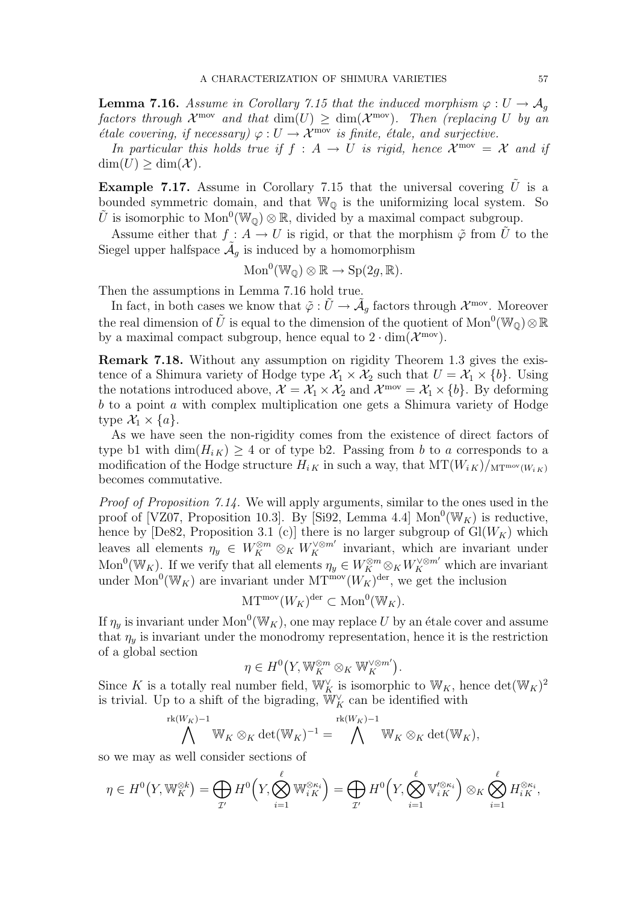**Lemma 7.16.** Assume in Corollary 7.15 that the induced morphism  $\varphi: U \to \mathcal{A}_q$ factors through  $\mathcal{X}^{\text{mov}}$  and that  $\dim(U) \geq \dim(\mathcal{X}^{\text{mov}})$ . Then (replacing U by an  $\check{\epsilon}$ tale covering, if necessary)  $\varphi: U \to \check{\mathcal{X}}^{\text{mov}}$  is finite, étale, and surjective.

In particular this holds true if  $f : A \to U$  is rigid, hence  $\mathcal{X}^{\text{mov}} = \mathcal{X}$  and if  $\dim(U) > \dim(\mathcal{X})$ .

**Example 7.17.** Assume in Corollary 7.15 that the universal covering  $\tilde{U}$  is a bounded symmetric domain, and that  $\mathbb{W}_{\mathbb{Q}}$  is the uniformizing local system. So U is isomorphic to  $\text{Mon}^0(\mathbb{W}_{\mathbb{Q}}) \otimes \mathbb{R}$ , divided by a maximal compact subgroup.

Assume either that  $f : A \to U$  is rigid, or that the morphism  $\tilde{\varphi}$  from  $\tilde{U}$  to the Siegel upper halfspace  $\tilde{A}_g$  is induced by a homomorphism

$$
Mon^0(W_{\mathbb{Q}}) \otimes \mathbb{R} \to Sp(2g, \mathbb{R}).
$$

Then the assumptions in Lemma 7.16 hold true.

In fact, in both cases we know that  $\tilde{\varphi}: \tilde{U} \to \tilde{\mathcal{A}}_g$  factors through  $\mathcal{X}^{\text{mov}}$ . Moreover the real dimension of  $\tilde{U}$  is equal to the dimension of the quotient of  $\text{Mon}^0(\mathbb{W}_{\mathbb{Q}}) \otimes \mathbb{R}$ by a maximal compact subgroup, hence equal to  $2 \cdot \dim(\mathcal{X}^{\text{mov}})$ .

Remark 7.18. Without any assumption on rigidity Theorem 1.3 gives the existence of a Shimura variety of Hodge type  $\mathcal{X}_1 \times \mathcal{X}_2$  such that  $U = \mathcal{X}_1 \times \{b\}$ . Using the notations introduced above,  $\mathcal{X} = \mathcal{X}_1 \times \mathcal{X}_2$  and  $\mathcal{X}^{\text{mov}} = \mathcal{X}_1 \times \{b\}$ . By deforming  $b$  to a point  $a$  with complex multiplication one gets a Shimura variety of Hodge type  $\mathcal{X}_1 \times \{a\}$ .

As we have seen the non-rigidity comes from the existence of direct factors of type b1 with  $\dim(H_{i,K}) \geq 4$  or of type b2. Passing from b to a corresponds to a modification of the Hodge structure  $H_{i,K}$  in such a way, that  $MT(W_{i,K})/_{MT^{mov}(W_{i,K})}$ becomes commutative.

Proof of Proposition 7.14. We will apply arguments, similar to the ones used in the proof of [VZ07, Proposition 10.3]. By [Si92, Lemma 4.4]  $Mon^0(\mathbb{W}_K)$  is reductive, hence by [De82, Proposition 3.1 (c)] there is no larger subgroup of  $Gl(W_K)$  which leaves all elements  $\eta_y \in W_K^{\otimes m} \otimes_K W_K^{\vee \otimes m'}$  invariant, which are invariant under Mon<sup>0</sup>(W<sub>K</sub>). If we verify that all elements  $\eta_y \in W_K^{\otimes m} \otimes_K W_K^{\vee \otimes m'}$  which are invariant under Mon<sup>0</sup>(W<sub>K</sub>) are invariant under MT<sup>mov</sup>( $W_K$ )<sup>der</sup>, we get the inclusion

$$
\mathrm{MT}^{\mathrm{mov}}(W_K)^{\mathrm{der}} \subset \mathrm{Mon}^0(\mathbb{W}_K).
$$

If  $\eta_y$  is invariant under  $\text{Mon}^0(\mathbb{W}_K)$ , one may replace U by an étale cover and assume that  $\eta_u$  is invariant under the monodromy representation, hence it is the restriction of a global section ¡ ¢

$$
\eta \in H^0(X, \mathbb{W}_K^{\otimes m} \otimes_K \mathbb{W}_K^{\vee \otimes m'}).
$$

Since K is a totally real number field,  $\mathbb{W}_K^{\vee}$  is isomorphic to  $\mathbb{W}_K$ , hence  $\det(\mathbb{W}_K)^2$ is trivial. Up to a shift of the bigrading,  $\mathbb{W}^\vee_K$  can be identified with

$$
\bigwedge^{\text{rk}(W_K)-1} \mathbb{W}_K \otimes_K \det(\mathbb{W}_K)^{-1} = \bigwedge^{\text{rk}(W_K)-1} \mathbb{W}_K \otimes_K \det(\mathbb{W}_K),
$$

so we may as well consider sections of

$$
\eta \in H^0(Y, \mathbb{W}_K^{\otimes k}) = \bigoplus_{\mathcal{I}'} H^0\Big(Y, \bigotimes_{i=1}^{\ell} \mathbb{W}_{iK}^{\otimes \kappa_i}\Big) = \bigoplus_{\mathcal{I}'} H^0\Big(Y, \bigotimes_{i=1}^{\ell} \mathbb{V}_{iK}^{\prime \otimes \kappa_i}\Big) \otimes_K \bigotimes_{i=1}^{\ell} H_{iK}^{\otimes \kappa_i},
$$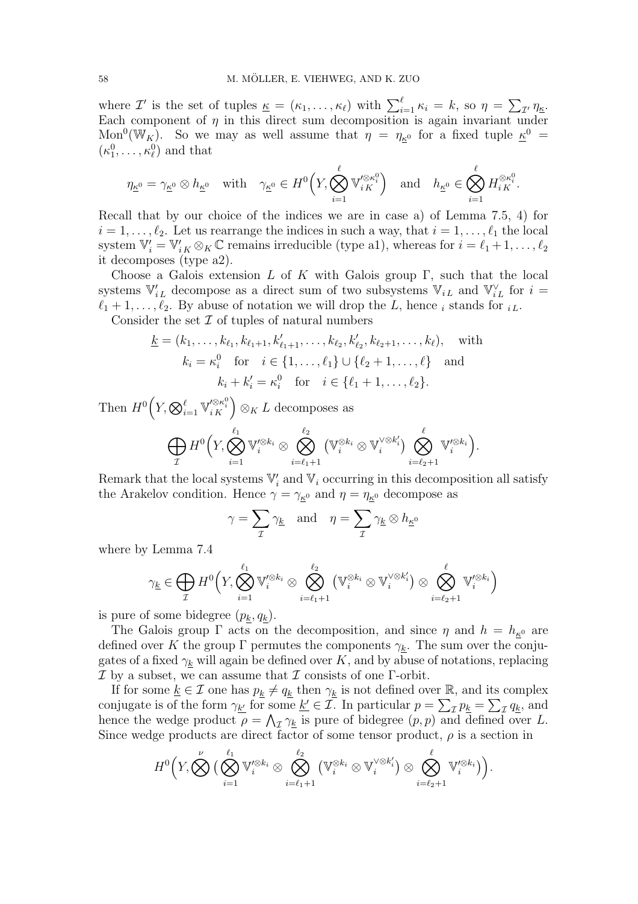where  $\mathcal{I}'$  is the set of tuples  $\underline{\kappa} = (\kappa_1, \ldots, \kappa_\ell)$  with  $\sum_{i=1}^\ell \kappa_i = k$ , so  $\eta =$  $\overline{ }$  $I^{\prime}$   $\eta_{\underline{\kappa}}$ . Each component of  $\eta$  in this direct sum decomposition is again invariant under Mon<sup>0</sup>(W<sub>K</sub>). So we may as well assume that  $\eta = \eta_{K^0}$  for a fixed tuple  $K^0 =$  $(\kappa_1^0, \ldots, \kappa_\ell^0)$  and that

$$
\eta_{\underline{\kappa}^0}=\gamma_{\underline{\kappa}^0}\otimes h_{\underline{\kappa}^0}\quad\text{with}\quad \gamma_{\underline{\kappa}^0}\in H^0\Big(Y,\bigotimes_{i=1}^\ell\mathbb{V}'^{\otimes\kappa_i^0}_{{}^iK}\Big)\quad\text{and}\quad h_{\underline{\kappa}^0}\in\bigotimes_{i=1}^\ell H_{i\,K}^{\otimes\kappa_i^0}.
$$

Recall that by our choice of the indices we are in case a) of Lemma 7.5, 4) for  $i = 1, \ldots, \ell_2$ . Let us rearrange the indices in such a way, that  $i = 1, \ldots, \ell_1$  the local system  $\mathbb{V}'_i = \mathbb{V}'_{iK} \otimes_K \mathbb{C}$  remains irreducible (type a1), whereas for  $i = \ell_1 + 1, \ldots, \ell_2$ it decomposes (type a2).

Choose a Galois extension L of K with Galois group Γ, such that the local systems  $\mathbb{V}'_{i}$  decompose as a direct sum of two subsystems  $\mathbb{V}_{i}$  and  $\mathbb{V}^{\vee}_{i}$  for  $i =$  $\ell_1 + 1, \ldots, \ell_2$ . By abuse of notation we will drop the L, hence i stands for i.e.

Consider the set  $\mathcal I$  of tuples of natural numbers

$$
\underline{k} = (k_1, \dots, k_{\ell_1}, k_{\ell_1+1}, k'_{\ell_1+1}, \dots, k_{\ell_2}, k'_{\ell_2}, k_{\ell_2+1}, \dots, k_{\ell}), \text{ with}
$$

$$
k_i = \kappa_i^0 \text{ for } i \in \{1, \dots, \ell_1\} \cup \{\ell_2 + 1, \dots, \ell\} \text{ and}
$$

$$
k_i + k'_i = \kappa_i^0 \text{ for } i \in \{\ell_1 + 1, \dots, \ell_2\}.
$$

Then  $H^0$  $\left(Y_{i} \bigotimes_{i=1}^{\ell} \mathbb{V}_{iK}^{\prime \otimes \kappa_{i}^{0}}\right) \otimes_{K} L$  decomposes as

$$
\bigoplus_{\mathcal{I}} H^0\Big(Y,\bigotimes_{i=1}^{\ell_1} \mathbb{V}'^{\otimes k_i} \otimes \bigotimes_{i=\ell_1+1}^{\ell_2} \big(\mathbb{V}_i^{\otimes k_i} \otimes \mathbb{V}_i^{\vee \otimes k'_i}\big) \bigotimes_{i=\ell_2+1}^{\ell} \mathbb{V}'^{\otimes k_i}\Big).
$$

Remark that the local systems  $\mathbb{V}'_i$  and  $\mathbb{V}_i$  occurring in this decomposition all satisfy the Arakelov condition. Hence  $\gamma = \gamma_{\kappa^0}$  and  $\eta = \eta_{\kappa^0}$  decompose as

$$
\gamma = \sum_{\mathcal{I}} \gamma_{\underline{k}} \quad \text{and} \quad \eta = \sum_{\mathcal{I}} \gamma_{\underline{k}} \otimes h_{\underline{\kappa}^0}
$$

where by Lemma 7.4

$$
\gamma_{\underline{k}} \in \bigoplus_{\mathcal{I}} H^0\Big(Y, \bigotimes_{i=1}^{\ell_1} \mathbb{V}^{\prime \otimes k_i}_{i} \otimes \bigotimes_{i=\ell_1+1}^{\ell_2} \big(\mathbb{V}_i^{\otimes k_i} \otimes \mathbb{V}_i^{\vee \otimes k_i'}\big) \otimes \bigotimes_{i=\ell_2+1}^{\ell} \mathbb{V}^{\prime \otimes k_i}_{i}\Big)
$$

is pure of some bidegree  $(p_k, q_k)$ .

The Galois group  $\Gamma$  acts on the decomposition, and since  $\eta$  and  $h = h_{\kappa^0}$  are defined over K the group  $\Gamma$  permutes the components  $\gamma_k$ . The sum over the conjugates of a fixed  $\gamma_k$  will again be defined over K, and by abuse of notations, replacing  $\mathcal I$  by a subset, we can assume that  $\mathcal I$  consists of one  $\Gamma$ -orbit.

If for some  $\underline{k} \in \mathcal{I}$  one has  $p_k \neq q_k$  then  $\gamma_k$  is not defined over R, and its complex If for some  $\underline{\kappa} \in \mathcal{I}$  one has  $p_{\underline{k}} \neq q_{\underline{k}}$  then  $\gamma_{\underline{k}}$  is not defined over  $\mathbb{R}$ <br>conjugate is of the form  $\gamma_{\underline{k}'}$  for some  $\underline{k}' \in \mathcal{I}$ . In particular  $p = \sum$  $I p_k =$  $\overline{P}$ some  $\underline{k'} \in \mathcal{I}$ . In particular  $p = \sum_{\mathcal{I}} p_{\underline{k}} = \sum_{\mathcal{I}} q_{\underline{k}}$ , and hence the wedge product  $\rho = \bigwedge_{\mathcal{I}} \gamma_{\underline{k}}$  is pure of bidegree  $(p, p)$  and defined over L. Since wedge products are direct factor of some tensor product,  $\rho$  is a section in

$$
H^{0}\Big(Y_{\cdot} \bigotimes^{\nu} \big( \bigotimes^{\ell_{1}}_{i=1} \mathbb{V}^{\prime \otimes k_{i}}_{i} \otimes \bigotimes^{\ell_{2}}_{i=\ell_{1}+1} \big( \mathbb{V}^{\otimes k_{i}}_{i} \otimes \mathbb{V}^{\vee \otimes k'_{i}}_{i}\big) \otimes \bigotimes^{\ell}_{i=\ell_{2}+1} \mathbb{V}^{\prime \otimes k_{i}}_{i}\big)\Big).
$$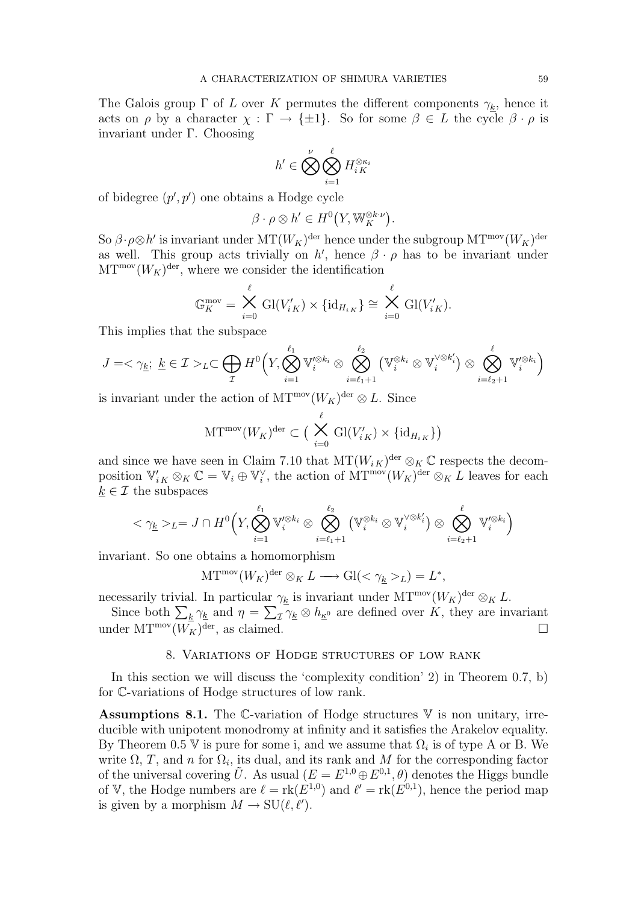The Galois group  $\Gamma$  of L over K permutes the different components  $\gamma_k$ , hence it acts on  $\rho$  by a character  $\chi : \Gamma \to {\pm 1}$ . So for some  $\beta \in L$  the cycle  $\beta \cdot \rho$  is invariant under Γ. Choosing

$$
h' \in \bigotimes_{i=1}^{\nu} \bigotimes_{i=1}^{\ell} H_{i K}^{\otimes \kappa_i}
$$

of bidegree  $(p', p')$  one obtains a Hodge cycle

$$
\beta \cdot \rho \otimes h' \in H^0(Y, \mathbb{W}_K^{\otimes k \cdot \nu}).
$$

So  $\beta \cdot \rho \otimes h'$  is invariant under  $MT(W_K)^{\text{der}}$  hence under the subgroup  $MT^{\text{mov}}(W_K)^{\text{der}}$ as well. This group acts trivially on h', hence  $\beta \cdot \rho$  has to be invariant under  $\mathrm{MT}^{\text{mov}}(W_K)^{\text{der}},$  where we consider the identification

$$
\mathbb{G}_K^{\text{mov}} = \bigtimes_{i=0}^{\ell} \text{Gl}(V'_{iK}) \times \{\text{id}_{H_{iK}}\} \cong \bigtimes_{i=0}^{\ell} \text{Gl}(V'_{iK}).
$$

This implies that the subspace

$$
J=<\gamma_{\underline{k}};\ \underline{k}\in\mathcal{I}>_{L}\subset\bigoplus_{\mathcal{I}}H^{0}\Big(Y,\bigotimes_{i=1}^{\ell_{1}}\mathbb{V}^{\prime\otimes k_{i}}_{i}\otimes\bigotimes_{i=\ell_{1}+1}^{\ell_{2}}\big(\mathbb{V}_{i}^{\otimes k_{i}}\otimes\mathbb{V}_{i}^{\vee\otimes k_{i}^{\prime}}\big)\otimes\bigotimes_{i=\ell_{2}+1}^{\ell}\mathbb{V}^{\prime\otimes k_{i}}_{i}\Big)
$$

is invariant under the action of  $\mathrm{MT}^{\text{mov}}(W_K)^{\text{der}} \otimes L$ . Since

$$
\mathrm{MT}^{\mathrm{mov}}(W_K)^{\mathrm{der}} \subset \big(\bigtimes_{i=0}^{\ell} \mathrm{Gl}(V'_{iK}) \times {\{\mathrm{id}_{H_{iK}}\}}\big)
$$

and since we have seen in Claim 7.10 that  $MT(W_i_K)^{\text{der}} \otimes_K \mathbb{C}$  respects the decomposition  $\mathbb{V}'_{iK} \otimes_K \mathbb{C} = \mathbb{V}_i \oplus \mathbb{V}_i^{\vee}$ , the action of  $\text{MT}^{\text{mov}}(W_K)^{\text{der}} \otimes_K L$  leaves for each  $k \in \mathcal{I}$  the subspaces

$$
<\gamma_{\underline{k}}>_{L}=J\cap H^{0}\Big(Y,\bigotimes_{i=1}^{\ell_{1}}\mathbb{V}^{\prime\otimes k_{i}}_{i}\otimes\bigotimes_{i=\ell_{1}+1}^{\ell_{2}}\left(\mathbb{V}_{i}^{\otimes k_{i}}\otimes\mathbb{V}_{i}^{\vee\otimes k_{i}^{\prime}}\right)\otimes\bigotimes_{i=\ell_{2}+1}^{\ell}\mathbb{V}^{\prime\otimes k_{i}}_{i}\Big)
$$

invariant. So one obtains a homomorphism

$$
\mathrm{MT}^{\mathrm{mov}}(W_K)^{\mathrm{der}} \otimes_K L \longrightarrow \mathrm{Gl}(<\gamma_{\underline{k}}>_L)=L^*,
$$

necessarily trivial. In particular  $\gamma_{\underline{k}}$  is invariant under  $MT^{\text{mov}}(W_K)^{\text{der}} \otimes_K L$ .

cessarily trivial. In particular  $\gamma_k$  is invariant under MT  $(W_K)^{\alpha} \otimes_K L$ .<br>Since both  $\sum_k \gamma_k$  and  $\eta = \sum_{\mathcal{I}} \gamma_k \otimes h_{\kappa^0}$  are defined over K, they are invariant under  $MT^{mov}(W_K)$ <sup>der</sup>, as claimed.

## 8. Variations of Hodge structures of low rank

In this section we will discuss the 'complexity condition' 2) in Theorem 0.7, b) for C-variations of Hodge structures of low rank.

Assumptions 8.1. The C-variation of Hodge structures  $V$  is non unitary, irreducible with unipotent monodromy at infinity and it satisfies the Arakelov equality. By Theorem 0.5 V is pure for some i, and we assume that  $\Omega_i$  is of type A or B. We write  $\Omega$ , T, and n for  $\Omega_i$ , its dual, and its rank and M for the corresponding factor of the universal covering  $\tilde{U}$ . As usual  $(E = E^{1,0} \oplus E^{0,1}, \theta)$  denotes the Higgs bundle of V, the Hodge numbers are  $\ell = \text{rk}(E^{1,0})$  and  $\ell' = \text{rk}(E^{0,1})$ , hence the period map is given by a morphism  $M \to SU(\ell, \ell').$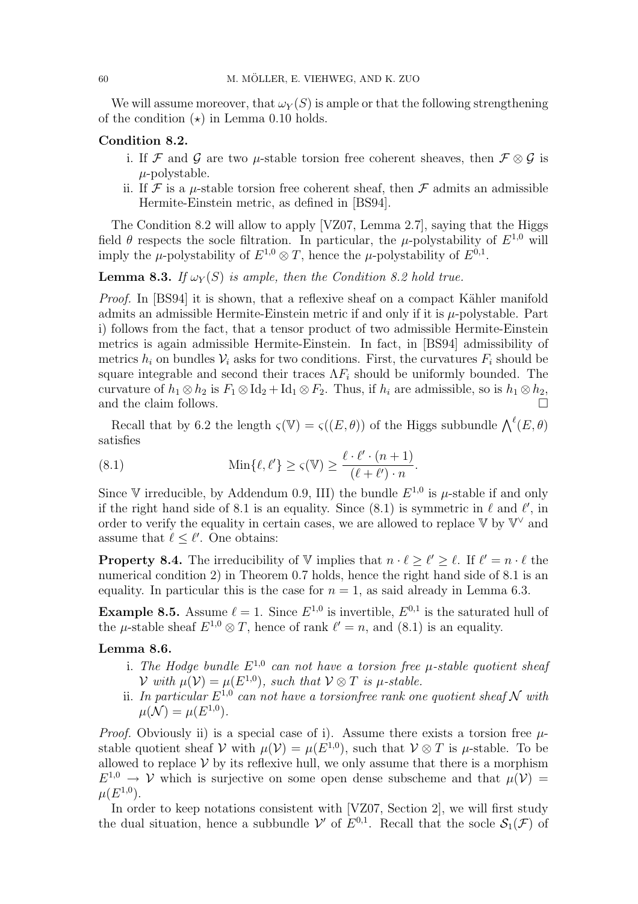We will assume moreover, that  $\omega_Y(S)$  is ample or that the following strengthening of the condition  $(\star)$  in Lemma 0.10 holds.

## Condition 8.2.

- i. If F and G are two  $\mu$ -stable torsion free coherent sheaves, then  $\mathcal{F} \otimes \mathcal{G}$  is  $\mu$ -polystable.
- ii. If  $\mathcal F$  is a *u*-stable torsion free coherent sheaf, then  $\mathcal F$  admits an admissible Hermite-Einstein metric, as defined in [BS94].

The Condition 8.2 will allow to apply [VZ07, Lemma 2.7], saying that the Higgs field  $\theta$  respects the socle filtration. In particular, the  $\mu$ -polystability of  $E^{1,0}$  will imply the  $\mu$ -polystability of  $E^{1,0} \otimes T$ , hence the  $\mu$ -polystability of  $E^{0,1}$ .

**Lemma 8.3.** If  $\omega_Y(S)$  is ample, then the Condition 8.2 hold true.

Proof. In [BS94] it is shown, that a reflexive sheaf on a compact Kähler manifold admits an admissible Hermite-Einstein metric if and only if it is  $\mu$ -polystable. Part i) follows from the fact, that a tensor product of two admissible Hermite-Einstein metrics is again admissible Hermite-Einstein. In fact, in [BS94] admissibility of metrics  $h_i$  on bundles  $V_i$  asks for two conditions. First, the curvatures  $F_i$  should be square integrable and second their traces  $\Lambda F_i$  should be uniformly bounded. The curvature of  $h_1 \otimes h_2$  is  $F_1 \otimes Id_2 + Id_1 \otimes F_2$ . Thus, if  $h_i$  are admissible, so is  $h_1 \otimes h_2$ , and the claim follows.  $\Box$ 

Recall that by 6.2 the length  $\varsigma(\mathbb{V}) = \varsigma((E, \theta))$  of the Higgs subbundle  $\bigwedge^{\ell}(E, \theta)$ satisfies

(8.1) 
$$
\operatorname{Min}\{\ell,\ell'\} \ge \varsigma(\mathbb{V}) \ge \frac{\ell \cdot \ell' \cdot (n+1)}{(\ell+\ell') \cdot n}.
$$

Since V irreducible, by Addendum 0.9, III) the bundle  $E^{1,0}$  is  $\mu$ -stable if and only if the right hand side of 8.1 is an equality. Since (8.1) is symmetric in  $\ell$  and  $\ell'$ , in order to verify the equality in certain cases, we are allowed to replace  $V$  by  $V^{\vee}$  and assume that  $\ell \leq \ell'$ . One obtains:

**Property 8.4.** The irreducibility of V implies that  $n \cdot \ell \geq \ell' \geq \ell$ . If  $\ell' = n \cdot \ell$  the numerical condition 2) in Theorem 0.7 holds, hence the right hand side of 8.1 is an equality. In particular this is the case for  $n = 1$ , as said already in Lemma 6.3.

**Example 8.5.** Assume  $\ell = 1$ . Since  $E^{1,0}$  is invertible,  $E^{0,1}$  is the saturated hull of the  $\mu$ -stable sheaf  $E^{1,0} \otimes T$ , hence of rank  $\ell' = n$ , and (8.1) is an equality.

# Lemma 8.6.

- i. The Hodge bundle  $E^{1,0}$  can not have a torsion free  $\mu$ -stable quotient sheaf  $\mathcal V$  with  $\mu(\mathcal V) = \mu(E^{1,0}),$  such that  $\mathcal V \otimes T$  is  $\mu$ -stable.
- ii. In particular  $E^{1,0}$  can not have a torsionfree rank one quotient sheaf N with  $\mu(\mathcal{N}) = \mu(E^{1,0}).$

*Proof.* Obviously ii) is a special case of i). Assume there exists a torsion free  $\mu$ stable quotient sheaf V with  $\mu(\mathcal{V}) = \mu(E^{1,0})$ , such that  $\mathcal{V} \otimes T$  is  $\mu$ -stable. To be allowed to replace  $V$  by its reflexive hull, we only assume that there is a morphism  $E^{1,0} \to V$  which is surjective on some open dense subscheme and that  $\mu(V) =$  $\mu(E^{1,0}).$ 

In order to keep notations consistent with [VZ07, Section 2], we will first study the dual situation, hence a subbundle V' of  $E^{0,1}$ . Recall that the socle  $\mathcal{S}_1(\mathcal{F})$  of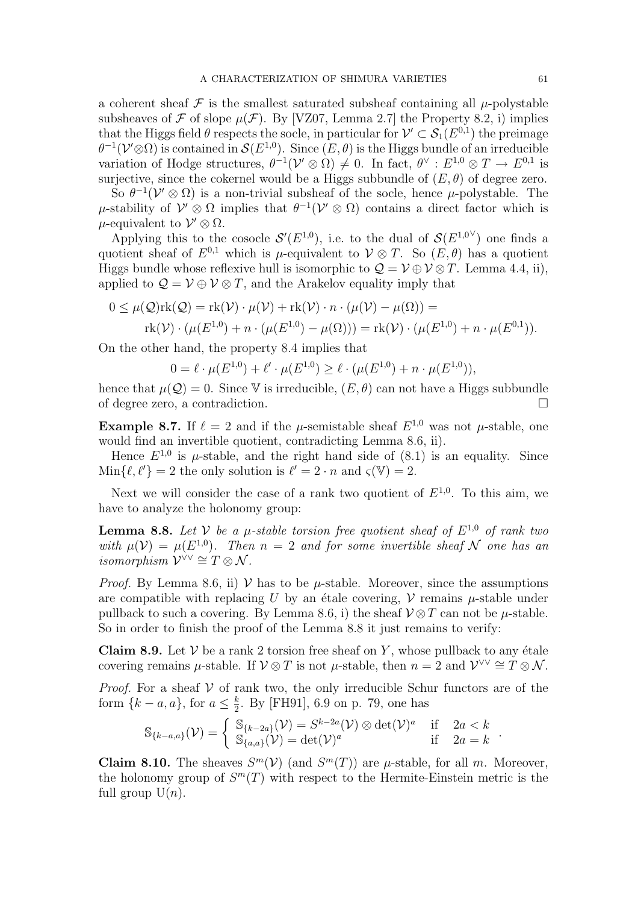a coherent sheaf  $\mathcal F$  is the smallest saturated subsheaf containing all  $\mu$ -polystable subsheaves of F of slope  $\mu(\mathcal{F})$ . By [VZ07, Lemma 2.7] the Property 8.2, i) implies that the Higgs field  $\theta$  respects the socle, in particular for  $\mathcal{V}' \subset \mathcal{S}_1(E^{0,1})$  the preimage  $\theta^{-1}(\mathcal{V}'\otimes\Omega)$  is contained in  $\mathcal{S}(E^{1,0})$ . Since  $(E,\theta)$  is the Higgs bundle of an irreducible variation of Hodge structures,  $\theta^{-1}(\mathcal{V} \otimes \Omega) \neq 0$ . In fact,  $\theta^{\vee} : E^{1,0} \otimes T \to E^{0,1}$  is surjective, since the cokernel would be a Higgs subbundle of  $(E, \theta)$  of degree zero.

So  $\theta^{-1}(\mathcal{V} \otimes \Omega)$  is a non-trivial subsheaf of the socle, hence  $\mu$ -polystable. The μ-stability of  $V' ⊗ Ω$  implies that  $θ^{-1}(V' ⊗ Ω)$  contains a direct factor which is  $\mu$ -equivalent to  $\mathcal{V}' \otimes \Omega$ .

Applying this to the cosocle  $\mathcal{S}'(E^{1,0})$ , i.e. to the dual of  $\mathcal{S}(E^{1,0}{}^{\vee})$  one finds a quotient sheaf of  $E^{0,1}$  which is  $\mu$ -equivalent to  $\mathcal{V} \otimes T$ . So  $(E, \theta)$  has a quotient Higgs bundle whose reflexive hull is isomorphic to  $\mathcal{Q} = \mathcal{V} \oplus \mathcal{V} \otimes T$ . Lemma 4.4, ii), applied to  $\mathcal{Q} = \mathcal{V} \oplus \mathcal{V} \otimes T$ , and the Arakelov equality imply that

$$
0 \leq \mu(Q)\text{rk}(Q) = \text{rk}(\mathcal{V}) \cdot \mu(\mathcal{V}) + \text{rk}(\mathcal{V}) \cdot n \cdot (\mu(\mathcal{V}) - \mu(\Omega)) =
$$
  
rk
$$
(\mathcal{V}) \cdot (\mu(E^{1,0}) + n \cdot (\mu(E^{1,0}) - \mu(\Omega))) = \text{rk}(\mathcal{V}) \cdot (\mu(E^{1,0}) + n \cdot \mu(E^{0,1})).
$$

On the other hand, the property 8.4 implies that

$$
0 = \ell \cdot \mu(E^{1,0}) + \ell' \cdot \mu(E^{1,0}) \ge \ell \cdot (\mu(E^{1,0}) + n \cdot \mu(E^{1,0})),
$$

hence that  $\mu(\mathcal{Q}) = 0$ . Since V is irreducible,  $(E, \theta)$  can not have a Higgs subbundle of degree zero, a contradiction. ¤

**Example 8.7.** If  $\ell = 2$  and if the  $\mu$ -semistable sheaf  $E^{1,0}$  was not  $\mu$ -stable, one would find an invertible quotient, contradicting Lemma 8.6, ii).

Hence  $E^{1,0}$  is  $\mu$ -stable, and the right hand side of (8.1) is an equality. Since  $\text{Min}\{\ell, \ell'\} = 2$  the only solution is  $\ell' = 2 \cdot n$  and  $\varsigma(\mathbb{V}) = 2$ .

Next we will consider the case of a rank two quotient of  $E^{1,0}$ . To this aim, we have to analyze the holonomy group:

**Lemma 8.8.** Let V be a  $\mu$ -stable torsion free quotient sheaf of  $E^{1,0}$  of rank two with  $\mu(\mathcal{V}) = \mu(E^{1,0})$ . Then  $n = 2$  and for some invertible sheaf N one has an *isomorphism*  $\mathcal{V}^{\vee\vee} \cong T \otimes \mathcal{N}$ .

*Proof.* By Lemma 8.6, ii)  $V$  has to be  $\mu$ -stable. Moreover, since the assumptions are compatible with replacing U by an étale covering,  $\mathcal V$  remains  $\mu$ -stable under pullback to such a covering. By Lemma 8.6, i) the sheaf  $\mathcal{V} \otimes T$  can not be  $\mu$ -stable. So in order to finish the proof of the Lemma 8.8 it just remains to verify:

Claim 8.9. Let  $V$  be a rank 2 torsion free sheaf on Y, whose pullback to any étale covering remains  $\mu$ -stable. If  $\mathcal{V} \otimes T$  is not  $\mu$ -stable, then  $n = 2$  and  $\mathcal{V}^{\vee \vee} \cong T \otimes \mathcal{N}$ .

*Proof.* For a sheaf  $V$  of rank two, the only irreducible Schur functors are of the form  $\{k-a, a\}$ , for  $a \leq \frac{k}{2}$  $\frac{k}{2}$ . By [FH91], 6.9 on p. 79, one has

$$
\mathbb{S}_{\{k-a,a\}}(\mathcal{V}) = \begin{cases} \mathbb{S}_{\{k-2a\}}(\mathcal{V}) = S^{k-2a}(\mathcal{V}) \otimes \det(\mathcal{V})^a & \text{if } 2a < k \\ \mathbb{S}_{\{a,a\}}(\mathcal{V}) = \det(\mathcal{V})^a & \text{if } 2a = k \end{cases}
$$

**Claim 8.10.** The sheaves  $S^m(\mathcal{V})$  (and  $S^m(T)$ ) are  $\mu$ -stable, for all m. Moreover, the holonomy group of  $S^m(T)$  with respect to the Hermite-Einstein metric is the full group  $U(n)$ .

.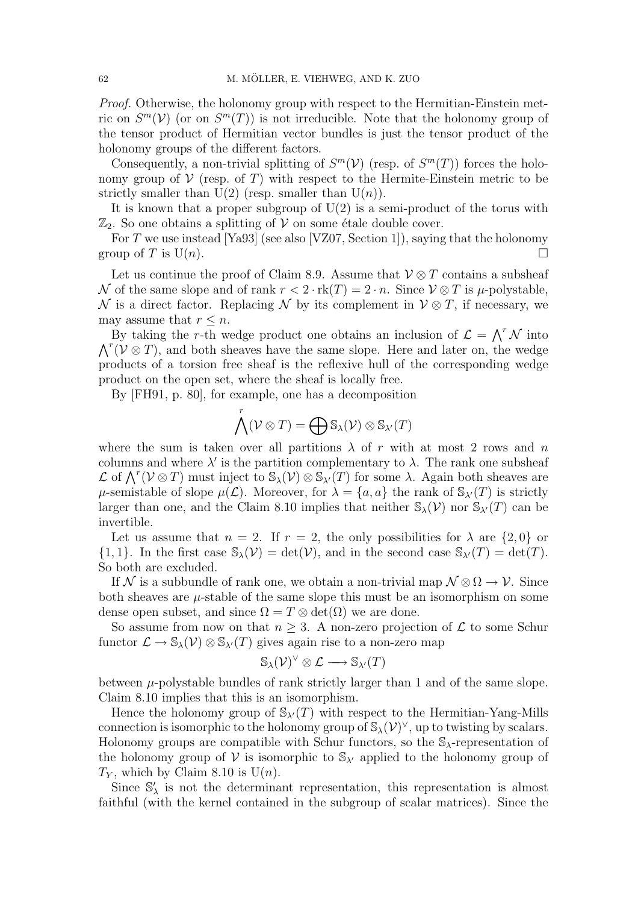Proof. Otherwise, the holonomy group with respect to the Hermitian-Einstein metric on  $S^m(\mathcal{V})$  (or on  $S^m(T)$ ) is not irreducible. Note that the holonomy group of the tensor product of Hermitian vector bundles is just the tensor product of the holonomy groups of the different factors.

Consequently, a non-trivial splitting of  $S^m(\mathcal{V})$  (resp. of  $S^m(T)$ ) forces the holonomy group of  $\mathcal V$  (resp. of T) with respect to the Hermite-Einstein metric to be strictly smaller than  $U(2)$  (resp. smaller than  $U(n)$ ).

It is known that a proper subgroup of  $U(2)$  is a semi-product of the torus with  $\mathbb{Z}_2$ . So one obtains a splitting of V on some étale double cover.

For T we use instead [Ya93] (see also [VZ07, Section 1]), saying that the holonomy group of T is  $U(n)$ .

Let us continue the proof of Claim 8.9. Assume that  $\mathcal{V} \otimes T$  contains a subsheaf N of the same slope and of rank  $r < 2 \cdot rk(T) = 2 \cdot n$ . Since  $V \otimes T$  is  $\mu$ -polystable, N is a direct factor. Replacing N by its complement in  $\mathcal{V} \otimes T$ , if necessary, we may assume that  $r \leq n$ .

By taking the r-th wedge product one obtains an inclusion of  $\mathcal{L} = \bigwedge^r \mathcal{N}$  into By taking the r-th wedge product one obtains an inclusion of  $\mathcal{L} = \bigwedge \mathcal{N}$  into  $\bigwedge^r (\mathcal{V} \otimes T)$ , and both sheaves have the same slope. Here and later on, the wedge products of a torsion free sheaf is the reflexive hull of the corresponding wedge product on the open set, where the sheaf is locally free.

By [FH91, p. 80], for example, one has a decomposition

$$
\bigwedge^r (\mathcal{V} \otimes T) = \bigoplus \mathbb{S}_{\lambda}(\mathcal{V}) \otimes \mathbb{S}_{\lambda'}(T)
$$

where the sum is taken over all partitions  $\lambda$  of r with at most 2 rows and n columns and where  $\lambda'$  is the partition complementary to  $\lambda$ . The rank one subsheaf columns and where  $\lambda$  is the partition complementary to  $\lambda$ . The rank one subshear  $\mathcal{L}$  of  $\bigwedge^r (\mathcal{V} \otimes T)$  must inject to  $\mathbb{S}_{\lambda}(\mathcal{V}) \otimes \mathbb{S}_{\lambda'}(T)$  for some  $\lambda$ . Again both sheaves are  $\mu$ -semistable of slope  $\mu(\mathcal{L})$ . Moreover, for  $\lambda = \{a, a\}$  the rank of  $\mathbb{S}_{\lambda'}(T)$  is strictly larger than one, and the Claim 8.10 implies that neither  $\mathcal{S}_{\lambda}(\mathcal{V})$  nor  $\mathcal{S}_{\lambda'}(T)$  can be invertible.

Let us assume that  $n = 2$ . If  $r = 2$ , the only possibilities for  $\lambda$  are  $\{2, 0\}$  or  $\{1, 1\}.$  In the first case  $\mathcal{S}_{\lambda}(\mathcal{V}) = \det(\mathcal{V})$ , and in the second case  $\mathcal{S}_{\lambda'}(T) = \det(T)$ . So both are excluded.

If N is a subbundle of rank one, we obtain a non-trivial map  $\mathcal{N} \otimes \Omega \to \mathcal{V}$ . Since both sheaves are  $\mu$ -stable of the same slope this must be an isomorphism on some dense open subset, and since  $\Omega = T \otimes \det(\Omega)$  we are done.

So assume from now on that  $n \geq 3$ . A non-zero projection of  $\mathcal L$  to some Schur functor  $\mathcal{L} \to \mathbb{S}_{\lambda}(\mathcal{V}) \otimes \mathbb{S}_{\lambda'}(T)$  gives again rise to a non-zero map

$$
\mathbb{S}_{\lambda}(\mathcal{V})^{\vee} \otimes \mathcal{L} \longrightarrow \mathbb{S}_{\lambda'}(T)
$$

between  $\mu$ -polystable bundles of rank strictly larger than 1 and of the same slope. Claim 8.10 implies that this is an isomorphism.

Hence the holonomy group of  $\mathbb{S}_{\lambda'}(T)$  with respect to the Hermitian-Yang-Mills connection is isomorphic to the holonomy group of  $\mathbb{S}_{\lambda}(\mathcal{V})^{\vee}$ , up to twisting by scalars. Holonomy groups are compatible with Schur functors, so the  $\mathcal{S}_{\lambda}$ -representation of the holonomy group of V is isomorphic to  $\mathbb{S}_{\lambda}$  applied to the holonomy group of  $T_Y$ , which by Claim 8.10 is  $U(n)$ .

Since  $\mathbb{S}'_{\lambda}$  is not the determinant representation, this representation is almost faithful (with the kernel contained in the subgroup of scalar matrices). Since the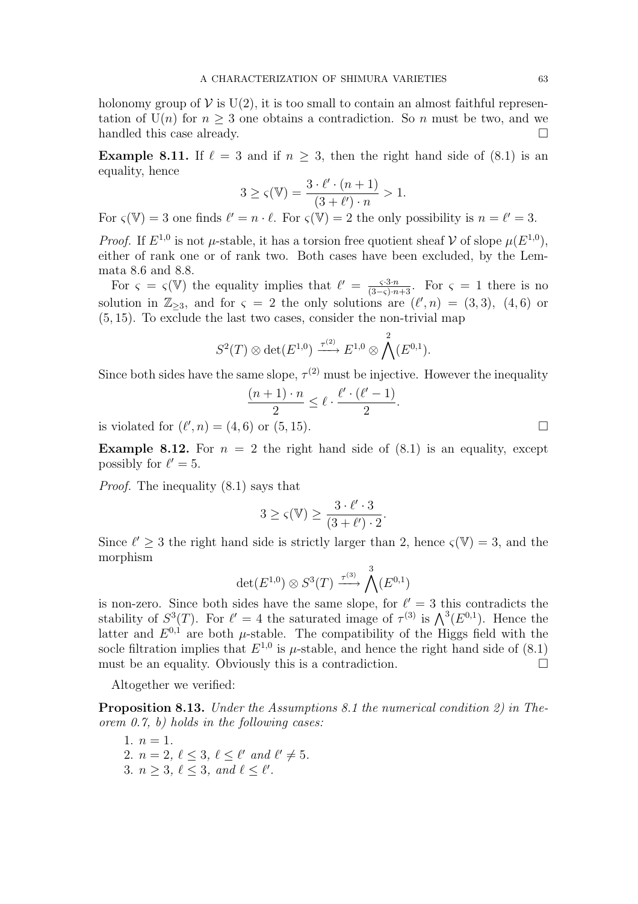holonomy group of  $V$  is  $U(2)$ , it is too small to contain an almost faithful representation of  $U(n)$  for  $n \geq 3$  one obtains a contradiction. So n must be two, and we handled this case already.

**Example 8.11.** If  $\ell = 3$  and if  $n \geq 3$ , then the right hand side of (8.1) is an equality, hence

$$
3 \ge \varsigma(\mathbb{V}) = \frac{3 \cdot \ell' \cdot (n+1)}{(3+\ell') \cdot n} > 1.
$$

For  $\zeta(\mathbb{V}) = 3$  one finds  $\ell' = n \cdot \ell$ . For  $\zeta(\mathbb{V}) = 2$  the only possibility is  $n = \ell' = 3$ .

*Proof.* If  $E^{1,0}$  is not  $\mu$ -stable, it has a torsion free quotient sheaf  $V$  of slope  $\mu(E^{1,0})$ , either of rank one or of rank two. Both cases have been excluded, by the Lemmata 8.6 and 8.8.

For  $\varsigma = \varsigma(\mathbb{V})$  the equality implies that  $\ell' = \frac{\varsigma \cdot 3 \cdot n}{(3-\varsigma) \cdot n+3}$ . For  $\varsigma = 1$  there is no solution in  $\mathbb{Z}_{\geq 3}$ , and for  $\varsigma = 2$  the only solutions are  $(\ell', n) = (3, 3)$ ,  $(4, 6)$  or (5, 15). To exclude the last two cases, consider the non-trivial map

$$
S^2(T)\otimes \det(E^{1,0})\stackrel{\tau^{(2)}}{\longrightarrow} E^{1,0}\otimes \bigwedge^2(E^{0,1}).
$$

Since both sides have the same slope,  $\tau^{(2)}$  must be injective. However the inequality

$$
\frac{(n+1)\cdot n}{2}\leq \ell\cdot \frac{\ell'\cdot (\ell'-1)}{2}.
$$

is violated for  $(\ell', n) = (4, 6)$  or  $(5, 15)$ .

**Example 8.12.** For  $n = 2$  the right hand side of  $(8.1)$  is an equality, except possibly for  $\ell' = 5$ .

Proof. The inequality (8.1) says that

$$
3\geq \varsigma({\mathbb V})\geq \frac{3\cdot \ell'\cdot 3}{(3+\ell')\cdot 2}.
$$

Since  $\ell' \geq 3$  the right hand side is strictly larger than 2, hence  $\zeta(\mathbb{V}) = 3$ , and the morphism

$$
\det(E^{1,0}) \otimes S^3(T) \xrightarrow{\tau^{(3)}} \bigwedge^3(E^{0,1})
$$

is non-zero. Since both sides have the same slope, for  $\ell' = 3$  this contradicts the is non-zero. Since both sides have the same slope, for  $\ell = 3$  this contradicts the stability of  $S^3(T)$ . For  $\ell' = 4$  the saturated image of  $\tau^{(3)}$  is  $\bigwedge^3(E^{0,1})$ . Hence the latter and  $E^{0,1}$  are both  $\mu$ -stable. The compatibility of the Higgs field with the socle filtration implies that  $E^{1,0}$  is  $\mu$ -stable, and hence the right hand side of (8.1) must be an equality. Obviously this is a contradiction.  $\Box$ 

Altogether we verified:

Proposition 8.13. Under the Assumptions 8.1 the numerical condition 2) in Theorem 0.7, b) holds in the following cases:

1.  $n = 1$ . 2.  $n = 2, \ell \leq 3, \ell \leq \ell'$  and  $\ell' \neq 5$ . 3.  $n \geq 3, \ell \leq 3, \text{ and } \ell \leq \ell'.$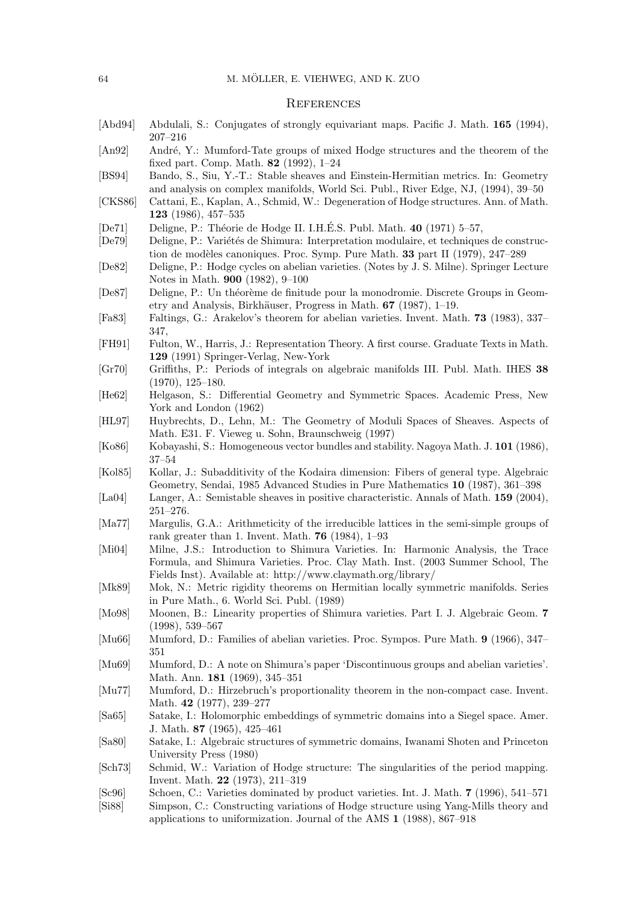#### **REFERENCES**

- [Abd94] Abdulali, S.: Conjugates of strongly equivariant maps. Pacific J. Math. 165 (1994), 207–216
- [An92] André, Y.: Mumford-Tate groups of mixed Hodge structures and the theorem of the fixed part. Comp. Math. 82 (1992), 1–24
- [BS94] Bando, S., Siu, Y.-T.: Stable sheaves and Einstein-Hermitian metrics. In: Geometry and analysis on complex manifolds, World Sci. Publ., River Edge, NJ, (1994), 39–50
- [CKS86] Cattani, E., Kaplan, A., Schmid, W.: Degeneration of Hodge structures. Ann. of Math. 123 (1986), 457–535
- [De71] Deligne, P.: Théorie de Hodge II. I.H.É.S. Publ. Math.  $40$  (1971) 5–57,
- [De79] Deligne, P.: Variétés de Shimura: Interpretation modulaire, et techniques de construction de modèles canoniques. Proc. Symp. Pure Math. 33 part II (1979), 247-289
- [De82] Deligne, P.: Hodge cycles on abelian varieties. (Notes by J. S. Milne). Springer Lecture Notes in Math. 900 (1982), 9–100
- [De87] Deligne, P.: Un théorème de finitude pour la monodromie. Discrete Groups in Geometry and Analysis, Birkhäuser, Progress in Math. 67 (1987), 1–19.
- [Fa83] Faltings, G.: Arakelov's theorem for abelian varieties. Invent. Math. 73 (1983), 337– 347,
- [FH91] Fulton, W., Harris, J.: Representation Theory. A first course. Graduate Texts in Math. 129 (1991) Springer-Verlag, New-York
- [Gr70] Griffiths, P.: Periods of integrals on algebraic manifolds III. Publ. Math. IHES 38 (1970), 125–180.
- [He62] Helgason, S.: Differential Geometry and Symmetric Spaces. Academic Press, New York and London (1962)
- [HL97] Huybrechts, D., Lehn, M.: The Geometry of Moduli Spaces of Sheaves. Aspects of Math. E31. F. Vieweg u. Sohn, Braunschweig (1997)
- [Ko86] Kobayashi, S.: Homogeneous vector bundles and stability. Nagoya Math. J. 101 (1986), 37–54
- [Kol85] Kollar, J.: Subadditivity of the Kodaira dimension: Fibers of general type. Algebraic Geometry, Sendai, 1985 Advanced Studies in Pure Mathematics 10 (1987), 361–398
- [La04] Langer, A.: Semistable sheaves in positive characteristic. Annals of Math. **159** (2004), 251–276.
- [Ma77] Margulis, G.A.: Arithmeticity of the irreducible lattices in the semi-simple groups of rank greater than 1. Invent. Math. 76 (1984), 1–93
- [Mi04] Milne, J.S.: Introduction to Shimura Varieties. In: Harmonic Analysis, the Trace Formula, and Shimura Varieties. Proc. Clay Math. Inst. (2003 Summer School, The Fields Inst). Available at: http://www.claymath.org/library/
- [Mk89] Mok, N.: Metric rigidity theorems on Hermitian locally symmetric manifolds. Series in Pure Math., 6. World Sci. Publ. (1989)
- [Mo98] Moonen, B.: Linearity properties of Shimura varieties. Part I. J. Algebraic Geom. 7 (1998), 539–567
- [Mu66] Mumford, D.: Families of abelian varieties. Proc. Sympos. Pure Math. 9 (1966), 347– 351
- [Mu69] Mumford, D.: A note on Shimura's paper 'Discontinuous groups and abelian varieties'. Math. Ann. 181 (1969), 345–351
- [Mu77] Mumford, D.: Hirzebruch's proportionality theorem in the non-compact case. Invent. Math. 42 (1977), 239–277
- [Sa65] Satake, I.: Holomorphic embeddings of symmetric domains into a Siegel space. Amer. J. Math. 87 (1965), 425–461
- [Sa80] Satake, I.: Algebraic structures of symmetric domains, Iwanami Shoten and Princeton University Press (1980)
- [Sch73] Schmid, W.: Variation of Hodge structure: The singularities of the period mapping. Invent. Math. 22 (1973), 211–319
- [Sc96] Schoen, C.: Varieties dominated by product varieties. Int. J. Math. 7 (1996), 541–571
- [Si88] Simpson, C.: Constructing variations of Hodge structure using Yang-Mills theory and applications to uniformization. Journal of the AMS 1 (1988), 867–918